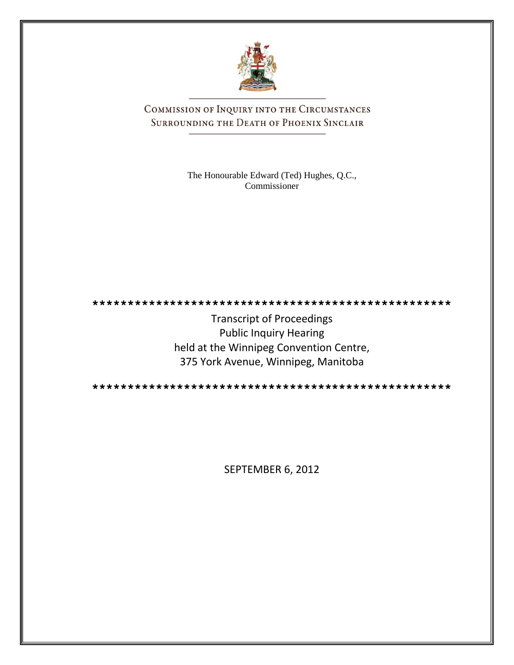

COMMISSION OF INQUIRY INTO THE CIRCUMSTANCES SURROUNDING THE DEATH OF PHOENIX SINCLAIR

> The Honourable Edward (Ted) Hughes, Q.C., Commissioner



Transcript of Proceedings Public Inquiry Hearing held at the Winnipeg Convention Centre, 375 York Avenue, Winnipeg, Manitoba

**\*\*\*\*\*\*\*\*\*\*\*\*\*\*\*\*\*\*\*\*\*\*\*\*\*\*\*\*\*\*\*\*\*\*\*\*\*\*\*\*\*\*\*\*\*\*\*\*\*\*\***

SEPTEMBER 6, 2012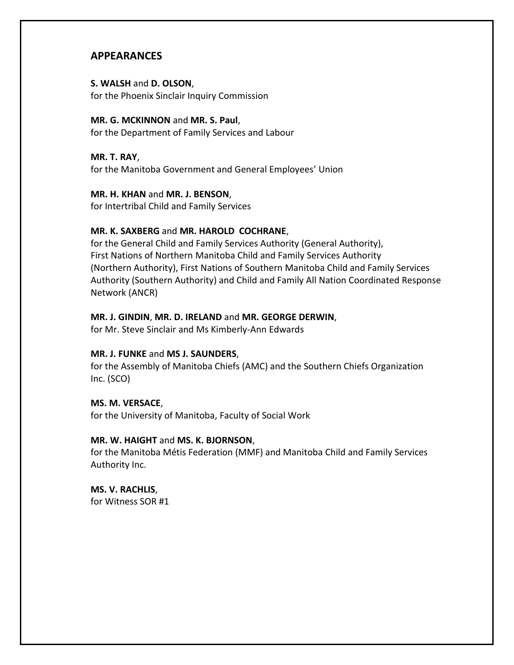# **APPEARANCES**

# **S. WALSH** and **D. OLSON**, for the Phoenix Sinclair Inquiry Commission

# **MR. G. MCKINNON** and **MR. S. Paul**,

for the Department of Family Services and Labour

**MR. T. RAY**, for the Manitoba Government and General Employees' Union

# **MR. H. KHAN** and **MR. J. BENSON**,

for Intertribal Child and Family Services

# **MR. K. SAXBERG** and **MR. HAROLD COCHRANE**,

for the General Child and Family Services Authority (General Authority), First Nations of Northern Manitoba Child and Family Services Authority (Northern Authority), First Nations of Southern Manitoba Child and Family Services Authority (Southern Authority) and Child and Family All Nation Coordinated Response Network (ANCR)

# **MR. J. GINDIN**, **MR. D. IRELAND** and **MR. GEORGE DERWIN**,

for Mr. Steve Sinclair and Ms Kimberly-Ann Edwards

# **MR. J. FUNKE** and **MS J. SAUNDERS**,

for the Assembly of Manitoba Chiefs (AMC) and the Southern Chiefs Organization Inc. (SCO)

# **MS. M. VERSACE**,

for the University of Manitoba, Faculty of Social Work

# **MR. W. HAIGHT** and **MS. K. BJORNSON**,

for the Manitoba Métis Federation (MMF) and Manitoba Child and Family Services Authority Inc.

**MS. V. RACHLIS**, for Witness SOR #1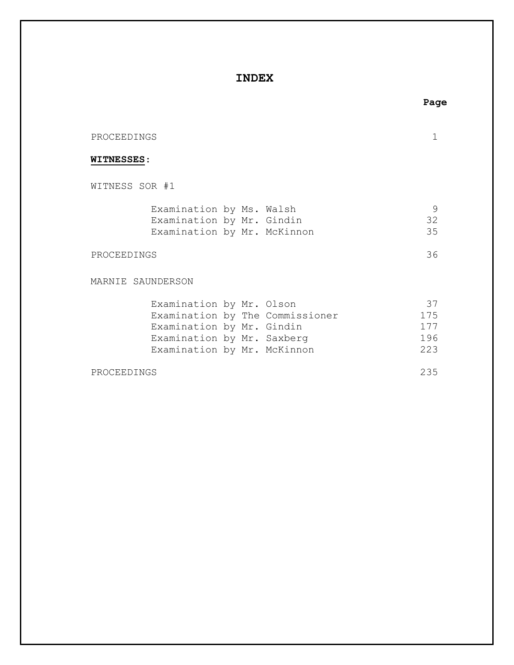# **INDEX**

# PROCEEDINGS 1 WITNESS SOR #1 Examination by Ms. Walsh 9 Examination by Mr. Gindin 32 Examination by Mr. McKinnon 35

PROCEEDINGS 36

**WITNESSES**:

MARNIE SAUNDERSON

| Examination by Mr. Olson    |  |                                 | -37 |
|-----------------------------|--|---------------------------------|-----|
|                             |  | Examination by The Commissioner | 175 |
| Examination by Mr. Gindin   |  |                                 | 177 |
| Examination by Mr. Saxberg  |  |                                 | 196 |
| Examination by Mr. McKinnon |  |                                 | 223 |

PROCEEDINGS 235

### **Page**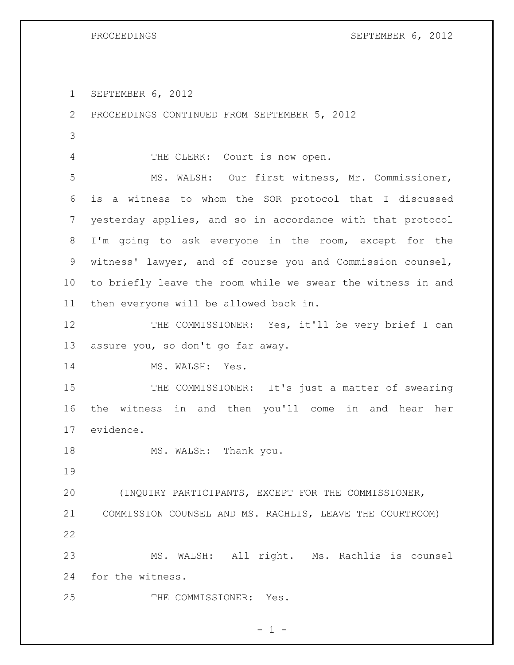PROCEEDINGS SEPTEMBER 6, 2012

SEPTEMBER 6, 2012

 PROCEEDINGS CONTINUED FROM SEPTEMBER 5, 2012 THE CLERK: Court is now open. MS. WALSH: Our first witness, Mr. Commissioner, is a witness to whom the SOR protocol that I discussed yesterday applies, and so in accordance with that protocol I'm going to ask everyone in the room, except for the witness' lawyer, and of course you and Commission counsel, to briefly leave the room while we swear the witness in and then everyone will be allowed back in. 12 THE COMMISSIONER: Yes, it'll be very brief I can assure you, so don't go far away. 14 MS. WALSH: Yes. 15 THE COMMISSIONER: It's just a matter of swearing the witness in and then you'll come in and hear her evidence. 18 MS. WALSH: Thank you. (INQUIRY PARTICIPANTS, EXCEPT FOR THE COMMISSIONER, COMMISSION COUNSEL AND MS. RACHLIS, LEAVE THE COURTROOM) MS. WALSH: All right. Ms. Rachlis is counsel for the witness. THE COMMISSIONER: Yes.

 $- 1 -$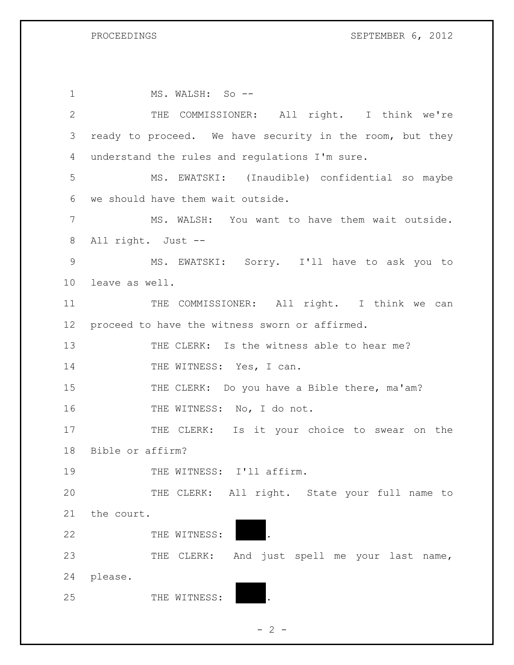| $\mathbf 1$    | MS. WALSH: So --                                         |
|----------------|----------------------------------------------------------|
| $\mathbf{2}$   | THE COMMISSIONER: All right. I think we're               |
| 3              | ready to proceed. We have security in the room, but they |
| $\overline{4}$ | understand the rules and regulations I'm sure.           |
| 5              | MS. EWATSKI: (Inaudible) confidential so maybe           |
| 6              | we should have them wait outside.                        |
| 7              | MS. WALSH: You want to have them wait outside.           |
| 8              | All right. Just --                                       |
| $\mathsf 9$    | MS. EWATSKI: Sorry. I'll have to ask you to              |
| 10             | leave as well.                                           |
| 11             | THE COMMISSIONER: All right. I think we can              |
| 12             | proceed to have the witness sworn or affirmed.           |
| 13             | THE CLERK: Is the witness able to hear me?               |
| 14             | THE WITNESS: Yes, I can.                                 |
| 15             | THE CLERK: Do you have a Bible there, ma'am?             |
| 16             | THE WITNESS: No, I do not.                               |
| 17             | THE CLERK: Is it your choice to swear on the             |
| 18             | Bible or affirm?                                         |
| 19             | THE WITNESS: I'll affirm.                                |
| 20             | THE CLERK: All right. State your full name to            |
| 21             | the court.                                               |
| 22             | THE WITNESS:                                             |
| 23             | THE CLERK: And just spell me your last name,             |
| 24             | please.                                                  |
| 25             | THE WITNESS:                                             |

 $- 2 -$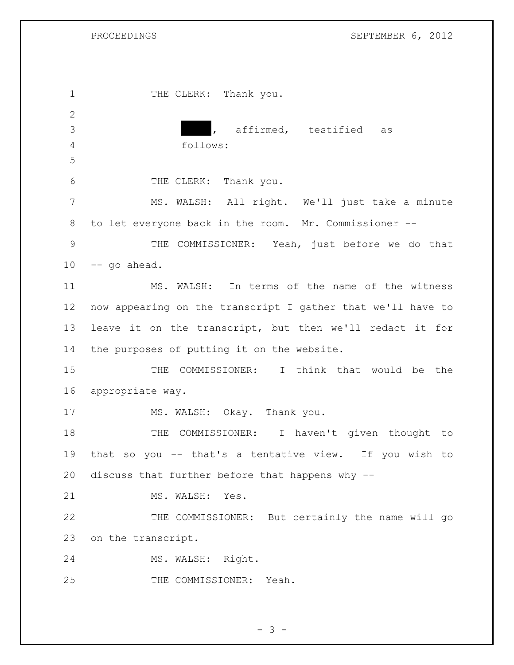### PROCEEDINGS SEPTEMBER 6, 2012

1 THE CLERK: Thank you. XXXXX**,** affirmed, testified as follows: THE CLERK: Thank you. MS. WALSH: All right. We'll just take a minute to let everyone back in the room. Mr. Commissioner -- THE COMMISSIONER: Yeah, just before we do that -- go ahead. MS. WALSH: In terms of the name of the witness now appearing on the transcript I gather that we'll have to leave it on the transcript, but then we'll redact it for the purposes of putting it on the website. THE COMMISSIONER: I think that would be the appropriate way. MS. WALSH: Okay. Thank you. 18 THE COMMISSIONER: I haven't given thought to that so you -- that's a tentative view. If you wish to discuss that further before that happens why -- 21 MS. WALSH: Yes. THE COMMISSIONER: But certainly the name will go on the transcript. MS. WALSH: Right. 25 THE COMMISSIONER: Yeah.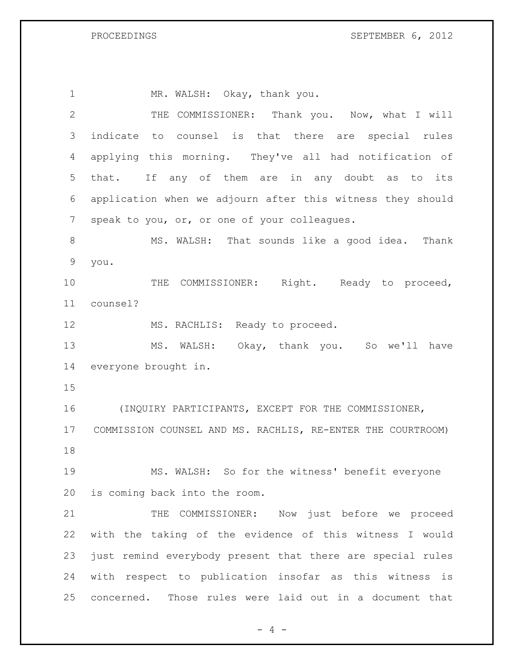PROCEEDINGS SEPTEMBER 6, 2012

1 MR. WALSH: Okay, thank you. THE COMMISSIONER: Thank you. Now, what I will indicate to counsel is that there are special rules applying this morning. They've all had notification of that. If any of them are in any doubt as to its application when we adjourn after this witness they should speak to you, or, or one of your colleagues. 8 MS. WALSH: That sounds like a good idea. Thank you. 10 THE COMMISSIONER: Right. Ready to proceed, counsel? 12 MS. RACHLIS: Ready to proceed. MS. WALSH: Okay, thank you. So we'll have everyone brought in. (INQUIRY PARTICIPANTS, EXCEPT FOR THE COMMISSIONER, COMMISSION COUNSEL AND MS. RACHLIS, RE-ENTER THE COURTROOM) MS. WALSH: So for the witness' benefit everyone is coming back into the room. THE COMMISSIONER: Now just before we proceed with the taking of the evidence of this witness I would just remind everybody present that there are special rules with respect to publication insofar as this witness is concerned. Those rules were laid out in a document that

 $- 4 -$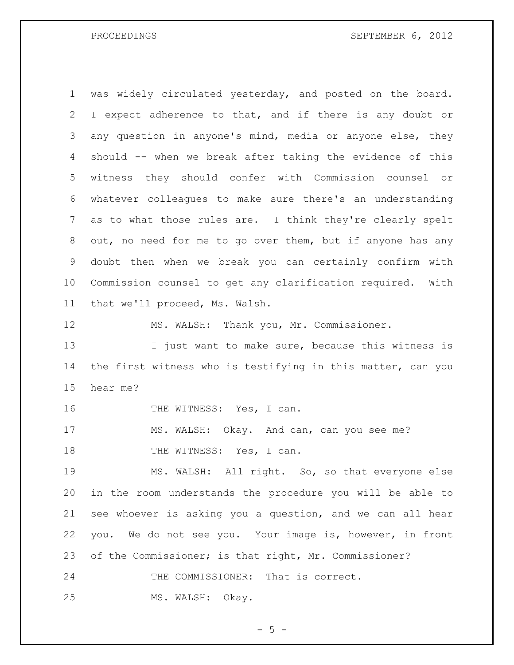was widely circulated yesterday, and posted on the board. I expect adherence to that, and if there is any doubt or any question in anyone's mind, media or anyone else, they should -- when we break after taking the evidence of this witness they should confer with Commission counsel or whatever colleagues to make sure there's an understanding as to what those rules are. I think they're clearly spelt out, no need for me to go over them, but if anyone has any doubt then when we break you can certainly confirm with Commission counsel to get any clarification required. With that we'll proceed, Ms. Walsh.

MS. WALSH: Thank you, Mr. Commissioner.

13 I just want to make sure, because this witness is the first witness who is testifying in this matter, can you hear me?

16 THE WITNESS: Yes, I can.

MS. WALSH: Okay. And can, can you see me?

18 THE WITNESS: Yes, I can.

 MS. WALSH: All right. So, so that everyone else in the room understands the procedure you will be able to see whoever is asking you a question, and we can all hear you. We do not see you. Your image is, however, in front of the Commissioner; is that right, Mr. Commissioner?

24 THE COMMISSIONER: That is correct.

MS. WALSH: Okay.

 $-5 -$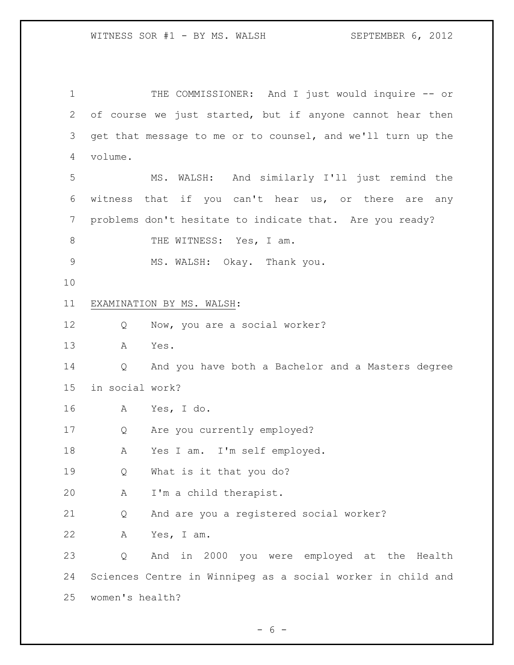THE COMMISSIONER: And I just would inquire -- or of course we just started, but if anyone cannot hear then get that message to me or to counsel, and we'll turn up the volume. MS. WALSH: And similarly I'll just remind the witness that if you can't hear us, or there are any problems don't hesitate to indicate that. Are you ready? 8 THE WITNESS: Yes, I am. MS. WALSH: Okay. Thank you. EXAMINATION BY MS. WALSH: Q Now, you are a social worker? A Yes. Q And you have both a Bachelor and a Masters degree in social work? A Yes, I do. Q Are you currently employed? A Yes I am. I'm self employed. Q What is it that you do? A I'm a child therapist. Q And are you a registered social worker? A Yes, I am. Q And in 2000 you were employed at the Health Sciences Centre in Winnipeg as a social worker in child and women's health?

 $- 6 -$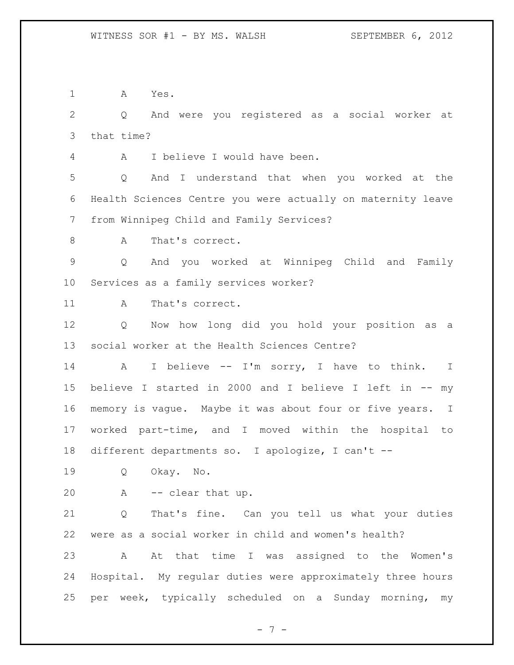A Yes.

 Q And were you registered as a social worker at that time?

A I believe I would have been.

 Q And I understand that when you worked at the Health Sciences Centre you were actually on maternity leave from Winnipeg Child and Family Services?

8 A That's correct.

 Q And you worked at Winnipeg Child and Family Services as a family services worker?

11 A That's correct.

 Q Now how long did you hold your position as a social worker at the Health Sciences Centre?

 A I believe -- I'm sorry, I have to think. I believe I started in 2000 and I believe I left in -- my memory is vague. Maybe it was about four or five years. I worked part-time, and I moved within the hospital to different departments so. I apologize, I can't --

Q Okay. No.

A -- clear that up.

 Q That's fine. Can you tell us what your duties were as a social worker in child and women's health? A At that time I was assigned to the Women's Hospital. My regular duties were approximately three hours per week, typically scheduled on a Sunday morning, my

- 7 -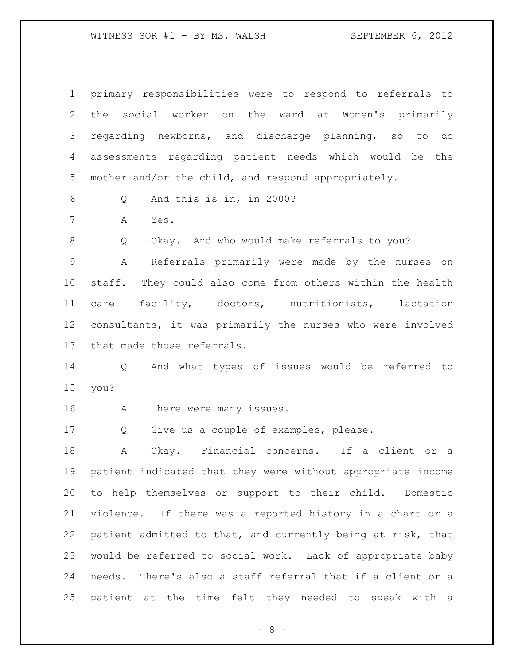| $\mathbf 1$     | primary responsibilities were to respond to referrals to    |
|-----------------|-------------------------------------------------------------|
| $\mathbf{2}$    | social worker on the ward at Women's primarily<br>the       |
| 3               | regarding newborns, and discharge planning, so to do        |
| $\overline{4}$  | assessments regarding patient needs which would be the      |
| 5               | mother and/or the child, and respond appropriately.         |
| 6               | And this is in, in 2000?<br>Q                               |
| $7\phantom{.0}$ | Α<br>Yes.                                                   |
| 8               | Q<br>Okay. And who would make referrals to you?             |
| $\mathsf 9$     | Referrals primarily were made by the nurses on<br>Α         |
| 10              | staff. They could also come from others within the health   |
| 11              | care facility, doctors, nutritionists, lactation            |
| 12 <sub>2</sub> | consultants, it was primarily the nurses who were involved  |
| 13              | that made those referrals.                                  |
| 14              | And what types of issues would be referred to<br>Q          |
| 15              | you?                                                        |
| 16              | Α<br>There were many issues.                                |
| 17              | Give us a couple of examples, please.<br>Q                  |
| 18              | Okay. Financial concerns. If a client<br>Α<br>or<br>a       |
| 19              | patient indicated that they were without appropriate income |
| 20              | to help themselves or support to their child. Domestic      |
| 21              | violence. If there was a reported history in a chart or a   |
| 22              | patient admitted to that, and currently being at risk, that |
| 23              | would be referred to social work. Lack of appropriate baby  |
| 24              | needs. There's also a staff referral that if a client or a  |
| 25              | patient at the time felt they needed to speak with a        |

- 8 -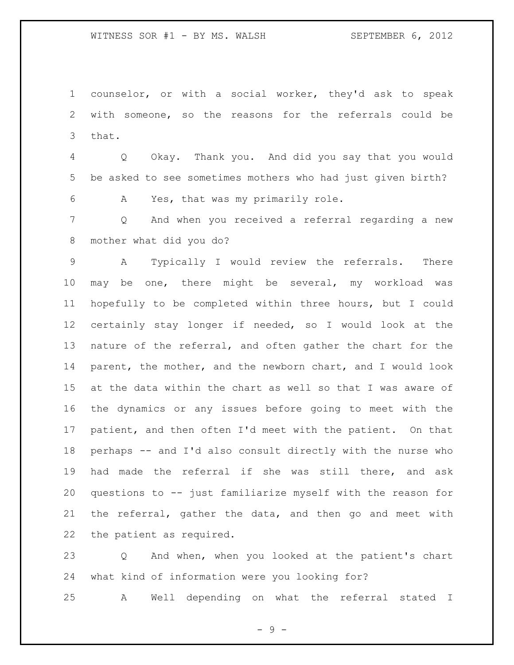counselor, or with a social worker, they'd ask to speak with someone, so the reasons for the referrals could be that.

 Q Okay. Thank you. And did you say that you would be asked to see sometimes mothers who had just given birth?

A Yes, that was my primarily role.

 Q And when you received a referral regarding a new mother what did you do?

 A Typically I would review the referrals. There may be one, there might be several, my workload was hopefully to be completed within three hours, but I could certainly stay longer if needed, so I would look at the nature of the referral, and often gather the chart for the parent, the mother, and the newborn chart, and I would look at the data within the chart as well so that I was aware of the dynamics or any issues before going to meet with the patient, and then often I'd meet with the patient. On that perhaps -- and I'd also consult directly with the nurse who had made the referral if she was still there, and ask questions to -- just familiarize myself with the reason for the referral, gather the data, and then go and meet with the patient as required.

 Q And when, when you looked at the patient's chart what kind of information were you looking for?

A Well depending on what the referral stated I

- 9 -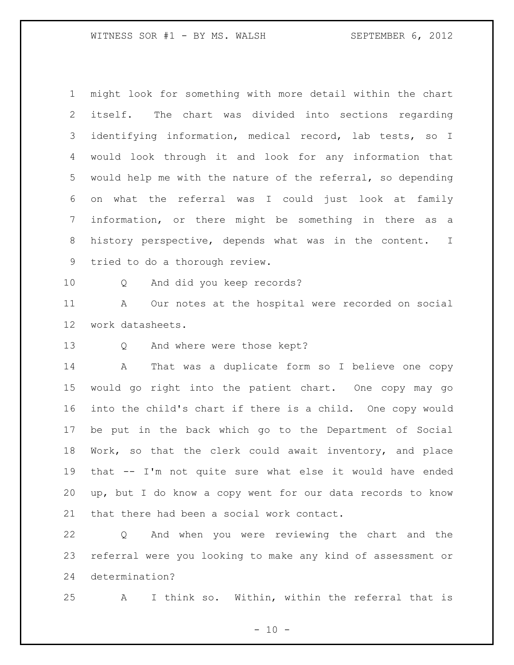might look for something with more detail within the chart itself. The chart was divided into sections regarding identifying information, medical record, lab tests, so I would look through it and look for any information that would help me with the nature of the referral, so depending on what the referral was I could just look at family information, or there might be something in there as a history perspective, depends what was in the content. I tried to do a thorough review.

Q And did you keep records?

 A Our notes at the hospital were recorded on social work datasheets.

Q And where were those kept?

 A That was a duplicate form so I believe one copy would go right into the patient chart. One copy may go into the child's chart if there is a child. One copy would be put in the back which go to the Department of Social Work, so that the clerk could await inventory, and place that -- I'm not quite sure what else it would have ended up, but I do know a copy went for our data records to know that there had been a social work contact.

 Q And when you were reviewing the chart and the referral were you looking to make any kind of assessment or determination?

A I think so. Within, within the referral that is

 $- 10 -$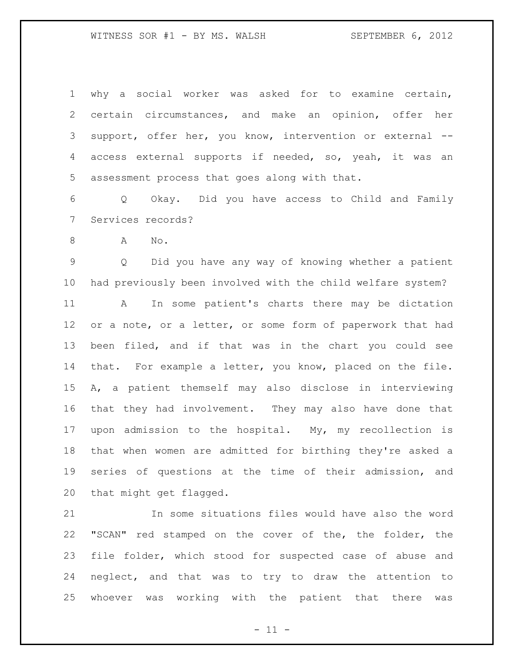why a social worker was asked for to examine certain, certain circumstances, and make an opinion, offer her support, offer her, you know, intervention or external -- access external supports if needed, so, yeah, it was an assessment process that goes along with that.

 Q Okay. Did you have access to Child and Family Services records?

A No.

 Q Did you have any way of knowing whether a patient had previously been involved with the child welfare system?

 A In some patient's charts there may be dictation 12 or a note, or a letter, or some form of paperwork that had been filed, and if that was in the chart you could see that. For example a letter, you know, placed on the file. A, a patient themself may also disclose in interviewing that they had involvement. They may also have done that upon admission to the hospital. My, my recollection is that when women are admitted for birthing they're asked a series of questions at the time of their admission, and that might get flagged.

 In some situations files would have also the word "SCAN" red stamped on the cover of the, the folder, the file folder, which stood for suspected case of abuse and neglect, and that was to try to draw the attention to whoever was working with the patient that there was

 $- 11 -$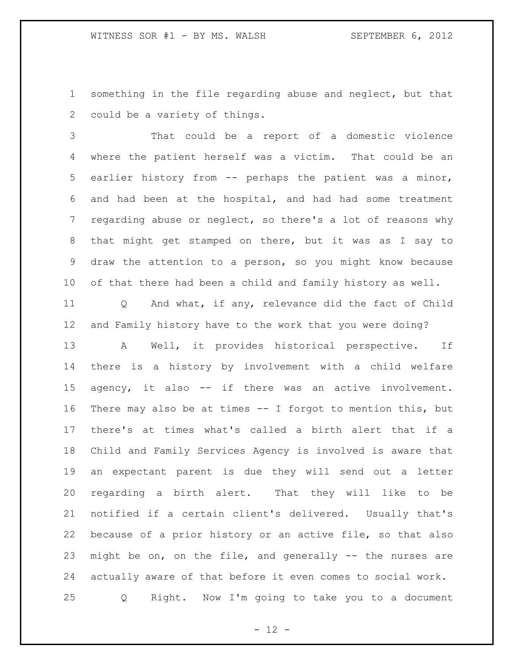something in the file regarding abuse and neglect, but that could be a variety of things.

 That could be a report of a domestic violence where the patient herself was a victim. That could be an earlier history from -- perhaps the patient was a minor, and had been at the hospital, and had had some treatment regarding abuse or neglect, so there's a lot of reasons why that might get stamped on there, but it was as I say to draw the attention to a person, so you might know because of that there had been a child and family history as well.

 Q And what, if any, relevance did the fact of Child and Family history have to the work that you were doing?

 A Well, it provides historical perspective. If there is a history by involvement with a child welfare agency, it also -- if there was an active involvement. There may also be at times -- I forgot to mention this, but there's at times what's called a birth alert that if a Child and Family Services Agency is involved is aware that an expectant parent is due they will send out a letter regarding a birth alert. That they will like to be notified if a certain client's delivered. Usually that's because of a prior history or an active file, so that also might be on, on the file, and generally -- the nurses are actually aware of that before it even comes to social work. Q Right. Now I'm going to take you to a document

 $- 12 -$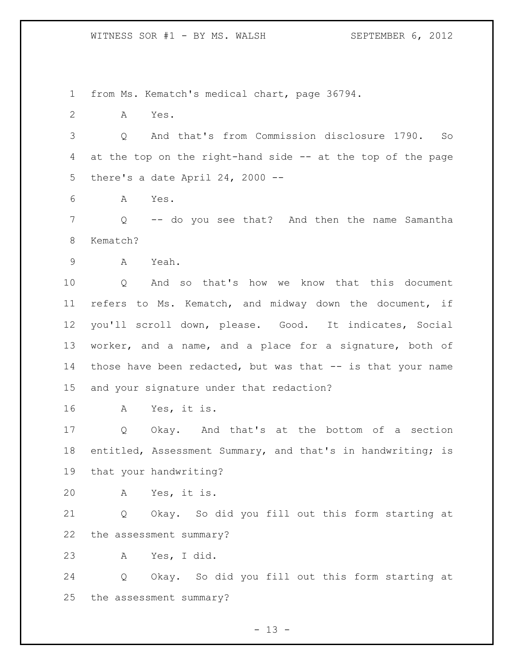from Ms. Kematch's medical chart, page 36794.

A Yes.

 Q And that's from Commission disclosure 1790. So at the top on the right-hand side -- at the top of the page there's a date April 24, 2000 --

A Yes.

 Q -- do you see that? And then the name Samantha Kematch?

A Yeah.

 Q And so that's how we know that this document refers to Ms. Kematch, and midway down the document, if you'll scroll down, please. Good. It indicates, Social worker, and a name, and a place for a signature, both of 14 those have been redacted, but was that -- is that your name and your signature under that redaction?

A Yes, it is.

 Q Okay. And that's at the bottom of a section entitled, Assessment Summary, and that's in handwriting; is that your handwriting?

A Yes, it is.

 Q Okay. So did you fill out this form starting at the assessment summary?

A Yes, I did.

 Q Okay. So did you fill out this form starting at the assessment summary?

 $- 13 -$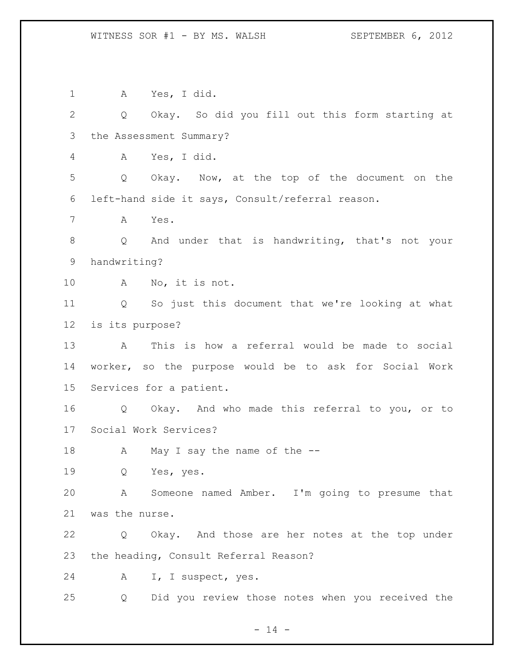A Yes, I did. Q Okay. So did you fill out this form starting at the Assessment Summary? A Yes, I did. Q Okay. Now, at the top of the document on the left-hand side it says, Consult/referral reason. A Yes. Q And under that is handwriting, that's not your handwriting? A No, it is not. Q So just this document that we're looking at what is its purpose? A This is how a referral would be made to social worker, so the purpose would be to ask for Social Work Services for a patient. Q Okay. And who made this referral to you, or to Social Work Services? 18 A May I say the name of the -- Q Yes, yes. A Someone named Amber. I'm going to presume that was the nurse. Q Okay. And those are her notes at the top under the heading, Consult Referral Reason? A I, I suspect, yes. Q Did you review those notes when you received the

 $- 14 -$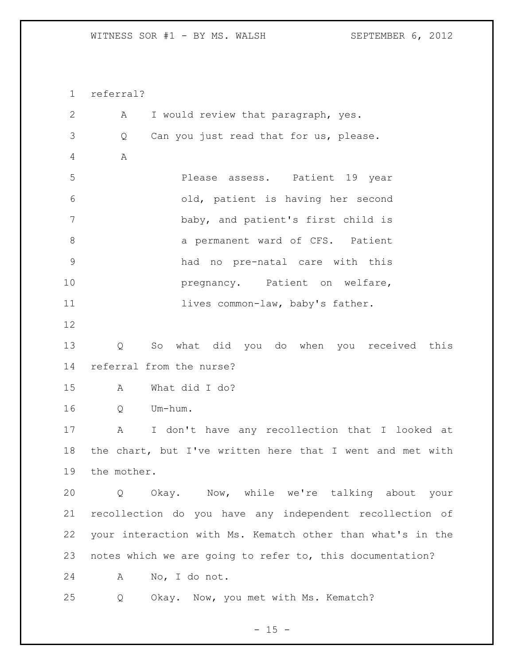referral? A I would review that paragraph, yes. Q Can you just read that for us, please. A Please assess. Patient 19 year old, patient is having her second baby, and patient's first child is 8 a permanent ward of CFS. Patient had no pre-natal care with this **pregnancy**. Patient on welfare, 11 lives common-law, baby's father. Q So what did you do when you received this referral from the nurse? A What did I do? Q Um-hum. A I don't have any recollection that I looked at the chart, but I've written here that I went and met with the mother. Q Okay. Now, while we're talking about your recollection do you have any independent recollection of your interaction with Ms. Kematch other than what's in the notes which we are going to refer to, this documentation? A No, I do not. Q Okay. Now, you met with Ms. Kematch?

 $- 15 -$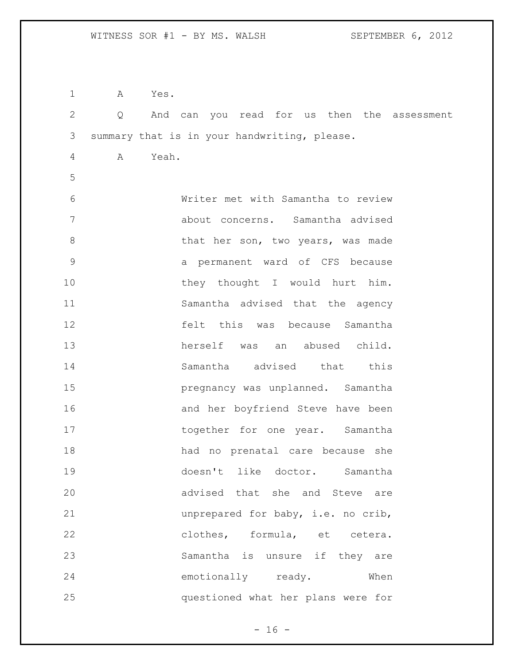| $\mathbf 1$  | Α                 | Yes.                                         |
|--------------|-------------------|----------------------------------------------|
| $\mathbf{2}$ | $Q \qquad \qquad$ | And can you read for us then the assessment  |
| 3            |                   | summary that is in your handwriting, please. |
| 4            | A                 | Yeah.                                        |
| 5            |                   |                                              |
| 6            |                   | Writer met with Samantha to review           |
| 7            |                   | about concerns. Samantha advised             |
| $8\,$        |                   | that her son, two years, was made            |
| $\mathsf 9$  |                   | a permanent ward of CFS because              |
| 10           |                   | they thought I would hurt him.               |
| 11           |                   | Samantha advised that the agency             |
| 12           |                   | felt this was because Samantha               |
| 13           |                   | herself was<br>abused child.<br>an           |
| 14           |                   | Samantha advised that this                   |
| 15           |                   | pregnancy was unplanned. Samantha            |
| 16           |                   | and her boyfriend Steve have been            |
| 17           |                   | together for one year. Samantha              |
| 18           |                   | had no prenatal care because she             |
| 19           |                   | doesn't like doctor. Samantha                |
| 20           |                   | advised that she and Steve are               |
| 21           |                   | unprepared for baby, i.e. no crib,           |
| 22           |                   | clothes, formula, et cetera.                 |
| 23           |                   | Samantha is unsure if they are               |
| 24           |                   | emotionally ready.<br>When                   |
| 25           |                   | questioned what her plans were for           |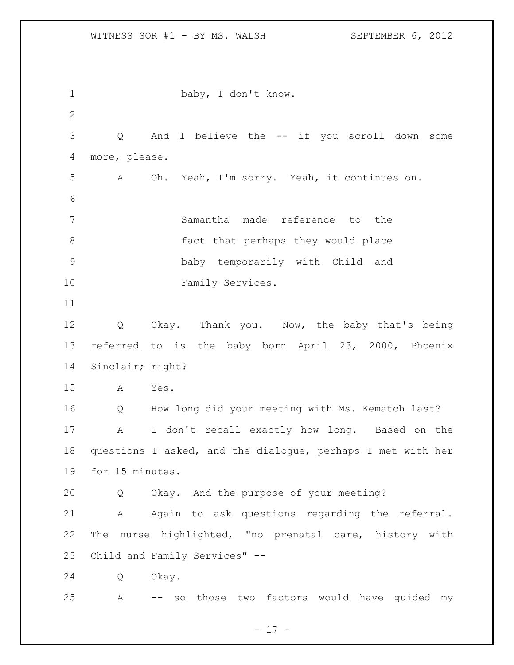1 baby, I don't know. Q And I believe the -- if you scroll down some more, please. A Oh. Yeah, I'm sorry. Yeah, it continues on. Samantha made reference to the fact that perhaps they would place baby temporarily with Child and 10 Family Services. Q Okay. Thank you. Now, the baby that's being referred to is the baby born April 23, 2000, Phoenix Sinclair; right? A Yes. Q How long did your meeting with Ms. Kematch last? A I don't recall exactly how long. Based on the questions I asked, and the dialogue, perhaps I met with her for 15 minutes. Q Okay. And the purpose of your meeting? A Again to ask questions regarding the referral. The nurse highlighted, "no prenatal care, history with Child and Family Services" -- Q Okay. A -- so those two factors would have guided my

- 17 -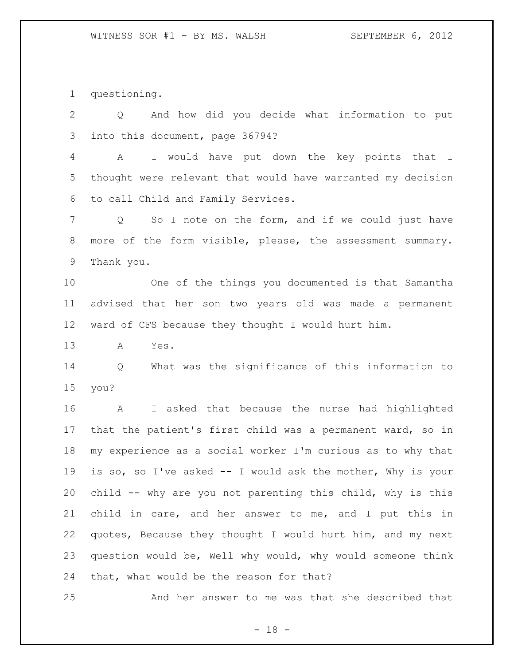questioning.

 Q And how did you decide what information to put into this document, page 36794?

 A I would have put down the key points that I thought were relevant that would have warranted my decision to call Child and Family Services.

 Q So I note on the form, and if we could just have more of the form visible, please, the assessment summary. Thank you.

 One of the things you documented is that Samantha advised that her son two years old was made a permanent ward of CFS because they thought I would hurt him.

A Yes.

 Q What was the significance of this information to you?

 A I asked that because the nurse had highlighted that the patient's first child was a permanent ward, so in my experience as a social worker I'm curious as to why that is so, so I've asked -- I would ask the mother, Why is your child -- why are you not parenting this child, why is this child in care, and her answer to me, and I put this in quotes, Because they thought I would hurt him, and my next question would be, Well why would, why would someone think that, what would be the reason for that?

And her answer to me was that she described that

 $- 18 -$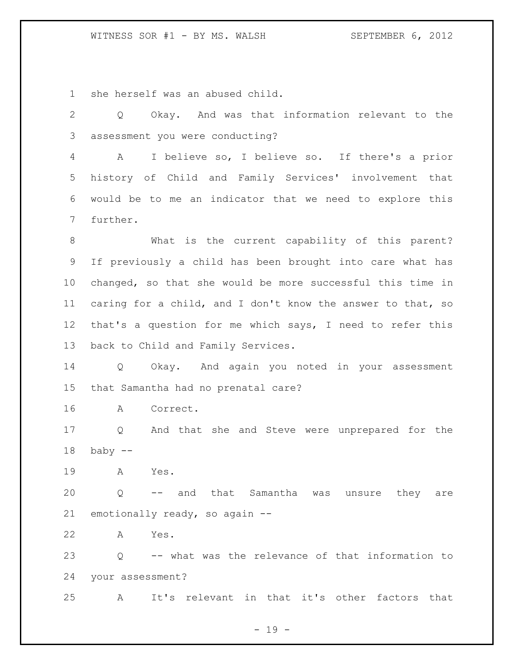she herself was an abused child.

 Q Okay. And was that information relevant to the assessment you were conducting? A I believe so, I believe so. If there's a prior history of Child and Family Services' involvement that would be to me an indicator that we need to explore this further. What is the current capability of this parent? If previously a child has been brought into care what has changed, so that she would be more successful this time in caring for a child, and I don't know the answer to that, so that's a question for me which says, I need to refer this back to Child and Family Services. Q Okay. And again you noted in your assessment that Samantha had no prenatal care? A Correct. Q And that she and Steve were unprepared for the baby  $-$  A Yes. Q -- and that Samantha was unsure they are emotionally ready, so again -- A Yes. Q -- what was the relevance of that information to your assessment? A It's relevant in that it's other factors that

- 19 -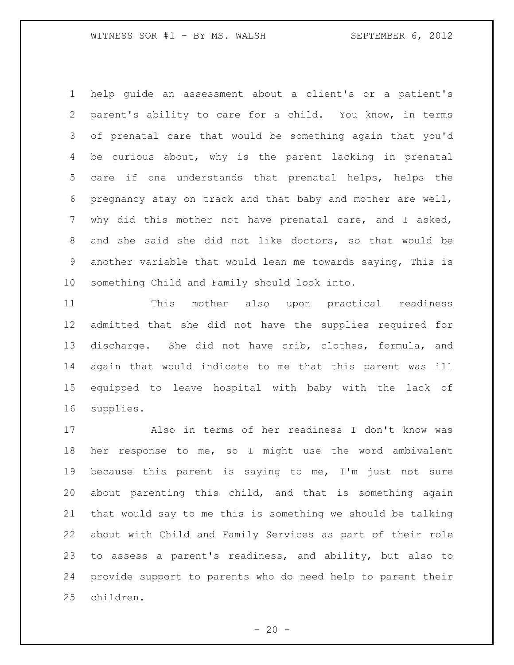help guide an assessment about a client's or a patient's parent's ability to care for a child. You know, in terms of prenatal care that would be something again that you'd be curious about, why is the parent lacking in prenatal care if one understands that prenatal helps, helps the pregnancy stay on track and that baby and mother are well, why did this mother not have prenatal care, and I asked, and she said she did not like doctors, so that would be another variable that would lean me towards saying, This is something Child and Family should look into.

 This mother also upon practical readiness admitted that she did not have the supplies required for discharge. She did not have crib, clothes, formula, and again that would indicate to me that this parent was ill equipped to leave hospital with baby with the lack of supplies.

 Also in terms of her readiness I don't know was her response to me, so I might use the word ambivalent because this parent is saying to me, I'm just not sure about parenting this child, and that is something again that would say to me this is something we should be talking about with Child and Family Services as part of their role to assess a parent's readiness, and ability, but also to provide support to parents who do need help to parent their children.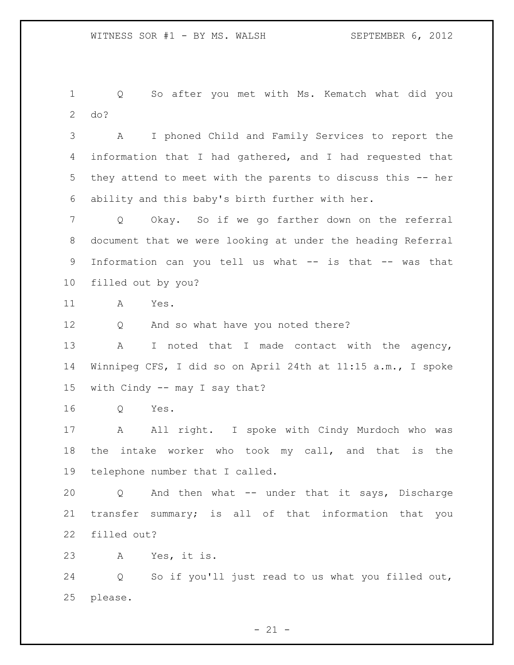Q So after you met with Ms. Kematch what did you do?

 A I phoned Child and Family Services to report the information that I had gathered, and I had requested that they attend to meet with the parents to discuss this -- her ability and this baby's birth further with her.

 Q Okay. So if we go farther down on the referral document that we were looking at under the heading Referral Information can you tell us what -- is that -- was that filled out by you?

A Yes.

Q And so what have you noted there?

13 A I noted that I made contact with the agency, Winnipeg CFS, I did so on April 24th at 11:15 a.m., I spoke with Cindy -- may I say that?

Q Yes.

17 A All right. I spoke with Cindy Murdoch who was the intake worker who took my call, and that is the telephone number that I called.

 Q And then what -- under that it says, Discharge transfer summary; is all of that information that you filled out?

A Yes, it is.

 Q So if you'll just read to us what you filled out, please.

 $- 21 -$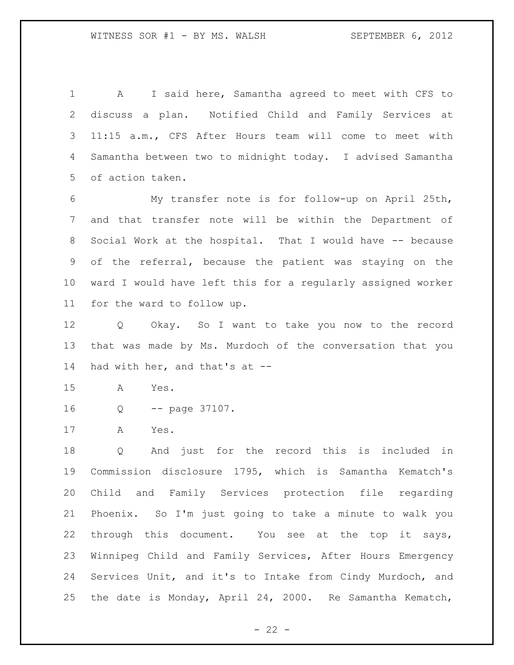A I said here, Samantha agreed to meet with CFS to discuss a plan. Notified Child and Family Services at 11:15 a.m., CFS After Hours team will come to meet with Samantha between two to midnight today. I advised Samantha of action taken.

 My transfer note is for follow-up on April 25th, and that transfer note will be within the Department of Social Work at the hospital. That I would have -- because of the referral, because the patient was staying on the ward I would have left this for a regularly assigned worker for the ward to follow up.

 Q Okay. So I want to take you now to the record that was made by Ms. Murdoch of the conversation that you had with her, and that's at --

A Yes.

Q -- page 37107.

A Yes.

 Q And just for the record this is included in Commission disclosure 1795, which is Samantha Kematch's Child and Family Services protection file regarding Phoenix. So I'm just going to take a minute to walk you through this document. You see at the top it says, Winnipeg Child and Family Services, After Hours Emergency Services Unit, and it's to Intake from Cindy Murdoch, and the date is Monday, April 24, 2000. Re Samantha Kematch,

 $- 22 -$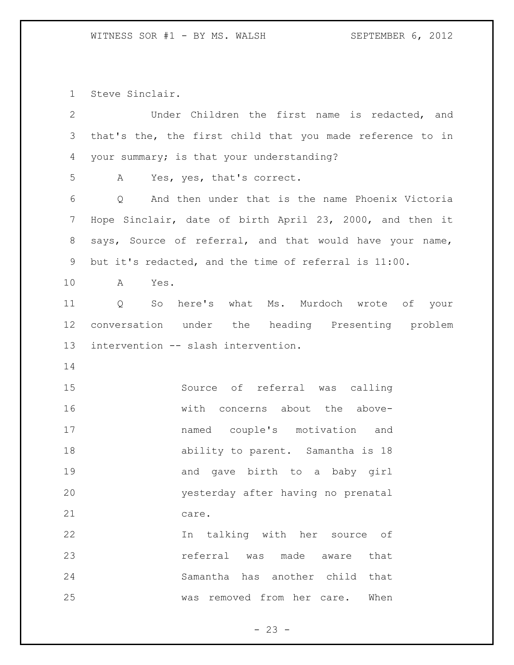Steve Sinclair.

| $\overline{2}$ | Under Children the first name is redacted, and            |
|----------------|-----------------------------------------------------------|
| $\mathcal{S}$  | that's the, the first child that you made reference to in |
| 4              | your summary; is that your understanding?                 |
| 5              | A Yes, yes, that's correct.                               |
| 6              | Q And then under that is the name Phoenix Victoria        |
| $\overline{7}$ | Hope Sinclair, date of birth April 23, 2000, and then it  |
| $8\,$          | says, Source of referral, and that would have your name,  |
| 9              | but it's redacted, and the time of referral is 11:00.     |
| 10             | $\mathbf{A}$<br>Yes.                                      |
| 11             | Q So here's what Ms. Murdoch wrote of your                |
| 12             | conversation under the heading Presenting problem         |
| 13             | intervention -- slash intervention.                       |
| 14             |                                                           |
| 15             | Source of referral was calling                            |
| 16             | with concerns about the above-                            |
| 17             | named couple's motivation and                             |
| 18             | ability to parent. Samantha is 18                         |
| 19             | and gave birth to a baby girl                             |
| 20             | yesterday after having no prenatal                        |
| 21             | care.                                                     |
| 22             | talking with her source of<br>In                          |
| 23             | referral was made aware<br>that                           |
| 24             | Samantha has another child that                           |
| 25             | removed from her care.<br>When<br>was                     |
|                |                                                           |

- 23 -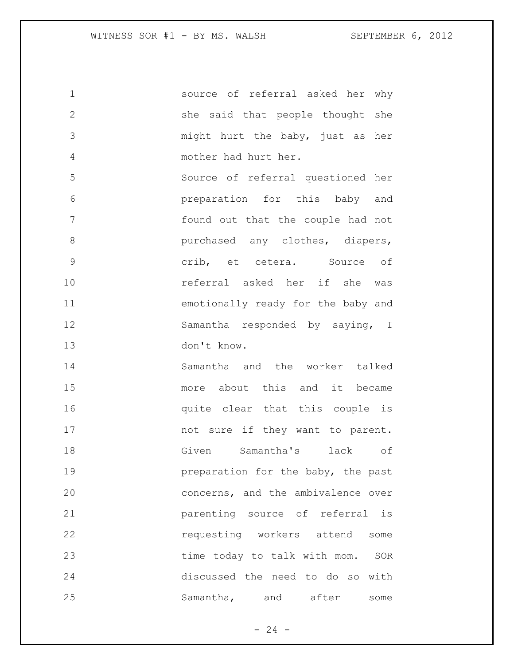source of referral asked her why she said that people thought she might hurt the baby, just as her mother had hurt her. Source of referral questioned her preparation for this baby and found out that the couple had not **burchased any clothes, diapers,**  crib, et cetera. Source of referral asked her if she was emotionally ready for the baby and Samantha responded by saying, I don't know. Samantha and the worker talked more about this and it became **quite clear that this couple is** 17 mot sure if they want to parent. Given Samantha's lack of **preparation** for the baby, the past concerns, and the ambivalence over parenting source of referral is requesting workers attend some time today to talk with mom. SOR discussed the need to do so with 25 Samantha, and after some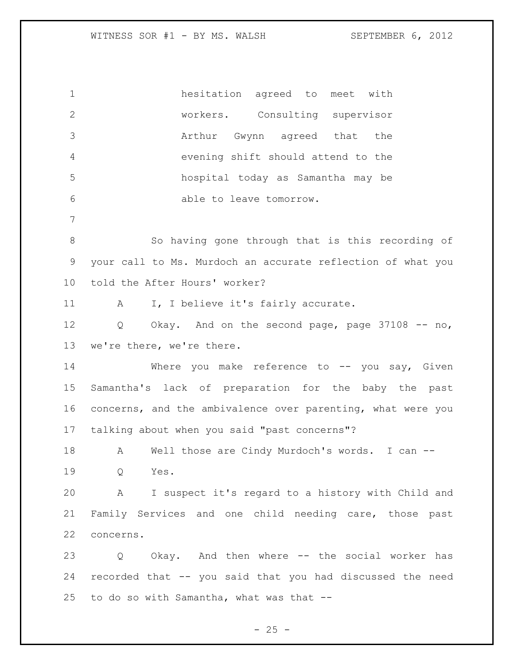hesitation agreed to meet with workers. Consulting supervisor Arthur Gwynn agreed that the evening shift should attend to the hospital today as Samantha may be able to leave tomorrow. So having gone through that is this recording of your call to Ms. Murdoch an accurate reflection of what you told the After Hours' worker? 11 A I, I believe it's fairly accurate. Q Okay. And on the second page, page 37108 -- no, we're there, we're there. 14 Where you make reference to -- you say, Given Samantha's lack of preparation for the baby the past concerns, and the ambivalence over parenting, what were you talking about when you said "past concerns"? 18 A Well those are Cindy Murdoch's words. I can -- Q Yes. A I suspect it's regard to a history with Child and Family Services and one child needing care, those past concerns. Q Okay. And then where -- the social worker has recorded that -- you said that you had discussed the need to do so with Samantha, what was that --

 $- 25 -$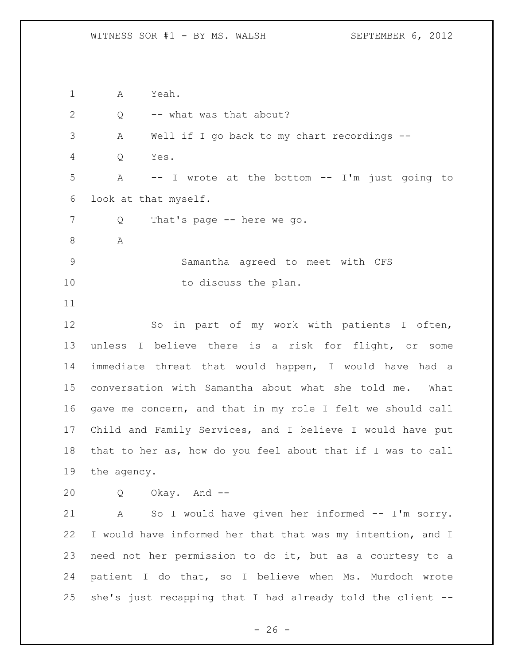A Yeah. 2 Q -- what was that about? A Well if I go back to my chart recordings -- Q Yes. A -- I wrote at the bottom -- I'm just going to look at that myself. 7 Q That's page -- here we go. A Samantha agreed to meet with CFS 10 to discuss the plan. So in part of my work with patients I often, unless I believe there is a risk for flight, or some immediate threat that would happen, I would have had a conversation with Samantha about what she told me. What gave me concern, and that in my role I felt we should call Child and Family Services, and I believe I would have put that to her as, how do you feel about that if I was to call the agency. Q Okay. And -- A So I would have given her informed -- I'm sorry. I would have informed her that that was my intention, and I need not her permission to do it, but as a courtesy to a patient I do that, so I believe when Ms. Murdoch wrote she's just recapping that I had already told the client --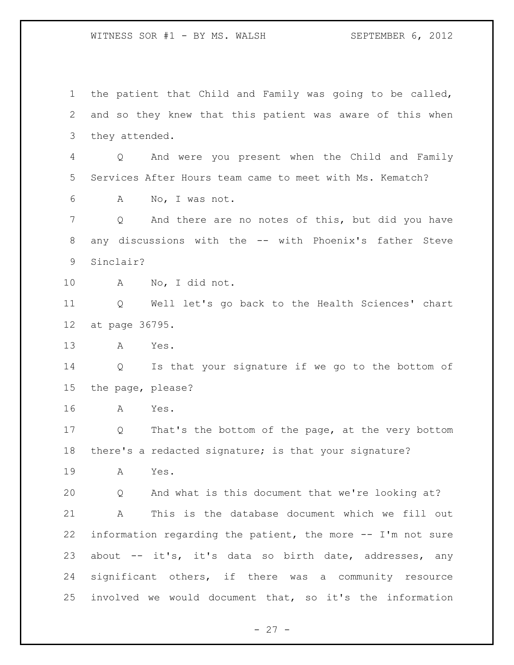the patient that Child and Family was going to be called, and so they knew that this patient was aware of this when they attended. Q And were you present when the Child and Family Services After Hours team came to meet with Ms. Kematch? A No, I was not. Q And there are no notes of this, but did you have 8 any discussions with the -- with Phoenix's father Steve Sinclair? A No, I did not. Q Well let's go back to the Health Sciences' chart at page 36795. A Yes. Q Is that your signature if we go to the bottom of the page, please? A Yes. Q That's the bottom of the page, at the very bottom there's a redacted signature; is that your signature? A Yes. Q And what is this document that we're looking at? A This is the database document which we fill out information regarding the patient, the more -- I'm not sure 23 about -- it's, it's data so birth date, addresses, any significant others, if there was a community resource involved we would document that, so it's the information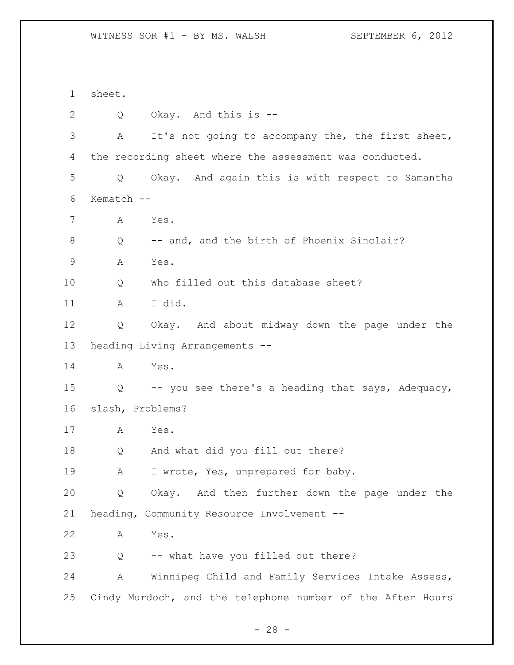sheet. Q Okay. And this is -- A It's not going to accompany the, the first sheet, the recording sheet where the assessment was conducted. Q Okay. And again this is with respect to Samantha Kematch -- A Yes. 8 Q -- and, and the birth of Phoenix Sinclair? A Yes. 10 Q Who filled out this database sheet? A I did. Q Okay. And about midway down the page under the heading Living Arrangements -- A Yes. Q -- you see there's a heading that says, Adequacy, slash, Problems? A Yes. Q And what did you fill out there? 19 A I wrote, Yes, unprepared for baby. Q Okay. And then further down the page under the heading, Community Resource Involvement -- A Yes. Q -- what have you filled out there? A Winnipeg Child and Family Services Intake Assess, Cindy Murdoch, and the telephone number of the After Hours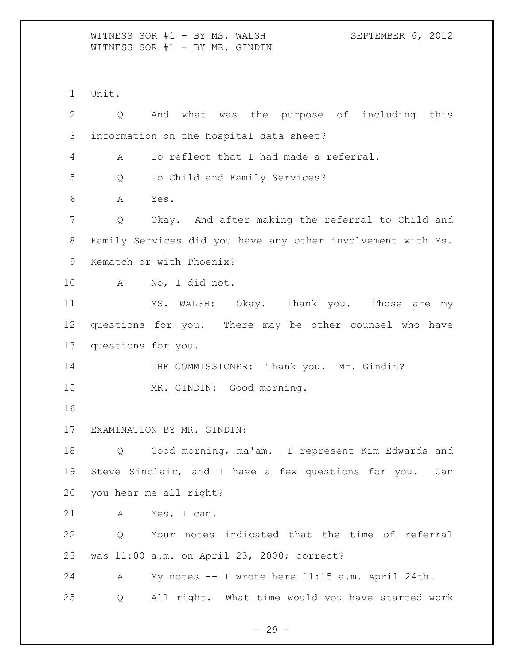WITNESS SOR #1 - BY MS. WALSH SEPTEMBER 6, 2012 WITNESS SOR #1 - BY MR. GINDIN

Unit.

| $\overline{2}$  | Q                  | And what was the purpose of including this                  |
|-----------------|--------------------|-------------------------------------------------------------|
| 3               |                    | information on the hospital data sheet?                     |
| 4               | Α                  | To reflect that I had made a referral.                      |
| 5               | Q                  | To Child and Family Services?                               |
| 6               | Α                  | Yes.                                                        |
| $7\phantom{.0}$ | Q                  | Okay. And after making the referral to Child and            |
| $8\,$           |                    | Family Services did you have any other involvement with Ms. |
| 9               |                    | Kematch or with Phoenix?                                    |
| 10              | $\mathbf{A}$       | No, I did not.                                              |
| 11              |                    | MS. WALSH: Okay. Thank you. Those are my                    |
| 12              |                    | questions for you. There may be other counsel who have      |
| 13              | questions for you. |                                                             |
| 14              |                    | THE COMMISSIONER: Thank you. Mr. Gindin?                    |
| 15              |                    | MR. GINDIN: Good morning.                                   |
| 16              |                    |                                                             |
| 17              |                    | EXAMINATION BY MR. GINDIN:                                  |
| 18              | Q                  | Good morning, ma'am. I represent Kim Edwards and            |
| 19              |                    | Steve Sinclair, and I have a few questions for you.<br>Can  |
| 20              |                    | you hear me all right?                                      |
| 21              | Α                  | Yes, I can.                                                 |
| 22              | Q                  | Your notes indicated that the time of referral              |
| 23              |                    | was 11:00 a.m. on April 23, 2000; correct?                  |
| 24              | Α                  | My notes -- I wrote here 11:15 a.m. April 24th.             |
| 25              | Q                  | All right. What time would you have started work            |
|                 |                    |                                                             |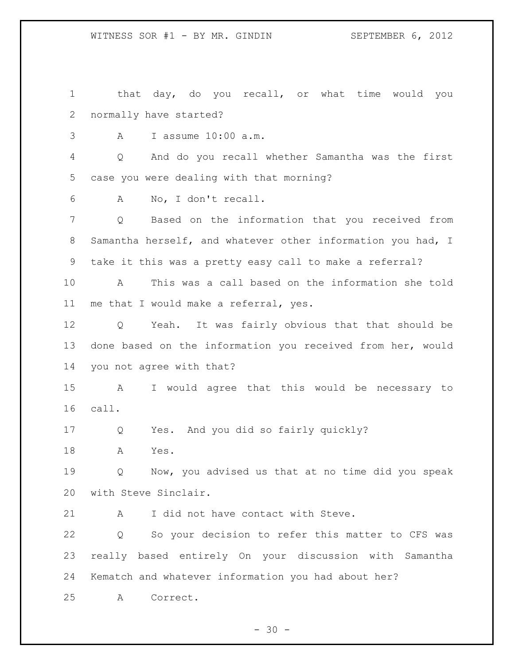that day, do you recall, or what time would you normally have started? A I assume 10:00 a.m. Q And do you recall whether Samantha was the first case you were dealing with that morning? A No, I don't recall. Q Based on the information that you received from Samantha herself, and whatever other information you had, I take it this was a pretty easy call to make a referral? A This was a call based on the information she told me that I would make a referral, yes. Q Yeah. It was fairly obvious that that should be done based on the information you received from her, would you not agree with that? A I would agree that this would be necessary to call. Q Yes. And you did so fairly quickly? A Yes. Q Now, you advised us that at no time did you speak with Steve Sinclair. A I did not have contact with Steve. Q So your decision to refer this matter to CFS was really based entirely On your discussion with Samantha Kematch and whatever information you had about her? A Correct.

 $- 30 -$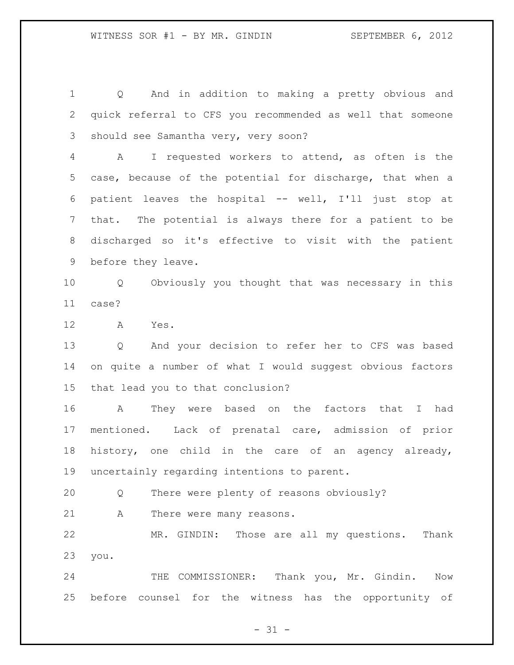Q And in addition to making a pretty obvious and quick referral to CFS you recommended as well that someone should see Samantha very, very soon? A I requested workers to attend, as often is the case, because of the potential for discharge, that when a patient leaves the hospital -- well, I'll just stop at that. The potential is always there for a patient to be discharged so it's effective to visit with the patient before they leave. Q Obviously you thought that was necessary in this case? A Yes. Q And your decision to refer her to CFS was based on quite a number of what I would suggest obvious factors that lead you to that conclusion? A They were based on the factors that I had mentioned. Lack of prenatal care, admission of prior history, one child in the care of an agency already, uncertainly regarding intentions to parent. Q There were plenty of reasons obviously? A There were many reasons. MR. GINDIN: Those are all my questions. Thank you. THE COMMISSIONER: Thank you, Mr. Gindin. Now before counsel for the witness has the opportunity of

 $- 31 -$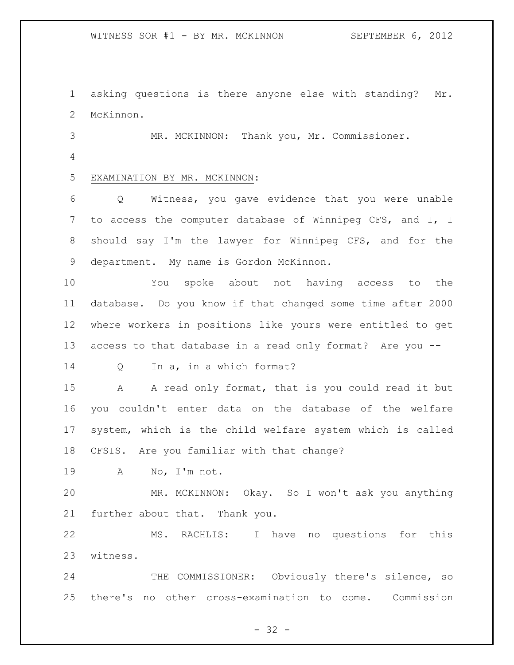asking questions is there anyone else with standing? Mr. McKinnon.

MR. MCKINNON: Thank you, Mr. Commissioner.

## EXAMINATION BY MR. MCKINNON:

 Q Witness, you gave evidence that you were unable to access the computer database of Winnipeg CFS, and I, I should say I'm the lawyer for Winnipeg CFS, and for the department. My name is Gordon McKinnon.

 You spoke about not having access to the database. Do you know if that changed some time after 2000 where workers in positions like yours were entitled to get access to that database in a read only format? Are you --

Q In a, in a which format?

15 A A read only format, that is you could read it but you couldn't enter data on the database of the welfare system, which is the child welfare system which is called CFSIS. Are you familiar with that change?

A No, I'm not.

 MR. MCKINNON: Okay. So I won't ask you anything further about that. Thank you.

 MS. RACHLIS: I have no questions for this witness.

 THE COMMISSIONER: Obviously there's silence, so there's no other cross-examination to come. Commission

 $- 32 -$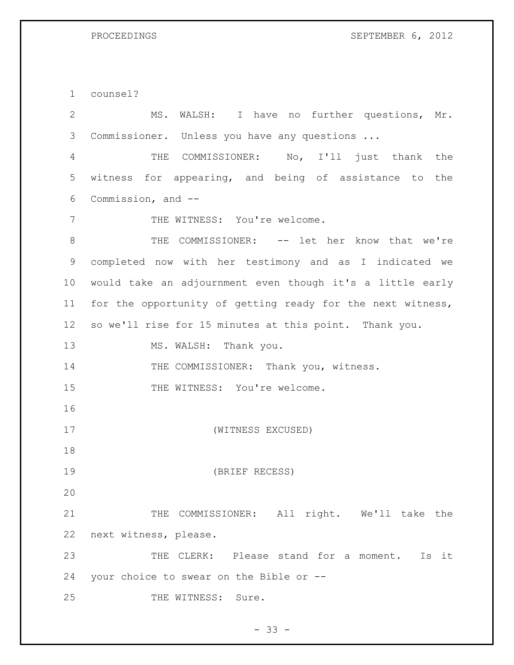counsel?

 MS. WALSH: I have no further questions, Mr. Commissioner. Unless you have any questions ... THE COMMISSIONER: No, I'll just thank the witness for appearing, and being of assistance to the Commission, and -- 7 THE WITNESS: You're welcome. THE COMMISSIONER: -- let her know that we're completed now with her testimony and as I indicated we would take an adjournment even though it's a little early for the opportunity of getting ready for the next witness, so we'll rise for 15 minutes at this point. Thank you. 13 MS. WALSH: Thank you. 14 THE COMMISSIONER: Thank you, witness. 15 THE WITNESS: You're welcome. (WITNESS EXCUSED) (BRIEF RECESS) 21 THE COMMISSIONER: All right. We'll take the next witness, please. THE CLERK: Please stand for a moment. Is it your choice to swear on the Bible or -- 25 THE WITNESS: Sure.

 $- 33 -$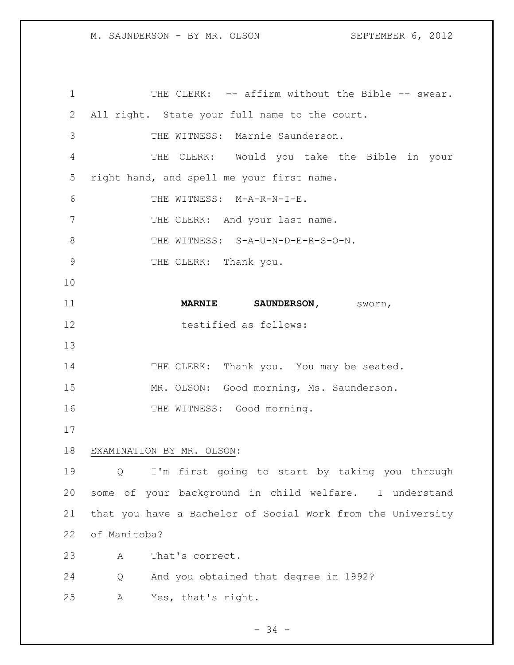1 THE CLERK: -- affirm without the Bible -- swear. All right. State your full name to the court. THE WITNESS: Marnie Saunderson. THE CLERK: Would you take the Bible in your right hand, and spell me your first name. THE WITNESS: M-A-R-N-I-E. 7 THE CLERK: And your last name. 8 THE WITNESS: S-A-U-N-D-E-R-S-O-N. 9 THE CLERK: Thank you. **MARNIE SAUNDERSON,** sworn, 12 testified as follows: 14 THE CLERK: Thank you. You may be seated. MR. OLSON: Good morning, Ms. Saunderson. 16 THE WITNESS: Good morning. EXAMINATION BY MR. OLSON: Q I'm first going to start by taking you through some of your background in child welfare. I understand that you have a Bachelor of Social Work from the University of Manitoba? A That's correct. Q And you obtained that degree in 1992? A Yes, that's right.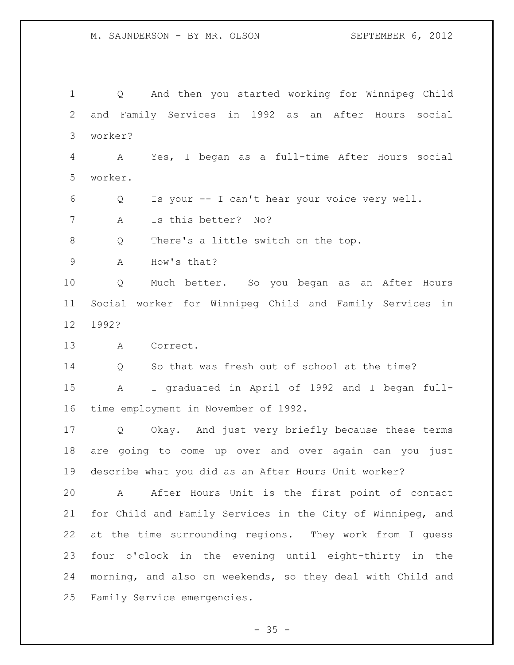Q And then you started working for Winnipeg Child and Family Services in 1992 as an After Hours social worker? A Yes, I began as a full-time After Hours social worker. Q Is your -- I can't hear your voice very well. A Is this better? No? Q There's a little switch on the top. A How's that? Q Much better. So you began as an After Hours Social worker for Winnipeg Child and Family Services in 1992? A Correct. Q So that was fresh out of school at the time? A I graduated in April of 1992 and I began full- time employment in November of 1992. Q Okay. And just very briefly because these terms are going to come up over and over again can you just describe what you did as an After Hours Unit worker? A After Hours Unit is the first point of contact for Child and Family Services in the City of Winnipeg, and at the time surrounding regions. They work from I guess four o'clock in the evening until eight-thirty in the morning, and also on weekends, so they deal with Child and Family Service emergencies.

 $- 35 -$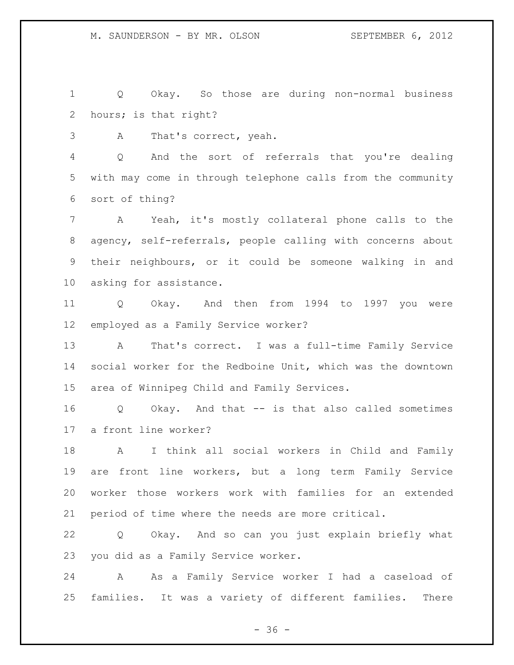Q Okay. So those are during non-normal business hours; is that right?

A That's correct, yeah.

 Q And the sort of referrals that you're dealing with may come in through telephone calls from the community sort of thing?

 A Yeah, it's mostly collateral phone calls to the agency, self-referrals, people calling with concerns about their neighbours, or it could be someone walking in and asking for assistance.

 Q Okay. And then from 1994 to 1997 you were employed as a Family Service worker?

 A That's correct. I was a full-time Family Service social worker for the Redboine Unit, which was the downtown area of Winnipeg Child and Family Services.

 Q Okay. And that -- is that also called sometimes a front line worker?

 A I think all social workers in Child and Family are front line workers, but a long term Family Service worker those workers work with families for an extended period of time where the needs are more critical.

 Q Okay. And so can you just explain briefly what you did as a Family Service worker.

 A As a Family Service worker I had a caseload of families. It was a variety of different families. There

 $- 36 -$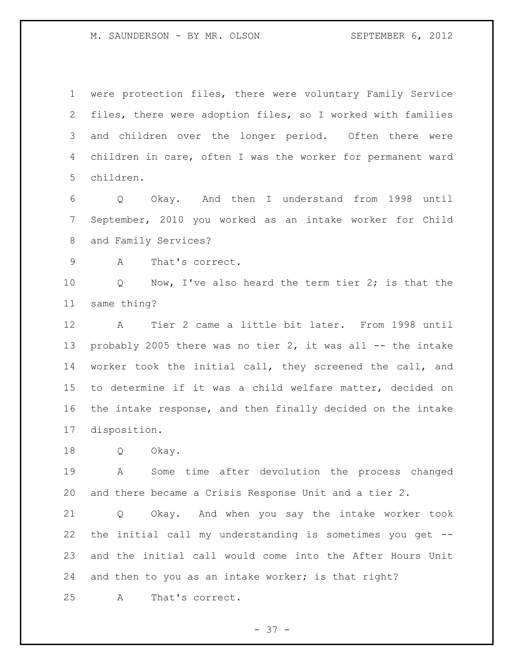were protection files, there were voluntary Family Service files, there were adoption files, so I worked with families and children over the longer period. Often there were children in care, often I was the worker for permanent ward children.

 Q Okay. And then I understand from 1998 until September, 2010 you worked as an intake worker for Child and Family Services?

A That's correct.

 Q Now, I've also heard the term tier 2; is that the same thing?

 A Tier 2 came a little bit later. From 1998 until 13 probably 2005 there was no tier 2, it was all -- the intake worker took the initial call, they screened the call, and to determine if it was a child welfare matter, decided on the intake response, and then finally decided on the intake disposition.

Q Okay.

 A Some time after devolution the process changed and there became a Crisis Response Unit and a tier 2.

 Q Okay. And when you say the intake worker took the initial call my understanding is sometimes you get -- and the initial call would come into the After Hours Unit 24 and then to you as an intake worker; is that right?

A That's correct.

 $- 37 -$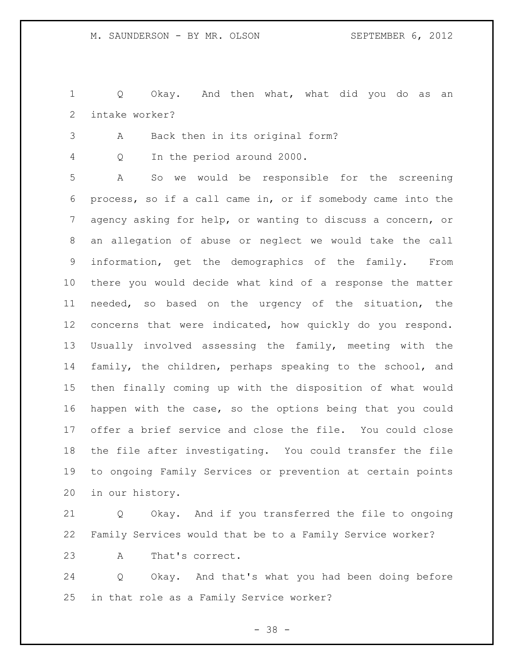Q Okay. And then what, what did you do as an intake worker?

A Back then in its original form?

Q In the period around 2000.

 A So we would be responsible for the screening process, so if a call came in, or if somebody came into the agency asking for help, or wanting to discuss a concern, or an allegation of abuse or neglect we would take the call information, get the demographics of the family. From there you would decide what kind of a response the matter needed, so based on the urgency of the situation, the concerns that were indicated, how quickly do you respond. Usually involved assessing the family, meeting with the family, the children, perhaps speaking to the school, and then finally coming up with the disposition of what would happen with the case, so the options being that you could offer a brief service and close the file. You could close the file after investigating. You could transfer the file to ongoing Family Services or prevention at certain points in our history.

 Q Okay. And if you transferred the file to ongoing Family Services would that be to a Family Service worker?

A That's correct.

 Q Okay. And that's what you had been doing before in that role as a Family Service worker?

- 38 -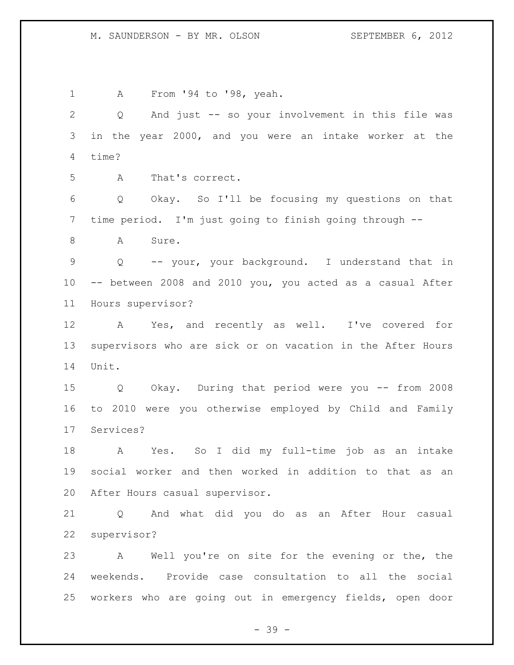A From '94 to '98, yeah. Q And just -- so your involvement in this file was in the year 2000, and you were an intake worker at the time? A That's correct. Q Okay. So I'll be focusing my questions on that time period. I'm just going to finish going through -- 8 A Sure. Q -- your, your background. I understand that in -- between 2008 and 2010 you, you acted as a casual After Hours supervisor? A Yes, and recently as well. I've covered for supervisors who are sick or on vacation in the After Hours Unit. Q Okay. During that period were you -- from 2008 to 2010 were you otherwise employed by Child and Family Services? A Yes. So I did my full-time job as an intake social worker and then worked in addition to that as an After Hours casual supervisor. Q And what did you do as an After Hour casual supervisor? A Well you're on site for the evening or the, the weekends. Provide case consultation to all the social workers who are going out in emergency fields, open door

- 39 -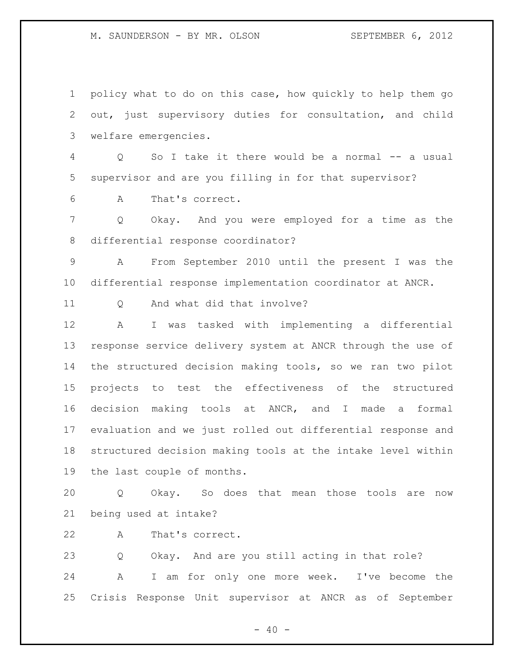policy what to do on this case, how quickly to help them go out, just supervisory duties for consultation, and child welfare emergencies. Q So I take it there would be a normal -- a usual supervisor and are you filling in for that supervisor? A That's correct. Q Okay. And you were employed for a time as the differential response coordinator? A From September 2010 until the present I was the differential response implementation coordinator at ANCR. 11 0 And what did that involve? A I was tasked with implementing a differential response service delivery system at ANCR through the use of the structured decision making tools, so we ran two pilot projects to test the effectiveness of the structured decision making tools at ANCR, and I made a formal evaluation and we just rolled out differential response and structured decision making tools at the intake level within the last couple of months. Q Okay. So does that mean those tools are now being used at intake? A That's correct. Q Okay. And are you still acting in that role?

 A I am for only one more week. I've become the Crisis Response Unit supervisor at ANCR as of September

 $- 40 -$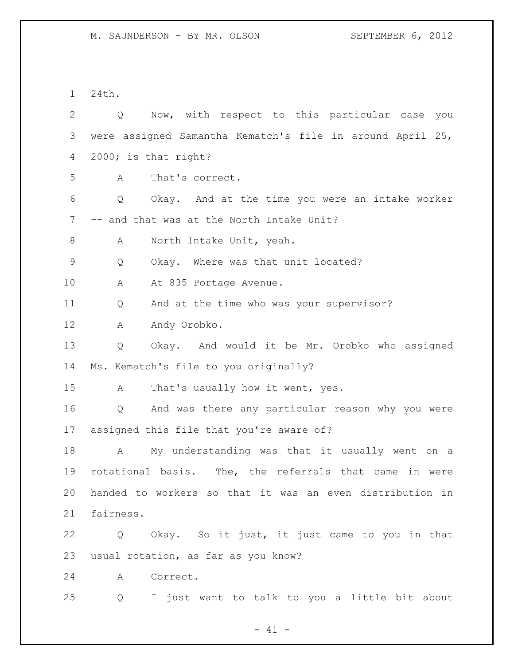24th.

| $\overline{2}$ | Now, with respect to this particular case you<br>Q        |
|----------------|-----------------------------------------------------------|
| 3              | were assigned Samantha Kematch's file in around April 25, |
| 4              | 2000; is that right?                                      |
| 5              | That's correct.<br>A                                      |
| 6              | Okay. And at the time you were an intake worker<br>Q      |
| $\overline{7}$ | -- and that was at the North Intake Unit?                 |
| $8\,$          | North Intake Unit, yeah.<br>A                             |
| 9              | Q<br>Okay. Where was that unit located?                   |
| 10             | At 835 Portage Avenue.<br>A                               |
| 11             | And at the time who was your supervisor?<br>Q             |
| 12             | Andy Orobko.<br>Α                                         |
| 13             | Okay. And would it be Mr. Orobko who assigned<br>Q        |
| 14             | Ms. Kematch's file to you originally?                     |
| 15             | That's usually how it went, yes.<br>A                     |
| 16             | And was there any particular reason why you were<br>Q     |
| 17             | assigned this file that you're aware of?                  |
| 18             | My understanding was that it usually went on a<br>A       |
| 19             | rotational basis. The, the referrals that came in were    |
| 20             | handed to workers so that it was an even distribution in  |
| 21             | fairness.                                                 |
| 22             | Okay. So it just, it just came to you in that<br>Q        |
| 23             | usual rotation, as far as you know?                       |
| 24             | Correct.<br>A                                             |
| 25             | I just want to talk to you a little bit about<br>Q        |

- 41 -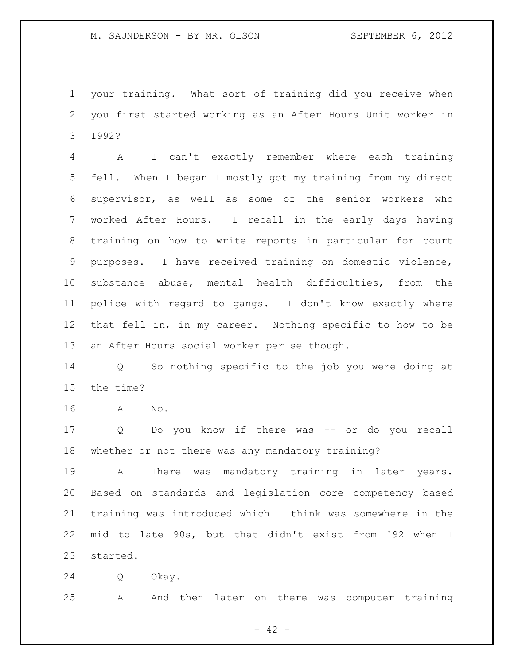your training. What sort of training did you receive when you first started working as an After Hours Unit worker in 1992?

 A I can't exactly remember where each training fell. When I began I mostly got my training from my direct supervisor, as well as some of the senior workers who worked After Hours. I recall in the early days having training on how to write reports in particular for court purposes. I have received training on domestic violence, substance abuse, mental health difficulties, from the police with regard to gangs. I don't know exactly where that fell in, in my career. Nothing specific to how to be an After Hours social worker per se though.

 Q So nothing specific to the job you were doing at the time?

A No.

 Q Do you know if there was -- or do you recall whether or not there was any mandatory training?

 A There was mandatory training in later years. Based on standards and legislation core competency based training was introduced which I think was somewhere in the mid to late 90s, but that didn't exist from '92 when I started.

Q Okay.

A And then later on there was computer training

- 42 -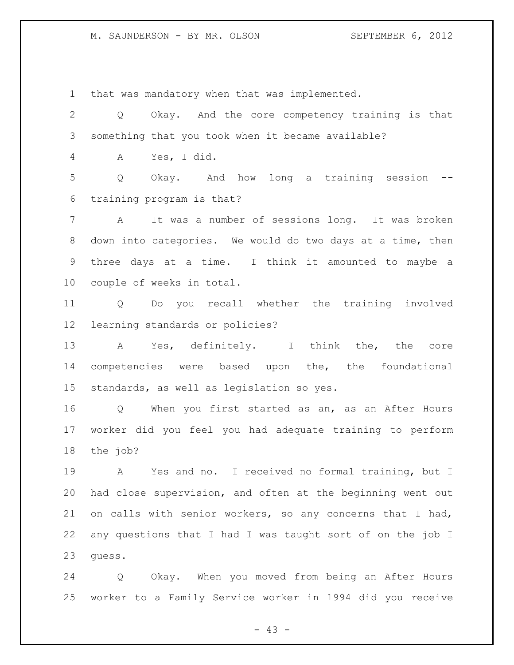that was mandatory when that was implemented.

 Q Okay. And the core competency training is that something that you took when it became available? A Yes, I did. Q Okay. And how long a training session -- training program is that? A It was a number of sessions long. It was broken down into categories. We would do two days at a time, then three days at a time. I think it amounted to maybe a couple of weeks in total. Q Do you recall whether the training involved learning standards or policies? A Yes, definitely. I think the, the core competencies were based upon the, the foundational standards, as well as legislation so yes. Q When you first started as an, as an After Hours worker did you feel you had adequate training to perform the job? A Yes and no. I received no formal training, but I had close supervision, and often at the beginning went out on calls with senior workers, so any concerns that I had, any questions that I had I was taught sort of on the job I guess.

 Q Okay. When you moved from being an After Hours worker to a Family Service worker in 1994 did you receive

 $- 43 -$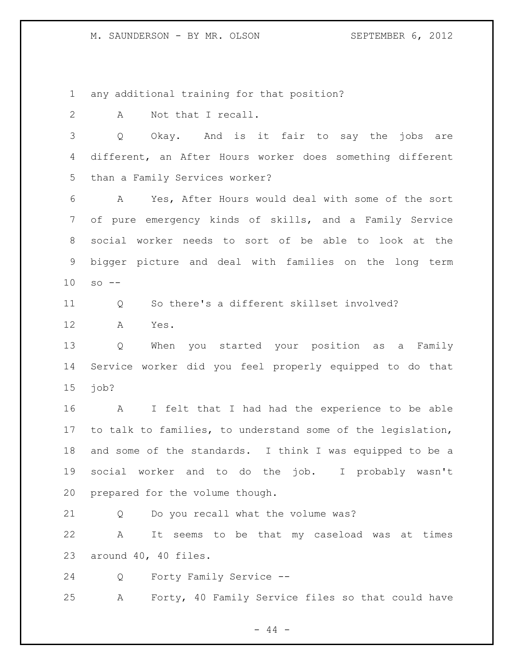any additional training for that position?

A Not that I recall.

 Q Okay. And is it fair to say the jobs are different, an After Hours worker does something different than a Family Services worker?

 A Yes, After Hours would deal with some of the sort of pure emergency kinds of skills, and a Family Service social worker needs to sort of be able to look at the bigger picture and deal with families on the long term so --

Q So there's a different skillset involved?

A Yes.

 Q When you started your position as a Family Service worker did you feel properly equipped to do that job?

 A I felt that I had had the experience to be able to talk to families, to understand some of the legislation, and some of the standards. I think I was equipped to be a social worker and to do the job. I probably wasn't prepared for the volume though.

Q Do you recall what the volume was?

 A It seems to be that my caseload was at times around 40, 40 files.

Q Forty Family Service --

A Forty, 40 Family Service files so that could have

 $-44 -$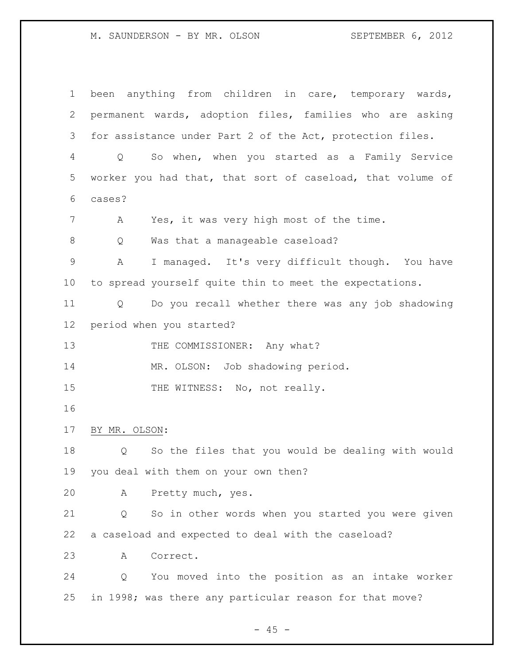been anything from children in care, temporary wards, permanent wards, adoption files, families who are asking for assistance under Part 2 of the Act, protection files. Q So when, when you started as a Family Service worker you had that, that sort of caseload, that volume of cases? A Yes, it was very high most of the time. 8 Q Was that a manageable caseload? A I managed. It's very difficult though. You have to spread yourself quite thin to meet the expectations. Q Do you recall whether there was any job shadowing period when you started? 13 THE COMMISSIONER: Any what? 14 MR. OLSON: Job shadowing period. 15 THE WITNESS: No, not really. BY MR. OLSON: Q So the files that you would be dealing with would you deal with them on your own then? A Pretty much, yes. Q So in other words when you started you were given a caseload and expected to deal with the caseload? A Correct. Q You moved into the position as an intake worker in 1998; was there any particular reason for that move?

 $- 45 -$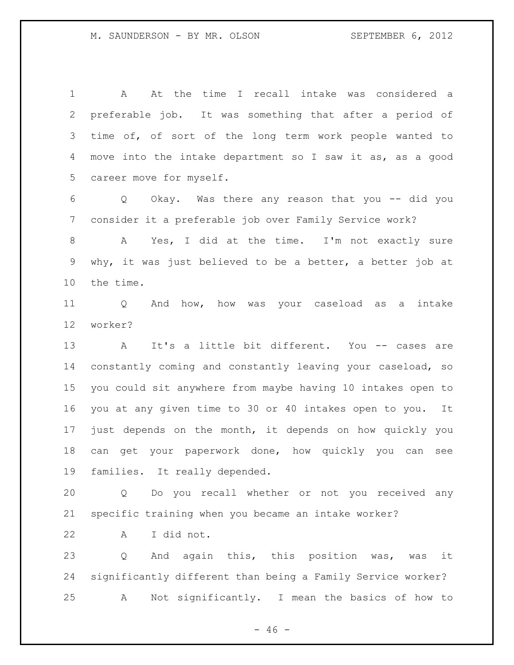A At the time I recall intake was considered a preferable job. It was something that after a period of time of, of sort of the long term work people wanted to move into the intake department so I saw it as, as a good career move for myself.

 Q Okay. Was there any reason that you -- did you consider it a preferable job over Family Service work?

 A Yes, I did at the time. I'm not exactly sure why, it was just believed to be a better, a better job at the time.

 Q And how, how was your caseload as a intake worker?

 A It's a little bit different. You -- cases are constantly coming and constantly leaving your caseload, so you could sit anywhere from maybe having 10 intakes open to you at any given time to 30 or 40 intakes open to you. It just depends on the month, it depends on how quickly you can get your paperwork done, how quickly you can see families. It really depended.

 Q Do you recall whether or not you received any specific training when you became an intake worker?

A I did not.

 Q And again this, this position was, was it significantly different than being a Family Service worker? A Not significantly. I mean the basics of how to

 $- 46 -$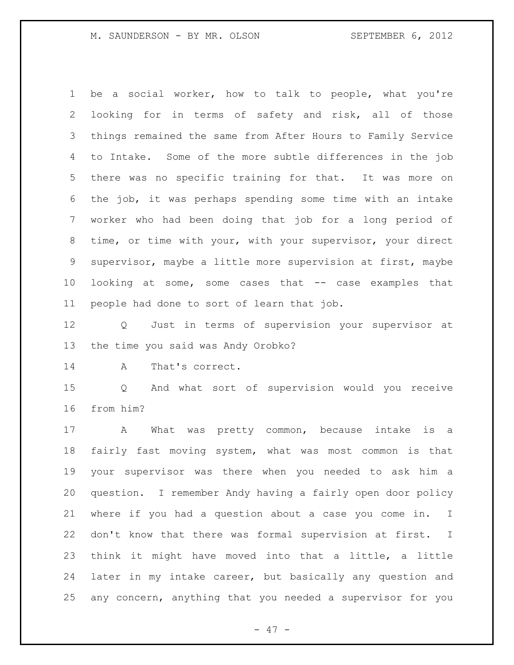be a social worker, how to talk to people, what you're looking for in terms of safety and risk, all of those things remained the same from After Hours to Family Service to Intake. Some of the more subtle differences in the job there was no specific training for that. It was more on the job, it was perhaps spending some time with an intake worker who had been doing that job for a long period of time, or time with your, with your supervisor, your direct supervisor, maybe a little more supervision at first, maybe looking at some, some cases that -- case examples that people had done to sort of learn that job.

 Q Just in terms of supervision your supervisor at the time you said was Andy Orobko?

14 A That's correct.

 Q And what sort of supervision would you receive from him?

 A What was pretty common, because intake is a fairly fast moving system, what was most common is that your supervisor was there when you needed to ask him a question. I remember Andy having a fairly open door policy where if you had a question about a case you come in. I don't know that there was formal supervision at first. I think it might have moved into that a little, a little later in my intake career, but basically any question and any concern, anything that you needed a supervisor for you

- 47 -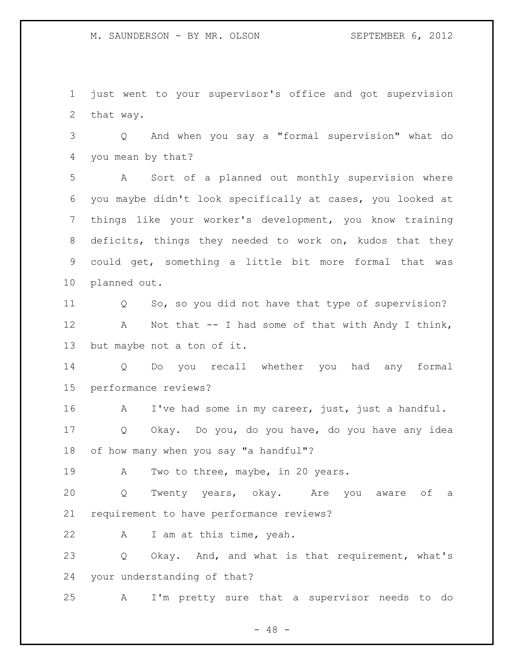just went to your supervisor's office and got supervision that way.

 Q And when you say a "formal supervision" what do you mean by that?

 A Sort of a planned out monthly supervision where you maybe didn't look specifically at cases, you looked at things like your worker's development, you know training deficits, things they needed to work on, kudos that they could get, something a little bit more formal that was planned out.

 Q So, so you did not have that type of supervision? A Not that -- I had some of that with Andy I think, but maybe not a ton of it.

 Q Do you recall whether you had any formal performance reviews?

16 A I've had some in my career, just, just a handful.

 Q Okay. Do you, do you have, do you have any idea of how many when you say "a handful"?

19 A Two to three, maybe, in 20 years.

 Q Twenty years, okay. Are you aware of a requirement to have performance reviews?

A I am at this time, yeah.

 Q Okay. And, and what is that requirement, what's your understanding of that?

A I'm pretty sure that a supervisor needs to do

 $- 48 -$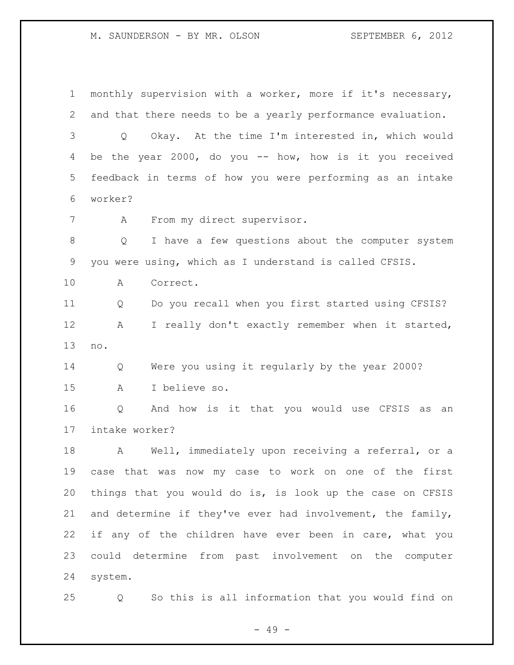monthly supervision with a worker, more if it's necessary, and that there needs to be a yearly performance evaluation. Q Okay. At the time I'm interested in, which would be the year 2000, do you -- how, how is it you received feedback in terms of how you were performing as an intake worker? A From my direct supervisor. Q I have a few questions about the computer system you were using, which as I understand is called CFSIS. A Correct. Q Do you recall when you first started using CFSIS? A I really don't exactly remember when it started, no. Q Were you using it regularly by the year 2000? A I believe so. Q And how is it that you would use CFSIS as an intake worker? A Well, immediately upon receiving a referral, or a case that was now my case to work on one of the first things that you would do is, is look up the case on CFSIS and determine if they've ever had involvement, the family, if any of the children have ever been in care, what you could determine from past involvement on the computer system. Q So this is all information that you would find on

- 49 -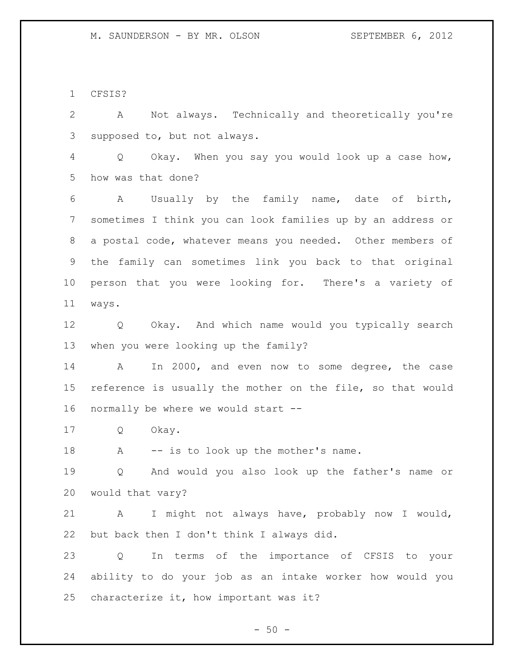CFSIS?

 A Not always. Technically and theoretically you're supposed to, but not always.

 Q Okay. When you say you would look up a case how, how was that done?

 A Usually by the family name, date of birth, sometimes I think you can look families up by an address or a postal code, whatever means you needed. Other members of the family can sometimes link you back to that original person that you were looking for. There's a variety of ways.

 Q Okay. And which name would you typically search when you were looking up the family?

 A In 2000, and even now to some degree, the case reference is usually the mother on the file, so that would normally be where we would start --

Q Okay.

18 A -- is to look up the mother's name.

 Q And would you also look up the father's name or would that vary?

 A I might not always have, probably now I would, but back then I don't think I always did.

 Q In terms of the importance of CFSIS to your ability to do your job as an intake worker how would you characterize it, how important was it?

 $-50 -$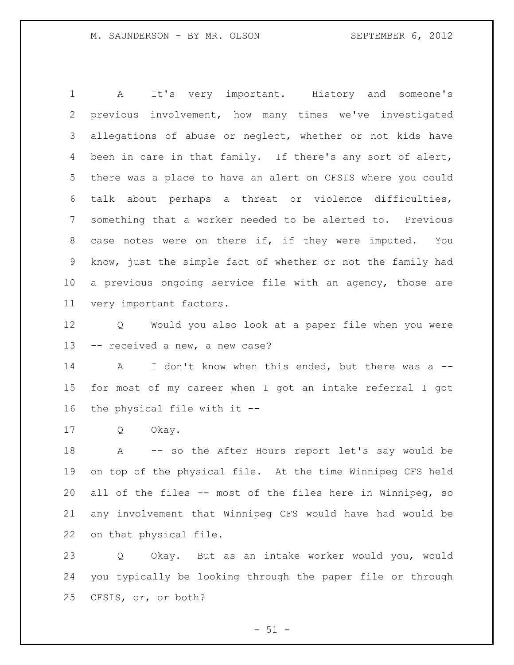A It's very important. History and someone's previous involvement, how many times we've investigated allegations of abuse or neglect, whether or not kids have been in care in that family. If there's any sort of alert, there was a place to have an alert on CFSIS where you could talk about perhaps a threat or violence difficulties, something that a worker needed to be alerted to. Previous 8 case notes were on there if, if they were imputed. You know, just the simple fact of whether or not the family had a previous ongoing service file with an agency, those are very important factors.

 Q Would you also look at a paper file when you were -- received a new, a new case?

14 A I don't know when this ended, but there was a -- for most of my career when I got an intake referral I got the physical file with it --

Q Okay.

 A -- so the After Hours report let's say would be on top of the physical file. At the time Winnipeg CFS held all of the files -- most of the files here in Winnipeg, so any involvement that Winnipeg CFS would have had would be on that physical file.

 Q Okay. But as an intake worker would you, would you typically be looking through the paper file or through CFSIS, or, or both?

 $-51 -$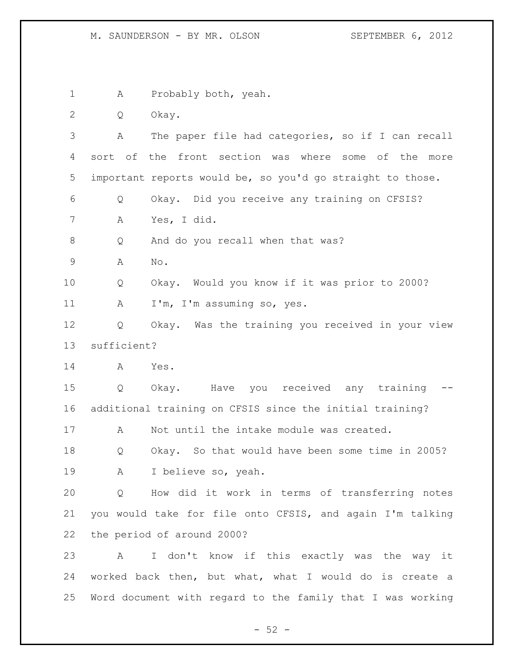A Probably both, yeah. Q Okay. A The paper file had categories, so if I can recall sort of the front section was where some of the more important reports would be, so you'd go straight to those. Q Okay. Did you receive any training on CFSIS? A Yes, I did. 8 Q And do you recall when that was? A No. Q Okay. Would you know if it was prior to 2000? 11 A I'm, I'm assuming so, yes. Q Okay. Was the training you received in your view sufficient? A Yes. Q Okay. Have you received any training -- additional training on CFSIS since the initial training? A Not until the intake module was created. Q Okay. So that would have been some time in 2005? A I believe so, yeah. Q How did it work in terms of transferring notes you would take for file onto CFSIS, and again I'm talking the period of around 2000? A I don't know if this exactly was the way it worked back then, but what, what I would do is create a Word document with regard to the family that I was working

 $-52 -$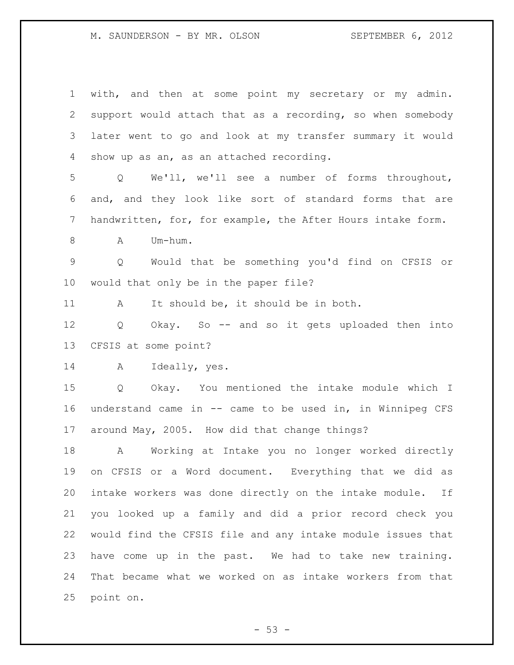| $\mathbf 1$ | with, and then at some point my secretary or my admin.       |
|-------------|--------------------------------------------------------------|
| 2           | support would attach that as a recording, so when somebody   |
| 3           | later went to go and look at my transfer summary it would    |
| 4           | show up as an, as an attached recording.                     |
| 5           | Q We'll, we'll see a number of forms throughout,             |
| 6           | and, and they look like sort of standard forms that are      |
| 7           | handwritten, for, for example, the After Hours intake form.  |
| $8\,$       | Um-hum.<br>A                                                 |
| $\mathsf 9$ | Q Would that be something you'd find on CFSIS or             |
| 10          | would that only be in the paper file?                        |
| 11          | It should be, it should be in both.<br>A                     |
| 12          | Q Okay. So -- and so it gets uploaded then into              |
| 13          | CFSIS at some point?                                         |
| 14          | Ideally, yes.<br>A                                           |
| 15          | Q Okay. You mentioned the intake module which I              |
| 16          | understand came in -- came to be used in, in Winnipeg CFS    |
| 17          | around May, 2005. How did that change things?                |
| 18          | A Working at Intake you no longer worked directly            |
| 19          | on CFSIS or a Word document. Everything that we did as       |
| 20          | intake workers was done directly on the intake module.<br>If |
| 21          | you looked up a family and did a prior record check you      |
| 22          | would find the CFSIS file and any intake module issues that  |
| 23          | have come up in the past. We had to take new training.       |
| 24          | That became what we worked on as intake workers from that    |
| 25          | point on.                                                    |

- 53 -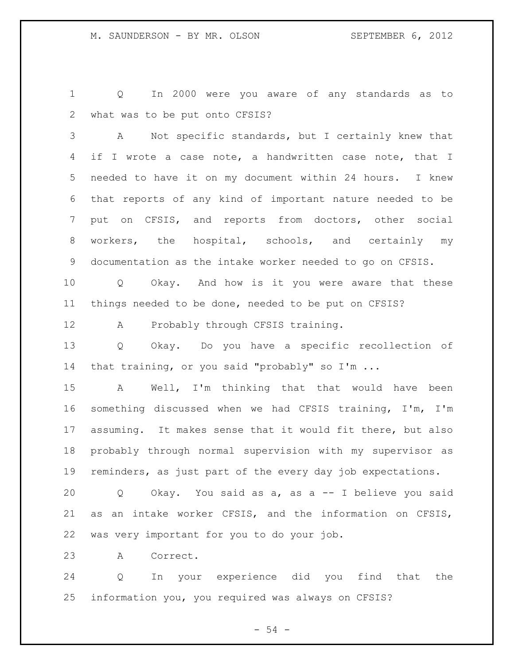Q In 2000 were you aware of any standards as to what was to be put onto CFSIS?

 A Not specific standards, but I certainly knew that 4 if I wrote a case note, a handwritten case note, that I needed to have it on my document within 24 hours. I knew that reports of any kind of important nature needed to be put on CFSIS, and reports from doctors, other social workers, the hospital, schools, and certainly my documentation as the intake worker needed to go on CFSIS.

 Q Okay. And how is it you were aware that these things needed to be done, needed to be put on CFSIS?

A Probably through CFSIS training.

 Q Okay. Do you have a specific recollection of 14 that training, or you said "probably" so I'm ...

 A Well, I'm thinking that that would have been something discussed when we had CFSIS training, I'm, I'm assuming. It makes sense that it would fit there, but also probably through normal supervision with my supervisor as reminders, as just part of the every day job expectations.

 Q Okay. You said as a, as a -- I believe you said as an intake worker CFSIS, and the information on CFSIS, was very important for you to do your job.

A Correct.

 Q In your experience did you find that the information you, you required was always on CFSIS?

 $-54 -$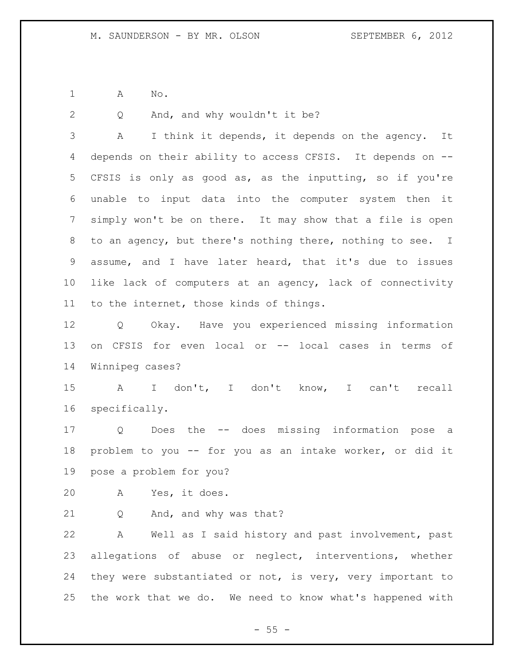A No.

Q And, and why wouldn't it be?

 A I think it depends, it depends on the agency. It depends on their ability to access CFSIS. It depends on -- CFSIS is only as good as, as the inputting, so if you're unable to input data into the computer system then it simply won't be on there. It may show that a file is open to an agency, but there's nothing there, nothing to see. I assume, and I have later heard, that it's due to issues like lack of computers at an agency, lack of connectivity to the internet, those kinds of things.

 Q Okay. Have you experienced missing information on CFSIS for even local or -- local cases in terms of Winnipeg cases?

 A I don't, I don't know, I can't recall specifically.

 Q Does the -- does missing information pose a problem to you -- for you as an intake worker, or did it pose a problem for you?

A Yes, it does.

Q And, and why was that?

 A Well as I said history and past involvement, past allegations of abuse or neglect, interventions, whether they were substantiated or not, is very, very important to the work that we do. We need to know what's happened with

 $- 55 -$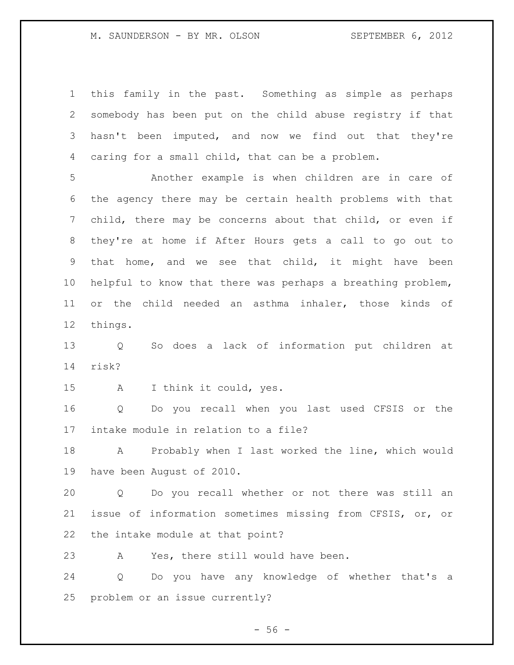this family in the past. Something as simple as perhaps somebody has been put on the child abuse registry if that hasn't been imputed, and now we find out that they're caring for a small child, that can be a problem.

 Another example is when children are in care of the agency there may be certain health problems with that child, there may be concerns about that child, or even if they're at home if After Hours gets a call to go out to that home, and we see that child, it might have been helpful to know that there was perhaps a breathing problem, or the child needed an asthma inhaler, those kinds of things.

 Q So does a lack of information put children at risk?

A I think it could, yes.

 Q Do you recall when you last used CFSIS or the intake module in relation to a file?

 A Probably when I last worked the line, which would have been August of 2010.

 Q Do you recall whether or not there was still an issue of information sometimes missing from CFSIS, or, or the intake module at that point?

A Yes, there still would have been.

 Q Do you have any knowledge of whether that's a problem or an issue currently?

 $-56 -$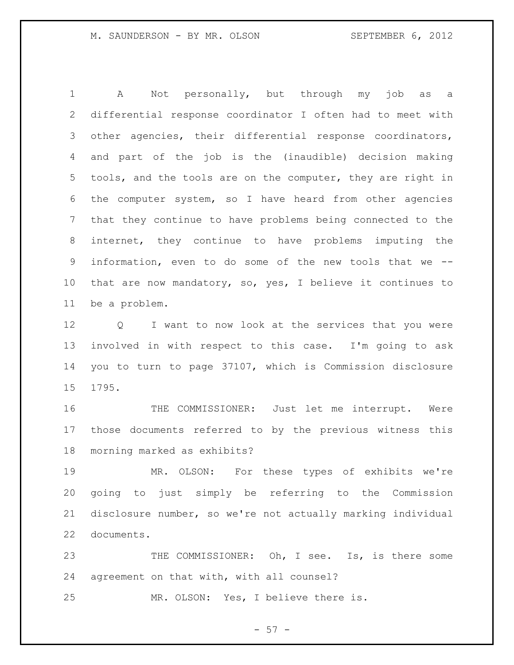A Not personally, but through my job as a differential response coordinator I often had to meet with other agencies, their differential response coordinators, and part of the job is the (inaudible) decision making tools, and the tools are on the computer, they are right in the computer system, so I have heard from other agencies that they continue to have problems being connected to the internet, they continue to have problems imputing the information, even to do some of the new tools that we -- that are now mandatory, so, yes, I believe it continues to be a problem.

 Q I want to now look at the services that you were involved in with respect to this case. I'm going to ask you to turn to page 37107, which is Commission disclosure 1795.

 THE COMMISSIONER: Just let me interrupt. Were those documents referred to by the previous witness this morning marked as exhibits?

 MR. OLSON: For these types of exhibits we're going to just simply be referring to the Commission disclosure number, so we're not actually marking individual documents.

 THE COMMISSIONER: Oh, I see. Is, is there some agreement on that with, with all counsel?

MR. OLSON: Yes, I believe there is.

 $- 57 -$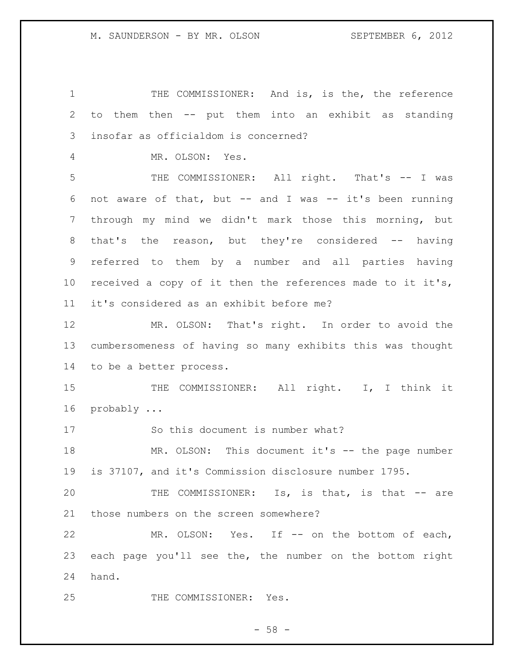1 THE COMMISSIONER: And is, is the, the reference to them then -- put them into an exhibit as standing insofar as officialdom is concerned? MR. OLSON: Yes. THE COMMISSIONER: All right. That's -- I was not aware of that, but -- and I was -- it's been running through my mind we didn't mark those this morning, but 8 that's the reason, but they're considered -- having referred to them by a number and all parties having received a copy of it then the references made to it it's, it's considered as an exhibit before me? MR. OLSON: That's right. In order to avoid the cumbersomeness of having so many exhibits this was thought to be a better process. 15 THE COMMISSIONER: All right. I, I think it probably ... So this document is number what? MR. OLSON: This document it's -- the page number is 37107, and it's Commission disclosure number 1795. THE COMMISSIONER: Is, is that, is that -- are those numbers on the screen somewhere? MR. OLSON: Yes. If -- on the bottom of each, each page you'll see the, the number on the bottom right hand. THE COMMISSIONER: Yes.

 $-58 -$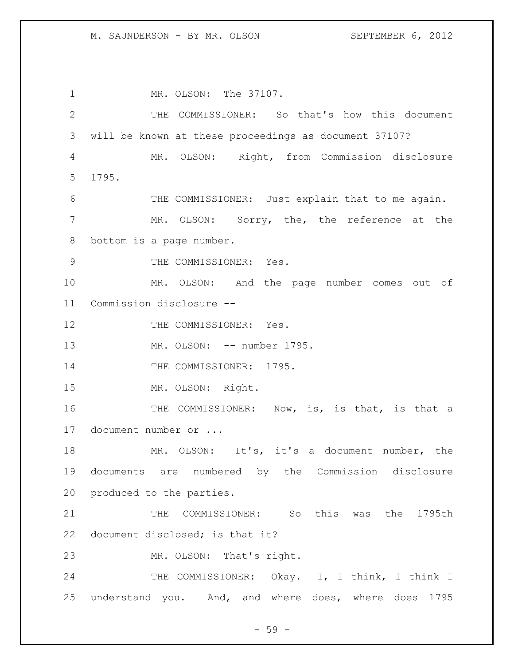1 MR. OLSON: The 37107. THE COMMISSIONER: So that's how this document will be known at these proceedings as document 37107? MR. OLSON: Right, from Commission disclosure 1795. 6 THE COMMISSIONER: Just explain that to me again. MR. OLSON: Sorry, the, the reference at the bottom is a page number. 9 THE COMMISSIONER: Yes. MR. OLSON: And the page number comes out of Commission disclosure -- 12 THE COMMISSIONER: Yes. 13 MR. OLSON: -- number 1795. 14 THE COMMISSIONER: 1795. MR. OLSON: Right. 16 THE COMMISSIONER: Now, is, is that, is that a document number or ... MR. OLSON: It's, it's a document number, the documents are numbered by the Commission disclosure produced to the parties. THE COMMISSIONER: So this was the 1795th document disclosed; is that it? MR. OLSON: That's right. 24 THE COMMISSIONER: Okay. I, I think, I think I understand you. And, and where does, where does 1795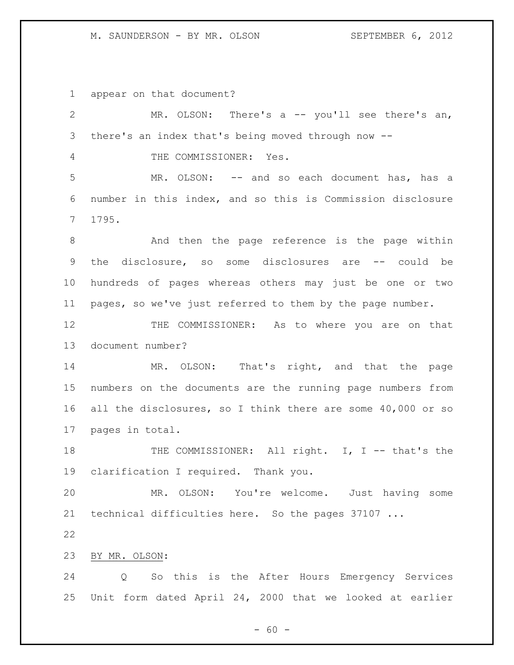appear on that document?

| $\mathbf{2}$ | MR. OLSON: There's a $-$ you'll see there's an,             |
|--------------|-------------------------------------------------------------|
| 3            | there's an index that's being moved through now --          |
| 4            | THE COMMISSIONER: Yes.                                      |
| 5            | MR. OLSON: -- and so each document has, has a               |
| 6            | number in this index, and so this is Commission disclosure  |
| 7            | 1795.                                                       |
| $8\,$        | And then the page reference is the page within              |
| 9            | the disclosure, so some disclosures are -- could be         |
| 10           | hundreds of pages whereas others may just be one or two     |
| 11           | pages, so we've just referred to them by the page number.   |
| 12           | THE COMMISSIONER: As to where you are on that               |
| 13           | document number?                                            |
| 14           | MR. OLSON: That's right, and that the page                  |
| 15           | numbers on the documents are the running page numbers from  |
| 16           | all the disclosures, so I think there are some 40,000 or so |
| 17           | pages in total.                                             |
| 18           | THE COMMISSIONER: All right. I, I -- that's the             |
| 19           | clarification I required. Thank you.                        |
| 20           | MR. OLSON: You're welcome. Just having some                 |
| 21           | technical difficulties here. So the pages 37107             |
| 22           |                                                             |
| 23           | BY MR. OLSON:                                               |
| 24           | Q So this is the After Hours Emergency Services             |
| 25           | Unit form dated April 24, 2000 that we looked at earlier    |
|              |                                                             |

- 60 -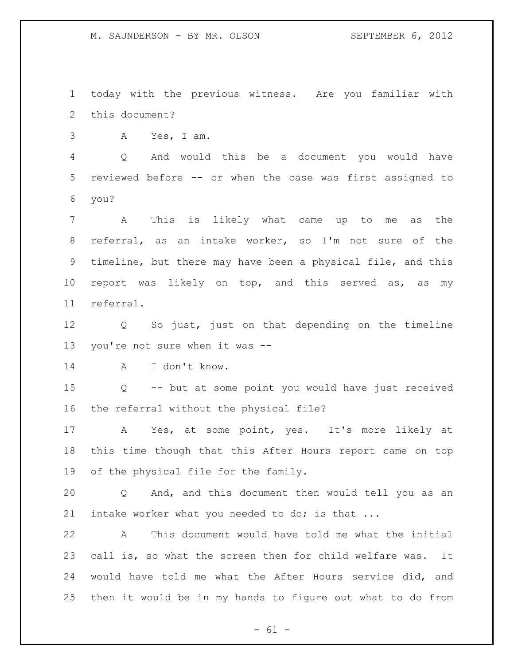today with the previous witness. Are you familiar with this document?

A Yes, I am.

 Q And would this be a document you would have reviewed before -- or when the case was first assigned to you?

 A This is likely what came up to me as the referral, as an intake worker, so I'm not sure of the timeline, but there may have been a physical file, and this report was likely on top, and this served as, as my referral.

 Q So just, just on that depending on the timeline you're not sure when it was --

A I don't know.

 Q -- but at some point you would have just received the referral without the physical file?

 A Yes, at some point, yes. It's more likely at this time though that this After Hours report came on top of the physical file for the family.

 Q And, and this document then would tell you as an intake worker what you needed to do; is that ...

 A This document would have told me what the initial call is, so what the screen then for child welfare was. It would have told me what the After Hours service did, and then it would be in my hands to figure out what to do from

 $- 61 -$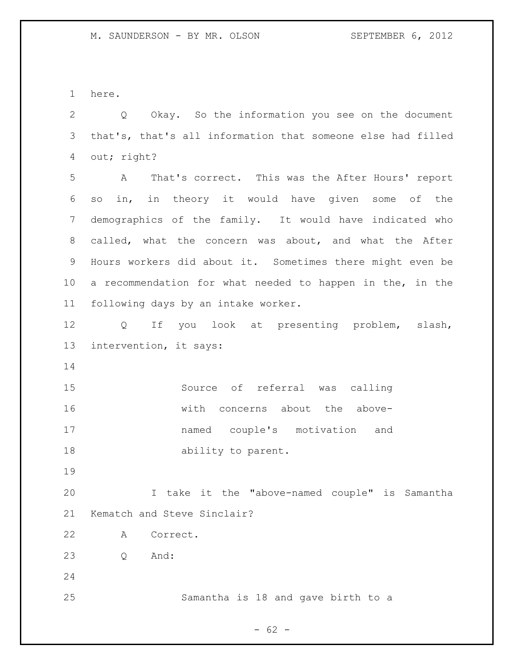here.

 Q Okay. So the information you see on the document that's, that's all information that someone else had filled out; right?

 A That's correct. This was the After Hours' report so in, in theory it would have given some of the demographics of the family. It would have indicated who called, what the concern was about, and what the After Hours workers did about it. Sometimes there might even be a recommendation for what needed to happen in the, in the following days by an intake worker.

 Q If you look at presenting problem, slash, intervention, it says:

 Source of referral was calling with concerns about the above- named couple's motivation and 18 ability to parent.

 I take it the "above-named couple" is Samantha Kematch and Steve Sinclair?

A Correct.

Q And:

Samantha is 18 and gave birth to a

 $- 62 -$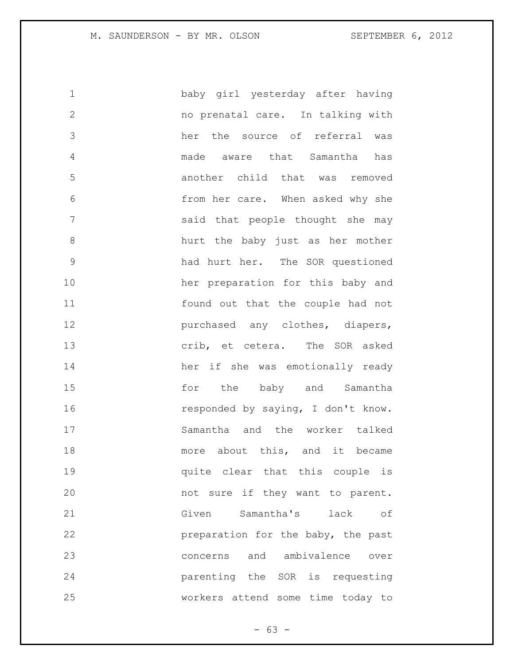baby girl yesterday after having no prenatal care. In talking with her the source of referral was made aware that Samantha has another child that was removed from her care. When asked why she said that people thought she may hurt the baby just as her mother had hurt her. The SOR questioned her preparation for this baby and found out that the couple had not purchased any clothes, diapers, crib, et cetera. The SOR asked her if she was emotionally ready **15** for the baby and Samantha 16 responded by saying, I don't know. Samantha and the worker talked 18 more about this, and it became quite clear that this couple is not sure if they want to parent. Given Samantha's lack of **preparation for the baby, the past**  concerns and ambivalence over parenting the SOR is requesting workers attend some time today to

- 63 -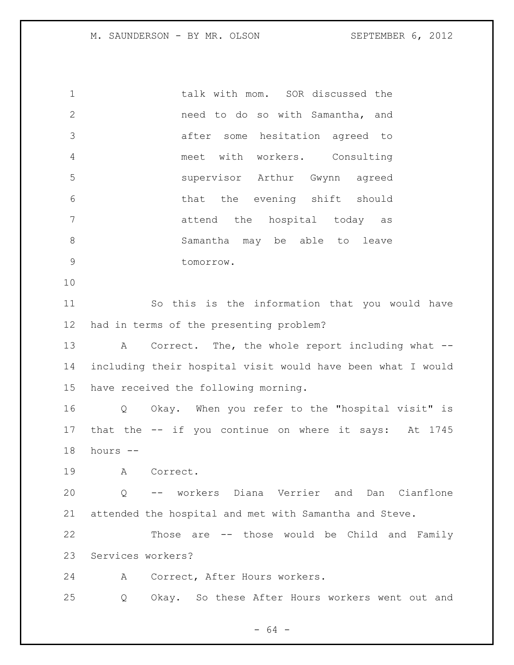talk with mom. SOR discussed the **need** to do so with Samantha, and after some hesitation agreed to meet with workers. Consulting supervisor Arthur Gwynn agreed that the evening shift should 7 attend the hospital today as Samantha may be able to leave tomorrow. So this is the information that you would have had in terms of the presenting problem?

13 A Correct. The, the whole report including what -- including their hospital visit would have been what I would have received the following morning.

 Q Okay. When you refer to the "hospital visit" is that the -- if you continue on where it says: At 1745 hours --

A Correct.

 Q -- workers Diana Verrier and Dan Cianflone attended the hospital and met with Samantha and Steve.

 Those are -- those would be Child and Family Services workers?

A Correct, After Hours workers.

Q Okay. So these After Hours workers went out and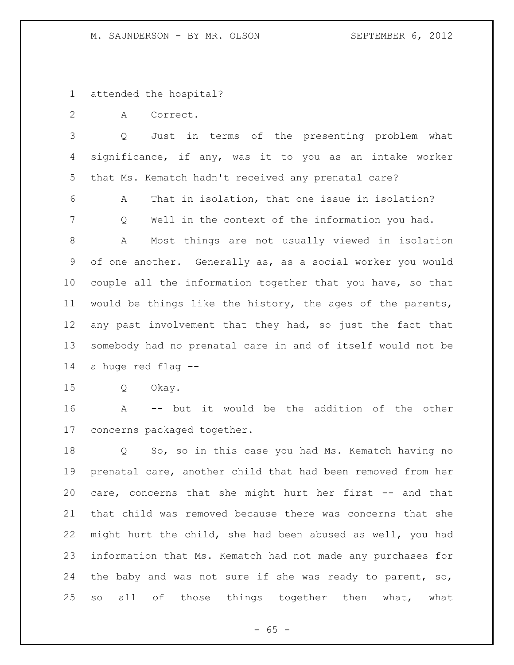attended the hospital?

A Correct.

 Q Just in terms of the presenting problem what significance, if any, was it to you as an intake worker that Ms. Kematch hadn't received any prenatal care?

 A That in isolation, that one issue in isolation? Q Well in the context of the information you had. A Most things are not usually viewed in isolation

 of one another. Generally as, as a social worker you would couple all the information together that you have, so that would be things like the history, the ages of the parents, any past involvement that they had, so just the fact that somebody had no prenatal care in and of itself would not be a huge red flag --

Q Okay.

 A -- but it would be the addition of the other concerns packaged together.

 Q So, so in this case you had Ms. Kematch having no prenatal care, another child that had been removed from her 20 care, concerns that she might hurt her first -- and that that child was removed because there was concerns that she might hurt the child, she had been abused as well, you had information that Ms. Kematch had not made any purchases for the baby and was not sure if she was ready to parent, so, 25 so all of those things together then what, what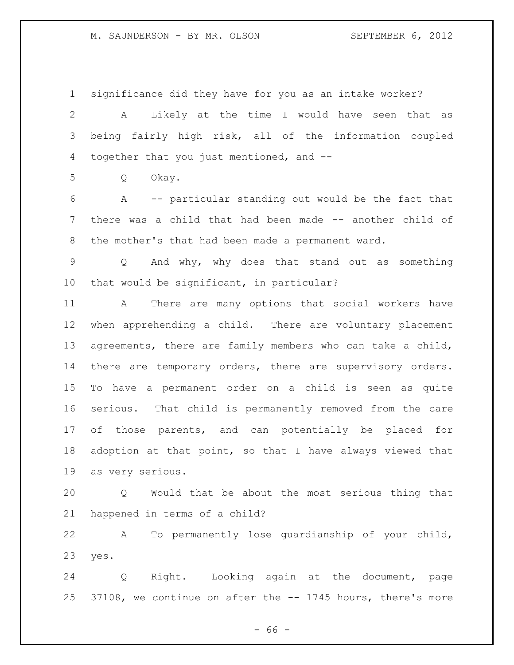significance did they have for you as an intake worker?

 A Likely at the time I would have seen that as being fairly high risk, all of the information coupled together that you just mentioned, and --

Q Okay.

 A -- particular standing out would be the fact that there was a child that had been made -- another child of the mother's that had been made a permanent ward.

 Q And why, why does that stand out as something that would be significant, in particular?

 A There are many options that social workers have when apprehending a child. There are voluntary placement agreements, there are family members who can take a child, 14 there are temporary orders, there are supervisory orders. To have a permanent order on a child is seen as quite serious. That child is permanently removed from the care of those parents, and can potentially be placed for adoption at that point, so that I have always viewed that as very serious.

 Q Would that be about the most serious thing that happened in terms of a child?

 A To permanently lose guardianship of your child, yes.

 Q Right. Looking again at the document, page 37108, we continue on after the -- 1745 hours, there's more

 $- 66 -$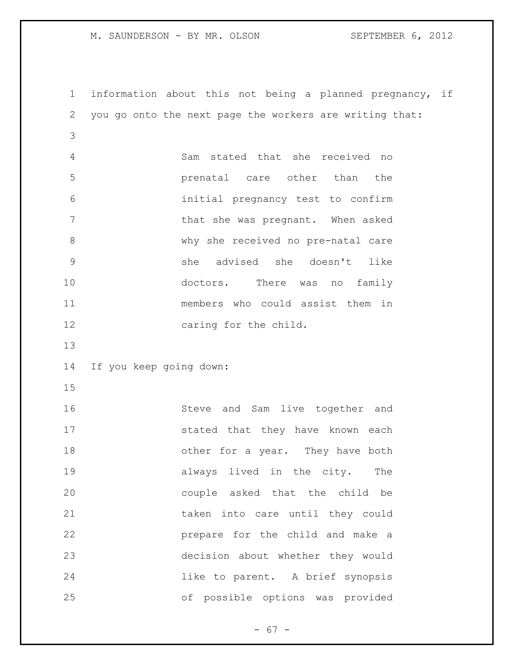information about this not being a planned pregnancy, if you go onto the next page the workers are writing that: Sam stated that she received no prenatal care other than the initial pregnancy test to confirm 7 That she was pregnant. When asked why she received no pre-natal care she advised she doesn't like 10 doctors. There was no family members who could assist them in 12 caring for the child. If you keep going down: Steve and Sam live together and 17 stated that they have known each 18 other for a year. They have both **always** lived in the city. The couple asked that the child be taken into care until they could prepare for the child and make a decision about whether they would like to parent. A brief synopsis of possible options was provided

- 67 -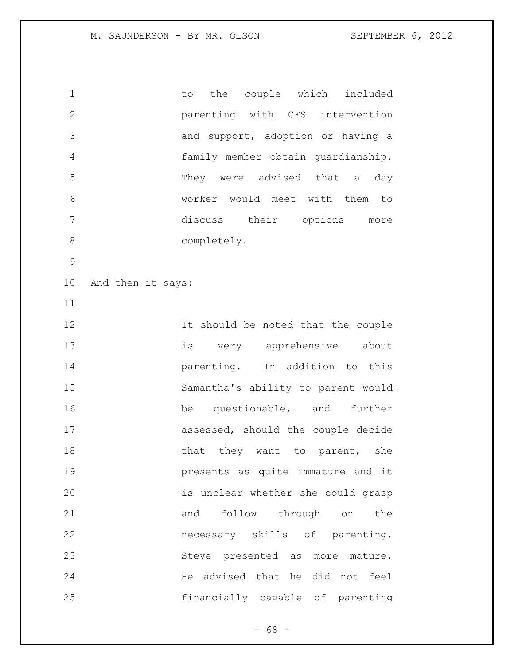1 to the couple which included parenting with CFS intervention and support, adoption or having a family member obtain guardianship. They were advised that a day worker would meet with them to discuss their options more 8 completely. And then it says: 12 12 It should be noted that the couple is very apprehensive about **parenting.** In addition to this Samantha's ability to parent would 16 be questionable, and further assessed, should the couple decide 18 that they want to parent, she presents as quite immature and it is unclear whether she could grasp and follow through on the necessary skills of parenting. Steve presented as more mature. He advised that he did not feel financially capable of parenting

- 68 -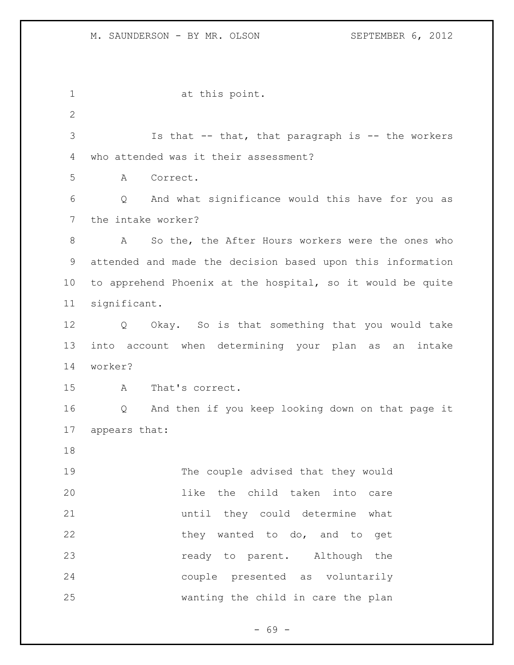at this point. Is that -- that, that paragraph is -- the workers who attended was it their assessment? A Correct. Q And what significance would this have for you as the intake worker? A So the, the After Hours workers were the ones who attended and made the decision based upon this information to apprehend Phoenix at the hospital, so it would be quite significant. Q Okay. So is that something that you would take into account when determining your plan as an intake worker? A That's correct. Q And then if you keep looking down on that page it appears that: The couple advised that they would like the child taken into care until they could determine what 22 they wanted to do, and to get **ready** to parent. Although the couple presented as voluntarily wanting the child in care the plan

- 69 -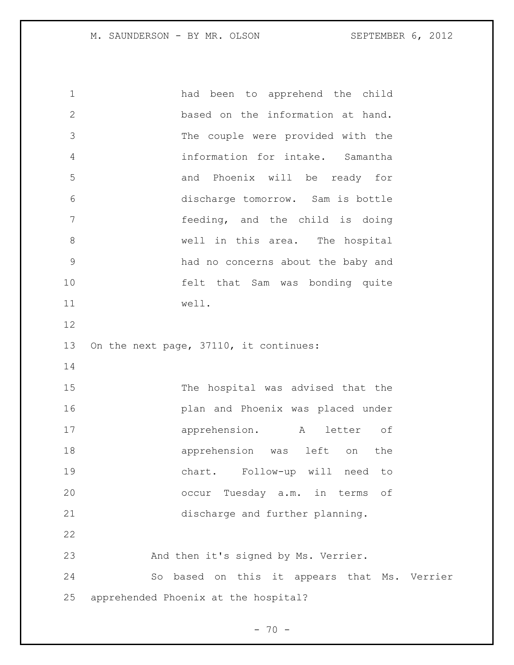had been to apprehend the child based on the information at hand. The couple were provided with the information for intake. Samantha and Phoenix will be ready for discharge tomorrow. Sam is bottle feeding, and the child is doing well in this area. The hospital had no concerns about the baby and felt that Sam was bonding quite well. On the next page, 37110, it continues: The hospital was advised that the plan and Phoenix was placed under apprehension. A letter of apprehension was left on the chart. Follow-up will need to occur Tuesday a.m. in terms of discharge and further planning. And then it's signed by Ms. Verrier. So based on this it appears that Ms. Verrier apprehended Phoenix at the hospital?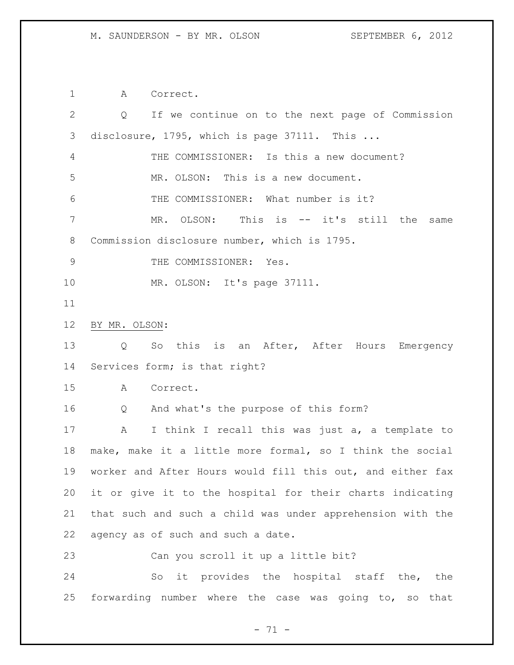A Correct. Q If we continue on to the next page of Commission disclosure, 1795, which is page 37111. This ... THE COMMISSIONER: Is this a new document? MR. OLSON: This is a new document. THE COMMISSIONER: What number is it? MR. OLSON: This is -- it's still the same Commission disclosure number, which is 1795. 9 THE COMMISSIONER: Yes. 10 MR. OLSON: It's page 37111. BY MR. OLSON: Q So this is an After, After Hours Emergency Services form; is that right? A Correct. Q And what's the purpose of this form? A I think I recall this was just a, a template to make, make it a little more formal, so I think the social worker and After Hours would fill this out, and either fax it or give it to the hospital for their charts indicating that such and such a child was under apprehension with the agency as of such and such a date. Can you scroll it up a little bit? So it provides the hospital staff the, the forwarding number where the case was going to, so that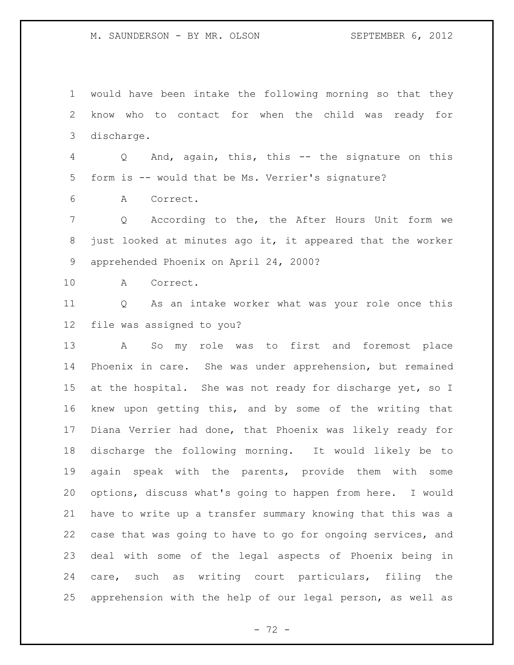know who to contact for when the child was ready for discharge. Q And, again, this, this -- the signature on this form is -- would that be Ms. Verrier's signature? A Correct. Q According to the, the After Hours Unit form we just looked at minutes ago it, it appeared that the worker apprehended Phoenix on April 24, 2000? A Correct. Q As an intake worker what was your role once this file was assigned to you? A So my role was to first and foremost place Phoenix in care. She was under apprehension, but remained 15 at the hospital. She was not ready for discharge yet, so I knew upon getting this, and by some of the writing that Diana Verrier had done, that Phoenix was likely ready for discharge the following morning. It would likely be to again speak with the parents, provide them with some options, discuss what's going to happen from here. I would have to write up a transfer summary knowing that this was a case that was going to have to go for ongoing services, and deal with some of the legal aspects of Phoenix being in care, such as writing court particulars, filing the apprehension with the help of our legal person, as well as

would have been intake the following morning so that they

 $- 72 -$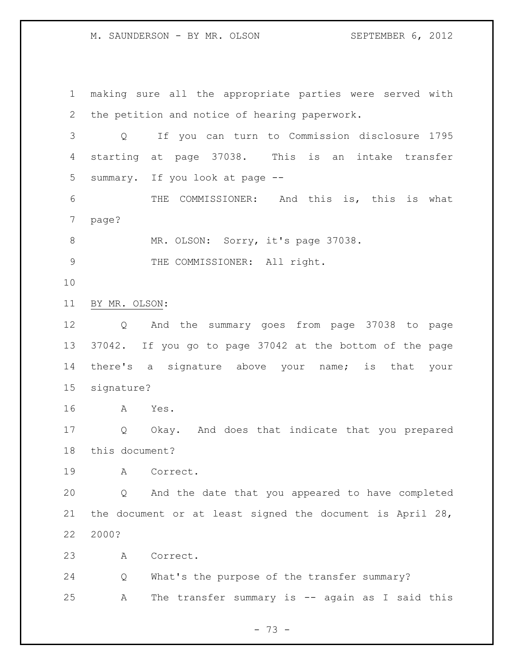making sure all the appropriate parties were served with the petition and notice of hearing paperwork. Q If you can turn to Commission disclosure 1795 starting at page 37038. This is an intake transfer summary. If you look at page -- THE COMMISSIONER: And this is, this is what page? 8 MR. OLSON: Sorry, it's page 37038. 9 THE COMMISSIONER: All right. BY MR. OLSON: Q And the summary goes from page 37038 to page 37042. If you go to page 37042 at the bottom of the page there's a signature above your name; is that your signature? A Yes. Q Okay. And does that indicate that you prepared this document? A Correct. Q And the date that you appeared to have completed the document or at least signed the document is April 28, 2000? A Correct. Q What's the purpose of the transfer summary? A The transfer summary is -- again as I said this

- 73 -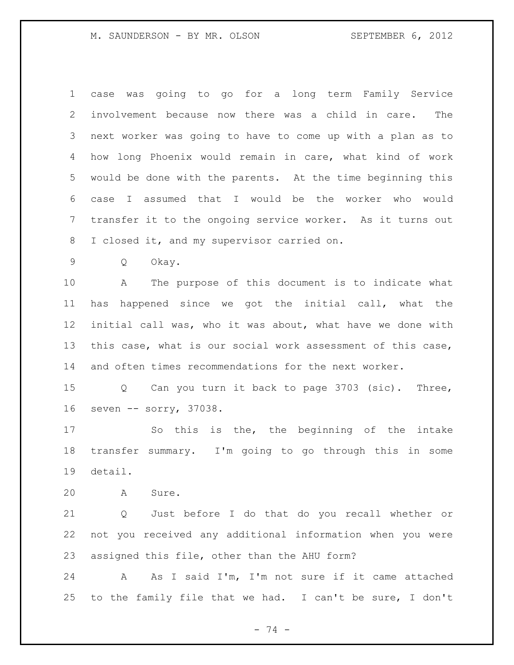case was going to go for a long term Family Service involvement because now there was a child in care. The next worker was going to have to come up with a plan as to how long Phoenix would remain in care, what kind of work would be done with the parents. At the time beginning this case I assumed that I would be the worker who would transfer it to the ongoing service worker. As it turns out I closed it, and my supervisor carried on.

Q Okay.

 A The purpose of this document is to indicate what has happened since we got the initial call, what the initial call was, who it was about, what have we done with this case, what is our social work assessment of this case, and often times recommendations for the next worker.

 Q Can you turn it back to page 3703 (sic). Three, seven -- sorry, 37038.

 So this is the, the beginning of the intake transfer summary. I'm going to go through this in some detail.

A Sure.

 Q Just before I do that do you recall whether or not you received any additional information when you were assigned this file, other than the AHU form?

 A As I said I'm, I'm not sure if it came attached to the family file that we had. I can't be sure, I don't

- 74 -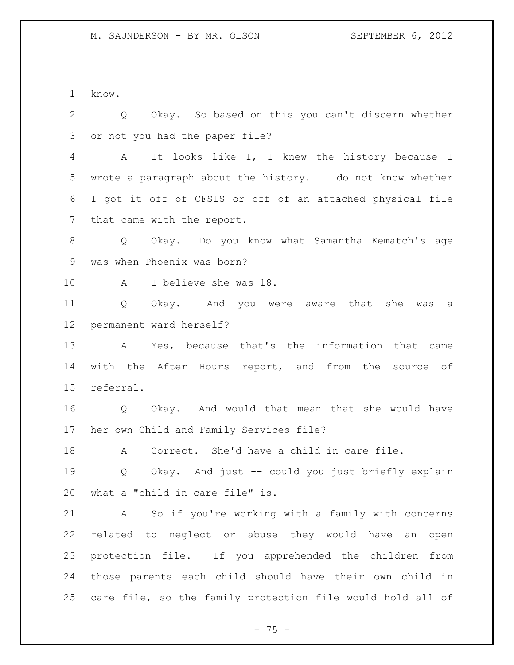know.

 Q Okay. So based on this you can't discern whether or not you had the paper file? A It looks like I, I knew the history because I wrote a paragraph about the history. I do not know whether I got it off of CFSIS or off of an attached physical file that came with the report. Q Okay. Do you know what Samantha Kematch's age was when Phoenix was born? A I believe she was 18. Q Okay. And you were aware that she was a permanent ward herself? A Yes, because that's the information that came with the After Hours report, and from the source of referral. Q Okay. And would that mean that she would have her own Child and Family Services file? A Correct. She'd have a child in care file. Q Okay. And just -- could you just briefly explain what a "child in care file" is. A So if you're working with a family with concerns related to neglect or abuse they would have an open protection file. If you apprehended the children from those parents each child should have their own child in care file, so the family protection file would hold all of

 $- 75 -$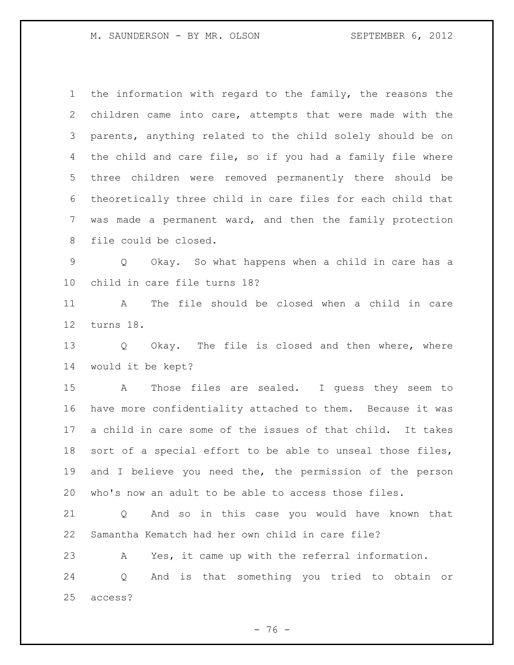the information with regard to the family, the reasons the children came into care, attempts that were made with the parents, anything related to the child solely should be on the child and care file, so if you had a family file where three children were removed permanently there should be theoretically three child in care files for each child that was made a permanent ward, and then the family protection file could be closed.

 Q Okay. So what happens when a child in care has a child in care file turns 18?

 A The file should be closed when a child in care turns 18.

13 Q Okay. The file is closed and then where, where would it be kept?

 A Those files are sealed. I guess they seem to have more confidentiality attached to them. Because it was a child in care some of the issues of that child. It takes sort of a special effort to be able to unseal those files, and I believe you need the, the permission of the person who's now an adult to be able to access those files.

 Q And so in this case you would have known that Samantha Kematch had her own child in care file?

 A Yes, it came up with the referral information. Q And is that something you tried to obtain or access?

- 76 -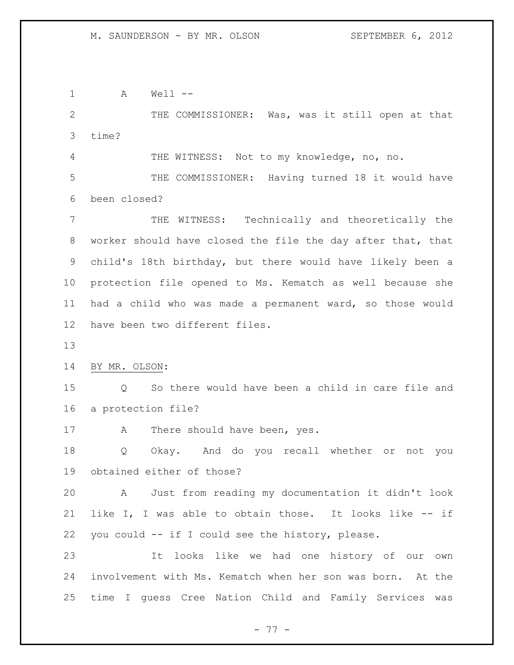A Well -- 2 THE COMMISSIONER: Was, was it still open at that time? THE WITNESS: Not to my knowledge, no, no. THE COMMISSIONER: Having turned 18 it would have been closed? THE WITNESS: Technically and theoretically the worker should have closed the file the day after that, that child's 18th birthday, but there would have likely been a protection file opened to Ms. Kematch as well because she had a child who was made a permanent ward, so those would have been two different files. BY MR. OLSON: Q So there would have been a child in care file and a protection file? 17 A There should have been, yes. Q Okay. And do you recall whether or not you obtained either of those? A Just from reading my documentation it didn't look like I, I was able to obtain those. It looks like -- if you could -- if I could see the history, please. It looks like we had one history of our own involvement with Ms. Kematch when her son was born. At the time I guess Cree Nation Child and Family Services was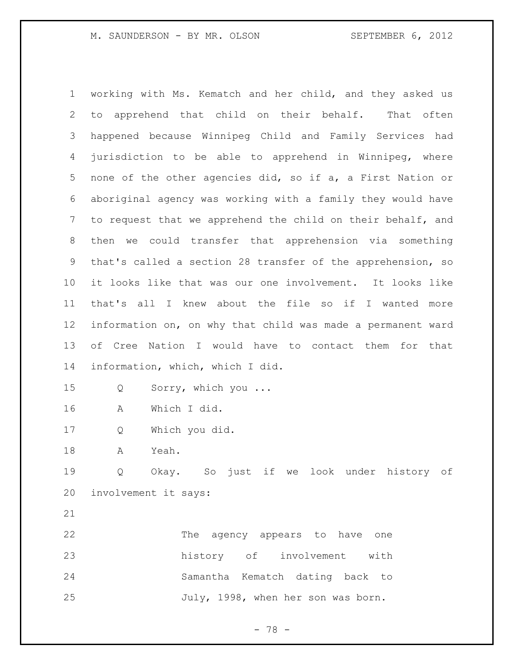working with Ms. Kematch and her child, and they asked us to apprehend that child on their behalf. That often happened because Winnipeg Child and Family Services had jurisdiction to be able to apprehend in Winnipeg, where none of the other agencies did, so if a, a First Nation or aboriginal agency was working with a family they would have 7 to request that we apprehend the child on their behalf, and then we could transfer that apprehension via something that's called a section 28 transfer of the apprehension, so it looks like that was our one involvement. It looks like that's all I knew about the file so if I wanted more information on, on why that child was made a permanent ward of Cree Nation I would have to contact them for that information, which, which I did. Q Sorry, which you ... A Which I did. Q Which you did. A Yeah. Q Okay. So just if we look under history of involvement it says:

 The agency appears to have one history of involvement with Samantha Kematch dating back to July, 1998, when her son was born.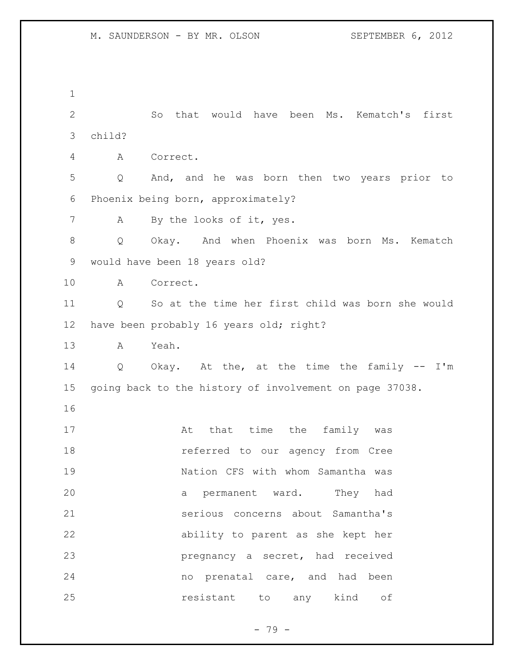So that would have been Ms. Kematch's first child? A Correct. Q And, and he was born then two years prior to Phoenix being born, approximately? A By the looks of it, yes. Q Okay. And when Phoenix was born Ms. Kematch would have been 18 years old? A Correct. Q So at the time her first child was born she would have been probably 16 years old; right? A Yeah. Q Okay. At the, at the time the family -- I'm going back to the history of involvement on page 37038. 17 at that time the family was **18** referred to our agency from Cree Nation CFS with whom Samantha was a permanent ward. They had serious concerns about Samantha's ability to parent as she kept her pregnancy a secret, had received no prenatal care, and had been resistant to any kind of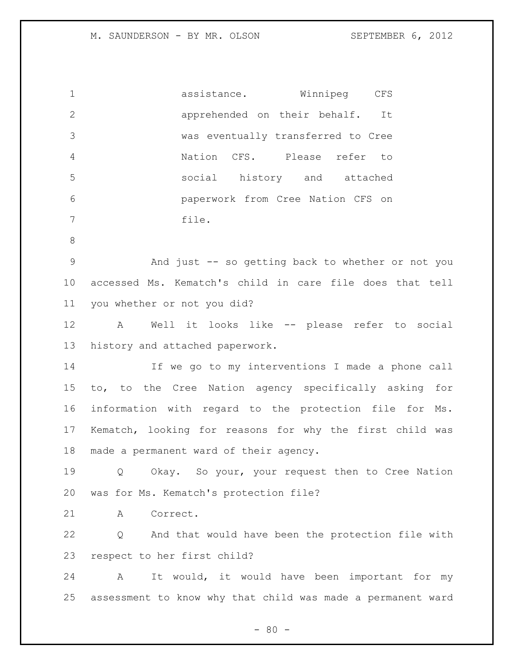| $\mathbf 1$     | assistance. Winnipeg CFS                                    |
|-----------------|-------------------------------------------------------------|
| $\mathbf{2}$    | apprehended on their behalf. It                             |
| 3               | was eventually transferred to Cree                          |
| 4               | Nation CFS. Please refer to                                 |
| 5               | social history and attached                                 |
| 6               | paperwork from Cree Nation CFS on                           |
| 7               | file.                                                       |
| 8               |                                                             |
| 9               | And just -- so getting back to whether or not you           |
| 10              | accessed Ms. Kematch's child in care file does that tell    |
| 11              | you whether or not you did?                                 |
| 12              | Well it looks like -- please refer to social<br>A           |
| 13              | history and attached paperwork.                             |
| 14              | If we go to my interventions I made a phone call            |
| 15 <sub>1</sub> | to, to the Cree Nation agency specifically asking for       |
| 16              | information with regard to the protection file for Ms.      |
| 17              | Kematch, looking for reasons for why the first child was    |
| 18              | made a permanent ward of their agency.                      |
| 19              | Okay. So your, your request then to Cree Nation<br>Q        |
| 20              | was for Ms. Kematch's protection file?                      |
| 21              | A<br>Correct.                                               |
| 22              | And that would have been the protection file with<br>Q      |
| 23              | respect to her first child?                                 |
| 24              | It would, it would have been important for my<br>A          |
| 25              | assessment to know why that child was made a permanent ward |
|                 |                                                             |

- 80 -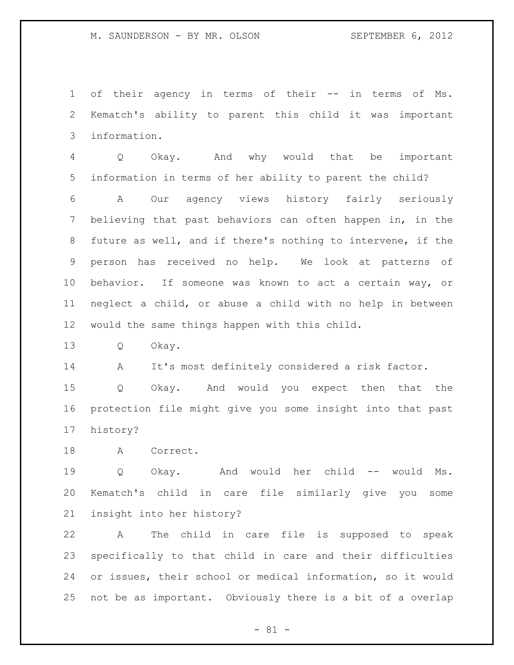of their agency in terms of their -- in terms of Ms. Kematch's ability to parent this child it was important information.

 Q Okay. And why would that be important information in terms of her ability to parent the child?

 A Our agency views history fairly seriously believing that past behaviors can often happen in, in the future as well, and if there's nothing to intervene, if the person has received no help. We look at patterns of behavior. If someone was known to act a certain way, or neglect a child, or abuse a child with no help in between would the same things happen with this child.

Q Okay.

A It's most definitely considered a risk factor.

 Q Okay. And would you expect then that the protection file might give you some insight into that past history?

A Correct.

 Q Okay. And would her child -- would Ms. Kematch's child in care file similarly give you some insight into her history?

 A The child in care file is supposed to speak specifically to that child in care and their difficulties or issues, their school or medical information, so it would not be as important. Obviously there is a bit of a overlap

- 81 -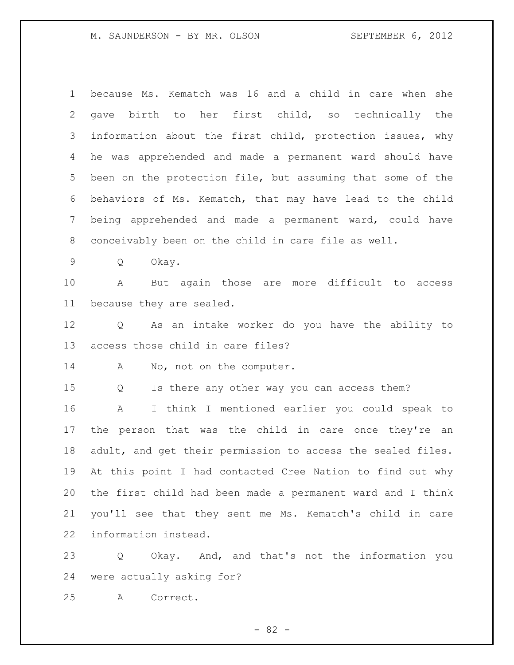| $\mathbf 1$ | because Ms. Kematch was 16 and a child in care when she     |
|-------------|-------------------------------------------------------------|
| 2           | gave birth to her first child, so technically the           |
| 3           | information about the first child, protection issues, why   |
| 4           | he was apprehended and made a permanent ward should have    |
| 5           | been on the protection file, but assuming that some of the  |
| 6           | behaviors of Ms. Kematch, that may have lead to the child   |
| 7           | being apprehended and made a permanent ward, could have     |
| 8           | conceivably been on the child in care file as well.         |
| $\mathsf 9$ | Q<br>Okay.                                                  |
| 10          | But again those are more difficult to access<br>A           |
| 11          | because they are sealed.                                    |
| 12          | As an intake worker do you have the ability to<br>Q         |
| 13          | access those child in care files?                           |
| 14          | No, not on the computer.<br>A                               |
| 15          | Q<br>Is there any other way you can access them?            |
| 16          | I think I mentioned earlier you could speak to<br>A         |
| 17          | the person that was the child in care once they're an       |
| 18          | adult, and get their permission to access the sealed files. |
| 19          | At this point I had contacted Cree Nation to find out why   |
| 20          | the first child had been made a permanent ward and I think  |
| 21          | you'll see that they sent me Ms. Kematch's child in care    |
| 22          | information instead.                                        |
| 23          | Okay. And, and that's not the information you<br>Q          |

were actually asking for?

A Correct.

- 82 -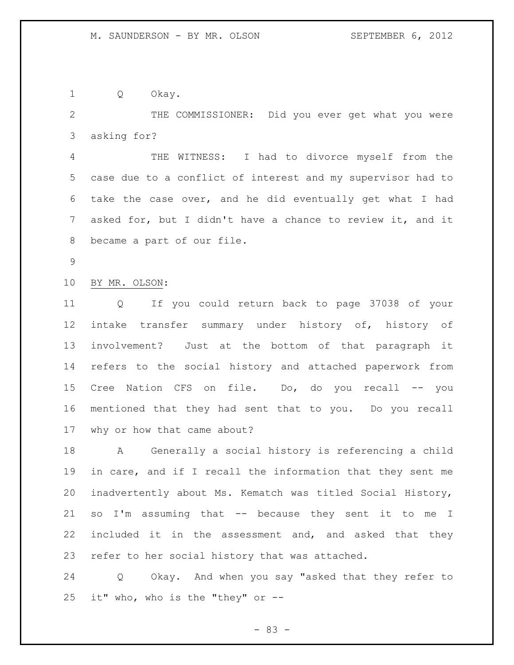Q Okay.

 THE COMMISSIONER: Did you ever get what you were asking for?

 THE WITNESS: I had to divorce myself from the case due to a conflict of interest and my supervisor had to take the case over, and he did eventually get what I had asked for, but I didn't have a chance to review it, and it became a part of our file.

BY MR. OLSON:

 Q If you could return back to page 37038 of your intake transfer summary under history of, history of involvement? Just at the bottom of that paragraph it refers to the social history and attached paperwork from Cree Nation CFS on file. Do, do you recall -- you mentioned that they had sent that to you. Do you recall why or how that came about?

 A Generally a social history is referencing a child in care, and if I recall the information that they sent me inadvertently about Ms. Kematch was titled Social History, so I'm assuming that -- because they sent it to me I included it in the assessment and, and asked that they refer to her social history that was attached.

 Q Okay. And when you say "asked that they refer to it" who, who is the "they" or --

- 83 -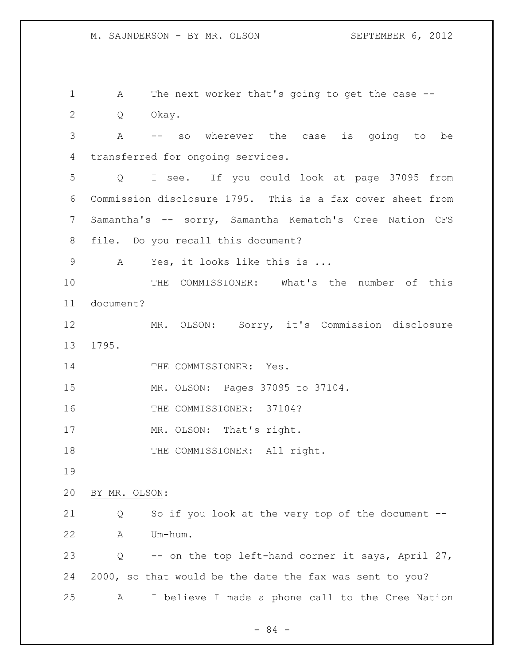A The next worker that's going to get the case -- Q Okay. A -- so wherever the case is going to be transferred for ongoing services. Q I see. If you could look at page 37095 from Commission disclosure 1795. This is a fax cover sheet from Samantha's -- sorry, Samantha Kematch's Cree Nation CFS file. Do you recall this document? A Yes, it looks like this is ... THE COMMISSIONER: What's the number of this document? MR. OLSON: Sorry, it's Commission disclosure 1795. 14 THE COMMISSIONER: Yes. MR. OLSON: Pages 37095 to 37104. 16 THE COMMISSIONER: 37104? 17 MR. OLSON: That's right. 18 THE COMMISSIONER: All right. BY MR. OLSON: Q So if you look at the very top of the document -- A Um-hum. Q -- on the top left-hand corner it says, April 27, 2000, so that would be the date the fax was sent to you? A I believe I made a phone call to the Cree Nation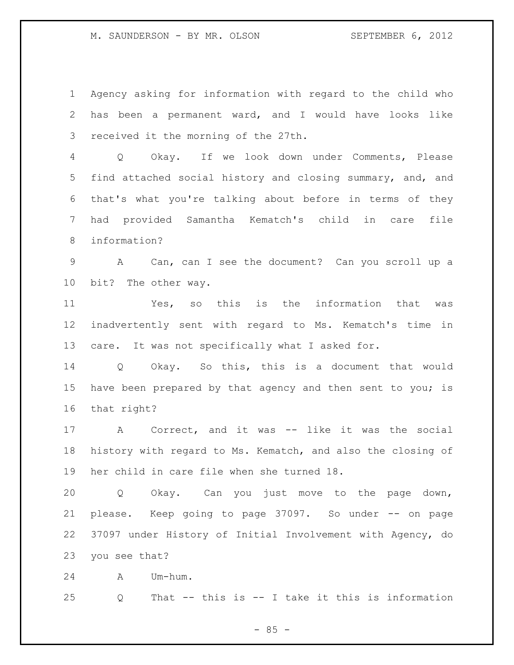Agency asking for information with regard to the child who has been a permanent ward, and I would have looks like received it the morning of the 27th.

 Q Okay. If we look down under Comments, Please find attached social history and closing summary, and, and that's what you're talking about before in terms of they had provided Samantha Kematch's child in care file information?

 A Can, can I see the document? Can you scroll up a bit? The other way.

 Yes, so this is the information that was inadvertently sent with regard to Ms. Kematch's time in care. It was not specifically what I asked for.

 Q Okay. So this, this is a document that would 15 have been prepared by that agency and then sent to you; is that right?

 A Correct, and it was -- like it was the social history with regard to Ms. Kematch, and also the closing of her child in care file when she turned 18.

 Q Okay. Can you just move to the page down, please. Keep going to page 37097. So under -- on page 37097 under History of Initial Involvement with Agency, do you see that?

A Um-hum.

Q That -- this is -- I take it this is information

 $- 85 -$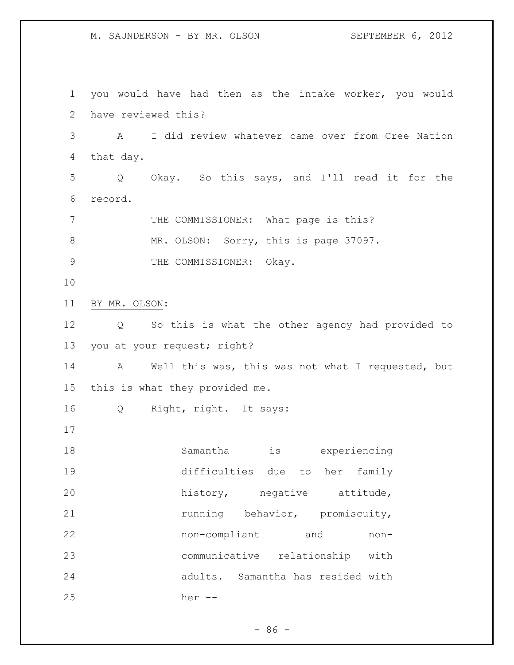you would have had then as the intake worker, you would have reviewed this? A I did review whatever came over from Cree Nation that day. Q Okay. So this says, and I'll read it for the record. 7 THE COMMISSIONER: What page is this? 8 MR. OLSON: Sorry, this is page 37097. 9 THE COMMISSIONER: Okay. BY MR. OLSON: Q So this is what the other agency had provided to you at your request; right? A Well this was, this was not what I requested, but this is what they provided me. Q Right, right. It says: Samantha is experiencing difficulties due to her family 20 history, negative attitude, 21 running behavior, promiscuity, non-compliant and non- communicative relationship with adults. Samantha has resided with her --

 $-86 -$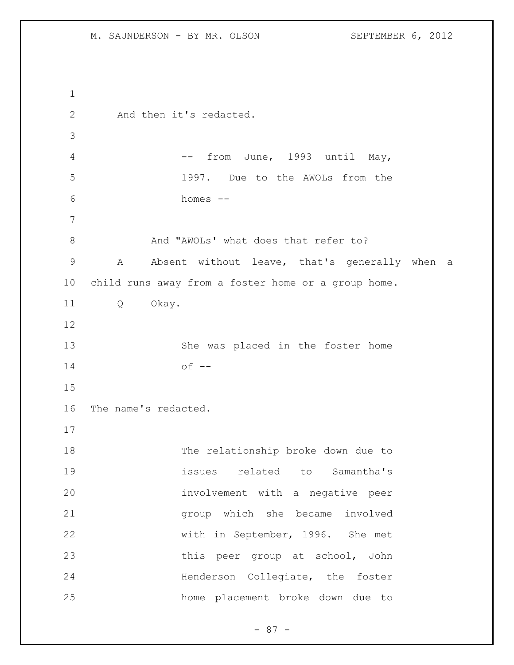```
1
2 And then it's redacted.
3
4 -- from June, 1993 until May,
5 1997. Due to the AWOLs from the 
6 homes --
7
8 And "AWOLs' what does that refer to?
9 A Absent without leave, that's generally when a 
10 child runs away from a foster home or a group home.
11 Q Okay. 
12
13 She was placed in the foster home 
14 of --
15
16 The name's redacted.
17
18 The relationship broke down due to 
19 issues related to Samantha's 
20 involvement with a negative peer 
21 group which she became involved 
22 with in September, 1996. She met 
23 this peer group at school, John 
24 Henderson Collegiate, the foster
25 home placement broke down due to
```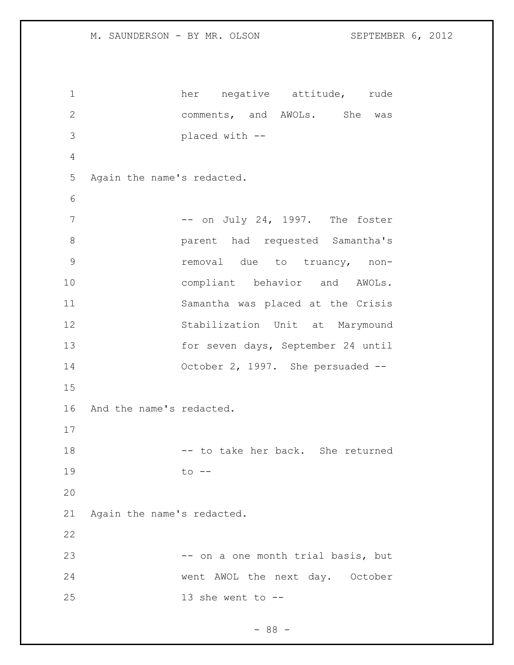1 her negative attitude, rude comments, and AWOLs. She was placed with -- Again the name's redacted. 7 -- on July 24, 1997. The foster parent had requested Samantha's removal due to truancy, non- compliant behavior and AWOLs. Samantha was placed at the Crisis Stabilization Unit at Marymound for seven days, September 24 until October 2, 1997. She persuaded -- And the name's redacted. 18 -- to take her back. She returned 19 to -- Again the name's redacted. 23 -- on a one month trial basis, but went AWOL the next day. October 13 she went to --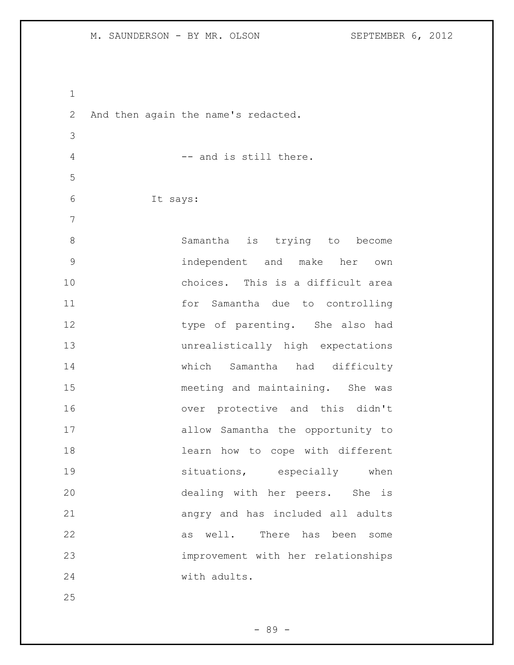And then again the name's redacted. 4 -- and is still there. It says: Samantha is trying to become independent and make her own choices. This is a difficult area for Samantha due to controlling 12 type of parenting. She also had unrealistically high expectations which Samantha had difficulty meeting and maintaining. She was over protective and this didn't allow Samantha the opportunity to learn how to cope with different 19 situations, especially when dealing with her peers. She is angry and has included all adults as well. There has been some improvement with her relationships with adults.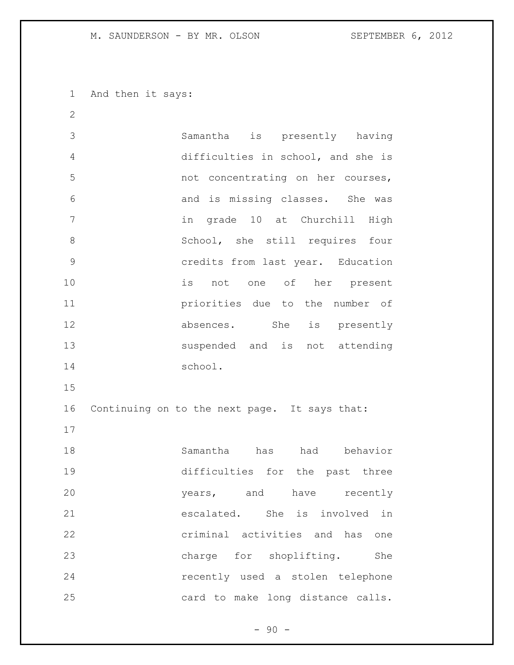And then it says:

 Samantha is presently having difficulties in school, and she is not concentrating on her courses, and is missing classes. She was in grade 10 at Churchill High 8 School, she still requires four credits from last year. Education is not one of her present priorities due to the number of 12 absences. She is presently suspended and is not attending school. Continuing on to the next page. It says that: Samantha has had behavior difficulties for the past three years, and have recently escalated. She is involved in criminal activities and has one 23 charge for shoplifting. She recently used a stolen telephone card to make long distance calls.

 $-90 -$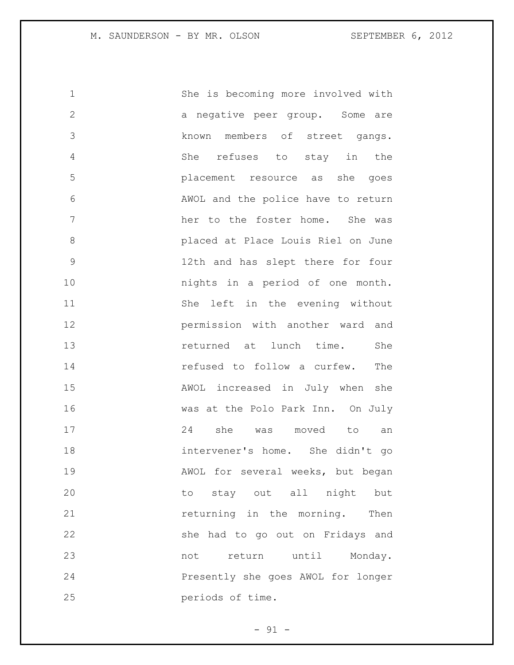| $\mathbf 1$   | She is becoming more involved with |
|---------------|------------------------------------|
| $\mathbf{2}$  | a negative peer group. Some are    |
| 3             | known members of street gangs.     |
| 4             | She refuses to stay in the         |
| 5             | placement resource as she goes     |
| 6             | AWOL and the police have to return |
| 7             | her to the foster home. She was    |
| $\,8\,$       | placed at Place Louis Riel on June |
| $\mathcal{G}$ | 12th and has slept there for four  |
| 10            | nights in a period of one month.   |
| 11            | She left in the evening without    |
| 12            | permission with another ward and   |
| 13            | returned at lunch time.<br>She     |
| 14            | refused to follow a curfew.<br>The |
| 15            | AWOL increased in July when she    |
| 16            | was at the Polo Park Inn. On July  |
| 17            | 24 she was moved to<br>an          |
| 18            | intervener's home. She didn't go   |
| 19            | AWOL for several weeks, but began  |
| 20            | to stay out all night but          |
| 21            | returning in the morning. Then     |
| 22            | she had to go out on Fridays and   |
| 23            | not return until Monday.           |
| 24            | Presently she goes AWOL for longer |
| 25            | periods of time.                   |

- 91 -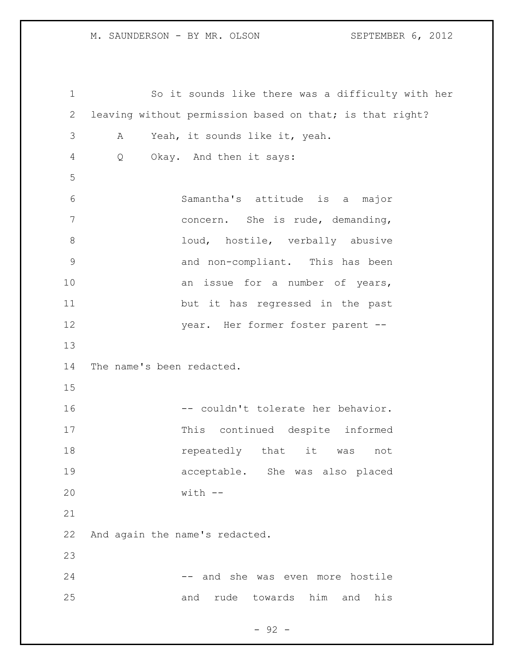So it sounds like there was a difficulty with her leaving without permission based on that; is that right? A Yeah, it sounds like it, yeah. Q Okay. And then it says: Samantha's attitude is a major concern. She is rude, demanding, 8 loud, hostile, verbally abusive and non-compliant. This has been 10 an issue for a number of years, but it has regressed in the past year. Her former foster parent -- The name's been redacted. 16 -- couldn't tolerate her behavior. This continued despite informed **repeatedly** that it was not acceptable. She was also placed with -- And again the name's redacted. 24 -- and she was even more hostile and rude towards him and his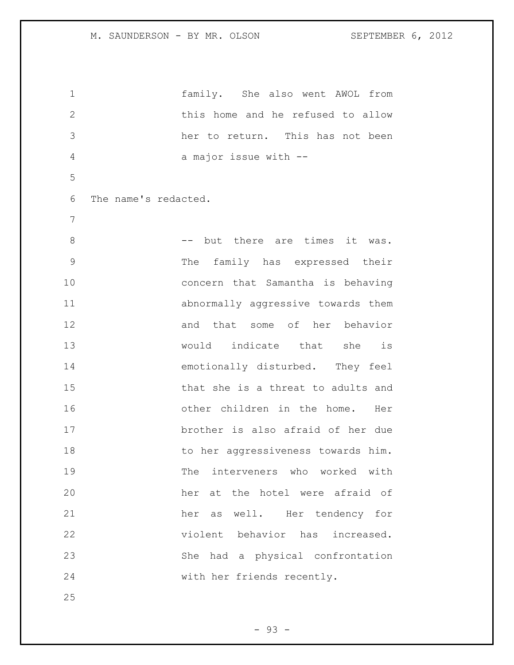family. She also went AWOL from this home and he refused to allow her to return. This has not been a major issue with -- The name's redacted. 8 -- but there are times it was. The family has expressed their concern that Samantha is behaving abnormally aggressive towards them and that some of her behavior would indicate that she is emotionally disturbed. They feel 15 that she is a threat to adults and other children in the home. Her brother is also afraid of her due 18 to her aggressiveness towards him. The interveners who worked with her at the hotel were afraid of her as well. Her tendency for violent behavior has increased. She had a physical confrontation with her friends recently.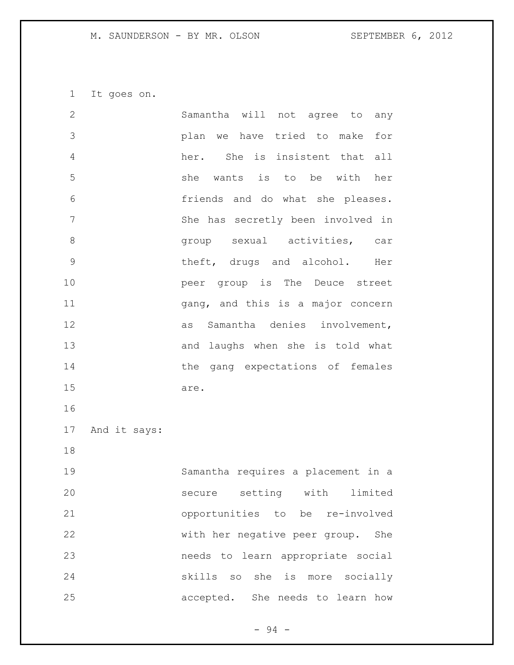It goes on.

| $\mathbf{2}$  |              | Samantha will not agree to<br>any    |
|---------------|--------------|--------------------------------------|
| 3             |              | plan we have tried to make<br>for    |
| 4             |              | her. She is insistent that<br>a11    |
| 5             |              | she wants is to be with<br>her       |
| 6             |              | friends and do what she pleases.     |
| 7             |              | She has secretly been involved in    |
| 8             |              | group sexual activities, car         |
| $\mathcal{G}$ |              | theft, drugs and alcohol. Her        |
| 10            |              | peer group is The Deuce street       |
| 11            |              | gang, and this is a major concern    |
| 12            |              | as Samantha denies involvement,      |
| 13            |              | and laughs when she is told what     |
| 14            |              | the gang expectations of females     |
| 15            |              | are.                                 |
| 16            |              |                                      |
| 17            | And it says: |                                      |
| 18            |              |                                      |
| 19            |              | Samantha requires a placement in a   |
| 20            |              | setting with limited<br>secure       |
| 21            |              | opportunities to be re-involved      |
| 22            |              | with her negative peer group.<br>She |
| 23            |              | needs to learn appropriate social    |
| 24            |              | skills so she is more socially       |
| 25            |              | accepted. She needs to learn how     |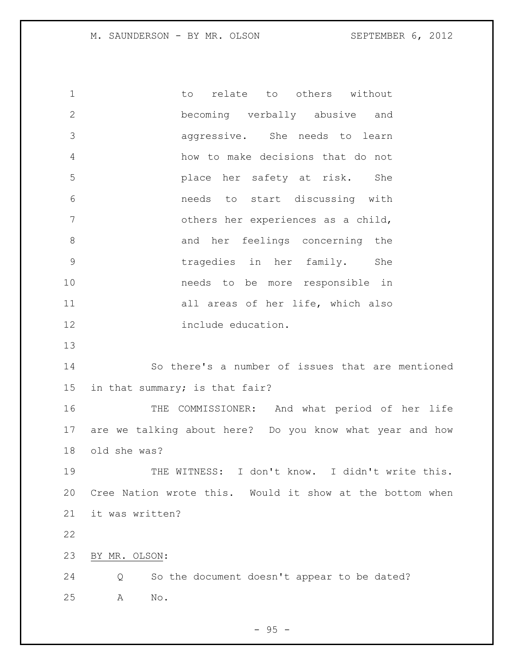1 to relate to others without becoming verbally abusive and aggressive. She needs to learn how to make decisions that do not place her safety at risk. She needs to start discussing with others her experiences as a child, and her feelings concerning the tragedies in her family. She needs to be more responsible in 11 all areas of her life, which also include education. So there's a number of issues that are mentioned in that summary; is that fair? THE COMMISSIONER: And what period of her life are we talking about here? Do you know what year and how old she was? 19 THE WITNESS: I don't know. I didn't write this. Cree Nation wrote this. Would it show at the bottom when it was written? BY MR. OLSON: Q So the document doesn't appear to be dated? A No.

 $-95 -$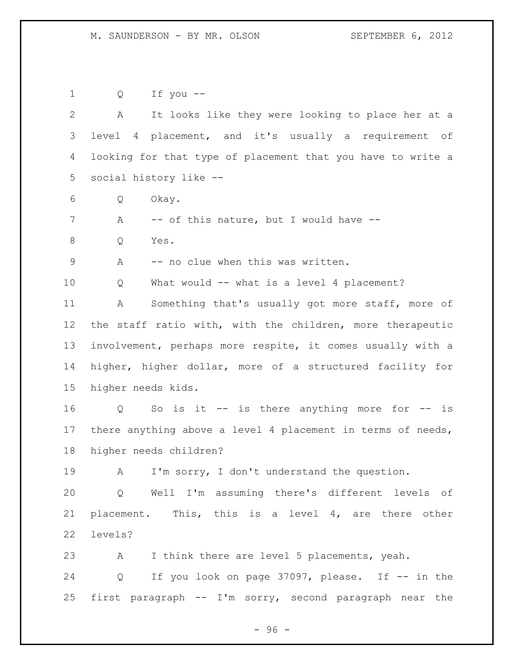| 1               | Q                                                          | If you --                                                   |  |
|-----------------|------------------------------------------------------------|-------------------------------------------------------------|--|
| 2               | Α                                                          | It looks like they were looking to place her at a           |  |
| 3               |                                                            | level 4 placement, and it's usually a requirement of        |  |
| 4               |                                                            | looking for that type of placement that you have to write a |  |
| 5               |                                                            | social history like --                                      |  |
| 6               | Q                                                          | Okay.                                                       |  |
| 7               | А                                                          | -- of this nature, but I would have --                      |  |
| 8               | Q                                                          | Yes.                                                        |  |
| $\mathsf 9$     | Α                                                          | -- no clue when this was written.                           |  |
| 10              | Q                                                          | What would -- what is a level 4 placement?                  |  |
| 11              | А                                                          | Something that's usually got more staff, more of            |  |
| 12 <sup>°</sup> | the staff ratio with, with the children, more therapeutic  |                                                             |  |
| 13              | involvement, perhaps more respite, it comes usually with a |                                                             |  |
| 14              | higher, higher dollar, more of a structured facility for   |                                                             |  |
| 15              | higher needs kids.                                         |                                                             |  |
| 16              | Q                                                          | So is it $-$ is there anything more for $-$ is              |  |
| 17              |                                                            | there anything above a level 4 placement in terms of needs, |  |
| 18              | higher needs children?                                     |                                                             |  |
| 19              | A                                                          | I'm sorry, I don't understand the question.                 |  |
| 20              |                                                            | Q Well I'm assuming there's different levels of             |  |
| 21              |                                                            | placement. This, this is a level 4, are there other         |  |
| 22              | levels?                                                    |                                                             |  |
| 23              | A                                                          | I think there are level 5 placements, yeah.                 |  |
| 24              | $Q \qquad \qquad$                                          | If you look on page 37097, please. If -- in the             |  |
|                 |                                                            | 25 first paragraph -- I'm sorry, second paragraph near the  |  |

- 96 -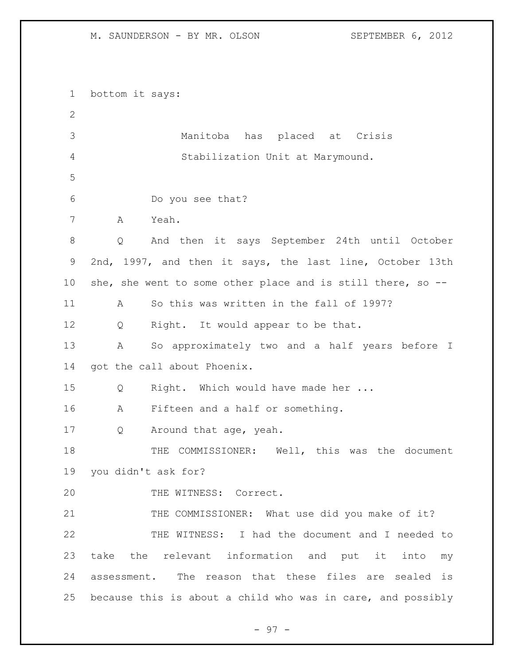bottom it says: Manitoba has placed at Crisis Stabilization Unit at Marymound. Do you see that? A Yeah. Q And then it says September 24th until October 2nd, 1997, and then it says, the last line, October 13th she, she went to some other place and is still there, so -- A So this was written in the fall of 1997? Q Right. It would appear to be that. A So approximately two and a half years before I 14 got the call about Phoenix. Q Right. Which would have made her ... A Fifteen and a half or something. Q Around that age, yeah. THE COMMISSIONER: Well, this was the document you didn't ask for? THE WITNESS: Correct. 21 THE COMMISSIONER: What use did you make of it? THE WITNESS: I had the document and I needed to take the relevant information and put it into my assessment. The reason that these files are sealed is because this is about a child who was in care, and possibly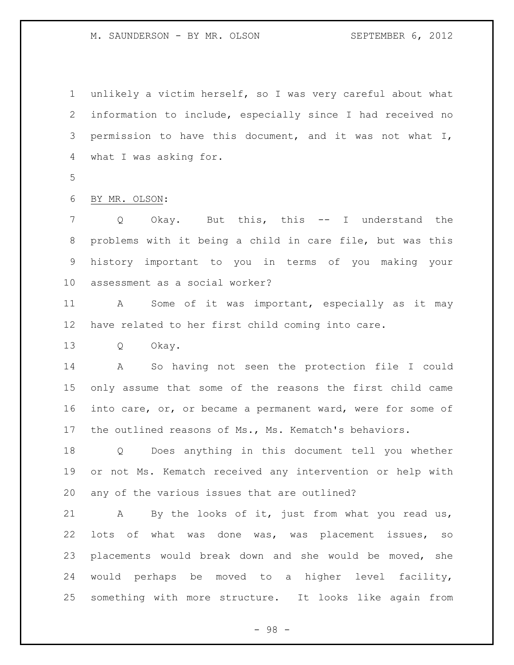unlikely a victim herself, so I was very careful about what information to include, especially since I had received no permission to have this document, and it was not what I, what I was asking for.

BY MR. OLSON:

 Q Okay. But this, this -- I understand the problems with it being a child in care file, but was this history important to you in terms of you making your assessment as a social worker?

 A Some of it was important, especially as it may have related to her first child coming into care.

Q Okay.

 A So having not seen the protection file I could only assume that some of the reasons the first child came 16 into care, or, or became a permanent ward, were for some of the outlined reasons of Ms., Ms. Kematch's behaviors.

 Q Does anything in this document tell you whether or not Ms. Kematch received any intervention or help with any of the various issues that are outlined?

 A By the looks of it, just from what you read us, lots of what was done was, was placement issues, so placements would break down and she would be moved, she would perhaps be moved to a higher level facility, something with more structure. It looks like again from

- 98 -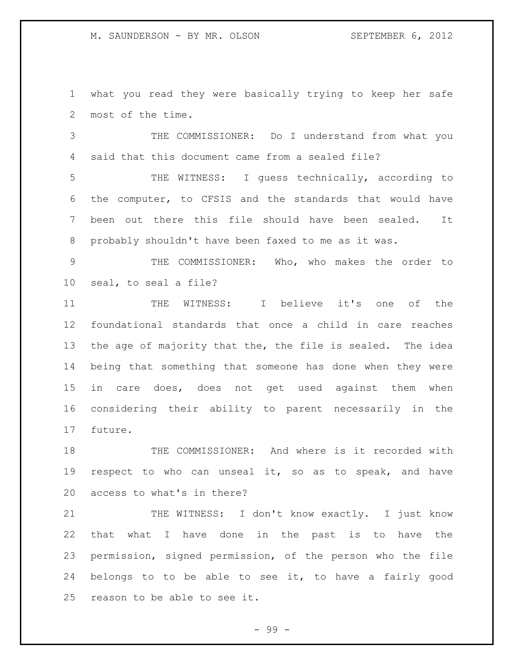what you read they were basically trying to keep her safe most of the time.

 THE COMMISSIONER: Do I understand from what you said that this document came from a sealed file?

 THE WITNESS: I guess technically, according to the computer, to CFSIS and the standards that would have been out there this file should have been sealed. It probably shouldn't have been faxed to me as it was.

 THE COMMISSIONER: Who, who makes the order to seal, to seal a file?

 THE WITNESS: I believe it's one of the foundational standards that once a child in care reaches the age of majority that the, the file is sealed. The idea being that something that someone has done when they were in care does, does not get used against them when considering their ability to parent necessarily in the future.

 THE COMMISSIONER: And where is it recorded with respect to who can unseal it, so as to speak, and have access to what's in there?

21 THE WITNESS: I don't know exactly. I just know that what I have done in the past is to have the permission, signed permission, of the person who the file belongs to to be able to see it, to have a fairly good reason to be able to see it.

- 99 -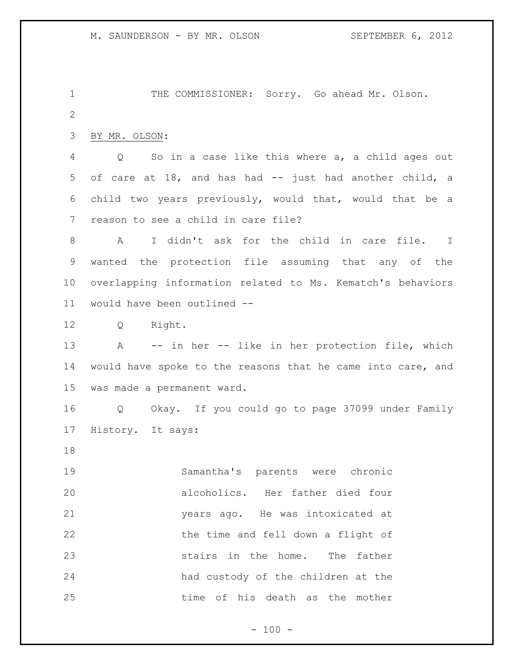1 THE COMMISSIONER: Sorry. Go ahead Mr. Olson. 

BY MR. OLSON:

 Q So in a case like this where a, a child ages out of care at 18, and has had -- just had another child, a child two years previously, would that, would that be a reason to see a child in care file?

 A I didn't ask for the child in care file. I wanted the protection file assuming that any of the overlapping information related to Ms. Kematch's behaviors would have been outlined --

Q Right.

 A -- in her -- like in her protection file, which would have spoke to the reasons that he came into care, and was made a permanent ward.

 Q Okay. If you could go to page 37099 under Family History. It says:

 Samantha's parents were chronic alcoholics. Her father died four years ago. He was intoxicated at the time and fell down a flight of stairs in the home. The father had custody of the children at the time of his death as the mother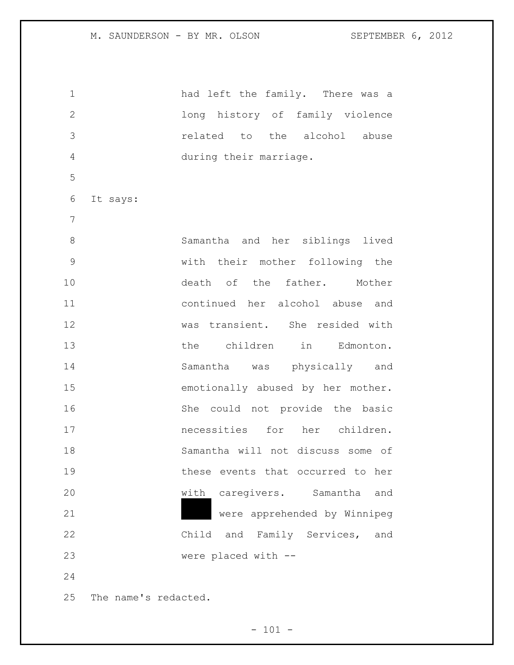| $\mathbf 1$      |                      | had left the family. There was a  |
|------------------|----------------------|-----------------------------------|
| $\mathbf{2}$     |                      | long history of family violence   |
| 3                |                      | related to the alcohol abuse      |
| 4                |                      | during their marriage.            |
| 5                |                      |                                   |
| 6                | It says:             |                                   |
| $\boldsymbol{7}$ |                      |                                   |
| 8                |                      | Samantha and her siblings lived   |
| $\mathcal{G}$    |                      | with their mother following the   |
| 10               |                      | death of the father. Mother       |
| 11               |                      | continued her alcohol abuse and   |
| 12               |                      | was transient. She resided with   |
| 13               |                      | the children in Edmonton.         |
| 14               |                      | Samantha was physically and       |
| 15               |                      | emotionally abused by her mother. |
| 16               |                      | She could not provide the basic   |
| 17               |                      | necessities for her children.     |
| 18               |                      | Samantha will not discuss some of |
| 19               |                      | these events that occurred to her |
| 20               |                      | with caregivers. Samantha<br>and  |
| 21               |                      | were apprehended by Winnipeg      |
| 22               |                      | Child and Family Services,<br>and |
| 23               |                      | were placed with --               |
| 24               |                      |                                   |
| 25               | The name's redacted. |                                   |

- 101 -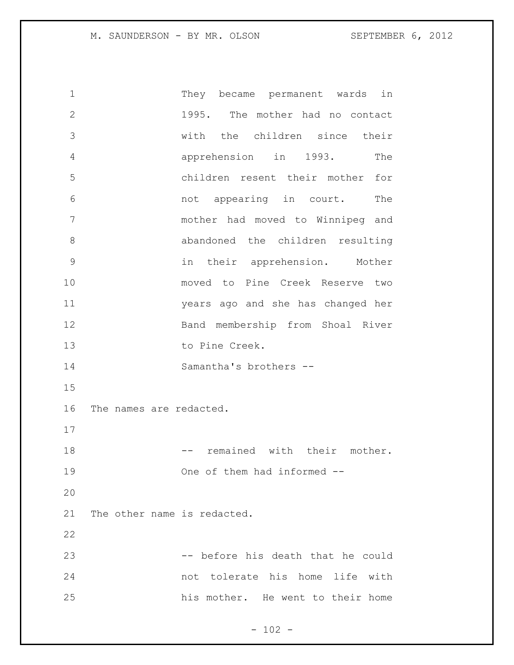They became permanent wards in 1995. The mother had no contact with the children since their apprehension in 1993. The children resent their mother for not appearing in court. The mother had moved to Winnipeg and abandoned the children resulting in their apprehension. Mother moved to Pine Creek Reserve two years ago and she has changed her Band membership from Shoal River to Pine Creek. Samantha's brothers -- The names are redacted. 18 -- remained with their mother. One of them had informed -- The other name is redacted. 23 -- before his death that he could not tolerate his home life with his mother. He went to their home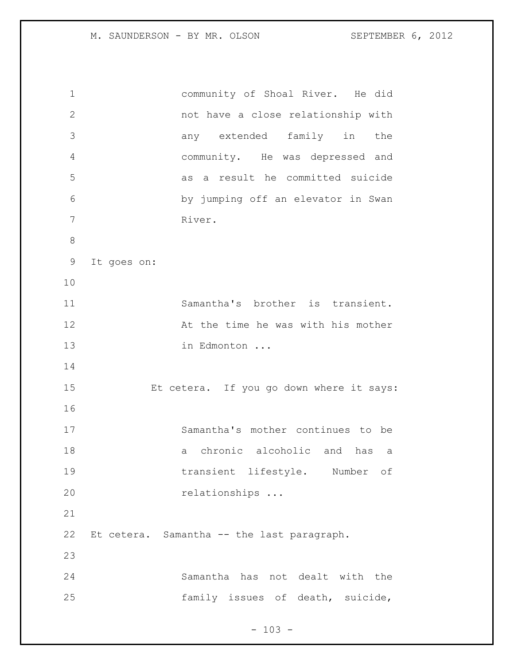community of Shoal River. He did not have a close relationship with any extended family in the community. He was depressed and as a result he committed suicide by jumping off an elevator in Swan River. It goes on: Samantha's brother is transient. 12 At the time he was with his mother 13 in Edmonton ... Et cetera. If you go down where it says: Samantha's mother continues to be a chronic alcoholic and has a transient lifestyle. Number of 20 relationships ... Et cetera. Samantha -- the last paragraph. Samantha has not dealt with the family issues of death, suicide,

 $- 103 -$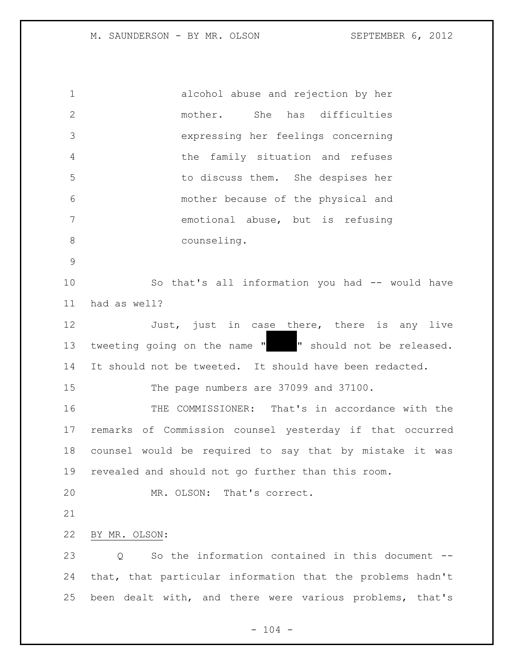alcohol abuse and rejection by her mother. She has difficulties expressing her feelings concerning the family situation and refuses to discuss them. She despises her mother because of the physical and emotional abuse, but is refusing counseling. So that's all information you had -- would have had as well? 12 Just, just in case there, there is any live 13 tweeting going on the name " " should not be released. It should not be tweeted. It should have been redacted. The page numbers are 37099 and 37100. THE COMMISSIONER: That's in accordance with the remarks of Commission counsel yesterday if that occurred counsel would be required to say that by mistake it was revealed and should not go further than this room. MR. OLSON: That's correct. BY MR. OLSON: 23 0 So the information contained in this document -- that, that particular information that the problems hadn't been dealt with, and there were various problems, that's

 $- 104 -$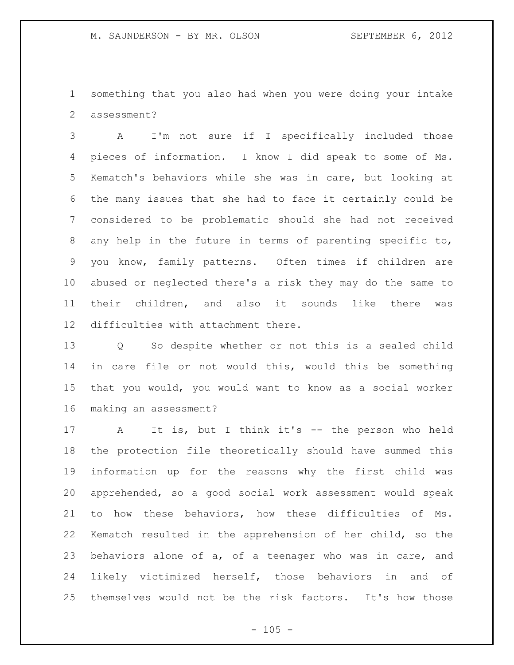something that you also had when you were doing your intake assessment?

 A I'm not sure if I specifically included those pieces of information. I know I did speak to some of Ms. Kematch's behaviors while she was in care, but looking at the many issues that she had to face it certainly could be considered to be problematic should she had not received any help in the future in terms of parenting specific to, you know, family patterns. Often times if children are abused or neglected there's a risk they may do the same to their children, and also it sounds like there was difficulties with attachment there.

 Q So despite whether or not this is a sealed child in care file or not would this, would this be something that you would, you would want to know as a social worker making an assessment?

 A It is, but I think it's -- the person who held the protection file theoretically should have summed this information up for the reasons why the first child was apprehended, so a good social work assessment would speak to how these behaviors, how these difficulties of Ms. Kematch resulted in the apprehension of her child, so the behaviors alone of a, of a teenager who was in care, and likely victimized herself, those behaviors in and of themselves would not be the risk factors. It's how those

 $- 105 -$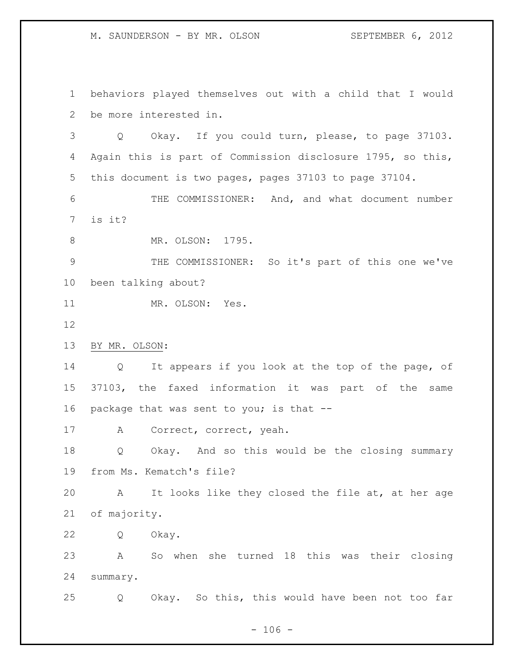behaviors played themselves out with a child that I would be more interested in.

 Q Okay. If you could turn, please, to page 37103. Again this is part of Commission disclosure 1795, so this, this document is two pages, pages 37103 to page 37104.

 THE COMMISSIONER: And, and what document number is it?

8 MR. OLSON: 1795.

 THE COMMISSIONER: So it's part of this one we've been talking about?

11 MR. OLSON: Yes.

BY MR. OLSON:

 Q It appears if you look at the top of the page, of 37103, the faxed information it was part of the same package that was sent to you; is that --

A Correct, correct, yeah.

 Q Okay. And so this would be the closing summary from Ms. Kematch's file?

 A It looks like they closed the file at, at her age of majority.

Q Okay.

 A So when she turned 18 this was their closing summary.

Q Okay. So this, this would have been not too far

 $- 106 -$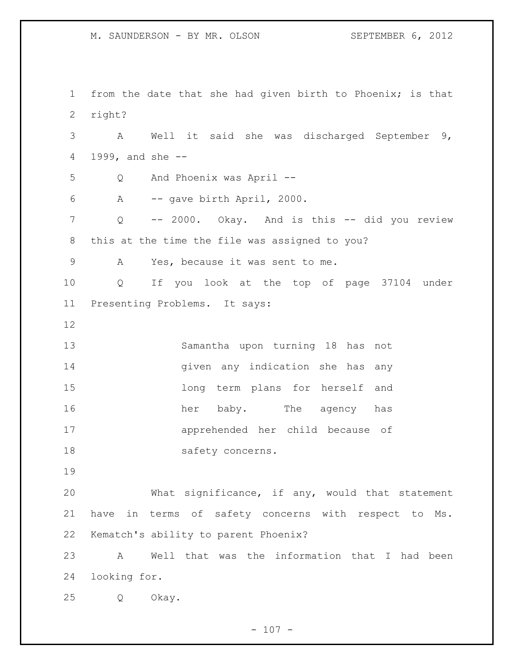from the date that she had given birth to Phoenix; is that right? A Well it said she was discharged September 9, 1999, and she -- Q And Phoenix was April -- A -- gave birth April, 2000. Q -- 2000. Okay. And is this -- did you review this at the time the file was assigned to you? A Yes, because it was sent to me. Q If you look at the top of page 37104 under Presenting Problems. It says: Samantha upon turning 18 has not given any indication she has any long term plans for herself and her baby. The agency has apprehended her child because of 18 safety concerns. What significance, if any, would that statement have in terms of safety concerns with respect to Ms. Kematch's ability to parent Phoenix? A Well that was the information that I had been looking for. Q Okay.

 $- 107 -$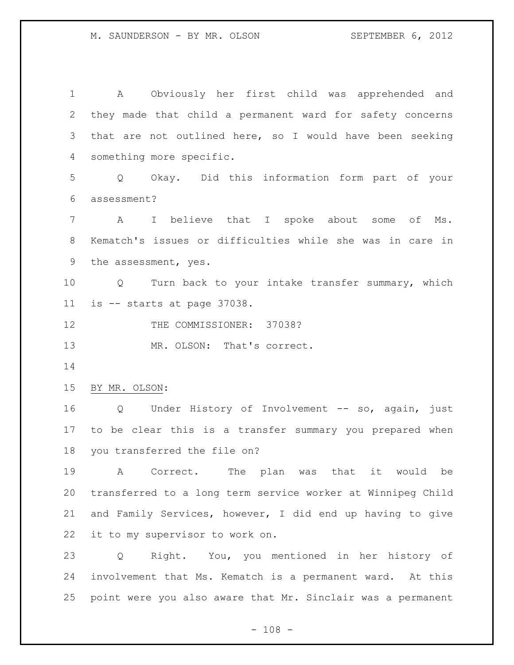A Obviously her first child was apprehended and they made that child a permanent ward for safety concerns that are not outlined here, so I would have been seeking something more specific. Q Okay. Did this information form part of your assessment? A I believe that I spoke about some of Ms. Kematch's issues or difficulties while she was in care in the assessment, yes. Q Turn back to your intake transfer summary, which is -- starts at page 37038. 12 THE COMMISSIONER: 37038? 13 MR. OLSON: That's correct. BY MR. OLSON: Q Under History of Involvement -- so, again, just to be clear this is a transfer summary you prepared when you transferred the file on? A Correct. The plan was that it would be transferred to a long term service worker at Winnipeg Child and Family Services, however, I did end up having to give it to my supervisor to work on. Q Right. You, you mentioned in her history of involvement that Ms. Kematch is a permanent ward. At this point were you also aware that Mr. Sinclair was a permanent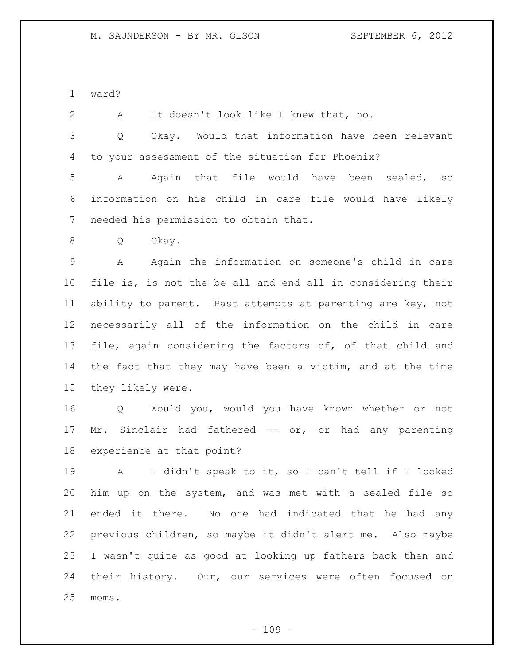ward?

 A It doesn't look like I knew that, no. Q Okay. Would that information have been relevant to your assessment of the situation for Phoenix? A Again that file would have been sealed, so information on his child in care file would have likely needed his permission to obtain that. Q Okay. A Again the information on someone's child in care file is, is not the be all and end all in considering their ability to parent. Past attempts at parenting are key, not necessarily all of the information on the child in care file, again considering the factors of, of that child and the fact that they may have been a victim, and at the time they likely were. Q Would you, would you have known whether or not 17 Mr. Sinclair had fathered -- or, or had any parenting experience at that point? A I didn't speak to it, so I can't tell if I looked him up on the system, and was met with a sealed file so ended it there. No one had indicated that he had any previous children, so maybe it didn't alert me. Also maybe I wasn't quite as good at looking up fathers back then and their history. Our, our services were often focused on

moms.

 $- 109 -$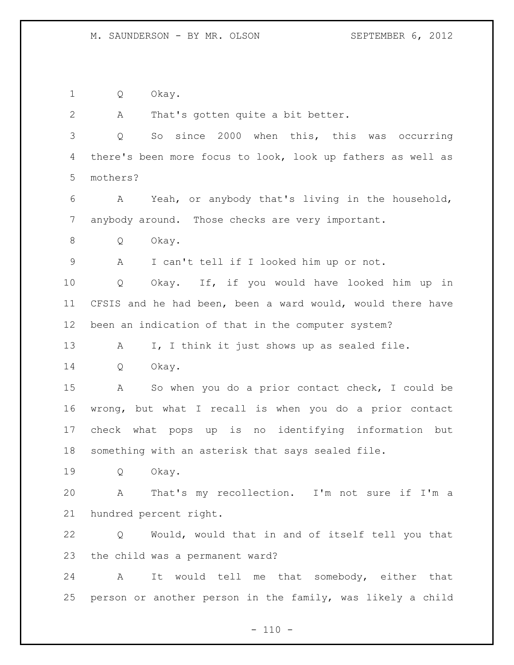Q Okay.

A That's gotten quite a bit better.

 Q So since 2000 when this, this was occurring there's been more focus to look, look up fathers as well as mothers?

 A Yeah, or anybody that's living in the household, anybody around. Those checks are very important.

Q Okay.

A I can't tell if I looked him up or not.

 Q Okay. If, if you would have looked him up in CFSIS and he had been, been a ward would, would there have been an indication of that in the computer system?

13 A I, I think it just shows up as sealed file.

Q Okay.

 A So when you do a prior contact check, I could be wrong, but what I recall is when you do a prior contact check what pops up is no identifying information but something with an asterisk that says sealed file.

Q Okay.

 A That's my recollection. I'm not sure if I'm a hundred percent right.

 Q Would, would that in and of itself tell you that the child was a permanent ward?

 A It would tell me that somebody, either that person or another person in the family, was likely a child

 $- 110 -$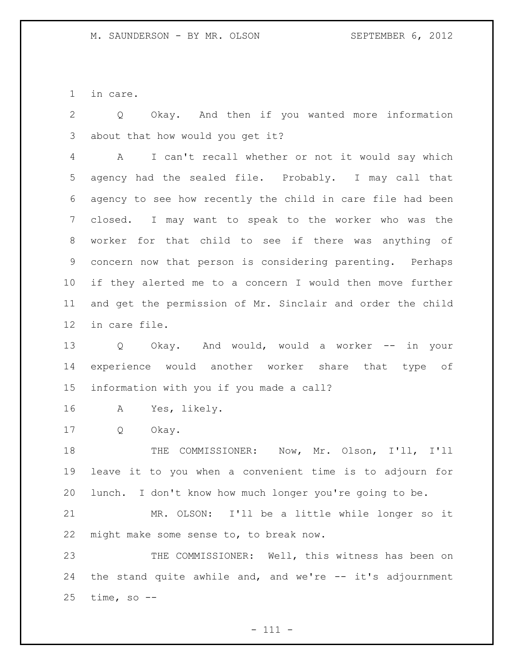in care.

 Q Okay. And then if you wanted more information about that how would you get it?

 A I can't recall whether or not it would say which agency had the sealed file. Probably. I may call that agency to see how recently the child in care file had been closed. I may want to speak to the worker who was the worker for that child to see if there was anything of concern now that person is considering parenting. Perhaps if they alerted me to a concern I would then move further and get the permission of Mr. Sinclair and order the child in care file.

 Q Okay. And would, would a worker -- in your experience would another worker share that type of information with you if you made a call?

A Yes, likely.

Q Okay.

 THE COMMISSIONER: Now, Mr. Olson, I'll, I'll leave it to you when a convenient time is to adjourn for lunch. I don't know how much longer you're going to be.

 MR. OLSON: I'll be a little while longer so it might make some sense to, to break now.

23 THE COMMISSIONER: Well, this witness has been on 24 the stand quite awhile and, and we're -- it's adjournment time, so  $-$ -

 $- 111 -$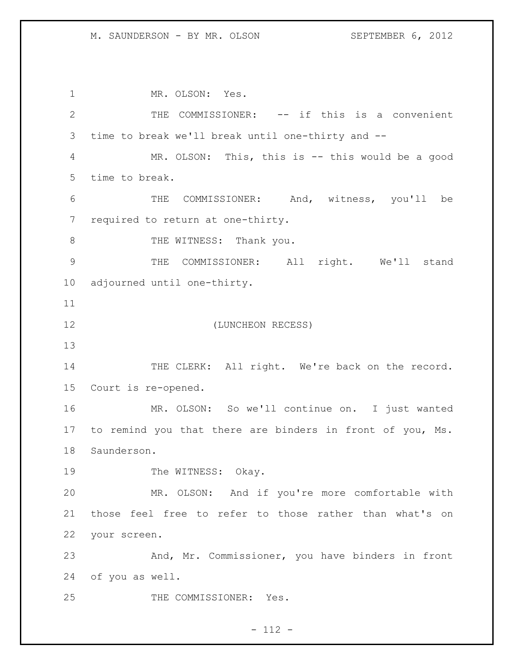MR. OLSON: Yes. THE COMMISSIONER: -- if this is a convenient time to break we'll break until one-thirty and -- MR. OLSON: This, this is -- this would be a good time to break. THE COMMISSIONER: And, witness, you'll be required to return at one-thirty. 8 THE WITNESS: Thank you. THE COMMISSIONER: All right. We'll stand adjourned until one-thirty. (LUNCHEON RECESS) 14 THE CLERK: All right. We're back on the record. Court is re-opened. MR. OLSON: So we'll continue on. I just wanted to remind you that there are binders in front of you, Ms. Saunderson. 19 The WITNESS: Okay. MR. OLSON: And if you're more comfortable with those feel free to refer to those rather than what's on your screen. And, Mr. Commissioner, you have binders in front of you as well. THE COMMISSIONER: Yes.

# $- 112 -$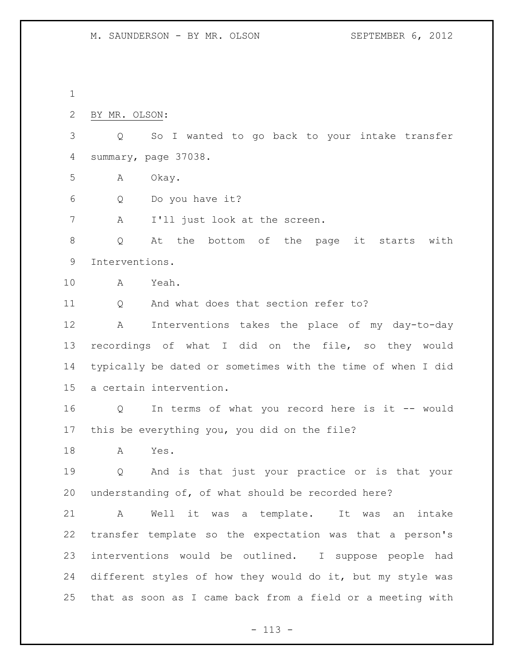BY MR. OLSON:

 Q So I wanted to go back to your intake transfer summary, page 37038.

A Okay.

Q Do you have it?

A I'll just look at the screen.

 Q At the bottom of the page it starts with Interventions.

A Yeah.

11 Q And what does that section refer to?

 A Interventions takes the place of my day-to-day recordings of what I did on the file, so they would typically be dated or sometimes with the time of when I did a certain intervention.

 Q In terms of what you record here is it -- would this be everything you, you did on the file?

A Yes.

 Q And is that just your practice or is that your understanding of, of what should be recorded here?

 A Well it was a template. It was an intake transfer template so the expectation was that a person's interventions would be outlined. I suppose people had different styles of how they would do it, but my style was that as soon as I came back from a field or a meeting with

- 113 -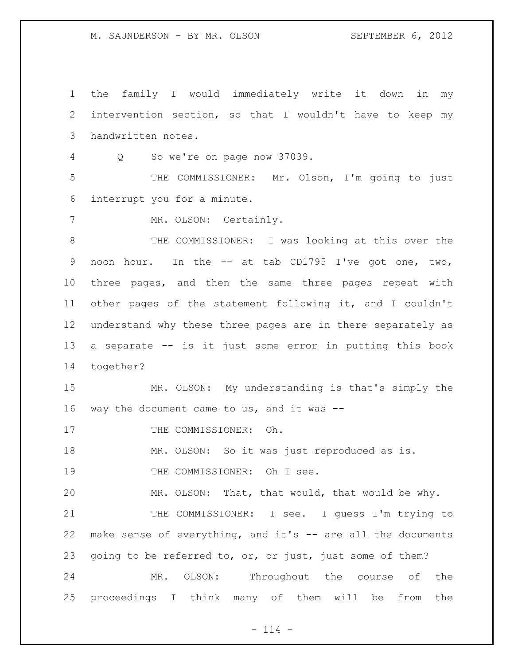the family I would immediately write it down in my intervention section, so that I wouldn't have to keep my handwritten notes. Q So we're on page now 37039. THE COMMISSIONER: Mr. Olson, I'm going to just interrupt you for a minute. 7 MR. OLSON: Certainly. THE COMMISSIONER: I was looking at this over the noon hour. In the -- at tab CD1795 I've got one, two, three pages, and then the same three pages repeat with other pages of the statement following it, and I couldn't understand why these three pages are in there separately as a separate -- is it just some error in putting this book together? MR. OLSON: My understanding is that's simply the 16 way the document came to us, and it was  $-$ 17 THE COMMISSIONER: Oh. MR. OLSON: So it was just reproduced as is. 19 THE COMMISSIONER: Oh I see. MR. OLSON: That, that would, that would be why. 21 THE COMMISSIONER: I see. I guess I'm trying to make sense of everything, and it's -- are all the documents 23 going to be referred to, or, or just, just some of them? MR. OLSON: Throughout the course of the proceedings I think many of them will be from the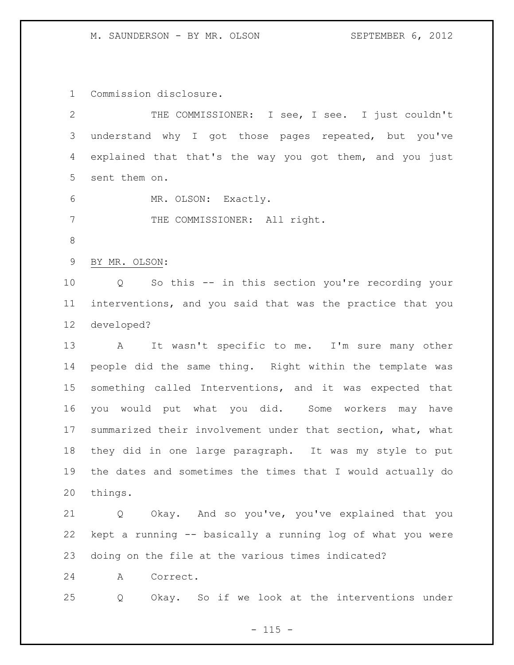Commission disclosure.

| 2           | THE COMMISSIONER: I see, I see. I just couldn't                       |
|-------------|-----------------------------------------------------------------------|
| 3           | understand why I got those pages repeated, but you've                 |
| 4           | explained that that's the way you got them, and you just              |
| 5           | sent them on.                                                         |
| 6           | MR. OLSON: Exactly.                                                   |
| 7           | THE COMMISSIONER: All right.                                          |
| 8           |                                                                       |
| $\mathsf 9$ | BY MR. OLSON:                                                         |
| 10          | So this -- in this section you're recording your<br>$Q \qquad \qquad$ |
| 11          | interventions, and you said that was the practice that you            |
| 12          | developed?                                                            |
| 13          | It wasn't specific to me. I'm sure many other<br>$\mathbf{A}$         |
| 14          | people did the same thing. Right within the template was              |
| 15          | something called Interventions, and it was expected that              |
| 16          | would put what you did. Some workers may<br>you<br>have               |
| 17          | summarized their involvement under that section, what, what           |
| 18          | they did in one large paragraph. It was my style to put               |
| 19          | the dates and sometimes the times that I would actually do            |
| 20          | things.                                                               |
| 21          | Okay. And so you've, you've explained that you<br>Q                   |
| 22          | kept a running -- basically a running log of what you were            |
| 23          | doing on the file at the various times indicated?                     |
| 24          | Α<br>Correct.                                                         |
| 25          | Okay. So if we look at the interventions under<br>Q                   |

- 115 -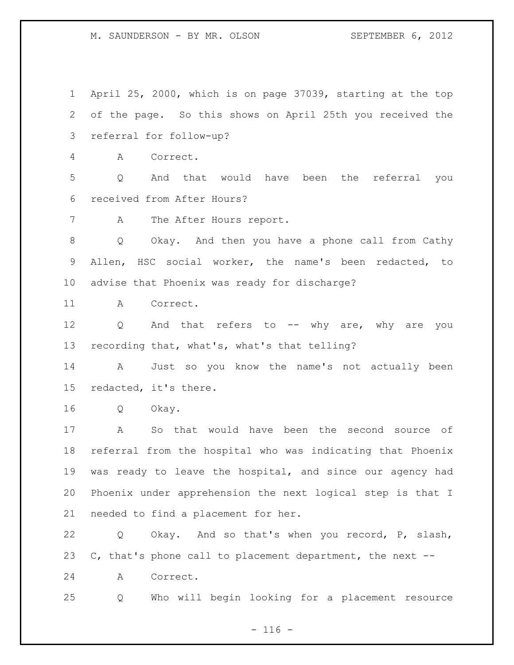April 25, 2000, which is on page 37039, starting at the top of the page. So this shows on April 25th you received the referral for follow-up? A Correct. Q And that would have been the referral you received from After Hours? A The After Hours report. Q Okay. And then you have a phone call from Cathy Allen, HSC social worker, the name's been redacted, to advise that Phoenix was ready for discharge? A Correct. 12 Q And that refers to -- why are, why are you recording that, what's, what's that telling? A Just so you know the name's not actually been redacted, it's there. Q Okay. A So that would have been the second source of referral from the hospital who was indicating that Phoenix was ready to leave the hospital, and since our agency had Phoenix under apprehension the next logical step is that I needed to find a placement for her. Q Okay. And so that's when you record, P, slash, C, that's phone call to placement department, the next -- A Correct. Q Who will begin looking for a placement resource

 $- 116 -$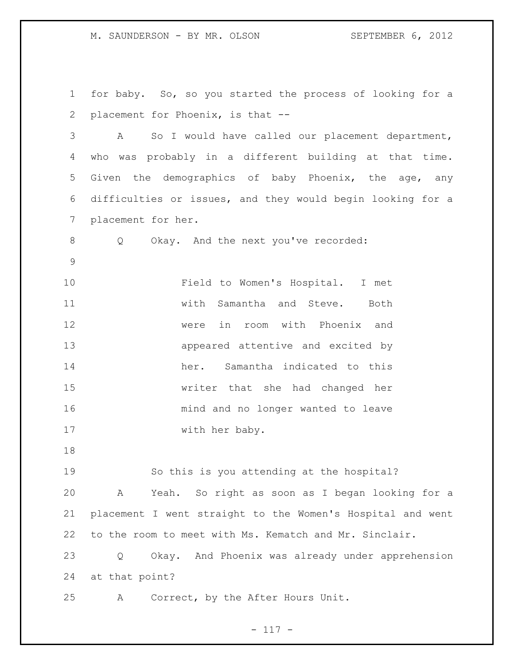for baby. So, so you started the process of looking for a placement for Phoenix, is that -- A So I would have called our placement department, who was probably in a different building at that time. Given the demographics of baby Phoenix, the age, any difficulties or issues, and they would begin looking for a placement for her. Q Okay. And the next you've recorded: Field to Women's Hospital. I met with Samantha and Steve. Both were in room with Phoenix and appeared attentive and excited by her. Samantha indicated to this writer that she had changed her mind and no longer wanted to leave 17 with her baby. So this is you attending at the hospital? A Yeah. So right as soon as I began looking for a placement I went straight to the Women's Hospital and went to the room to meet with Ms. Kematch and Mr. Sinclair. Q Okay. And Phoenix was already under apprehension at that point? A Correct, by the After Hours Unit.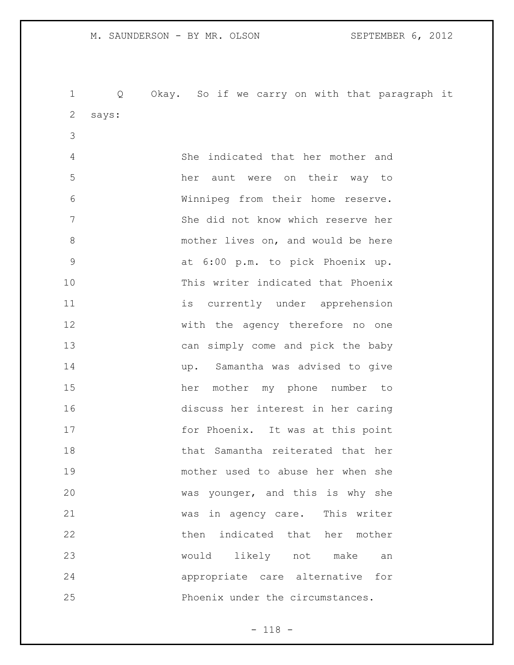Q Okay. So if we carry on with that paragraph it says: She indicated that her mother and her aunt were on their way to Winnipeg from their home reserve. She did not know which reserve her 8 mother lives on, and would be here at 6:00 p.m. to pick Phoenix up. This writer indicated that Phoenix is currently under apprehension with the agency therefore no one can simply come and pick the baby up. Samantha was advised to give her mother my phone number to discuss her interest in her caring 17 for Phoenix. It was at this point that Samantha reiterated that her mother used to abuse her when she was younger, and this is why she was in agency care. This writer 22 then indicated that her mother would likely not make an appropriate care alternative for Phoenix under the circumstances.

- 118 -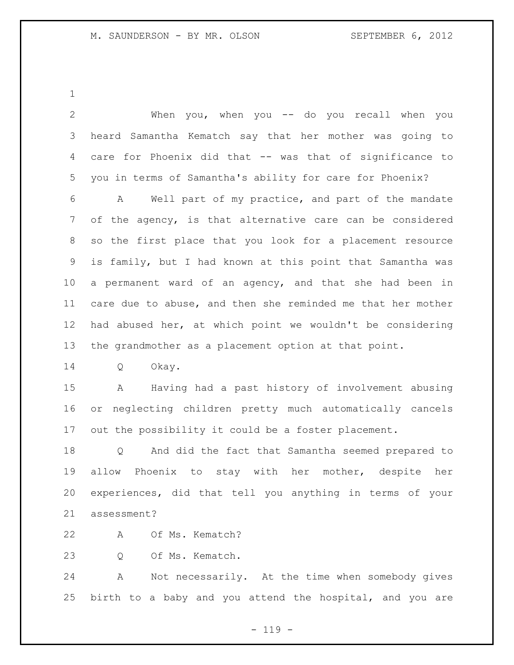| $\overline{2}$ | When you, when you -- do you recall when you                    |
|----------------|-----------------------------------------------------------------|
| 3              | heard Samantha Kematch say that her mother was going to         |
| 4              | care for Phoenix did that -- was that of significance to        |
| 5              | you in terms of Samantha's ability for care for Phoenix?        |
| 6              | Well part of my practice, and part of the mandate<br>A          |
| 7              | of the agency, is that alternative care can be considered       |
| 8              | so the first place that you look for a placement resource       |
| 9              | is family, but I had known at this point that Samantha was      |
| 10             | a permanent ward of an agency, and that she had been in         |
| 11             | care due to abuse, and then she reminded me that her mother     |
| 12             | had abused her, at which point we wouldn't be considering       |
| 13             | the grandmother as a placement option at that point.            |
| 14             | Okay.<br>Q                                                      |
| 15             | A Having had a past history of involvement abusing              |
| 16             | or neglecting children pretty much automatically cancels        |
| 17             | out the possibility it could be a foster placement.             |
| 18             | And did the fact that Samantha seemed prepared to<br>Q          |
| 19             | allow Phoenix to stay with her mother, despite her              |
| 20             | experiences, did that tell you anything in terms of your        |
| 21             | assessment?                                                     |
| 22             | Of Ms. Kematch?<br>A                                            |
| 23             | Of Ms. Kematch.<br>Q                                            |
| 24             | Not necessarily. At the time when somebody gives<br>$\mathbb A$ |
| 25             | birth to a baby and you attend the hospital, and you are        |
|                |                                                                 |

- 119 -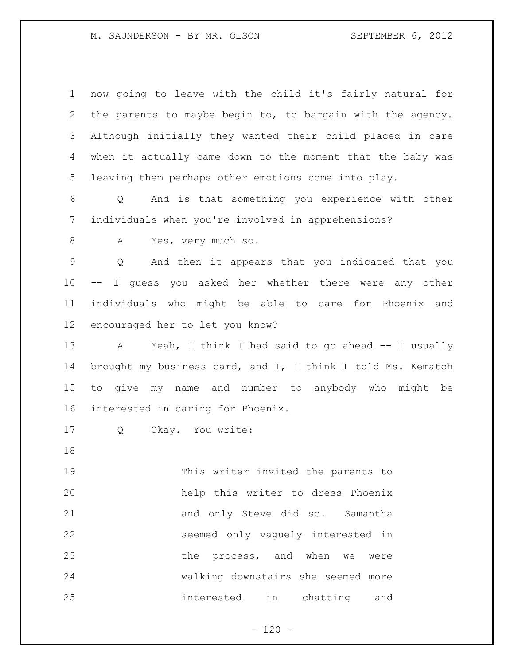| $\mathbf 1$ | now going to leave with the child it's fairly natural for            |
|-------------|----------------------------------------------------------------------|
| 2           | the parents to maybe begin to, to bargain with the agency.           |
| 3           | Although initially they wanted their child placed in care            |
| 4           | when it actually came down to the moment that the baby was           |
| 5           | leaving them perhaps other emotions come into play.                  |
| 6           | And is that something you experience with other<br>$Q \qquad \qquad$ |
| 7           | individuals when you're involved in apprehensions?                   |
| 8           | Yes, very much so.<br>A                                              |
| 9           | And then it appears that you indicated that you<br>Q                 |
| 10          | I guess you asked her whether there were any other<br>$--$           |
| 11          | individuals who might be able to care for Phoenix and                |
| 12          | encouraged her to let you know?                                      |
| 13          | Yeah, I think I had said to go ahead -- I usually<br>A               |
| 14          | brought my business card, and I, I think I told Ms. Kematch          |
| 15          | give my name and number to anybody who might be<br>to                |
| 16          | interested in caring for Phoenix.                                    |
| 17          | Okay. You write:<br>Q                                                |
| 18          |                                                                      |
| 19          | This writer invited the parents to                                   |
| 20          | help this writer to dress Phoenix                                    |
| 21          | and only Steve did so. Samantha                                      |
| 22          | seemed only vaguely interested in                                    |
| 23          | the process, and when we were                                        |
| 24          | walking downstairs she seemed more                                   |
| 25          | interested in chatting and                                           |

- 120 -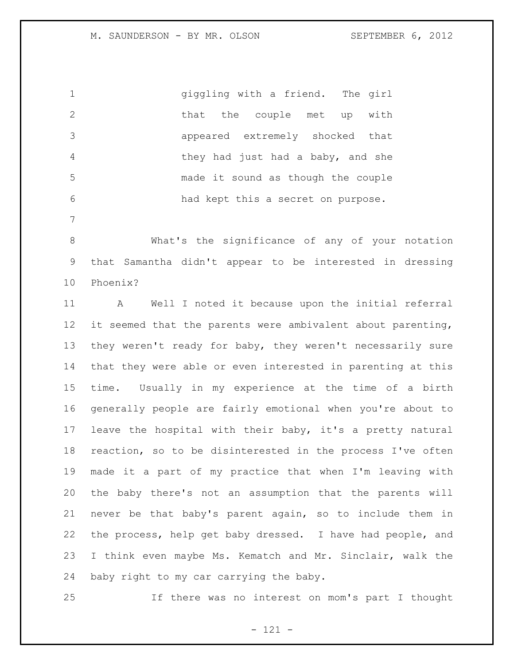|                | giggling with a friend. The girl   |
|----------------|------------------------------------|
| 2              | that the couple met up with        |
| -3             | appeared extremely shocked that    |
| $\overline{4}$ | they had just had a baby, and she  |
| - 5            | made it sound as though the couple |
| -6             | had kept this a secret on purpose. |

 What's the significance of any of your notation that Samantha didn't appear to be interested in dressing Phoenix?

 A Well I noted it because upon the initial referral it seemed that the parents were ambivalent about parenting, they weren't ready for baby, they weren't necessarily sure that they were able or even interested in parenting at this time. Usually in my experience at the time of a birth generally people are fairly emotional when you're about to leave the hospital with their baby, it's a pretty natural reaction, so to be disinterested in the process I've often made it a part of my practice that when I'm leaving with the baby there's not an assumption that the parents will never be that baby's parent again, so to include them in the process, help get baby dressed. I have had people, and I think even maybe Ms. Kematch and Mr. Sinclair, walk the baby right to my car carrying the baby.

If there was no interest on mom's part I thought

- 121 -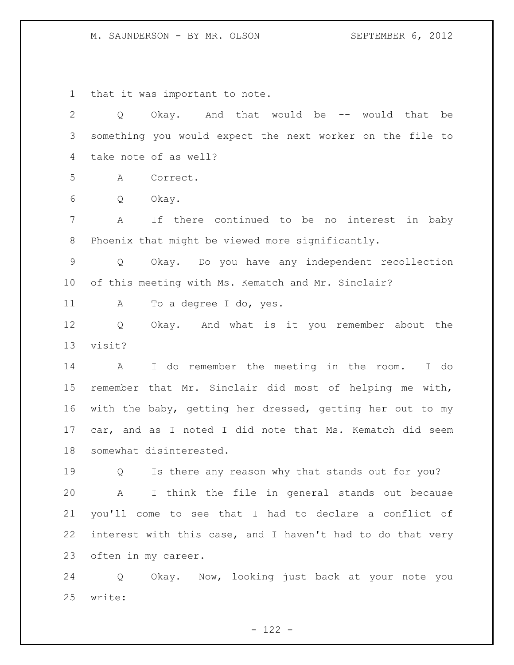that it was important to note.

 Q Okay. And that would be -- would that be something you would expect the next worker on the file to take note of as well? A Correct. Q Okay. A If there continued to be no interest in baby Phoenix that might be viewed more significantly. Q Okay. Do you have any independent recollection of this meeting with Ms. Kematch and Mr. Sinclair? 11 A To a degree I do, yes. Q Okay. And what is it you remember about the visit? A I do remember the meeting in the room. I do remember that Mr. Sinclair did most of helping me with, with the baby, getting her dressed, getting her out to my car, and as I noted I did note that Ms. Kematch did seem somewhat disinterested. Q Is there any reason why that stands out for you? A I think the file in general stands out because you'll come to see that I had to declare a conflict of interest with this case, and I haven't had to do that very often in my career. Q Okay. Now, looking just back at your note you

write:

 $- 122 -$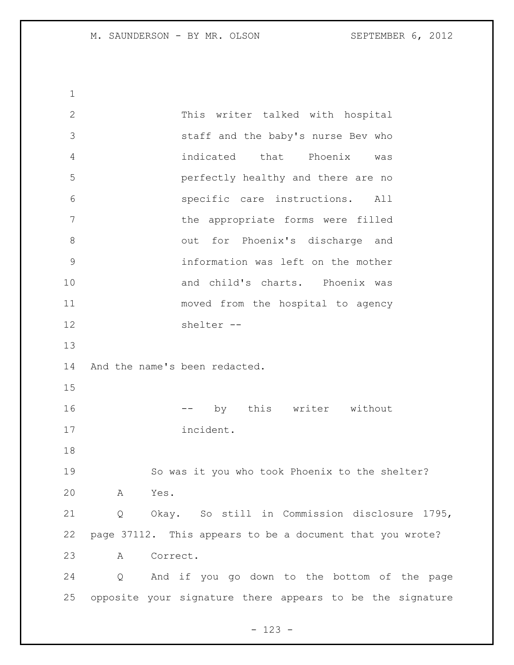This writer talked with hospital staff and the baby's nurse Bev who indicated that Phoenix was perfectly healthy and there are no specific care instructions. All 7 bhe appropriate forms were filled out for Phoenix's discharge and information was left on the mother and child's charts. Phoenix was moved from the hospital to agency shelter -- And the name's been redacted. 16 -- by this writer without incident. So was it you who took Phoenix to the shelter? A Yes. Q Okay. So still in Commission disclosure 1795, page 37112. This appears to be a document that you wrote? A Correct. Q And if you go down to the bottom of the page opposite your signature there appears to be the signature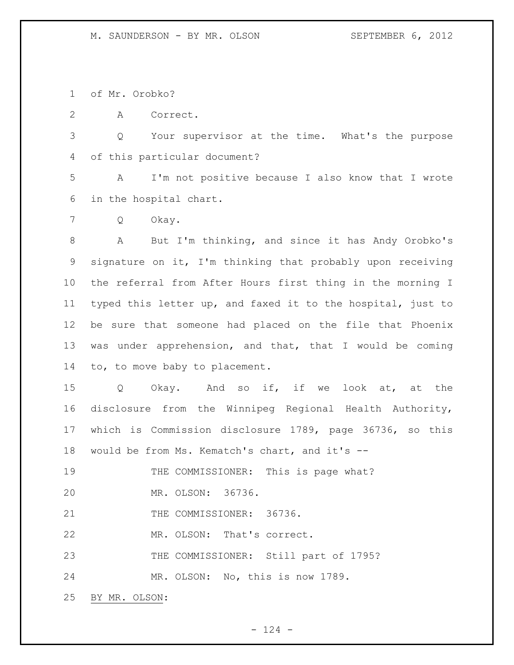of Mr. Orobko?

A Correct.

 Q Your supervisor at the time. What's the purpose of this particular document?

 A I'm not positive because I also know that I wrote in the hospital chart.

Q Okay.

 A But I'm thinking, and since it has Andy Orobko's signature on it, I'm thinking that probably upon receiving the referral from After Hours first thing in the morning I typed this letter up, and faxed it to the hospital, just to be sure that someone had placed on the file that Phoenix was under apprehension, and that, that I would be coming to, to move baby to placement.

 Q Okay. And so if, if we look at, at the disclosure from the Winnipeg Regional Health Authority, which is Commission disclosure 1789, page 36736, so this would be from Ms. Kematch's chart, and it's --

19 THE COMMISSIONER: This is page what?

MR. OLSON: 36736.

21 THE COMMISSIONER: 36736.

MR. OLSON: That's correct.

THE COMMISSIONER: Still part of 1795?

MR. OLSON: No, this is now 1789.

BY MR. OLSON: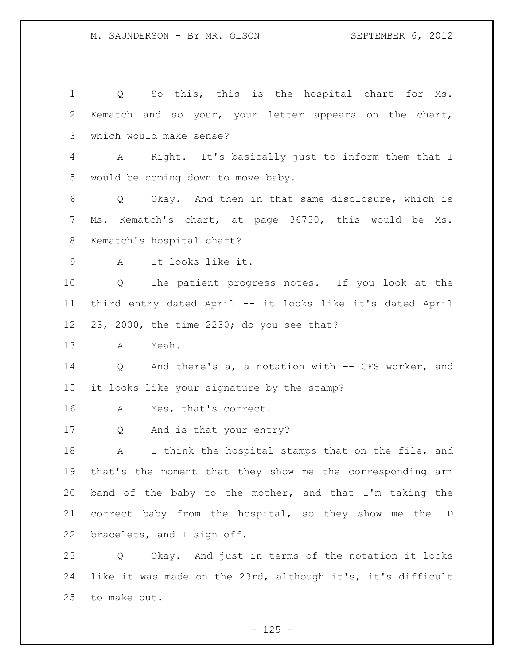Q So this, this is the hospital chart for Ms. Kematch and so your, your letter appears on the chart, which would make sense? A Right. It's basically just to inform them that I would be coming down to move baby. Q Okay. And then in that same disclosure, which is Ms. Kematch's chart, at page 36730, this would be Ms. Kematch's hospital chart? A It looks like it. Q The patient progress notes. If you look at the third entry dated April -- it looks like it's dated April 23, 2000, the time 2230; do you see that? A Yeah. Q And there's a, a notation with -- CFS worker, and it looks like your signature by the stamp? A Yes, that's correct. Q And is that your entry? 18 A I think the hospital stamps that on the file, and that's the moment that they show me the corresponding arm band of the baby to the mother, and that I'm taking the correct baby from the hospital, so they show me the ID bracelets, and I sign off. Q Okay. And just in terms of the notation it looks like it was made on the 23rd, although it's, it's difficult to make out.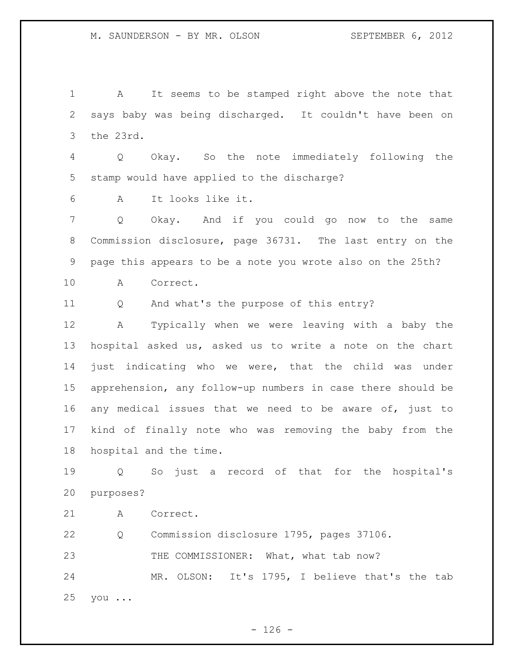A It seems to be stamped right above the note that says baby was being discharged. It couldn't have been on the 23rd. Q Okay. So the note immediately following the stamp would have applied to the discharge? A It looks like it. Q Okay. And if you could go now to the same Commission disclosure, page 36731. The last entry on the page this appears to be a note you wrote also on the 25th? A Correct. Q And what's the purpose of this entry? A Typically when we were leaving with a baby the hospital asked us, asked us to write a note on the chart just indicating who we were, that the child was under apprehension, any follow-up numbers in case there should be any medical issues that we need to be aware of, just to kind of finally note who was removing the baby from the hospital and the time. Q So just a record of that for the hospital's purposes?

A Correct.

 Q Commission disclosure 1795, pages 37106. 23 THE COMMISSIONER: What, what tab now? MR. OLSON: It's 1795, I believe that's the tab you ...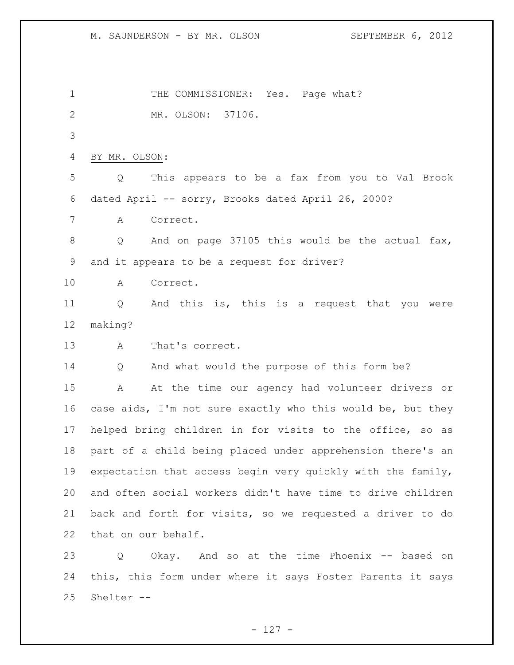1 THE COMMISSIONER: Yes. Page what? MR. OLSON: 37106. BY MR. OLSON: Q This appears to be a fax from you to Val Brook dated April -- sorry, Brooks dated April 26, 2000? A Correct. 8 O And on page 37105 this would be the actual fax, and it appears to be a request for driver? A Correct. Q And this is, this is a request that you were making? A That's correct. Q And what would the purpose of this form be? A At the time our agency had volunteer drivers or case aids, I'm not sure exactly who this would be, but they helped bring children in for visits to the office, so as part of a child being placed under apprehension there's an 19 expectation that access begin very quickly with the family, and often social workers didn't have time to drive children back and forth for visits, so we requested a driver to do that on our behalf. Q Okay. And so at the time Phoenix -- based on this, this form under where it says Foster Parents it says Shelter --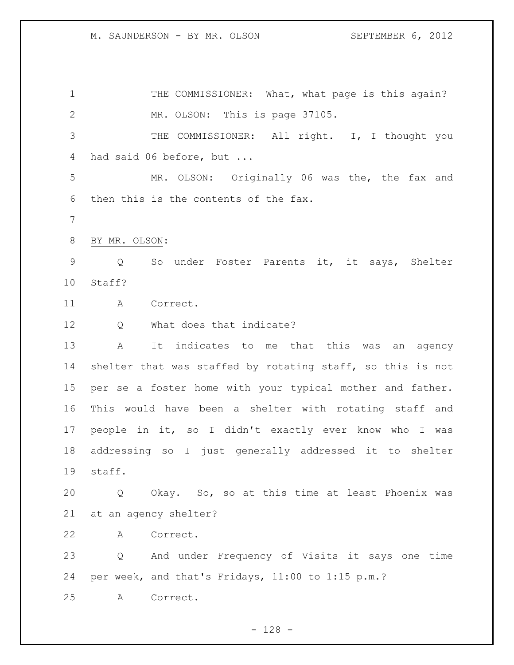1 THE COMMISSIONER: What, what page is this again? MR. OLSON: This is page 37105. 3 THE COMMISSIONER: All right. I, I thought you had said 06 before, but ... MR. OLSON: Originally 06 was the, the fax and then this is the contents of the fax. BY MR. OLSON: Q So under Foster Parents it, it says, Shelter Staff? A Correct. 12 0 What does that indicate? A It indicates to me that this was an agency shelter that was staffed by rotating staff, so this is not per se a foster home with your typical mother and father. This would have been a shelter with rotating staff and people in it, so I didn't exactly ever know who I was addressing so I just generally addressed it to shelter staff. Q Okay. So, so at this time at least Phoenix was at an agency shelter? A Correct. Q And under Frequency of Visits it says one time per week, and that's Fridays, 11:00 to 1:15 p.m.? A Correct.

- 128 -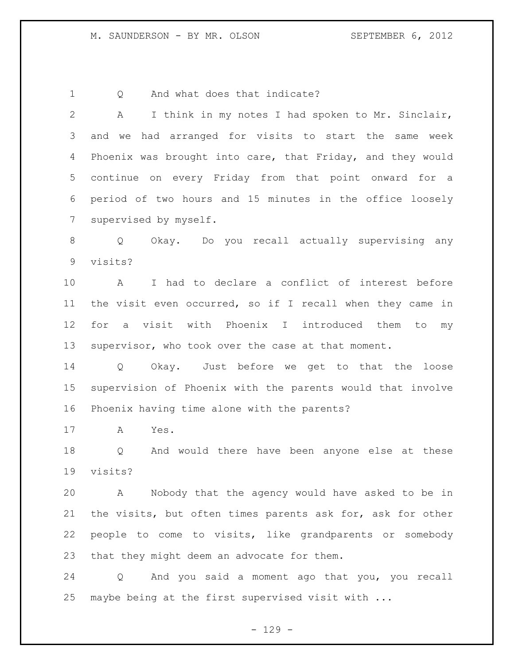1 Q And what does that indicate?

 A I think in my notes I had spoken to Mr. Sinclair, and we had arranged for visits to start the same week Phoenix was brought into care, that Friday, and they would continue on every Friday from that point onward for a period of two hours and 15 minutes in the office loosely supervised by myself. Q Okay. Do you recall actually supervising any visits? A I had to declare a conflict of interest before the visit even occurred, so if I recall when they came in for a visit with Phoenix I introduced them to my supervisor, who took over the case at that moment. Q Okay. Just before we get to that the loose supervision of Phoenix with the parents would that involve

Phoenix having time alone with the parents?

A Yes.

 Q And would there have been anyone else at these visits?

 A Nobody that the agency would have asked to be in the visits, but often times parents ask for, ask for other people to come to visits, like grandparents or somebody that they might deem an advocate for them.

 Q And you said a moment ago that you, you recall maybe being at the first supervised visit with ...

 $-129 -$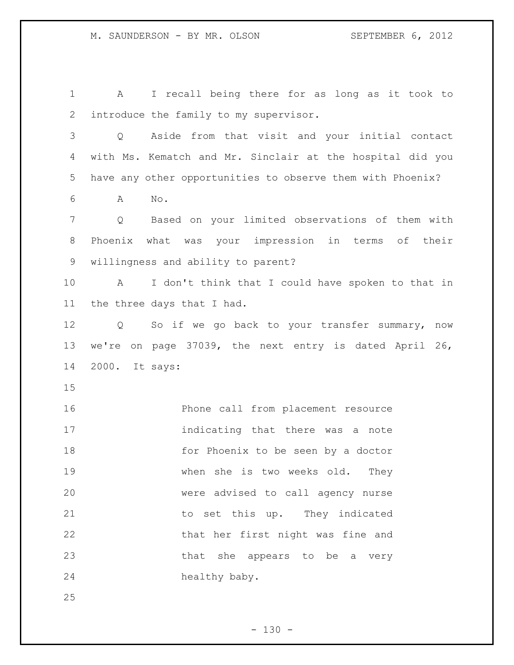A I recall being there for as long as it took to introduce the family to my supervisor. Q Aside from that visit and your initial contact with Ms. Kematch and Mr. Sinclair at the hospital did you have any other opportunities to observe them with Phoenix? A No. Q Based on your limited observations of them with Phoenix what was your impression in terms of their willingness and ability to parent? A I don't think that I could have spoken to that in the three days that I had. Q So if we go back to your transfer summary, now we're on page 37039, the next entry is dated April 26, 2000. It says: Phone call from placement resource indicating that there was a note 18 for Phoenix to be seen by a doctor when she is two weeks old. They were advised to call agency nurse 21 to set this up. They indicated that her first night was fine and 23 that she appears to be a very healthy baby.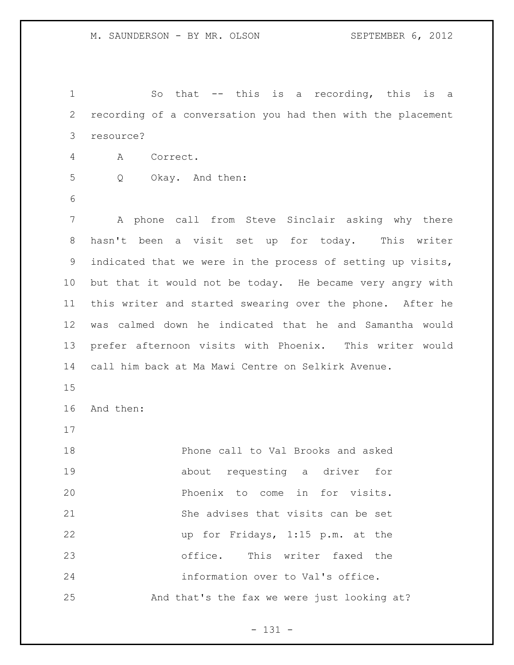So that -- this is a recording, this is a recording of a conversation you had then with the placement resource? A Correct. Q Okay. And then: A phone call from Steve Sinclair asking why there hasn't been a visit set up for today. This writer indicated that we were in the process of setting up visits, but that it would not be today. He became very angry with this writer and started swearing over the phone. After he was calmed down he indicated that he and Samantha would prefer afternoon visits with Phoenix. This writer would call him back at Ma Mawi Centre on Selkirk Avenue. And then: Phone call to Val Brooks and asked about requesting a driver for Phoenix to come in for visits. She advises that visits can be set up for Fridays, 1:15 p.m. at the office. This writer faxed the information over to Val's office. And that's the fax we were just looking at?

- 131 -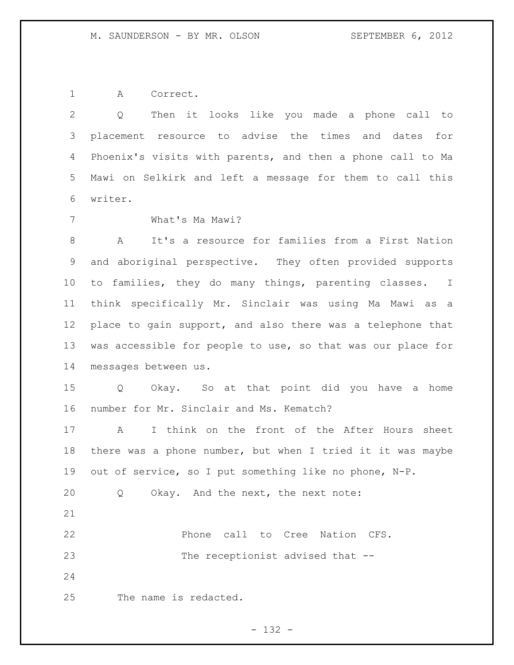A Correct.

 Q Then it looks like you made a phone call to placement resource to advise the times and dates for Phoenix's visits with parents, and then a phone call to Ma Mawi on Selkirk and left a message for them to call this writer.

What's Ma Mawi?

 A It's a resource for families from a First Nation and aboriginal perspective. They often provided supports to families, they do many things, parenting classes. I think specifically Mr. Sinclair was using Ma Mawi as a place to gain support, and also there was a telephone that was accessible for people to use, so that was our place for messages between us.

 Q Okay. So at that point did you have a home number for Mr. Sinclair and Ms. Kematch?

 A I think on the front of the After Hours sheet there was a phone number, but when I tried it it was maybe out of service, so I put something like no phone, N-P.

Q Okay. And the next, the next note:

 Phone call to Cree Nation CFS. 23 The receptionist advised that --

The name is redacted.

- 132 -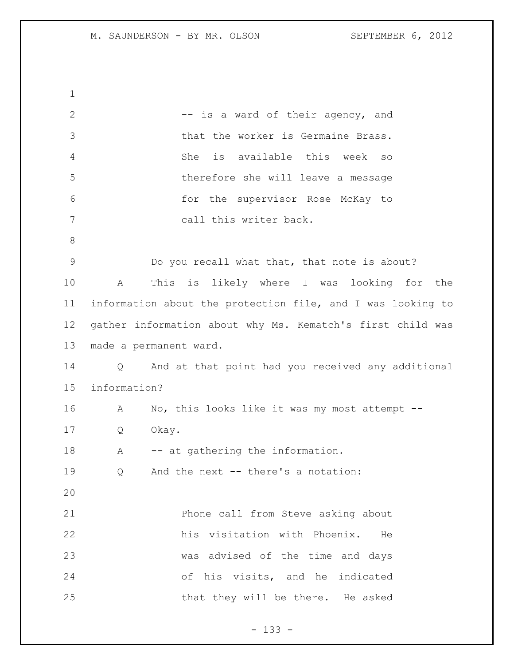2 -- is a ward of their agency, and that the worker is Germaine Brass. She is available this week so therefore she will leave a message for the supervisor Rose McKay to call this writer back. Do you recall what that, that note is about? A This is likely where I was looking for the information about the protection file, and I was looking to gather information about why Ms. Kematch's first child was made a permanent ward. Q And at that point had you received any additional information? A No, this looks like it was my most attempt -- Q Okay. 18 A -- at gathering the information. Q And the next -- there's a notation: Phone call from Steve asking about his visitation with Phoenix. He was advised of the time and days of his visits, and he indicated 25 that they will be there. He asked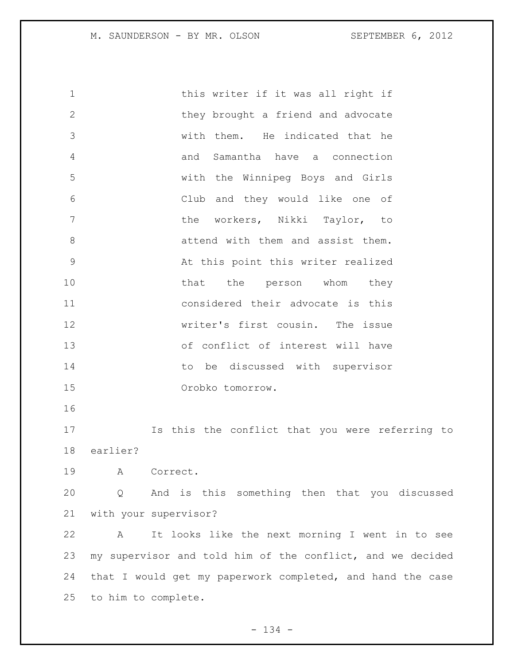1 this writer if it was all right if 2 they brought a friend and advocate with them. He indicated that he and Samantha have a connection with the Winnipeg Boys and Girls Club and they would like one of the workers, Nikki Taylor, to attend with them and assist them. At this point this writer realized 10 that the person whom they considered their advocate is this writer's first cousin. The issue of conflict of interest will have 14 to be discussed with supervisor Orobko tomorrow. Is this the conflict that you were referring to

earlier?

A Correct.

 Q And is this something then that you discussed with your supervisor?

 A It looks like the next morning I went in to see my supervisor and told him of the conflict, and we decided that I would get my paperwork completed, and hand the case to him to complete.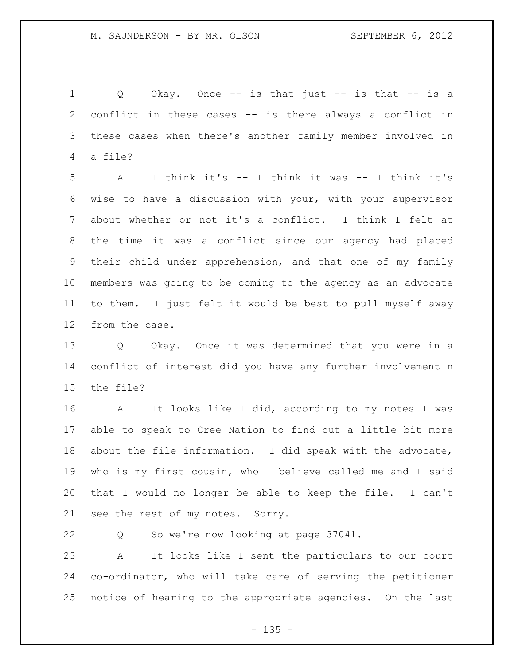1 Q Okay. Once -- is that just -- is that -- is a conflict in these cases -- is there always a conflict in these cases when there's another family member involved in a file?

 A I think it's -- I think it was -- I think it's wise to have a discussion with your, with your supervisor about whether or not it's a conflict. I think I felt at the time it was a conflict since our agency had placed their child under apprehension, and that one of my family members was going to be coming to the agency as an advocate to them. I just felt it would be best to pull myself away from the case.

 Q Okay. Once it was determined that you were in a conflict of interest did you have any further involvement n the file?

 A It looks like I did, according to my notes I was able to speak to Cree Nation to find out a little bit more about the file information. I did speak with the advocate, who is my first cousin, who I believe called me and I said that I would no longer be able to keep the file. I can't see the rest of my notes. Sorry.

Q So we're now looking at page 37041.

 A It looks like I sent the particulars to our court co-ordinator, who will take care of serving the petitioner notice of hearing to the appropriate agencies. On the last

 $- 135 -$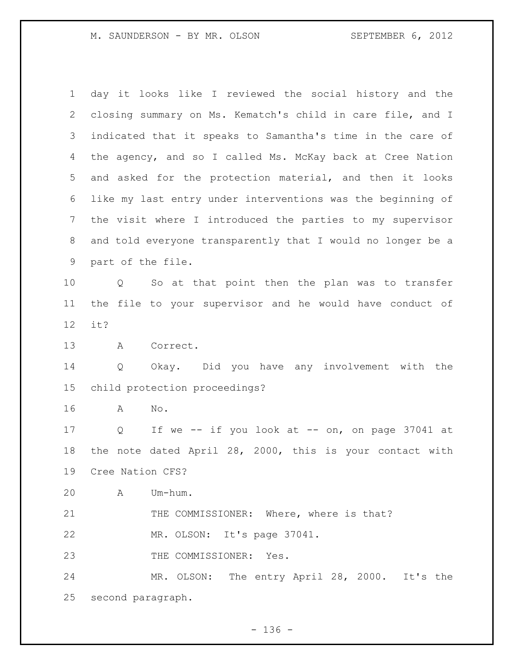| $\mathbf 1$     | day it looks like I reviewed the social history and the             |
|-----------------|---------------------------------------------------------------------|
| 2               | closing summary on Ms. Kematch's child in care file, and I          |
| 3               | indicated that it speaks to Samantha's time in the care of          |
| 4               | the agency, and so I called Ms. McKay back at Cree Nation           |
| 5               | and asked for the protection material, and then it looks            |
| 6               | like my last entry under interventions was the beginning of         |
| 7               | the visit where I introduced the parties to my supervisor           |
| 8               | and told everyone transparently that I would no longer be a         |
| 9               | part of the file.                                                   |
| 10              | So at that point then the plan was to transfer<br>$Q \qquad \qquad$ |
| 11              | the file to your supervisor and he would have conduct of            |
| 12 <sup>°</sup> | it?                                                                 |
| 13              | Correct.<br>A                                                       |
| 14              | Okay. Did you have any involvement with the<br>$Q \qquad \qquad$    |
| 15              | child protection proceedings?                                       |
| 16              | No.<br>A                                                            |
| 17              | If we -- if you look at -- on, on page 37041 at<br>Q                |
| 18              | the note dated April 28, 2000, this is your contact with            |
| 19              | Cree Nation CFS?                                                    |
| 20              | Um-hum.<br>A                                                        |
| 21              | THE COMMISSIONER: Where, where is that?                             |
| 22              | MR. OLSON: It's page 37041.                                         |
| 23              | THE COMMISSIONER: Yes.                                              |
| 24              | MR. OLSON: The entry April 28, 2000. It's the                       |
| 25              | second paragraph.                                                   |

- 136 -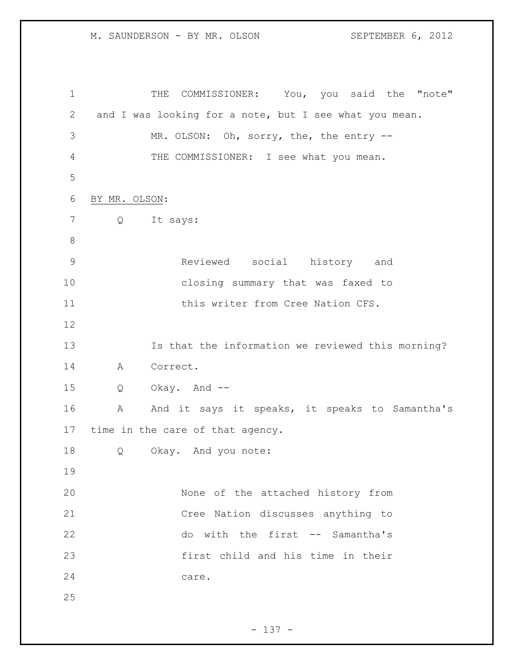1 THE COMMISSIONER: You, you said the "note" and I was looking for a note, but I see what you mean. MR. OLSON: Oh, sorry, the, the entry -- THE COMMISSIONER: I see what you mean. BY MR. OLSON: Q It says: Reviewed social history and closing summary that was faxed to 11 this writer from Cree Nation CFS. Is that the information we reviewed this morning? A Correct. Q Okay. And -- A And it says it speaks, it speaks to Samantha's time in the care of that agency. Q Okay. And you note: None of the attached history from Cree Nation discusses anything to do with the first -- Samantha's first child and his time in their care.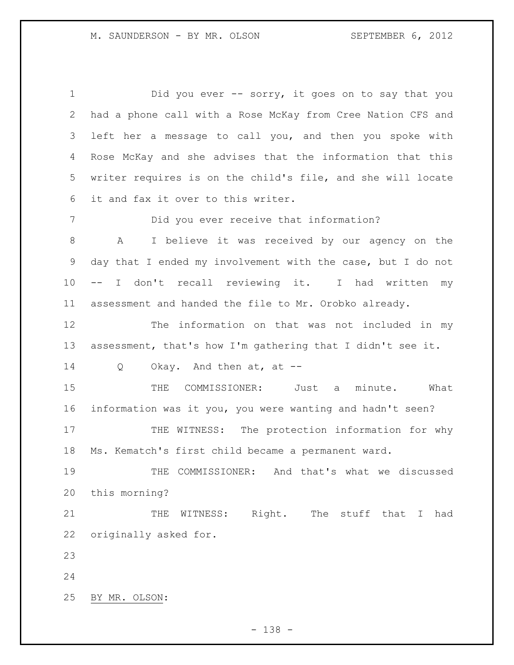1 Did you ever -- sorry, it goes on to say that you had a phone call with a Rose McKay from Cree Nation CFS and left her a message to call you, and then you spoke with Rose McKay and she advises that the information that this writer requires is on the child's file, and she will locate it and fax it over to this writer. Did you ever receive that information? A I believe it was received by our agency on the day that I ended my involvement with the case, but I do not -- I don't recall reviewing it. I had written my assessment and handed the file to Mr. Orobko already. The information on that was not included in my assessment, that's how I'm gathering that I didn't see it. Q Okay. And then at, at -- THE COMMISSIONER: Just a minute. What information was it you, you were wanting and hadn't seen? 17 THE WITNESS: The protection information for why Ms. Kematch's first child became a permanent ward. THE COMMISSIONER: And that's what we discussed this morning? 21 THE WITNESS: Right. The stuff that I had originally asked for. BY MR. OLSON:

- 138 -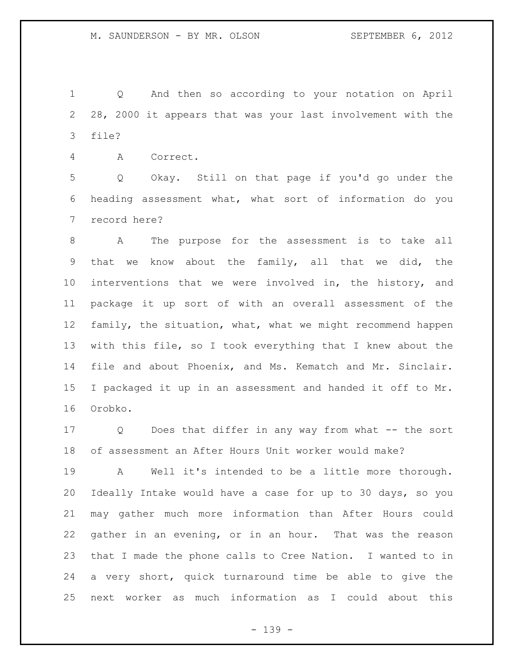Q And then so according to your notation on April 28, 2000 it appears that was your last involvement with the file?

A Correct.

 Q Okay. Still on that page if you'd go under the heading assessment what, what sort of information do you record here?

 A The purpose for the assessment is to take all that we know about the family, all that we did, the interventions that we were involved in, the history, and package it up sort of with an overall assessment of the family, the situation, what, what we might recommend happen with this file, so I took everything that I knew about the file and about Phoenix, and Ms. Kematch and Mr. Sinclair. I packaged it up in an assessment and handed it off to Mr. Orobko.

 Q Does that differ in any way from what -- the sort of assessment an After Hours Unit worker would make?

 A Well it's intended to be a little more thorough. Ideally Intake would have a case for up to 30 days, so you may gather much more information than After Hours could gather in an evening, or in an hour. That was the reason that I made the phone calls to Cree Nation. I wanted to in a very short, quick turnaround time be able to give the next worker as much information as I could about this

- 139 -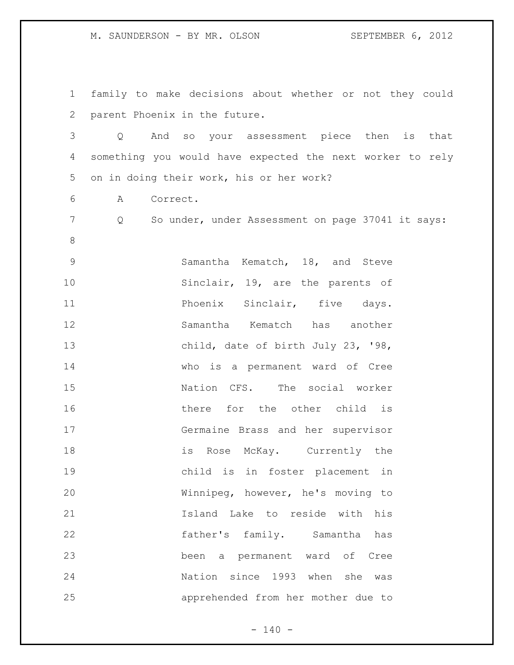family to make decisions about whether or not they could parent Phoenix in the future. Q And so your assessment piece then is that something you would have expected the next worker to rely on in doing their work, his or her work? A Correct. Q So under, under Assessment on page 37041 it says: Samantha Kematch, 18, and Steve 10 Sinclair, 19, are the parents of **Phoenix Sinclair, five days.**  Samantha Kematch has another child, date of birth July 23, '98, who is a permanent ward of Cree 15 Nation CFS. The social worker there for the other child is Germaine Brass and her supervisor 18 is Rose McKay. Currently the child is in foster placement in Winnipeg, however, he's moving to Island Lake to reside with his father's family. Samantha has been a permanent ward of Cree Nation since 1993 when she was apprehended from her mother due to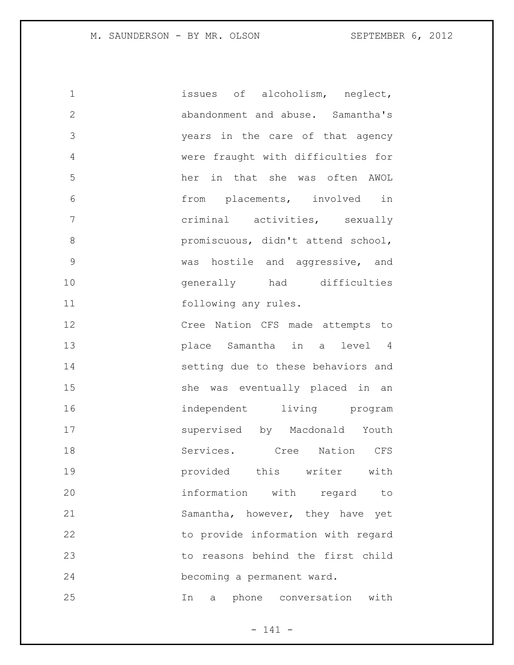1 issues of alcoholism, neglect, abandonment and abuse. Samantha's years in the care of that agency were fraught with difficulties for her in that she was often AWOL from placements, involved in criminal activities, sexually promiscuous, didn't attend school, was hostile and aggressive, and generally had difficulties 11 following any rules. Cree Nation CFS made attempts to

 place Samantha in a level 4 setting due to these behaviors and she was eventually placed in an independent living program supervised by Macdonald Youth 18 Services. Cree Nation CFS provided this writer with information with regard to Samantha, however, they have yet to provide information with regard to reasons behind the first child becoming a permanent ward. In a phone conversation with

- 141 -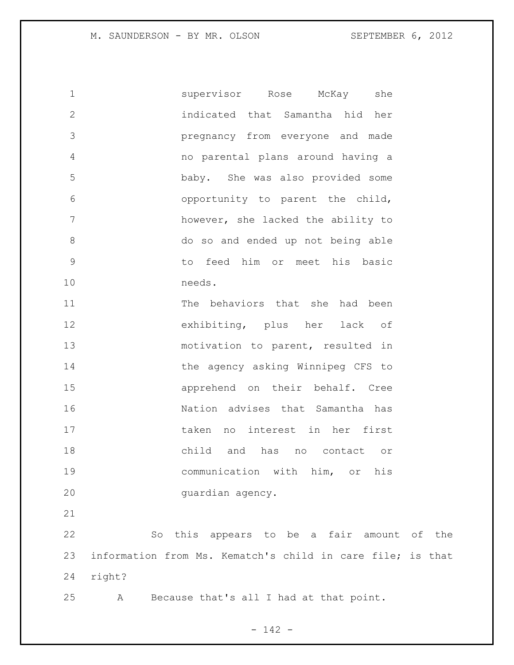supervisor Rose McKay she indicated that Samantha hid her pregnancy from everyone and made no parental plans around having a baby. She was also provided some opportunity to parent the child, however, she lacked the ability to do so and ended up not being able to feed him or meet his basic needs. The behaviors that she had been exhibiting, plus her lack of 13 motivation to parent, resulted in 14 the agency asking Winnipeg CFS to apprehend on their behalf. Cree Nation advises that Samantha has taken no interest in her first child and has no contact or communication with him, or his guardian agency. So this appears to be a fair amount of the information from Ms. Kematch's child in care file; is that right?

A Because that's all I had at that point.

- 142 -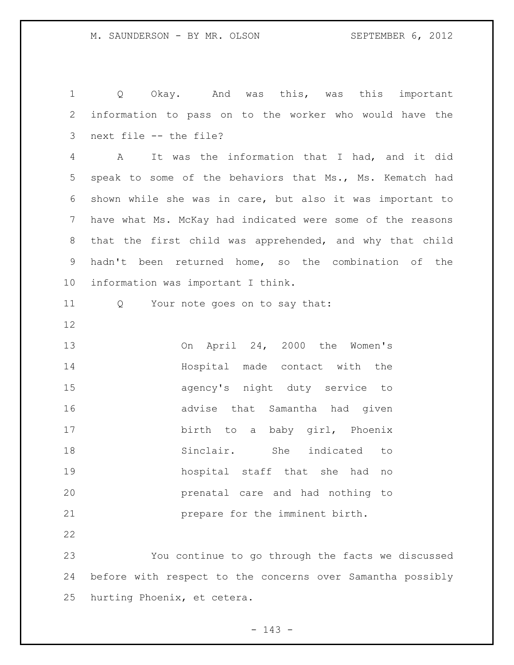Q Okay. And was this, was this important information to pass on to the worker who would have the next file -- the file? A It was the information that I had, and it did speak to some of the behaviors that Ms., Ms. Kematch had shown while she was in care, but also it was important to have what Ms. McKay had indicated were some of the reasons that the first child was apprehended, and why that child hadn't been returned home, so the combination of the information was important I think. 11 Q Your note goes on to say that: On April 24, 2000 the Women's Hospital made contact with the agency's night duty service to advise that Samantha had given 17 birth to a baby girl, Phoenix Sinclair. She indicated to hospital staff that she had no prenatal care and had nothing to prepare for the imminent birth. You continue to go through the facts we discussed before with respect to the concerns over Samantha possibly hurting Phoenix, et cetera.

 $- 143 -$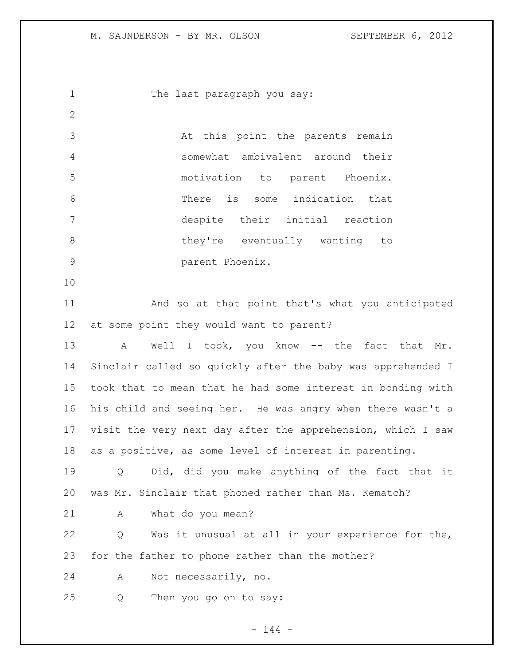1 The last paragraph you say: At this point the parents remain somewhat ambivalent around their motivation to parent Phoenix. There is some indication that despite their initial reaction 8 below they're eventually wanting to parent Phoenix. And so at that point that's what you anticipated at some point they would want to parent? 13 A Well I took, you know -- the fact that Mr. Sinclair called so quickly after the baby was apprehended I took that to mean that he had some interest in bonding with his child and seeing her. He was angry when there wasn't a visit the very next day after the apprehension, which I saw as a positive, as some level of interest in parenting. Q Did, did you make anything of the fact that it was Mr. Sinclair that phoned rather than Ms. Kematch? A What do you mean? Q Was it unusual at all in your experience for the, for the father to phone rather than the mother? A Not necessarily, no. Q Then you go on to say:

 $- 144 -$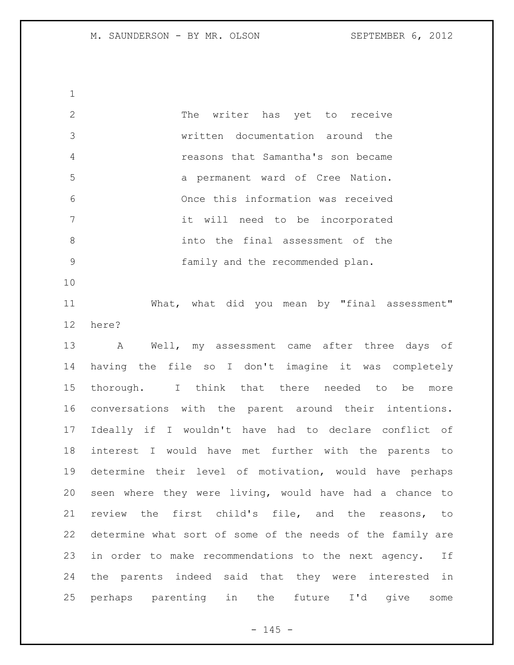The writer has yet to receive written documentation around the reasons that Samantha's son became a permanent ward of Cree Nation. Once this information was received it will need to be incorporated into the final assessment of the family and the recommended plan. 

 What, what did you mean by "final assessment" here?

 A Well, my assessment came after three days of having the file so I don't imagine it was completely thorough. I think that there needed to be more conversations with the parent around their intentions. Ideally if I wouldn't have had to declare conflict of interest I would have met further with the parents to determine their level of motivation, would have perhaps seen where they were living, would have had a chance to review the first child's file, and the reasons, to determine what sort of some of the needs of the family are in order to make recommendations to the next agency. If the parents indeed said that they were interested in perhaps parenting in the future I'd give some

 $- 145 -$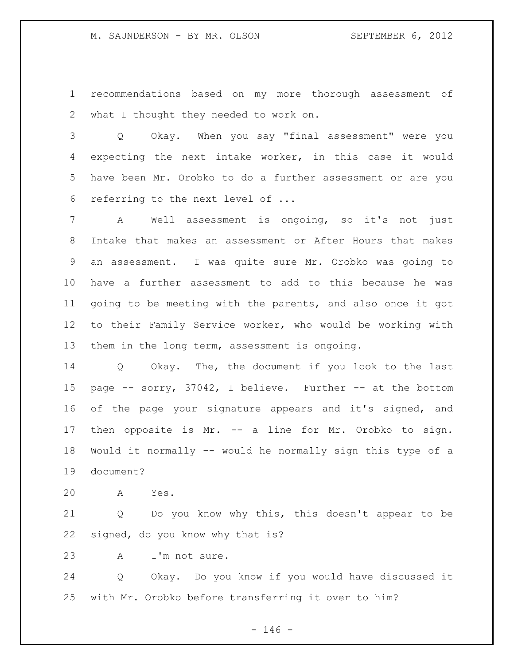recommendations based on my more thorough assessment of what I thought they needed to work on.

 Q Okay. When you say "final assessment" were you expecting the next intake worker, in this case it would have been Mr. Orobko to do a further assessment or are you referring to the next level of ...

 A Well assessment is ongoing, so it's not just Intake that makes an assessment or After Hours that makes an assessment. I was quite sure Mr. Orobko was going to have a further assessment to add to this because he was going to be meeting with the parents, and also once it got to their Family Service worker, who would be working with them in the long term, assessment is ongoing.

 Q Okay. The, the document if you look to the last page -- sorry, 37042, I believe. Further -- at the bottom of the page your signature appears and it's signed, and then opposite is Mr. -- a line for Mr. Orobko to sign. Would it normally -- would he normally sign this type of a document?

A Yes.

 Q Do you know why this, this doesn't appear to be signed, do you know why that is?

A I'm not sure.

 Q Okay. Do you know if you would have discussed it with Mr. Orobko before transferring it over to him?

 $- 146 -$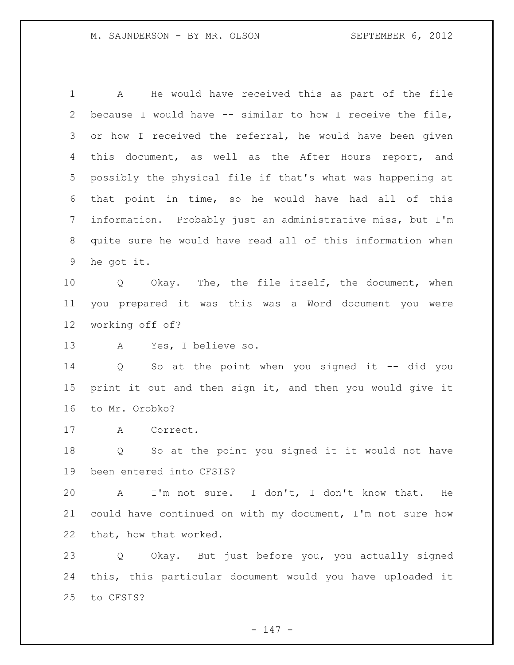A He would have received this as part of the file because I would have -- similar to how I receive the file, or how I received the referral, he would have been given this document, as well as the After Hours report, and possibly the physical file if that's what was happening at that point in time, so he would have had all of this information. Probably just an administrative miss, but I'm quite sure he would have read all of this information when he got it. Q Okay. The, the file itself, the document, when you prepared it was this was a Word document you were working off of? A Yes, I believe so. Q So at the point when you signed it -- did you print it out and then sign it, and then you would give it to Mr. Orobko? A Correct. Q So at the point you signed it it would not have been entered into CFSIS? A I'm not sure. I don't, I don't know that. He could have continued on with my document, I'm not sure how that, how that worked. Q Okay. But just before you, you actually signed this, this particular document would you have uploaded it to CFSIS?

 $- 147 -$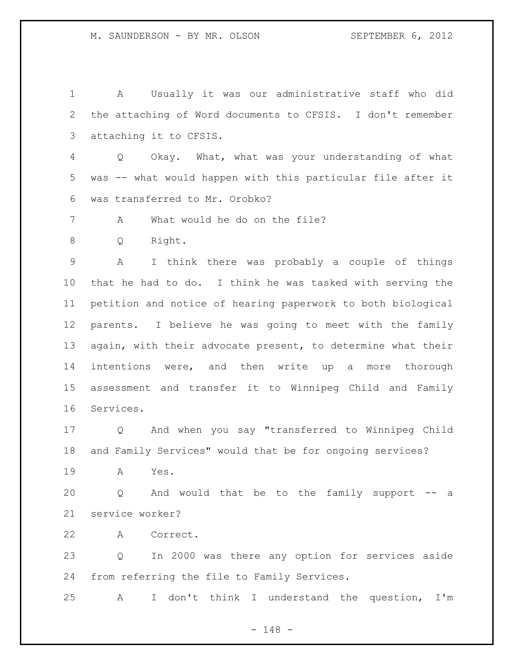A Usually it was our administrative staff who did the attaching of Word documents to CFSIS. I don't remember attaching it to CFSIS.

 Q Okay. What, what was your understanding of what was -- what would happen with this particular file after it was transferred to Mr. Orobko?

A What would he do on the file?

Q Right.

 A I think there was probably a couple of things that he had to do. I think he was tasked with serving the petition and notice of hearing paperwork to both biological parents. I believe he was going to meet with the family again, with their advocate present, to determine what their intentions were, and then write up a more thorough assessment and transfer it to Winnipeg Child and Family Services.

 Q And when you say "transferred to Winnipeg Child and Family Services" would that be for ongoing services?

A Yes.

 Q And would that be to the family support -- a service worker?

A Correct.

 Q In 2000 was there any option for services aside from referring the file to Family Services.

A I don't think I understand the question, I'm

- 148 -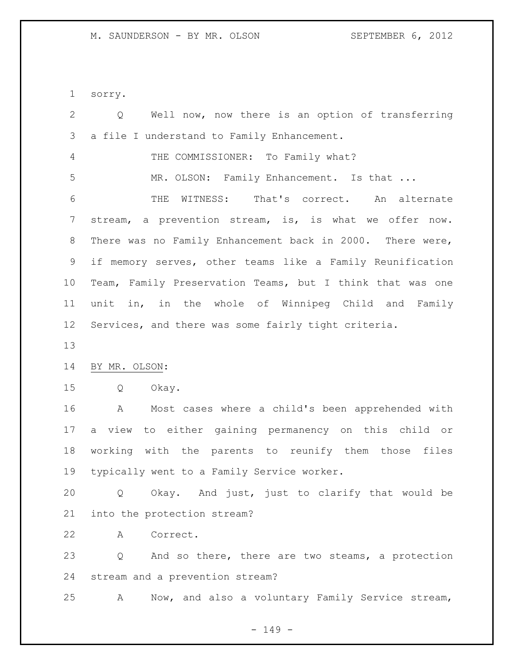sorry.

| $\mathbf{2}$   | Well now, now there is an option of transferring<br>$Q \qquad \qquad$ |
|----------------|-----------------------------------------------------------------------|
| $\mathcal{S}$  | a file I understand to Family Enhancement.                            |
| $\overline{4}$ | THE COMMISSIONER: To Family what?                                     |
| 5              | MR. OLSON: Family Enhancement. Is that                                |
| 6              | WITNESS: That's correct. An alternate<br>THE                          |
| 7              | stream, a prevention stream, is, is what we offer now.                |
| $\,8\,$        | There was no Family Enhancement back in 2000. There were,             |
| 9              | if memory serves, other teams like a Family Reunification             |
| 10             | Team, Family Preservation Teams, but I think that was one             |
| 11             | unit in, in the whole of Winnipeg Child and Family                    |
| 12             | Services, and there was some fairly tight criteria.                   |
| 13             |                                                                       |
| 14             | BY MR. OLSON:                                                         |
| 15             | Q<br>Okay.                                                            |
| 16             | Most cases where a child's been apprehended with<br>A                 |
| 17             | a view to either gaining permanency on this child or                  |
| 18             | working with the parents to reunify them those files                  |
| 19             | typically went to a Family Service worker.                            |
| 20             | Q Okay. And just, just to clarify that would be                       |
| 21             | into the protection stream?                                           |
| 22             | Correct.<br>A                                                         |
| 23             | And so there, there are two steams, a protection<br>Q                 |
| 24             | stream and a prevention stream?                                       |
| 25             | Now, and also a voluntary Family Service stream,<br>Α                 |

- 149 -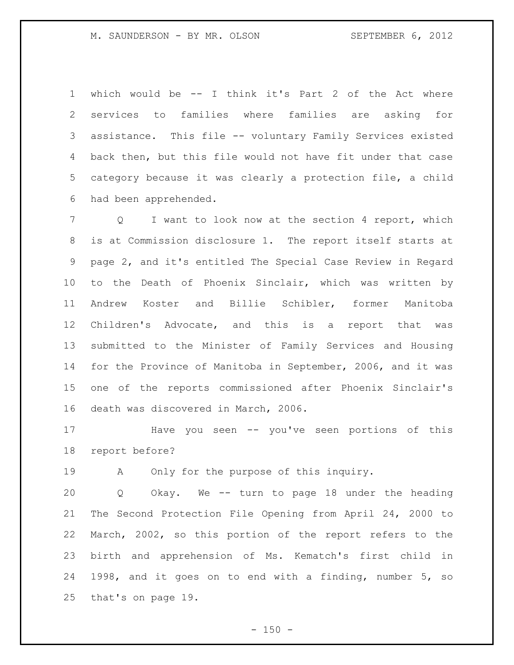which would be -- I think it's Part 2 of the Act where services to families where families are asking for assistance. This file -- voluntary Family Services existed back then, but this file would not have fit under that case category because it was clearly a protection file, a child had been apprehended.

 Q I want to look now at the section 4 report, which is at Commission disclosure 1. The report itself starts at page 2, and it's entitled The Special Case Review in Regard to the Death of Phoenix Sinclair, which was written by Andrew Koster and Billie Schibler, former Manitoba Children's Advocate, and this is a report that was submitted to the Minister of Family Services and Housing for the Province of Manitoba in September, 2006, and it was one of the reports commissioned after Phoenix Sinclair's death was discovered in March, 2006.

 Have you seen -- you've seen portions of this report before?

A Only for the purpose of this inquiry.

 Q Okay. We -- turn to page 18 under the heading The Second Protection File Opening from April 24, 2000 to March, 2002, so this portion of the report refers to the birth and apprehension of Ms. Kematch's first child in 1998, and it goes on to end with a finding, number 5, so that's on page 19.

 $- 150 -$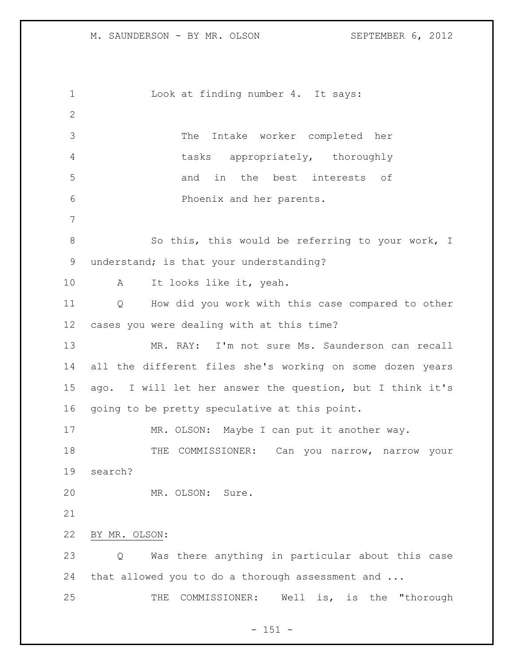1 Look at finding number 4. It says: The Intake worker completed her tasks appropriately, thoroughly and in the best interests of Phoenix and her parents. 8 So this, this would be referring to your work, I understand; is that your understanding? A It looks like it, yeah. Q How did you work with this case compared to other cases you were dealing with at this time? MR. RAY: I'm not sure Ms. Saunderson can recall all the different files she's working on some dozen years ago. I will let her answer the question, but I think it's going to be pretty speculative at this point. 17 MR. OLSON: Maybe I can put it another way. 18 THE COMMISSIONER: Can you narrow, narrow your search? MR. OLSON: Sure. BY MR. OLSON: Q Was there anything in particular about this case 24 that allowed you to do a thorough assessment and ... THE COMMISSIONER: Well is, is the "thorough

 $- 151 -$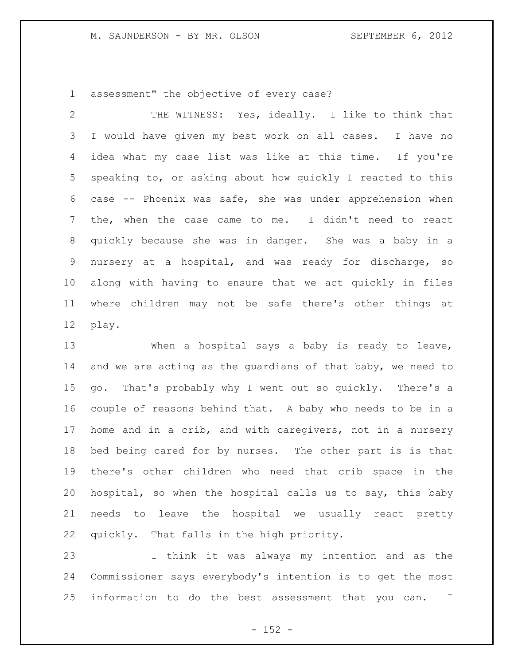assessment" the objective of every case?

 THE WITNESS: Yes, ideally. I like to think that I would have given my best work on all cases. I have no idea what my case list was like at this time. If you're speaking to, or asking about how quickly I reacted to this case -- Phoenix was safe, she was under apprehension when the, when the case came to me. I didn't need to react quickly because she was in danger. She was a baby in a nursery at a hospital, and was ready for discharge, so along with having to ensure that we act quickly in files where children may not be safe there's other things at play.

 When a hospital says a baby is ready to leave, and we are acting as the guardians of that baby, we need to go. That's probably why I went out so quickly. There's a couple of reasons behind that. A baby who needs to be in a home and in a crib, and with caregivers, not in a nursery bed being cared for by nurses. The other part is is that there's other children who need that crib space in the hospital, so when the hospital calls us to say, this baby needs to leave the hospital we usually react pretty quickly. That falls in the high priority.

 I think it was always my intention and as the Commissioner says everybody's intention is to get the most information to do the best assessment that you can. I

 $- 152 -$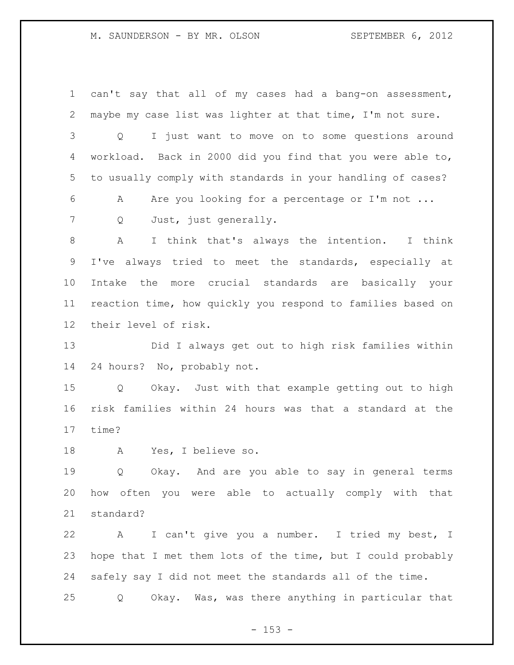can't say that all of my cases had a bang-on assessment, maybe my case list was lighter at that time, I'm not sure. Q I just want to move on to some questions around workload. Back in 2000 did you find that you were able to, to usually comply with standards in your handling of cases? A Are you looking for a percentage or I'm not ... 7 Q Just, just generally. A I think that's always the intention. I think I've always tried to meet the standards, especially at Intake the more crucial standards are basically your reaction time, how quickly you respond to families based on their level of risk. Did I always get out to high risk families within

24 hours? No, probably not.

 Q Okay. Just with that example getting out to high risk families within 24 hours was that a standard at the time?

A Yes, I believe so.

 Q Okay. And are you able to say in general terms how often you were able to actually comply with that standard?

 A I can't give you a number. I tried my best, I hope that I met them lots of the time, but I could probably safely say I did not meet the standards all of the time.

Q Okay. Was, was there anything in particular that

 $- 153 -$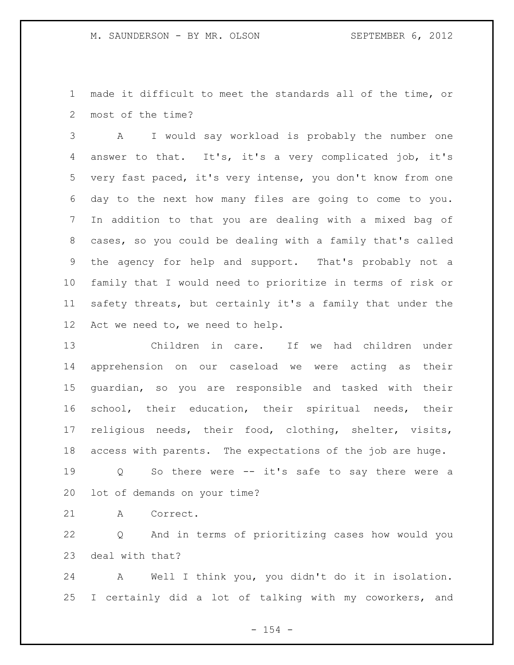made it difficult to meet the standards all of the time, or most of the time?

 A I would say workload is probably the number one answer to that. It's, it's a very complicated job, it's very fast paced, it's very intense, you don't know from one day to the next how many files are going to come to you. In addition to that you are dealing with a mixed bag of cases, so you could be dealing with a family that's called the agency for help and support. That's probably not a family that I would need to prioritize in terms of risk or safety threats, but certainly it's a family that under the Act we need to, we need to help.

 Children in care. If we had children under apprehension on our caseload we were acting as their guardian, so you are responsible and tasked with their school, their education, their spiritual needs, their religious needs, their food, clothing, shelter, visits, access with parents. The expectations of the job are huge.

 Q So there were -- it's safe to say there were a lot of demands on your time?

A Correct.

 Q And in terms of prioritizing cases how would you deal with that?

 A Well I think you, you didn't do it in isolation. I certainly did a lot of talking with my coworkers, and

 $- 154 -$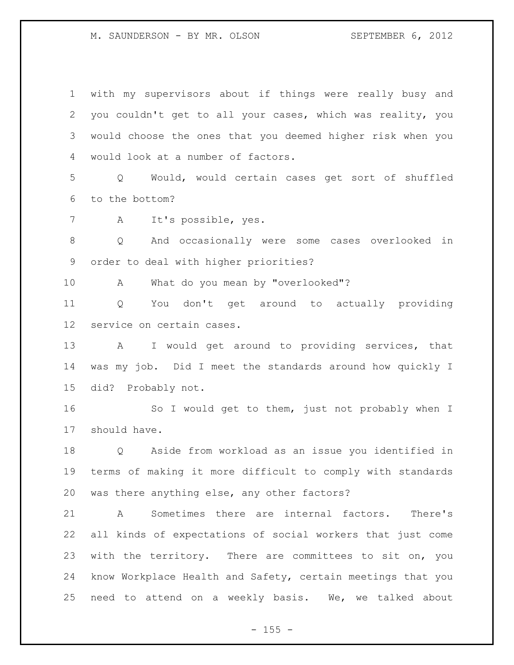with my supervisors about if things were really busy and you couldn't get to all your cases, which was reality, you would choose the ones that you deemed higher risk when you would look at a number of factors. Q Would, would certain cases get sort of shuffled to the bottom? A It's possible, yes. Q And occasionally were some cases overlooked in order to deal with higher priorities? A What do you mean by "overlooked"? Q You don't get around to actually providing service on certain cases. A I would get around to providing services, that was my job. Did I meet the standards around how quickly I did? Probably not. 16 So I would get to them, just not probably when I should have. Q Aside from workload as an issue you identified in terms of making it more difficult to comply with standards was there anything else, any other factors? A Sometimes there are internal factors. There's all kinds of expectations of social workers that just come with the territory. There are committees to sit on, you know Workplace Health and Safety, certain meetings that you need to attend on a weekly basis. We, we talked about

 $- 155 -$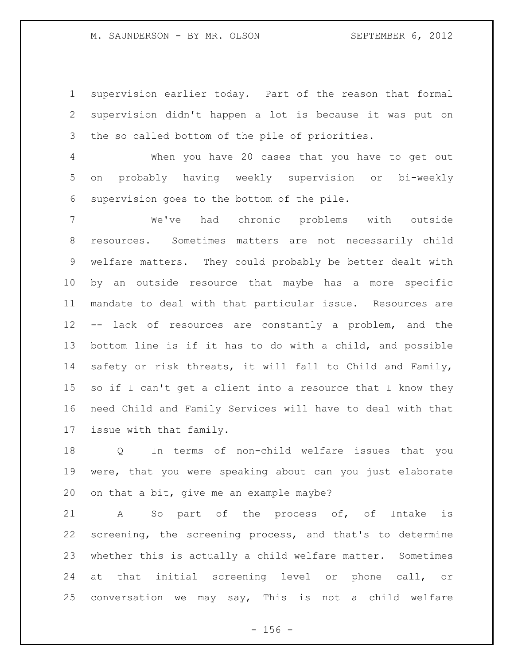supervision earlier today. Part of the reason that formal supervision didn't happen a lot is because it was put on the so called bottom of the pile of priorities.

 When you have 20 cases that you have to get out on probably having weekly supervision or bi-weekly supervision goes to the bottom of the pile.

 We've had chronic problems with outside resources. Sometimes matters are not necessarily child welfare matters. They could probably be better dealt with by an outside resource that maybe has a more specific mandate to deal with that particular issue. Resources are -- lack of resources are constantly a problem, and the bottom line is if it has to do with a child, and possible safety or risk threats, it will fall to Child and Family, so if I can't get a client into a resource that I know they need Child and Family Services will have to deal with that issue with that family.

 Q In terms of non-child welfare issues that you were, that you were speaking about can you just elaborate on that a bit, give me an example maybe?

 A So part of the process of, of Intake is screening, the screening process, and that's to determine whether this is actually a child welfare matter. Sometimes at that initial screening level or phone call, or conversation we may say, This is not a child welfare

 $- 156 -$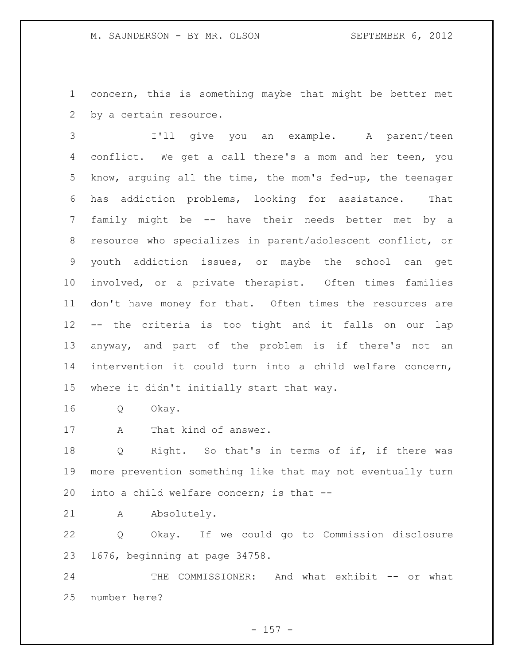concern, this is something maybe that might be better met by a certain resource.

 I'll give you an example. A parent/teen conflict. We get a call there's a mom and her teen, you know, arguing all the time, the mom's fed-up, the teenager has addiction problems, looking for assistance. That family might be -- have their needs better met by a resource who specializes in parent/adolescent conflict, or youth addiction issues, or maybe the school can get involved, or a private therapist. Often times families don't have money for that. Often times the resources are -- the criteria is too tight and it falls on our lap anyway, and part of the problem is if there's not an intervention it could turn into a child welfare concern, where it didn't initially start that way.

- Q Okay.
- A That kind of answer.

 Q Right. So that's in terms of if, if there was more prevention something like that may not eventually turn into a child welfare concern; is that --

A Absolutely.

 Q Okay. If we could go to Commission disclosure 1676, beginning at page 34758.

24 THE COMMISSIONER: And what exhibit -- or what number here?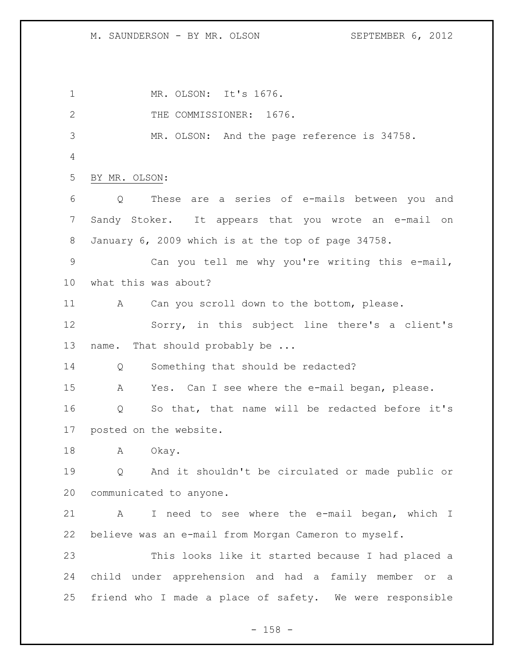MR. OLSON: It's 1676. 2 THE COMMISSIONER: 1676. MR. OLSON: And the page reference is 34758. BY MR. OLSON: Q These are a series of e-mails between you and Sandy Stoker. It appears that you wrote an e-mail on January 6, 2009 which is at the top of page 34758. Can you tell me why you're writing this e-mail, what this was about? A Can you scroll down to the bottom, please. Sorry, in this subject line there's a client's 13 name. That should probably be ... Q Something that should be redacted? A Yes. Can I see where the e-mail began, please. Q So that, that name will be redacted before it's posted on the website. 18 A Okay. Q And it shouldn't be circulated or made public or communicated to anyone. A I need to see where the e-mail began, which I believe was an e-mail from Morgan Cameron to myself. This looks like it started because I had placed a child under apprehension and had a family member or a friend who I made a place of safety. We were responsible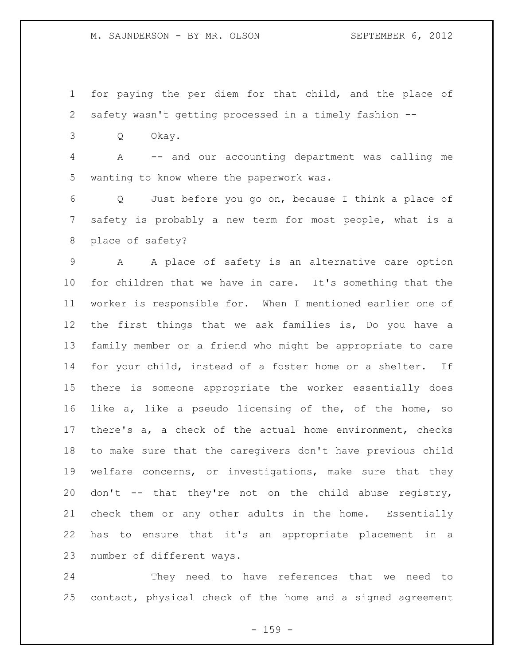for paying the per diem for that child, and the place of safety wasn't getting processed in a timely fashion --

Q Okay.

 A -- and our accounting department was calling me wanting to know where the paperwork was.

 Q Just before you go on, because I think a place of safety is probably a new term for most people, what is a place of safety?

 A A place of safety is an alternative care option for children that we have in care. It's something that the worker is responsible for. When I mentioned earlier one of the first things that we ask families is, Do you have a family member or a friend who might be appropriate to care for your child, instead of a foster home or a shelter. If there is someone appropriate the worker essentially does like a, like a pseudo licensing of the, of the home, so there's a, a check of the actual home environment, checks to make sure that the caregivers don't have previous child welfare concerns, or investigations, make sure that they don't -- that they're not on the child abuse registry, check them or any other adults in the home. Essentially has to ensure that it's an appropriate placement in a number of different ways.

 They need to have references that we need to contact, physical check of the home and a signed agreement

- 159 -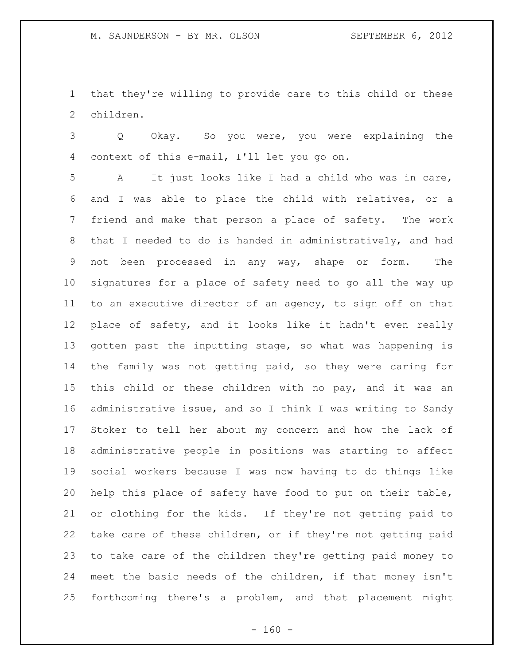that they're willing to provide care to this child or these children.

 Q Okay. So you were, you were explaining the context of this e-mail, I'll let you go on.

 A It just looks like I had a child who was in care, and I was able to place the child with relatives, or a friend and make that person a place of safety. The work that I needed to do is handed in administratively, and had not been processed in any way, shape or form. The signatures for a place of safety need to go all the way up to an executive director of an agency, to sign off on that place of safety, and it looks like it hadn't even really gotten past the inputting stage, so what was happening is the family was not getting paid, so they were caring for this child or these children with no pay, and it was an administrative issue, and so I think I was writing to Sandy Stoker to tell her about my concern and how the lack of administrative people in positions was starting to affect social workers because I was now having to do things like help this place of safety have food to put on their table, or clothing for the kids. If they're not getting paid to take care of these children, or if they're not getting paid to take care of the children they're getting paid money to meet the basic needs of the children, if that money isn't forthcoming there's a problem, and that placement might

 $- 160 -$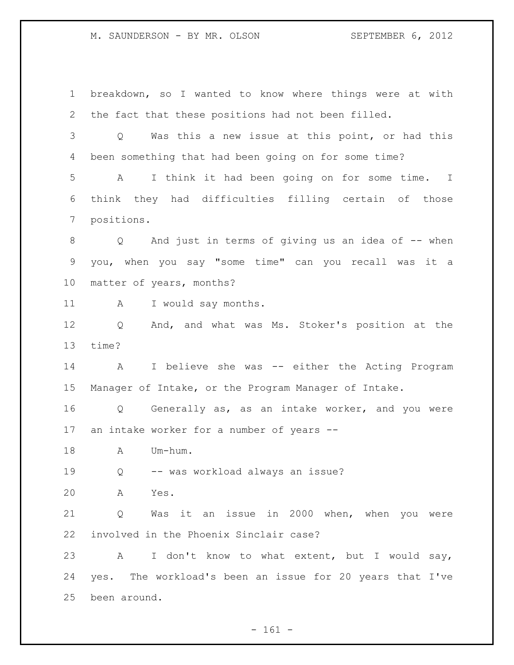breakdown, so I wanted to know where things were at with the fact that these positions had not been filled. Q Was this a new issue at this point, or had this been something that had been going on for some time? A I think it had been going on for some time. I think they had difficulties filling certain of those positions. 8 Q And just in terms of giving us an idea of -- when you, when you say "some time" can you recall was it a matter of years, months? 11 A I would say months. Q And, and what was Ms. Stoker's position at the time? A I believe she was -- either the Acting Program Manager of Intake, or the Program Manager of Intake. Q Generally as, as an intake worker, and you were an intake worker for a number of years -- A Um-hum. Q -- was workload always an issue? A Yes. Q Was it an issue in 2000 when, when you were involved in the Phoenix Sinclair case? A I don't know to what extent, but I would say, yes. The workload's been an issue for 20 years that I've been around.

 $- 161 -$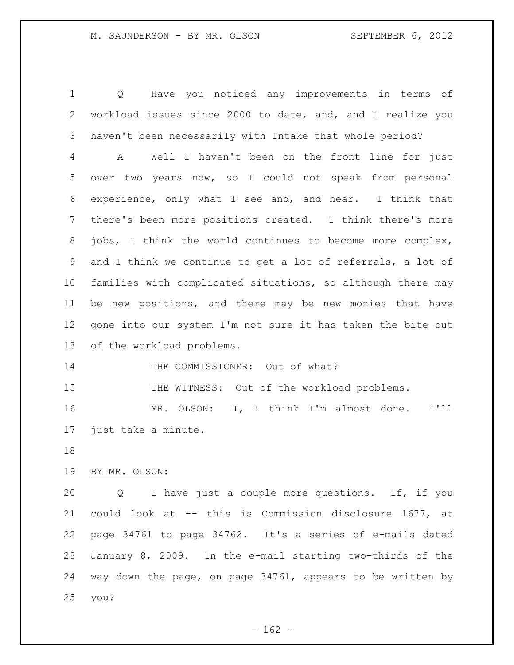Q Have you noticed any improvements in terms of workload issues since 2000 to date, and, and I realize you haven't been necessarily with Intake that whole period?

 A Well I haven't been on the front line for just over two years now, so I could not speak from personal experience, only what I see and, and hear. I think that there's been more positions created. I think there's more jobs, I think the world continues to become more complex, and I think we continue to get a lot of referrals, a lot of families with complicated situations, so although there may be new positions, and there may be new monies that have gone into our system I'm not sure it has taken the bite out of the workload problems.

14 THE COMMISSIONER: Out of what?

15 THE WITNESS: Out of the workload problems.

 MR. OLSON: I, I think I'm almost done. I'll just take a minute.

# BY MR. OLSON:

 Q I have just a couple more questions. If, if you could look at -- this is Commission disclosure 1677, at page 34761 to page 34762. It's a series of e-mails dated January 8, 2009. In the e-mail starting two-thirds of the way down the page, on page 34761, appears to be written by you?

 $- 162 -$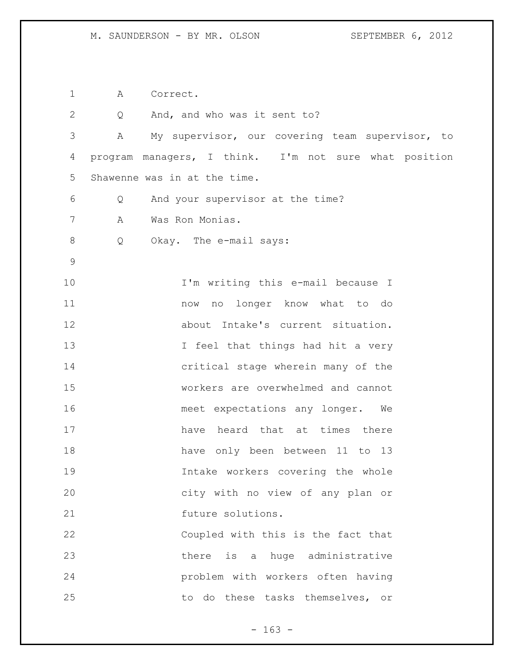1 A Correct.

| $\overline{2}$ | Q | And, and who was it sent to?                          |
|----------------|---|-------------------------------------------------------|
| 3              | А | My supervisor, our covering team supervisor, to       |
| 4              |   | program managers, I think. I'm not sure what position |
| 5              |   | Shawenne was in at the time.                          |
| 6              | Q | And your supervisor at the time?                      |
| 7              | A | Was Ron Monias.                                       |
| $\,8\,$        | Q | Okay. The e-mail says:                                |
| $\mathsf 9$    |   |                                                       |
| 10             |   | I'm writing this e-mail because I                     |
| 11             |   | now no longer know what to do                         |
| 12             |   | about Intake's current situation.                     |
| 13             |   | I feel that things had hit a very                     |
| 14             |   | critical stage wherein many of the                    |
| 15             |   | workers are overwhelmed and cannot                    |
| 16             |   | meet expectations any longer.<br>We                   |
| 17             |   | have heard that at times there                        |
| 18             |   | have only been between 11 to 13                       |
| 19             |   | Intake workers covering the whole                     |
| 20             |   | city with no view of any plan or                      |
| 21             |   | future solutions.                                     |
| 22             |   | Coupled with this is the fact that                    |
| 23             |   | there is a huge administrative                        |
| 24             |   | problem with workers often having                     |
| 25             |   | to do these tasks themselves, or                      |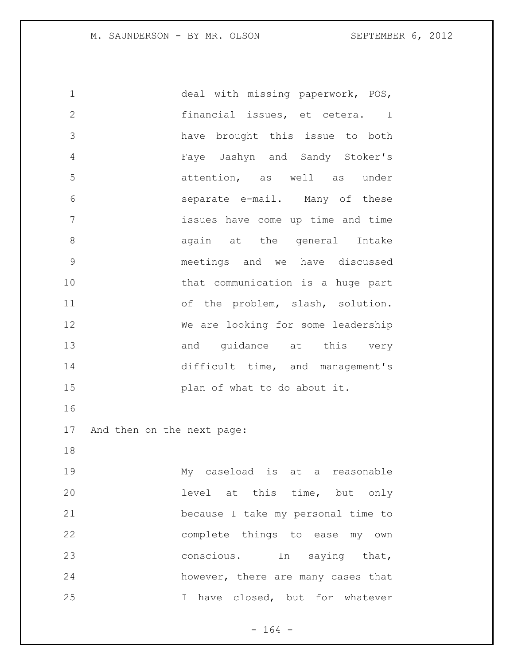deal with missing paperwork, POS, financial issues, et cetera. I have brought this issue to both Faye Jashyn and Sandy Stoker's attention, as well as under separate e-mail. Many of these issues have come up time and time 8 again at the general Intake meetings and we have discussed that communication is a huge part 11 of the problem, slash, solution. We are looking for some leadership 13 and quidance at this very 14 difficult time, and management's **plan of what to do about it.**  And then on the next page: My caseload is at a reasonable level at this time, but only because I take my personal time to complete things to ease my own conscious. In saying that, however, there are many cases that I have closed, but for whatever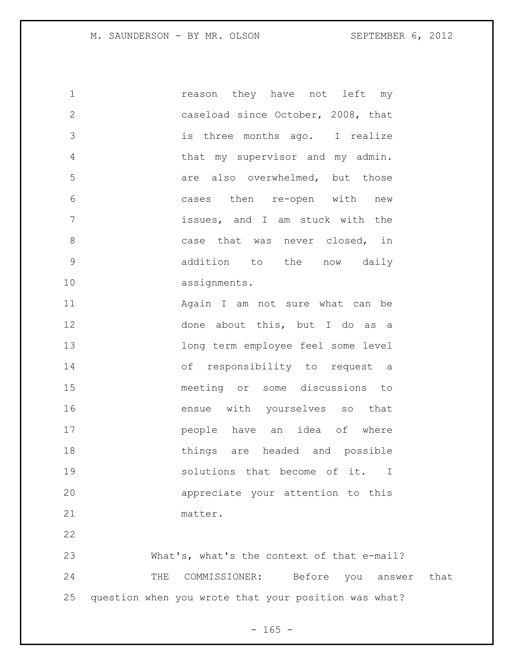1 reason they have not left my caseload since October, 2008, that is three months ago. I realize that my supervisor and my admin. **19 are also overwhelmed, but those**  cases then re-open with new issues, and I am stuck with the 8 case that was never closed, in addition to the now daily assignments. 11 Again I am not sure what can be 12 done about this, but I do as a long term employee feel some level of responsibility to request a meeting or some discussions to ensue with yourselves so that people have an idea of where things are headed and possible 19 501utions that become of it. I appreciate your attention to this matter. What's, what's the context of that e-mail?

 THE COMMISSIONER: Before you answer that question when you wrote that your position was what?

 $- 165 -$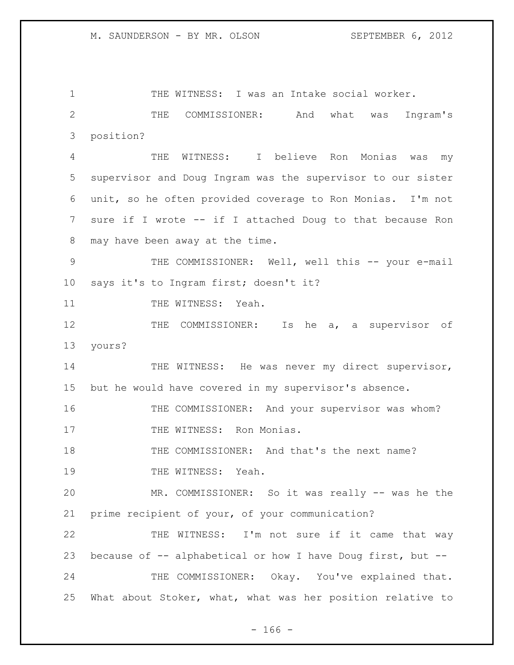1 THE WITNESS: I was an Intake social worker. 2 THE COMMISSIONER: And what was Ingram's 3 position? 4 THE WITNESS: I believe Ron Monias was my 5 supervisor and Doug Ingram was the supervisor to our sister 6 unit, so he often provided coverage to Ron Monias. I'm not 7 sure if I wrote -- if I attached Doug to that because Ron 8 may have been away at the time. 9 THE COMMISSIONER: Well, well this -- your e-mail 10 says it's to Ingram first; doesn't it? 11 THE WITNESS: Yeah. 12 THE COMMISSIONER: Is he a, a supervisor of 13 yours? 14 THE WITNESS: He was never my direct supervisor, 15 but he would have covered in my supervisor's absence. 16 THE COMMISSIONER: And your supervisor was whom? 17 THE WITNESS: Ron Monias. 18 THE COMMISSIONER: And that's the next name? 19 THE WITNESS: Yeah. 20 MR. COMMISSIONER: So it was really -- was he the 21 prime recipient of your, of your communication? 22 THE WITNESS: I'm not sure if it came that way 23 because of -- alphabetical or how I have Doug first, but --24 THE COMMISSIONER: Okay. You've explained that. 25 What about Stoker, what, what was her position relative to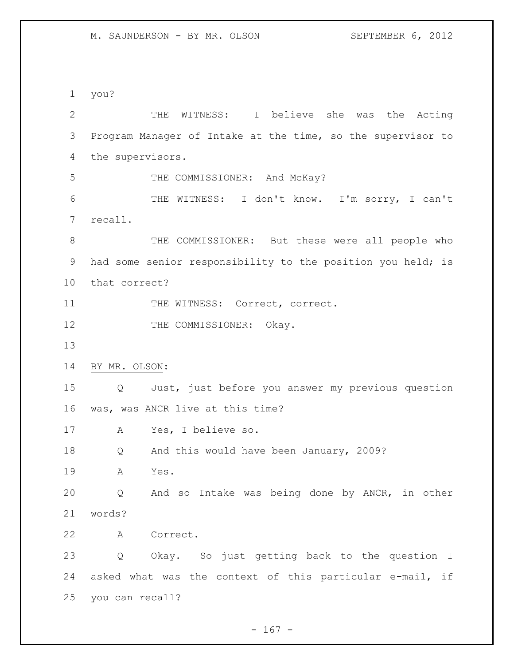you?

| $\mathbf{2}$ | THE WITNESS: I believe she was the Acting                   |
|--------------|-------------------------------------------------------------|
| 3            | Program Manager of Intake at the time, so the supervisor to |
| 4            | the supervisors.                                            |
| 5            | THE COMMISSIONER: And McKay?                                |
| 6            | THE WITNESS: I don't know. I'm sorry, I can't               |
| 7            | recall.                                                     |
| $8\,$        | THE COMMISSIONER: But these were all people who             |
| 9            | had some senior responsibility to the position you held; is |
| 10           | that correct?                                               |
| 11           | THE WITNESS: Correct, correct.                              |
| 12           | THE COMMISSIONER:<br>Okay.                                  |
| 13           |                                                             |
| 14           | BY MR. OLSON:                                               |
| 15           | Just, just before you answer my previous question<br>Q      |
| 16           | was, was ANCR live at this time?                            |
| 17           | Yes, I believe so.<br>A                                     |
| 18           | And this would have been January, 2009?<br>Q                |
| 19           | Yes.<br>A                                                   |
| 20           | Q And so Intake was being done by ANCR, in other            |
| 21           | words?                                                      |
| 22           | A Correct.                                                  |
| 23           | Q Okay. So just getting back to the question I              |
| 24           | asked what was the context of this particular e-mail, if    |
| 25           | you can recall?                                             |

- 167 -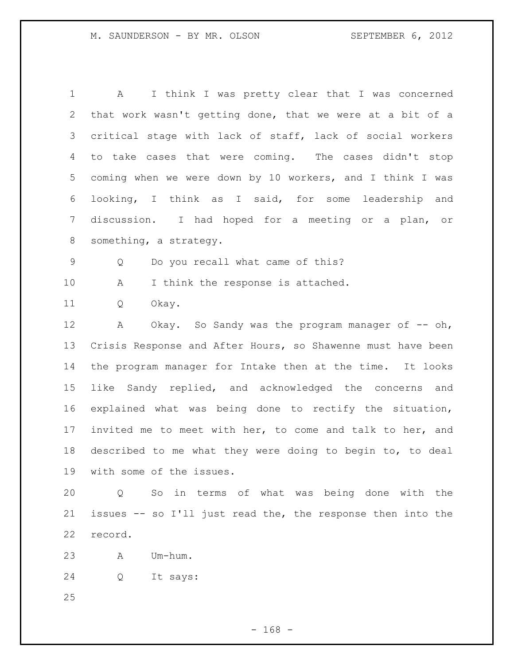| 1               | I think I was pretty clear that I was concerned<br>A        |
|-----------------|-------------------------------------------------------------|
| 2               | that work wasn't getting done, that we were at a bit of a   |
| 3               | critical stage with lack of staff, lack of social workers   |
| 4               | to take cases that were coming. The cases didn't stop       |
| 5               | coming when we were down by 10 workers, and I think I was   |
| 6               | looking, I think as I said, for some leadership and         |
| $7\phantom{.0}$ | discussion. I had hoped for a meeting or a plan, or         |
| 8               | something, a strategy.                                      |
| 9               | Do you recall what came of this?<br>Q                       |
| 10              | I think the response is attached.<br>Α                      |
| 11              | Okay.<br>Q                                                  |
| 12              | Okay. So Sandy was the program manager of $-$ oh,<br>Α      |
| 13              | Crisis Response and After Hours, so Shawenne must have been |
| 14              | the program manager for Intake then at the time. It looks   |
| 15              | like Sandy replied, and acknowledged the concerns and       |
| 16              | explained what was being done to rectify the situation,     |
| 17              | invited me to meet with her, to come and talk to her, and   |
| 18              | described to me what they were doing to begin to, to deal   |
| 19              | with some of the issues.                                    |
| 20              | So in terms of what was being done with the<br>$\circ$      |
| 21              | issues -- so I'll just read the, the response then into the |

record.

A Um-hum.

Q It says: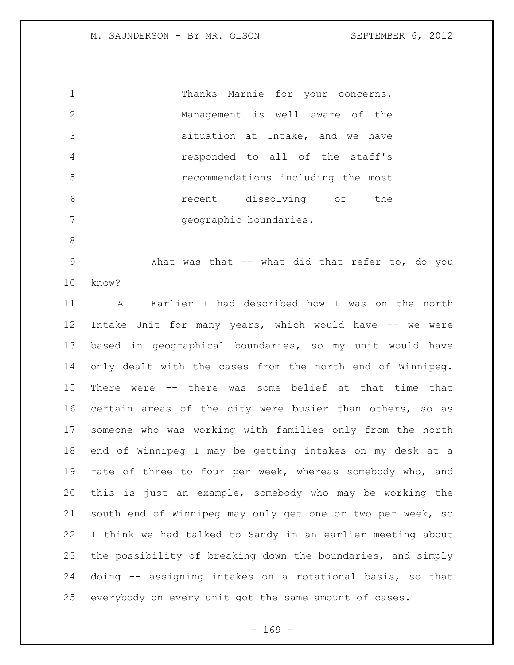Thanks Marnie for your concerns. Management is well aware of the situation at Intake, and we have responded to all of the staff's recommendations including the most recent dissolving of the geographic boundaries.

9 What was that -- what did that refer to, do you know?

 A Earlier I had described how I was on the north Intake Unit for many years, which would have -- we were based in geographical boundaries, so my unit would have only dealt with the cases from the north end of Winnipeg. There were -- there was some belief at that time that certain areas of the city were busier than others, so as someone who was working with families only from the north end of Winnipeg I may be getting intakes on my desk at a rate of three to four per week, whereas somebody who, and this is just an example, somebody who may be working the south end of Winnipeg may only get one or two per week, so I think we had talked to Sandy in an earlier meeting about the possibility of breaking down the boundaries, and simply doing -- assigning intakes on a rotational basis, so that everybody on every unit got the same amount of cases.

 $- 169 -$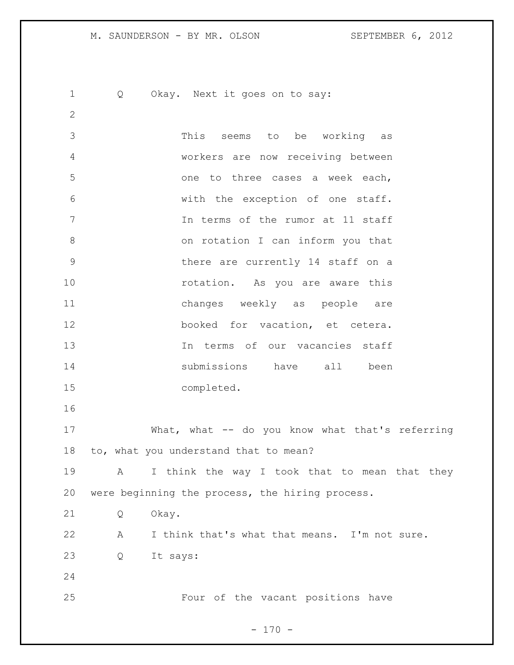Q Okay. Next it goes on to say: This seems to be working as workers are now receiving between one to three cases a week each, with the exception of one staff. In terms of the rumor at 11 staff on rotation I can inform you that there are currently 14 staff on a **rotation.** As you are aware this changes weekly as people are booked for vacation, et cetera. In terms of our vacancies staff submissions have all been completed. What, what -- do you know what that's referring to, what you understand that to mean? 19 A I think the way I took that to mean that they were beginning the process, the hiring process. Q Okay. A I think that's what that means. I'm not sure. Q It says: Four of the vacant positions have

 $- 170 -$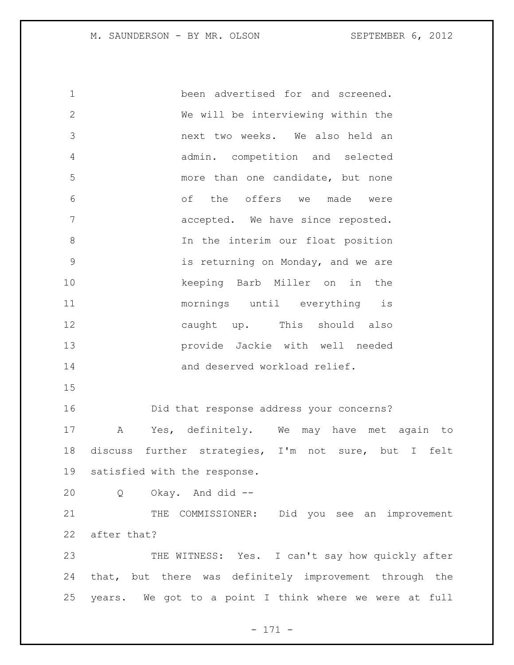been advertised for and screened. We will be interviewing within the next two weeks. We also held an admin. competition and selected more than one candidate, but none of the offers we made were accepted. We have since reposted. In the interim our float position is returning on Monday, and we are keeping Barb Miller on in the mornings until everything is caught up. This should also provide Jackie with well needed and deserved workload relief. Did that response address your concerns? A Yes, definitely. We may have met again to discuss further strategies, I'm not sure, but I felt satisfied with the response. Q Okay. And did -- 21 THE COMMISSIONER: Did you see an improvement after that? THE WITNESS: Yes. I can't say how quickly after that, but there was definitely improvement through the years. We got to a point I think where we were at full

- 171 -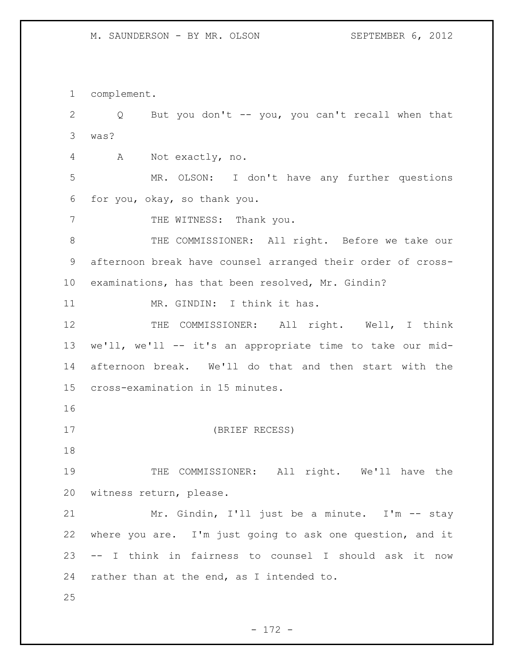complement. Q But you don't -- you, you can't recall when that was? A Not exactly, no. MR. OLSON: I don't have any further questions for you, okay, so thank you. 7 THE WITNESS: Thank you. THE COMMISSIONER: All right. Before we take our afternoon break have counsel arranged their order of cross- examinations, has that been resolved, Mr. Gindin? 11 MR. GINDIN: I think it has. 12 THE COMMISSIONER: All right. Well, I think we'll, we'll -- it's an appropriate time to take our mid- afternoon break. We'll do that and then start with the cross-examination in 15 minutes. (BRIEF RECESS) 19 THE COMMISSIONER: All right. We'll have the witness return, please. Mr. Gindin, I'll just be a minute. I'm -- stay where you are. I'm just going to ask one question, and it -- I think in fairness to counsel I should ask it now rather than at the end, as I intended to.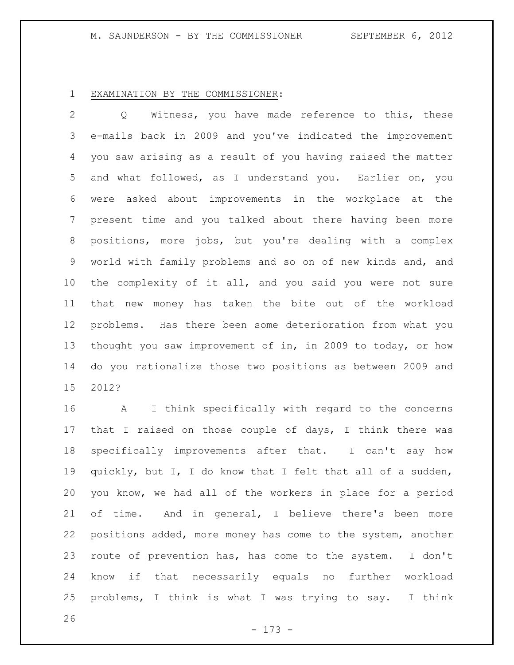# M. SAUNDERSON - BY THE COMMISSIONER SEPTEMBER 6, 2012

# EXAMINATION BY THE COMMISSIONER:

 Q Witness, you have made reference to this, these e-mails back in 2009 and you've indicated the improvement you saw arising as a result of you having raised the matter and what followed, as I understand you. Earlier on, you were asked about improvements in the workplace at the present time and you talked about there having been more positions, more jobs, but you're dealing with a complex world with family problems and so on of new kinds and, and the complexity of it all, and you said you were not sure that new money has taken the bite out of the workload problems. Has there been some deterioration from what you thought you saw improvement of in, in 2009 to today, or how do you rationalize those two positions as between 2009 and 2012?

 A I think specifically with regard to the concerns that I raised on those couple of days, I think there was specifically improvements after that. I can't say how quickly, but I, I do know that I felt that all of a sudden, you know, we had all of the workers in place for a period of time. And in general, I believe there's been more positions added, more money has come to the system, another route of prevention has, has come to the system. I don't know if that necessarily equals no further workload problems, I think is what I was trying to say. I think

- 173 -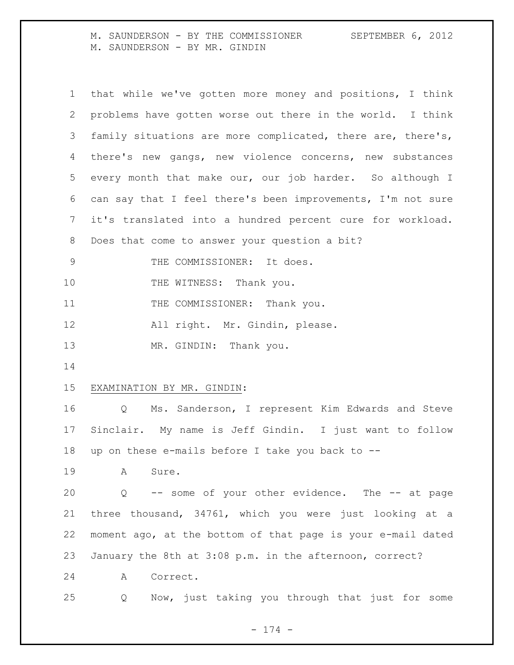M. SAUNDERSON - BY THE COMMISSIONER SEPTEMBER 6, 2012 M. SAUNDERSON - BY MR. GINDIN

| $\mathbf 1$    | that while we've gotten more money and positions, I think   |
|----------------|-------------------------------------------------------------|
| 2              | problems have gotten worse out there in the world. I think  |
| 3              | family situations are more complicated, there are, there's, |
| 4              | there's new gangs, new violence concerns, new substances    |
| 5              | every month that make our, our job harder. So although I    |
| 6              | can say that I feel there's been improvements, I'm not sure |
| $7\phantom{.}$ | it's translated into a hundred percent cure for workload.   |
| 8              | Does that come to answer your question a bit?               |
| 9              | THE COMMISSIONER: It does.                                  |
| 10             | THE WITNESS: Thank you.                                     |
| 11             | THE COMMISSIONER: Thank you.                                |
| 12             | All right. Mr. Gindin, please.                              |
| 13             | MR. GINDIN: Thank you.                                      |
| 14             |                                                             |
| 15             | EXAMINATION BY MR. GINDIN:                                  |
| 16             | Q Ms. Sanderson, I represent Kim Edwards and Steve          |
| 17             | Sinclair. My name is Jeff Gindin. I just want to follow     |
| 18             | up on these e-mails before I take you back to --            |
| 19             | A<br>Sure.                                                  |
| 20             | -- some of your other evidence. The -- at page<br>Q         |
| 21             | three thousand, 34761, which you were just looking at a     |
| 22             | moment ago, at the bottom of that page is your e-mail dated |
| 23             | January the 8th at 3:08 p.m. in the afternoon, correct?     |
| 24             | Correct.<br>A                                               |
| 25             | Now, just taking you through that just for some<br>Q        |

- 174 -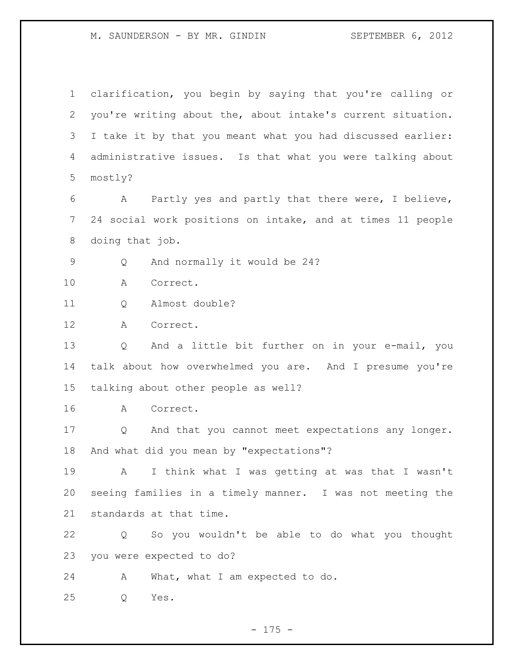## M. SAUNDERSON - BY MR. GINDIN SEPTEMBER 6, 2012

 clarification, you begin by saying that you're calling or you're writing about the, about intake's current situation. I take it by that you meant what you had discussed earlier: administrative issues. Is that what you were talking about mostly? A Partly yes and partly that there were, I believe, 24 social work positions on intake, and at times 11 people doing that job. Q And normally it would be 24? A Correct. Q Almost double? A Correct. Q And a little bit further on in your e-mail, you talk about how overwhelmed you are. And I presume you're talking about other people as well? A Correct. Q And that you cannot meet expectations any longer. And what did you mean by "expectations"? A I think what I was getting at was that I wasn't seeing families in a timely manner. I was not meeting the standards at that time. Q So you wouldn't be able to do what you thought you were expected to do? A What, what I am expected to do. Q Yes.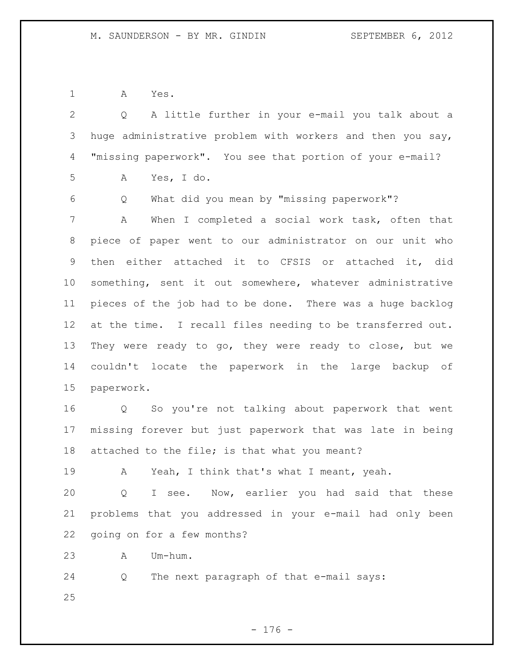A Yes.

| $\overline{2}$  | A little further in your e-mail you talk about a<br>Q      |
|-----------------|------------------------------------------------------------|
| 3               | huge administrative problem with workers and then you say, |
| 4               | "missing paperwork". You see that portion of your e-mail?  |
| 5               | Yes, I do.<br>Α                                            |
| 6               | What did you mean by "missing paperwork"?<br>Q             |
| 7               | When I completed a social work task, often that<br>Α       |
| 8               | piece of paper went to our administrator on our unit who   |
| 9               | then either attached it to CFSIS or attached it, did       |
| 10 <sub>o</sub> | something, sent it out somewhere, whatever administrative  |
| 11              | pieces of the job had to be done. There was a huge backlog |
| 12              | at the time. I recall files needing to be transferred out. |
| 13              | They were ready to go, they were ready to close, but we    |
| 14              | couldn't locate the paperwork in the large backup of       |
| 15              | paperwork.                                                 |
| 16              | Q So you're not talking about paperwork that went          |
| 17              | missing forever but just paperwork that was late in being  |
| 18              | attached to the file; is that what you meant?              |
| 19              | Yeah, I think that's what I meant, yeah.<br>A              |
| 20              | I see. Now, earlier you had said that these<br>Q           |
| 21              | problems that you addressed in your e-mail had only been   |
| 22              | going on for a few months?                                 |
| 23              | Um-hum.<br>Α                                               |
| 24              | The next paragraph of that e-mail says:<br>Q               |
| 25              |                                                            |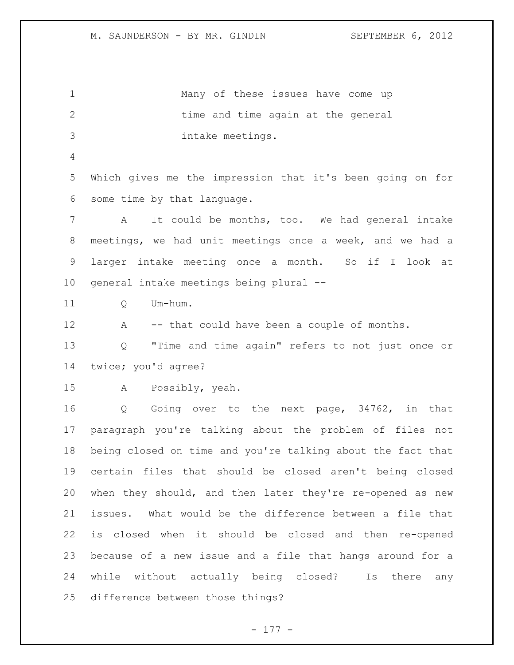| $\mathbf 1$    | Many of these issues have come up                           |
|----------------|-------------------------------------------------------------|
| $\overline{2}$ | time and time again at the general                          |
| 3              | intake meetings.                                            |
| 4              |                                                             |
| 5              | Which gives me the impression that it's been going on for   |
| 6              | some time by that language.                                 |
| 7              | It could be months, too. We had general intake<br>Α         |
| 8              | meetings, we had unit meetings once a week, and we had a    |
| 9              | larger intake meeting once a month. So if I look at         |
| 10             | general intake meetings being plural --                     |
| 11             | Um-hum.<br>Q                                                |
| 12             | -- that could have been a couple of months.<br>Α            |
| 13             | "Time and time again" refers to not just once or<br>Q       |
| 14             | twice; you'd agree?                                         |
| 15             | Possibly, yeah.<br>$\mathbb A$                              |
| 16             | Going over to the next page, 34762, in that<br>Q            |
| 17             | paragraph you're talking about the problem of files not     |
| 18             | being closed on time and you're talking about the fact that |
| 19             | certain files that should be closed aren't being closed     |
| 20             | when they should, and then later they're re-opened as new   |
| 21             | issues. What would be the difference between a file that    |
| 22             | is closed when it should be closed and then re-opened       |
| 23             | because of a new issue and a file that hangs around for a   |
| 24             | while without actually being closed? Is there any           |
| 25             | difference between those things?                            |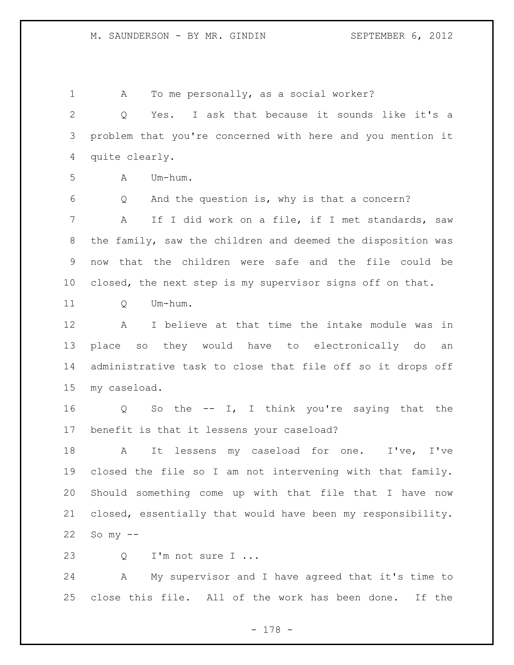A To me personally, as a social worker? Q Yes. I ask that because it sounds like it's a problem that you're concerned with here and you mention it quite clearly. A Um-hum. Q And the question is, why is that a concern? A If I did work on a file, if I met standards, saw the family, saw the children and deemed the disposition was now that the children were safe and the file could be closed, the next step is my supervisor signs off on that. 11 O Um-hum. A I believe at that time the intake module was in place so they would have to electronically do an administrative task to close that file off so it drops off my caseload. Q So the -- I, I think you're saying that the benefit is that it lessens your caseload? A It lessens my caseload for one. I've, I've closed the file so I am not intervening with that family. Should something come up with that file that I have now closed, essentially that would have been my responsibility. So my  $--$ 23 O I'm not sure I ... A My supervisor and I have agreed that it's time to close this file. All of the work has been done. If the

- 178 -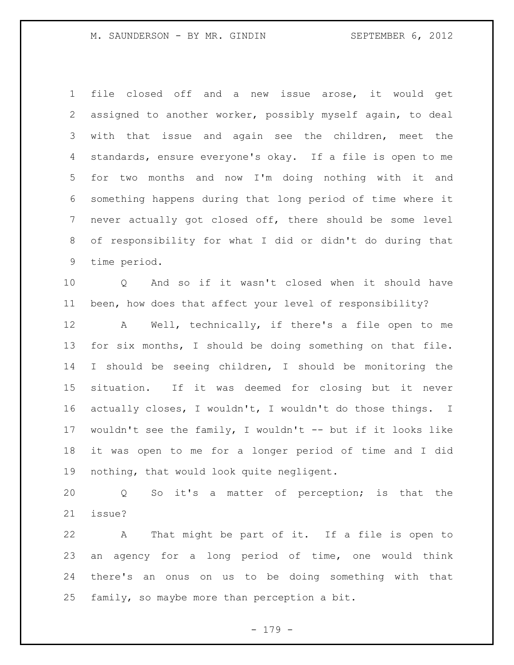file closed off and a new issue arose, it would get assigned to another worker, possibly myself again, to deal with that issue and again see the children, meet the standards, ensure everyone's okay. If a file is open to me for two months and now I'm doing nothing with it and something happens during that long period of time where it never actually got closed off, there should be some level of responsibility for what I did or didn't do during that time period.

 Q And so if it wasn't closed when it should have been, how does that affect your level of responsibility?

 A Well, technically, if there's a file open to me for six months, I should be doing something on that file. I should be seeing children, I should be monitoring the situation. If it was deemed for closing but it never actually closes, I wouldn't, I wouldn't do those things. I wouldn't see the family, I wouldn't -- but if it looks like it was open to me for a longer period of time and I did nothing, that would look quite negligent.

 Q So it's a matter of perception; is that the issue?

 A That might be part of it. If a file is open to an agency for a long period of time, one would think there's an onus on us to be doing something with that family, so maybe more than perception a bit.

- 179 -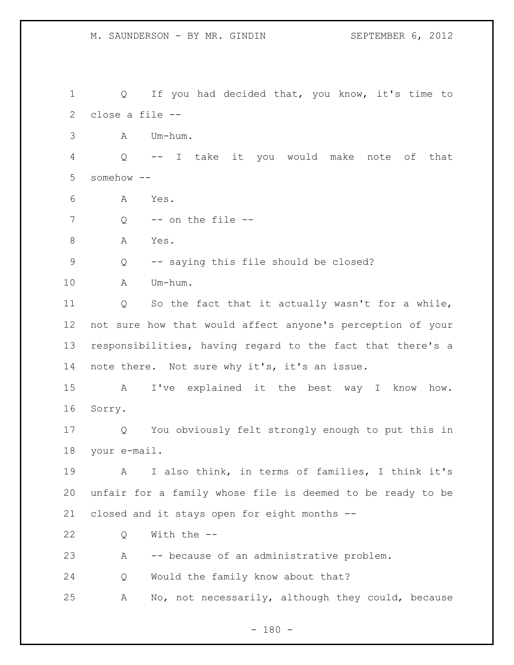Q If you had decided that, you know, it's time to close a file -- A Um-hum. Q -- I take it you would make note of that somehow -- A Yes. Q  $-$  on the file  $-$ 8 A Yes. Q -- saying this file should be closed? A Um-hum. Q So the fact that it actually wasn't for a while, not sure how that would affect anyone's perception of your responsibilities, having regard to the fact that there's a 14 note there. Not sure why it's, it's an issue. A I've explained it the best way I know how. Sorry. Q You obviously felt strongly enough to put this in your e-mail. A I also think, in terms of families, I think it's unfair for a family whose file is deemed to be ready to be closed and it stays open for eight months -- Q With the -- A -- because of an administrative problem. Q Would the family know about that? A No, not necessarily, although they could, because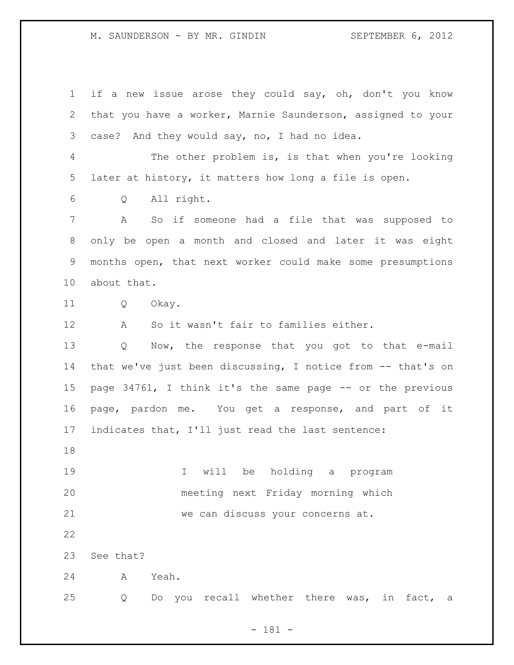if a new issue arose they could say, oh, don't you know that you have a worker, Marnie Saunderson, assigned to your case? And they would say, no, I had no idea. The other problem is, is that when you're looking later at history, it matters how long a file is open. Q All right. A So if someone had a file that was supposed to only be open a month and closed and later it was eight months open, that next worker could make some presumptions about that. Q Okay. A So it wasn't fair to families either. Q Now, the response that you got to that e-mail that we've just been discussing, I notice from -- that's on page 34761, I think it's the same page -- or the previous page, pardon me. You get a response, and part of it indicates that, I'll just read the last sentence: I will be holding a program meeting next Friday morning which we can discuss your concerns at. See that? A Yeah. Q Do you recall whether there was, in fact, a

- 181 -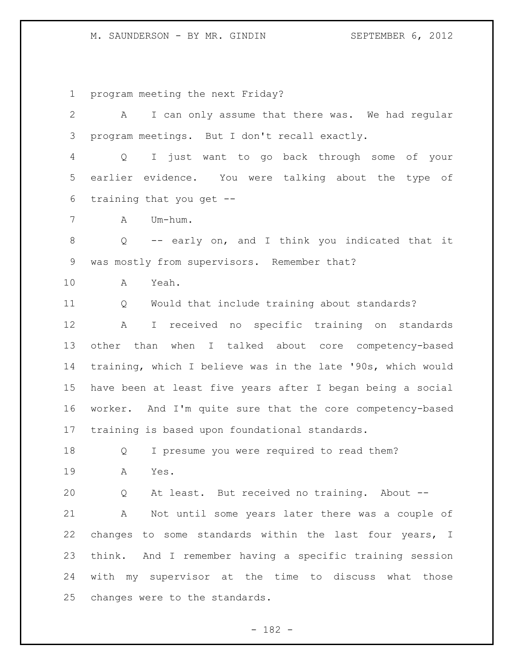program meeting the next Friday?

| $\mathbf{2}$ | I can only assume that there was. We had regular<br>A            |
|--------------|------------------------------------------------------------------|
| 3            | program meetings. But I don't recall exactly.                    |
| 4            | I just want to go back through some of your<br>$Q \qquad \qquad$ |
| 5            | earlier evidence. You were talking about the type of             |
| 6            | training that you get --                                         |
| 7            | Um-hum.<br>A                                                     |
| 8            | -- early on, and I think you indicated that it<br>Q              |
| 9            | was mostly from supervisors. Remember that?                      |
| 10           | Yeah.<br>A                                                       |
| 11           | Would that include training about standards?<br>Q                |
| 12           | I received no specific training on standards<br>A                |
| 13           | other than when I talked about core competency-based             |
| 14           | training, which I believe was in the late '90s, which would      |
| 15           | have been at least five years after I began being a social       |
| 16           | worker. And I'm quite sure that the core competency-based        |
| 17           | training is based upon foundational standards.                   |
| 18           | I presume you were required to read them?<br>Q                   |
| 19           | A<br>Yes.                                                        |
| 20           | At least. But received no training. About --<br>Q                |
| 21           | Not until some years later there was a couple of<br>A            |
| 22           | changes to some standards within the last four years, I          |
| 23           | think. And I remember having a specific training session         |
| 24           | with my supervisor at the time to discuss what those             |
| 25           | changes were to the standards.                                   |

- 182 -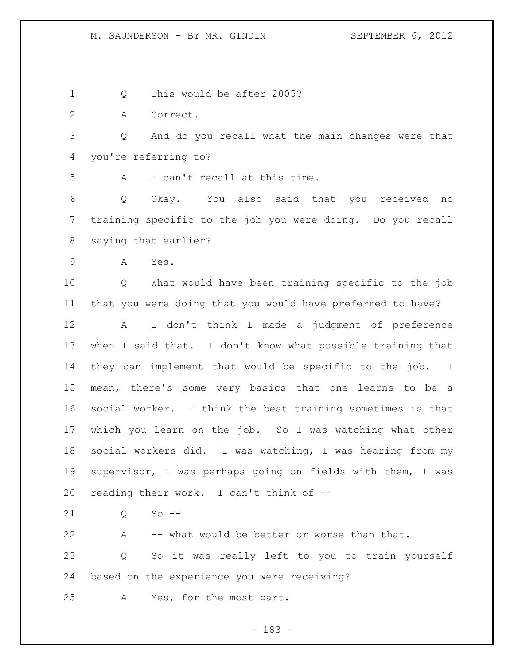1 0 This would be after 2005?

A Correct.

 Q And do you recall what the main changes were that you're referring to?

A I can't recall at this time.

 Q Okay. You also said that you received no training specific to the job you were doing. Do you recall saying that earlier?

A Yes.

 Q What would have been training specific to the job that you were doing that you would have preferred to have?

 A I don't think I made a judgment of preference when I said that. I don't know what possible training that they can implement that would be specific to the job. I mean, there's some very basics that one learns to be a social worker. I think the best training sometimes is that which you learn on the job. So I was watching what other social workers did. I was watching, I was hearing from my supervisor, I was perhaps going on fields with them, I was reading their work. I can't think of --

21 0 So --

 A -- what would be better or worse than that. Q So it was really left to you to train yourself based on the experience you were receiving? A Yes, for the most part.

- 183 -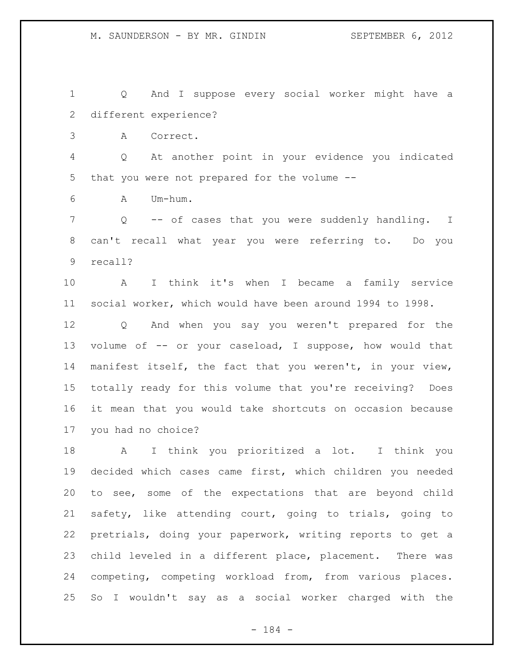Q And I suppose every social worker might have a different experience? A Correct. Q At another point in your evidence you indicated that you were not prepared for the volume -- A Um-hum. Q -- of cases that you were suddenly handling. I can't recall what year you were referring to. Do you recall? A I think it's when I became a family service social worker, which would have been around 1994 to 1998. Q And when you say you weren't prepared for the volume of -- or your caseload, I suppose, how would that manifest itself, the fact that you weren't, in your view, totally ready for this volume that you're receiving? Does it mean that you would take shortcuts on occasion because you had no choice? A I think you prioritized a lot. I think you decided which cases came first, which children you needed to see, some of the expectations that are beyond child safety, like attending court, going to trials, going to

 child leveled in a different place, placement. There was competing, competing workload from, from various places. So I wouldn't say as a social worker charged with the

pretrials, doing your paperwork, writing reports to get a

- 184 -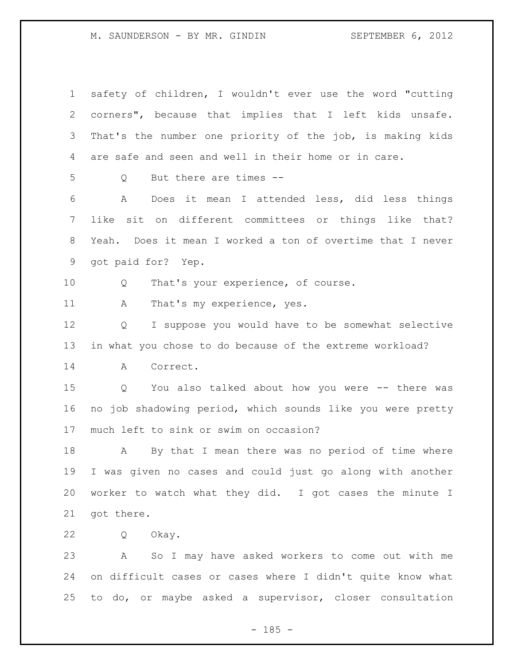safety of children, I wouldn't ever use the word "cutting corners", because that implies that I left kids unsafe. That's the number one priority of the job, is making kids are safe and seen and well in their home or in care. Q But there are times -- A Does it mean I attended less, did less things like sit on different committees or things like that? Yeah. Does it mean I worked a ton of overtime that I never got paid for? Yep. Q That's your experience, of course. 11 A That's my experience, yes. Q I suppose you would have to be somewhat selective in what you chose to do because of the extreme workload? A Correct. Q You also talked about how you were -- there was no job shadowing period, which sounds like you were pretty much left to sink or swim on occasion? A By that I mean there was no period of time where I was given no cases and could just go along with another worker to watch what they did. I got cases the minute I got there. Q Okay. A So I may have asked workers to come out with me on difficult cases or cases where I didn't quite know what to do, or maybe asked a supervisor, closer consultation

 $- 185 -$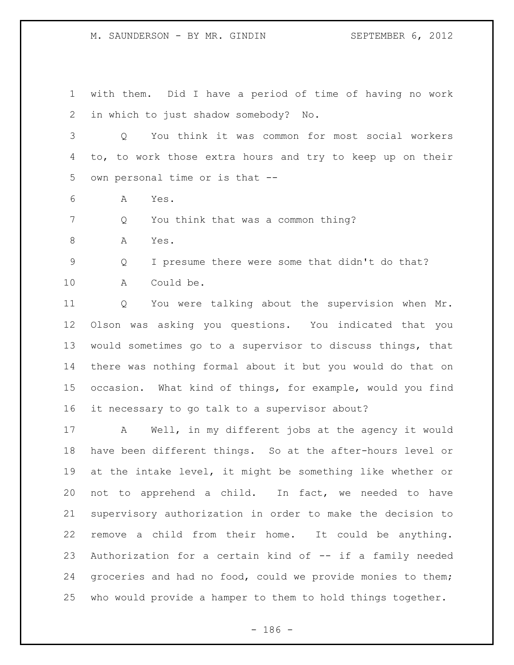with them. Did I have a period of time of having no work in which to just shadow somebody? No.

 Q You think it was common for most social workers to, to work those extra hours and try to keep up on their own personal time or is that --

A Yes.

Q You think that was a common thing?

A Yes.

Q I presume there were some that didn't do that?

A Could be.

 Q You were talking about the supervision when Mr. Olson was asking you questions. You indicated that you would sometimes go to a supervisor to discuss things, that there was nothing formal about it but you would do that on occasion. What kind of things, for example, would you find it necessary to go talk to a supervisor about?

 A Well, in my different jobs at the agency it would have been different things. So at the after-hours level or at the intake level, it might be something like whether or not to apprehend a child. In fact, we needed to have supervisory authorization in order to make the decision to remove a child from their home. It could be anything. Authorization for a certain kind of -- if a family needed groceries and had no food, could we provide monies to them; who would provide a hamper to them to hold things together.

- 186 -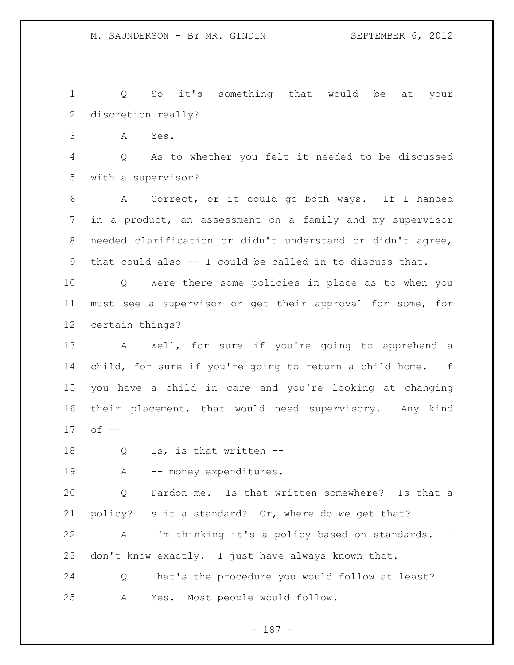Q So it's something that would be at your discretion really?

A Yes.

 Q As to whether you felt it needed to be discussed with a supervisor?

 A Correct, or it could go both ways. If I handed in a product, an assessment on a family and my supervisor needed clarification or didn't understand or didn't agree, that could also -- I could be called in to discuss that.

 Q Were there some policies in place as to when you must see a supervisor or get their approval for some, for certain things?

 A Well, for sure if you're going to apprehend a child, for sure if you're going to return a child home. If you have a child in care and you're looking at changing their placement, that would need supervisory. Any kind of --

Q Is, is that written --

19 A -- money expenditures.

 Q Pardon me. Is that written somewhere? Is that a policy? Is it a standard? Or, where do we get that?

 A I'm thinking it's a policy based on standards. I don't know exactly. I just have always known that.

 Q That's the procedure you would follow at least? A Yes. Most people would follow.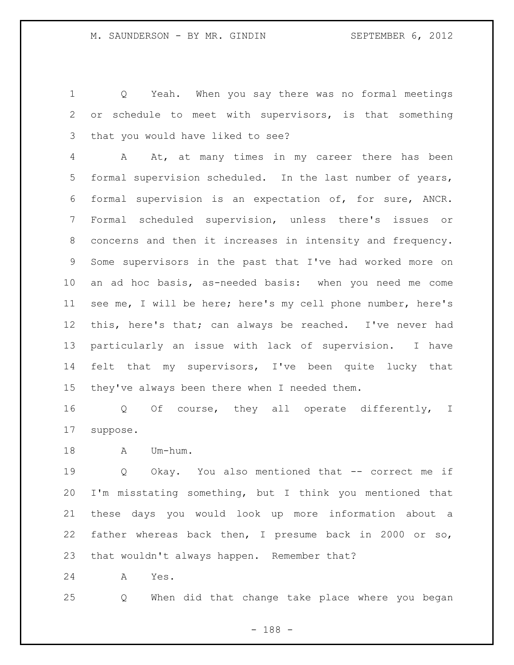Q Yeah. When you say there was no formal meetings or schedule to meet with supervisors, is that something that you would have liked to see?

 A At, at many times in my career there has been formal supervision scheduled. In the last number of years, formal supervision is an expectation of, for sure, ANCR. Formal scheduled supervision, unless there's issues or concerns and then it increases in intensity and frequency. Some supervisors in the past that I've had worked more on an ad hoc basis, as-needed basis: when you need me come see me, I will be here; here's my cell phone number, here's this, here's that; can always be reached. I've never had particularly an issue with lack of supervision. I have felt that my supervisors, I've been quite lucky that they've always been there when I needed them.

 Q Of course, they all operate differently, I suppose.

18 A Um-hum.

 Q Okay. You also mentioned that -- correct me if I'm misstating something, but I think you mentioned that these days you would look up more information about a father whereas back then, I presume back in 2000 or so, that wouldn't always happen. Remember that?

A Yes.

Q When did that change take place where you began

- 188 -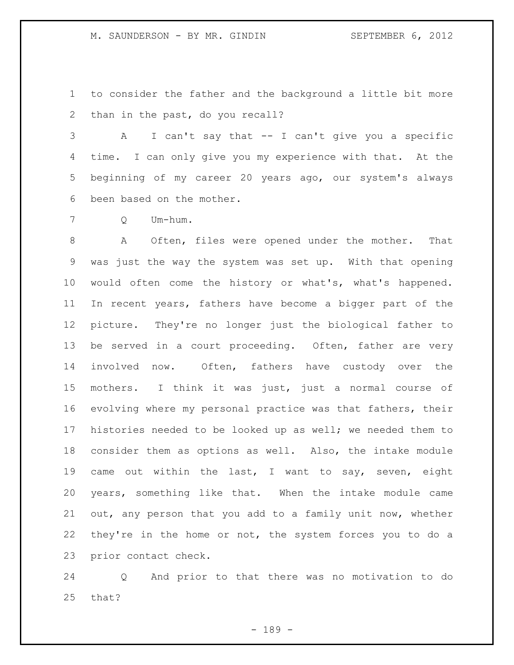to consider the father and the background a little bit more than in the past, do you recall?

 A I can't say that -- I can't give you a specific time. I can only give you my experience with that. At the beginning of my career 20 years ago, our system's always been based on the mother.

Q Um-hum.

 A Often, files were opened under the mother. That was just the way the system was set up. With that opening would often come the history or what's, what's happened. In recent years, fathers have become a bigger part of the picture. They're no longer just the biological father to be served in a court proceeding. Often, father are very involved now. Often, fathers have custody over the mothers. I think it was just, just a normal course of evolving where my personal practice was that fathers, their histories needed to be looked up as well; we needed them to consider them as options as well. Also, the intake module came out within the last, I want to say, seven, eight years, something like that. When the intake module came out, any person that you add to a family unit now, whether 22 they're in the home or not, the system forces you to do a prior contact check.

 Q And prior to that there was no motivation to do that?

- 189 -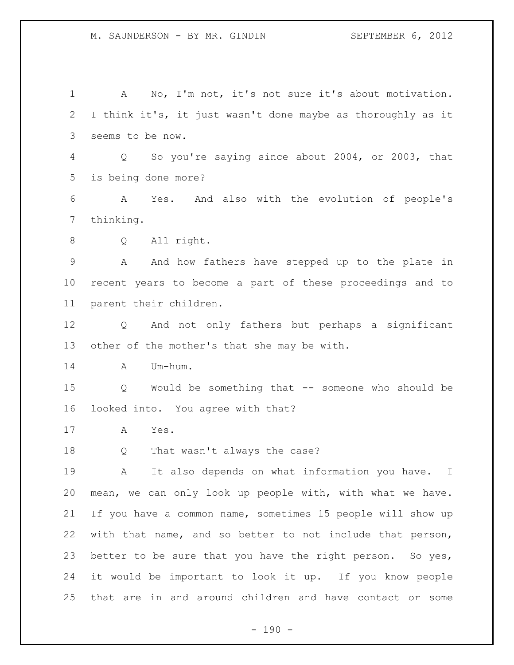A No, I'm not, it's not sure it's about motivation. I think it's, it just wasn't done maybe as thoroughly as it seems to be now. Q So you're saying since about 2004, or 2003, that is being done more? A Yes. And also with the evolution of people's thinking. Q All right. A And how fathers have stepped up to the plate in recent years to become a part of these proceedings and to parent their children. Q And not only fathers but perhaps a significant other of the mother's that she may be with. A Um-hum. Q Would be something that -- someone who should be looked into. You agree with that? A Yes. Q That wasn't always the case? A It also depends on what information you have. I mean, we can only look up people with, with what we have. If you have a common name, sometimes 15 people will show up with that name, and so better to not include that person, better to be sure that you have the right person. So yes, it would be important to look it up. If you know people that are in and around children and have contact or some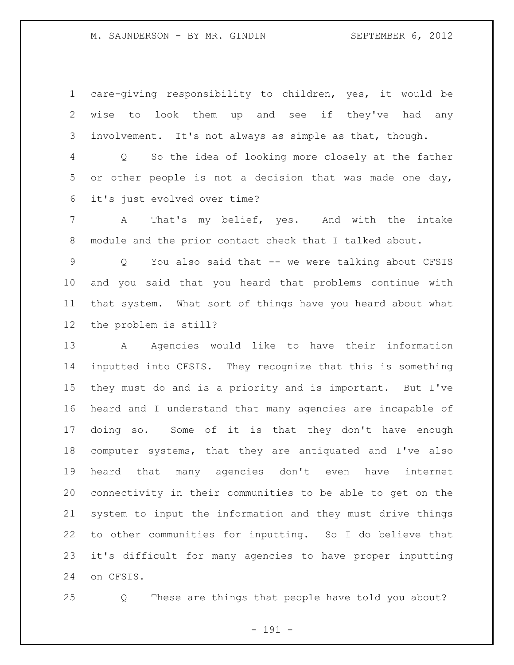care-giving responsibility to children, yes, it would be wise to look them up and see if they've had any involvement. It's not always as simple as that, though.

 Q So the idea of looking more closely at the father or other people is not a decision that was made one day, it's just evolved over time?

 A That's my belief, yes. And with the intake module and the prior contact check that I talked about.

 Q You also said that -- we were talking about CFSIS and you said that you heard that problems continue with that system. What sort of things have you heard about what the problem is still?

13 A Agencies would like to have their information inputted into CFSIS. They recognize that this is something they must do and is a priority and is important. But I've heard and I understand that many agencies are incapable of doing so. Some of it is that they don't have enough computer systems, that they are antiquated and I've also heard that many agencies don't even have internet connectivity in their communities to be able to get on the system to input the information and they must drive things to other communities for inputting. So I do believe that it's difficult for many agencies to have proper inputting on CFSIS.

Q These are things that people have told you about?

- 191 -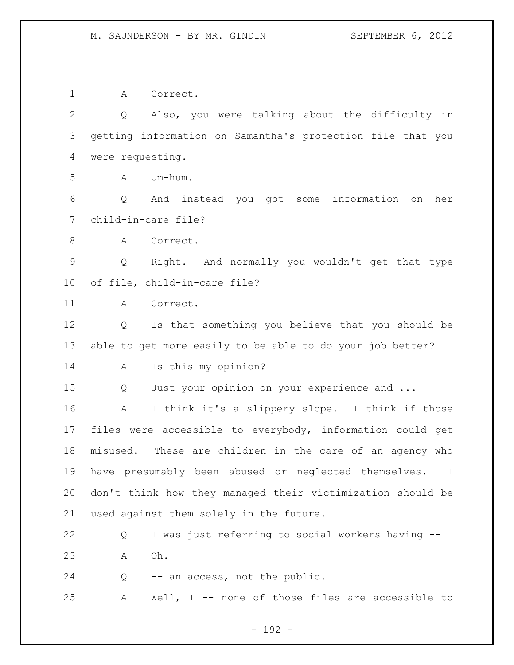A Correct.

| 3<br>were requesting.<br>4<br>5<br>Um-hum.<br>Α<br>6<br>And instead you got some information<br>Q<br>on<br>child-in-care file?<br>7<br>8<br>Correct.<br>A<br>$\mathsf 9$<br>Q<br>10<br>of file, child-in-care file?<br>11<br>A<br>Correct.<br>12<br>Q<br>13<br>14<br>Is this my opinion?<br>A<br>15<br>Just your opinion on your experience and<br>Q<br>16<br>A<br>17<br>18<br>19<br>20<br>21<br>used against them solely in the future.<br>22<br>Q | $\overline{2}$ | Also, you were talking about the difficulty in<br>Q             |
|-----------------------------------------------------------------------------------------------------------------------------------------------------------------------------------------------------------------------------------------------------------------------------------------------------------------------------------------------------------------------------------------------------------------------------------------------------|----------------|-----------------------------------------------------------------|
|                                                                                                                                                                                                                                                                                                                                                                                                                                                     |                | getting information on Samantha's protection file that you      |
|                                                                                                                                                                                                                                                                                                                                                                                                                                                     |                |                                                                 |
|                                                                                                                                                                                                                                                                                                                                                                                                                                                     |                |                                                                 |
|                                                                                                                                                                                                                                                                                                                                                                                                                                                     |                | her                                                             |
|                                                                                                                                                                                                                                                                                                                                                                                                                                                     |                |                                                                 |
|                                                                                                                                                                                                                                                                                                                                                                                                                                                     |                |                                                                 |
|                                                                                                                                                                                                                                                                                                                                                                                                                                                     |                | Right. And normally you wouldn't get that type                  |
|                                                                                                                                                                                                                                                                                                                                                                                                                                                     |                |                                                                 |
|                                                                                                                                                                                                                                                                                                                                                                                                                                                     |                |                                                                 |
|                                                                                                                                                                                                                                                                                                                                                                                                                                                     |                | Is that something you believe that you should be                |
|                                                                                                                                                                                                                                                                                                                                                                                                                                                     |                | able to get more easily to be able to do your job better?       |
|                                                                                                                                                                                                                                                                                                                                                                                                                                                     |                |                                                                 |
|                                                                                                                                                                                                                                                                                                                                                                                                                                                     |                |                                                                 |
|                                                                                                                                                                                                                                                                                                                                                                                                                                                     |                | I think it's a slippery slope. I think if those                 |
|                                                                                                                                                                                                                                                                                                                                                                                                                                                     |                | files were accessible to everybody, information could get       |
|                                                                                                                                                                                                                                                                                                                                                                                                                                                     |                | misused. These are children in the care of an agency who        |
|                                                                                                                                                                                                                                                                                                                                                                                                                                                     |                | have presumably been abused or neglected themselves.<br>$\perp$ |
|                                                                                                                                                                                                                                                                                                                                                                                                                                                     |                | don't think how they managed their victimization should be      |
|                                                                                                                                                                                                                                                                                                                                                                                                                                                     |                |                                                                 |
|                                                                                                                                                                                                                                                                                                                                                                                                                                                     |                | I was just referring to social workers having --                |
| 23<br>Oh.<br>Α                                                                                                                                                                                                                                                                                                                                                                                                                                      |                |                                                                 |
| 24<br>-- an access, not the public.<br>Q                                                                                                                                                                                                                                                                                                                                                                                                            |                |                                                                 |
| 25<br>Α                                                                                                                                                                                                                                                                                                                                                                                                                                             |                | Well, $I$ -- none of those files are accessible to              |

- 192 -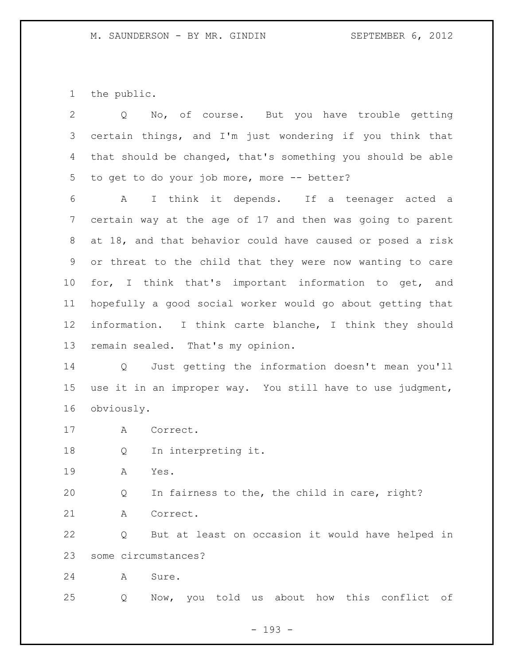the public.

| $\overline{2}$ | No, of course. But you have trouble getting<br>Q                         |
|----------------|--------------------------------------------------------------------------|
| 3              | certain things, and I'm just wondering if you think that                 |
| 4              | that should be changed, that's something you should be able              |
| 5              | to get to do your job more, more -- better?                              |
| 6              | I think it depends. If a teenager acted a<br>A                           |
| 7              | certain way at the age of 17 and then was going to parent                |
| 8              | at 18, and that behavior could have caused or posed a risk               |
| 9              | or threat to the child that they were now wanting to care                |
| 10             | for, I think that's important information to get, and                    |
| 11             | hopefully a good social worker would go about getting that               |
| 12             | information. I think carte blanche, I think they should                  |
| 13             | remain sealed. That's my opinion.                                        |
| 14             | Just getting the information doesn't mean you'll<br>$Q \qquad \qquad$    |
| 15             | use it in an improper way. You still have to use judgment,               |
| 16             | obviously.                                                               |
| 17             | A<br>Correct.                                                            |
| 18             | In interpreting it.<br>Q                                                 |
| 19             | Α<br>Yes.                                                                |
| 20             | In fairness to the, the child in care, right?<br>Q                       |
| 21             | Correct.<br>Α                                                            |
| 22             | But at least on occasion it would have helped in<br>Q                    |
| 23             | some circumstances?                                                      |
| 24             | Sure.<br>Α                                                               |
| 25             | told<br>this<br>conflict<br>about<br>how<br>Now,<br>you<br>оf<br>Q<br>us |

- 193 -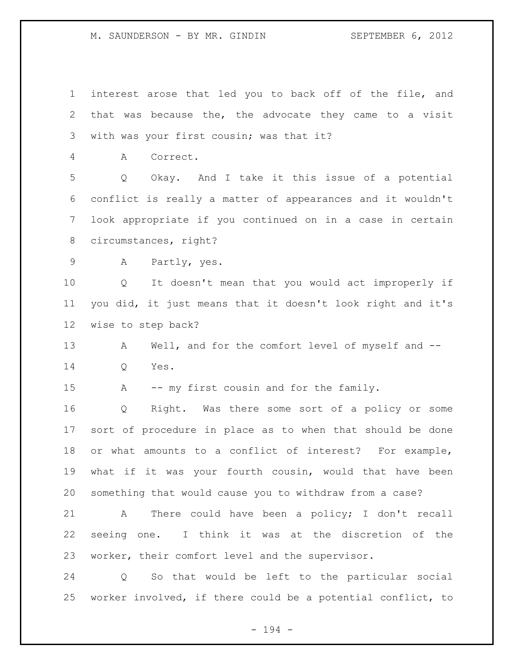interest arose that led you to back off of the file, and that was because the, the advocate they came to a visit with was your first cousin; was that it? A Correct. Q Okay. And I take it this issue of a potential conflict is really a matter of appearances and it wouldn't look appropriate if you continued on in a case in certain circumstances, right? A Partly, yes. Q It doesn't mean that you would act improperly if you did, it just means that it doesn't look right and it's wise to step back? 13 A Well, and for the comfort level of myself and -- Q Yes. A -- my first cousin and for the family. Q Right. Was there some sort of a policy or some sort of procedure in place as to when that should be done or what amounts to a conflict of interest? For example, what if it was your fourth cousin, would that have been something that would cause you to withdraw from a case? A There could have been a policy; I don't recall seeing one. I think it was at the discretion of the worker, their comfort level and the supervisor. Q So that would be left to the particular social

- 194 -

worker involved, if there could be a potential conflict, to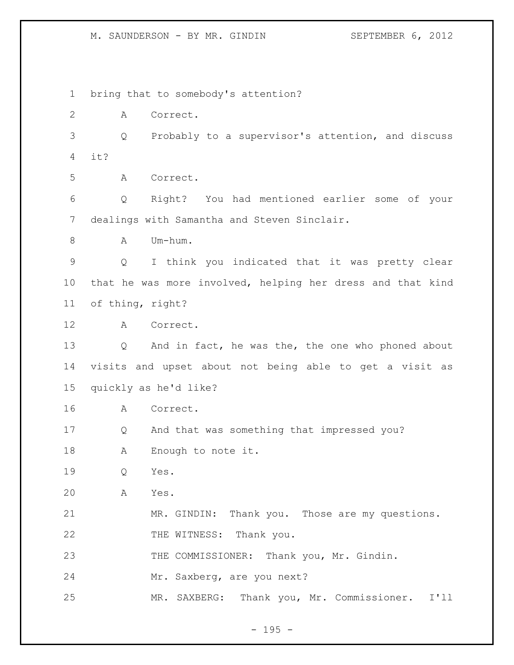bring that to somebody's attention? A Correct. Q Probably to a supervisor's attention, and discuss it? A Correct. Q Right? You had mentioned earlier some of your dealings with Samantha and Steven Sinclair. 8 A Um-hum. Q I think you indicated that it was pretty clear that he was more involved, helping her dress and that kind of thing, right? A Correct. Q And in fact, he was the, the one who phoned about visits and upset about not being able to get a visit as quickly as he'd like? A Correct. Q And that was something that impressed you? A Enough to note it. Q Yes. A Yes. MR. GINDIN: Thank you. Those are my questions. 22 THE WITNESS: Thank you. 23 THE COMMISSIONER: Thank you, Mr. Gindin. Mr. Saxberg, are you next? MR. SAXBERG: Thank you, Mr. Commissioner. I'll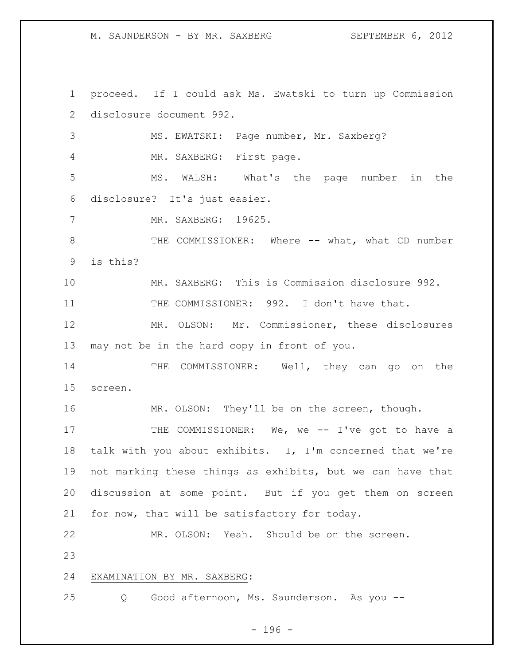M. SAUNDERSON - BY MR. SAXBERG SEPTEMBER 6, 2012

 proceed. If I could ask Ms. Ewatski to turn up Commission disclosure document 992. MS. EWATSKI: Page number, Mr. Saxberg? MR. SAXBERG: First page. MS. WALSH: What's the page number in the disclosure? It's just easier. MR. SAXBERG: 19625. 8 THE COMMISSIONER: Where -- what, what CD number is this? MR. SAXBERG: This is Commission disclosure 992. 11 THE COMMISSIONER: 992. I don't have that. MR. OLSON: Mr. Commissioner, these disclosures may not be in the hard copy in front of you. 14 THE COMMISSIONER: Well, they can go on the screen. MR. OLSON: They'll be on the screen, though. 17 THE COMMISSIONER: We, we -- I've got to have a talk with you about exhibits. I, I'm concerned that we're not marking these things as exhibits, but we can have that discussion at some point. But if you get them on screen for now, that will be satisfactory for today. MR. OLSON: Yeah. Should be on the screen. EXAMINATION BY MR. SAXBERG: Q Good afternoon, Ms. Saunderson. As you --

 $- 196 -$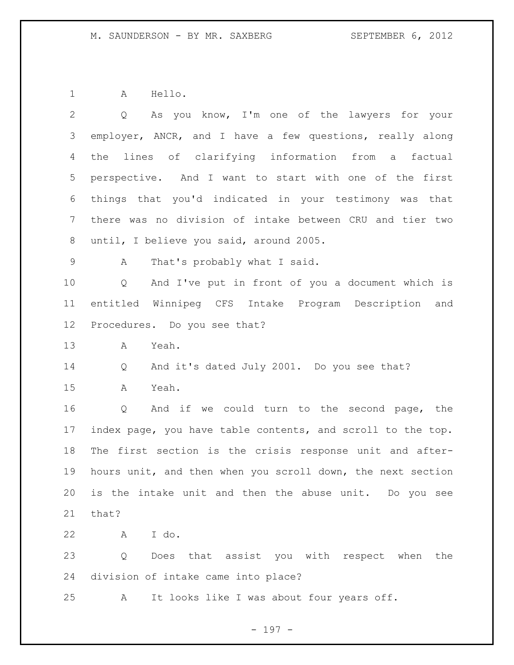A Hello.

| 2               | As you know, I'm one of the lawyers for your<br>$Q \qquad \qquad$     |
|-----------------|-----------------------------------------------------------------------|
| 3               | employer, ANCR, and I have a few questions, really along              |
| 4               | the lines of clarifying information from a factual                    |
| 5               | perspective. And I want to start with one of the first                |
| 6               | things that you'd indicated in your testimony was that                |
| 7               | there was no division of intake between CRU and tier two              |
| 8               | until, I believe you said, around 2005.                               |
| 9               | That's probably what I said.<br>A                                     |
| 10              | And I've put in front of you a document which is<br>$Q \qquad \qquad$ |
| 11              | entitled Winnipeg CFS Intake Program Description and                  |
| 12 <sup>°</sup> | Procedures. Do you see that?                                          |
| 13              | Yeah.<br>A                                                            |
| 14              | And it's dated July 2001. Do you see that?<br>Q                       |
| 15              | Yeah.<br>A                                                            |
| 16              | Q<br>And if we could turn to the second page, the                     |
| 17              | index page, you have table contents, and scroll to the top.           |
| 18              | The first section is the crisis response unit and after-              |
| 19              | hours unit, and then when you scroll down, the next section           |
| 20              | is the intake unit and then the abuse unit. Do you see                |
| 21              | that?                                                                 |
| 22              | I do.<br>A                                                            |
| 23              | Q<br>Does that assist you with respect when the                       |
| 24              | division of intake came into place?                                   |
| 25              | It looks like I was about four years off.<br>A                        |

- 197 -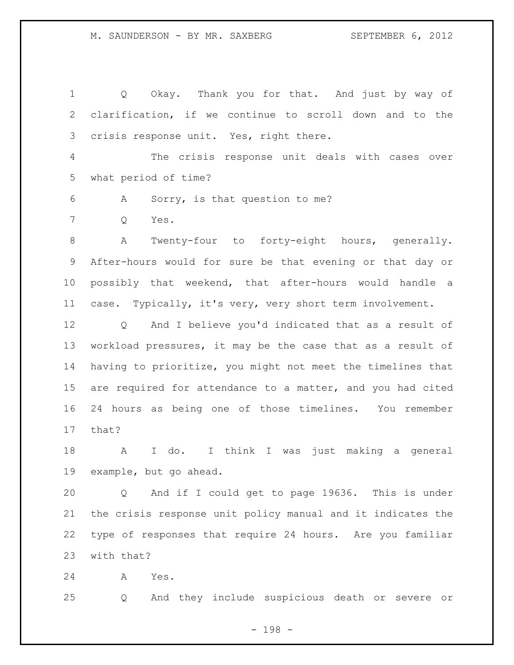Q Okay. Thank you for that. And just by way of clarification, if we continue to scroll down and to the crisis response unit. Yes, right there. The crisis response unit deals with cases over what period of time? A Sorry, is that question to me? Q Yes. A Twenty-four to forty-eight hours, generally. After-hours would for sure be that evening or that day or possibly that weekend, that after-hours would handle a case. Typically, it's very, very short term involvement. Q And I believe you'd indicated that as a result of workload pressures, it may be the case that as a result of having to prioritize, you might not meet the timelines that are required for attendance to a matter, and you had cited 24 hours as being one of those timelines. You remember that? A I do. I think I was just making a general example, but go ahead. Q And if I could get to page 19636. This is under the crisis response unit policy manual and it indicates the

with that?

A Yes.

Q And they include suspicious death or severe or

type of responses that require 24 hours. Are you familiar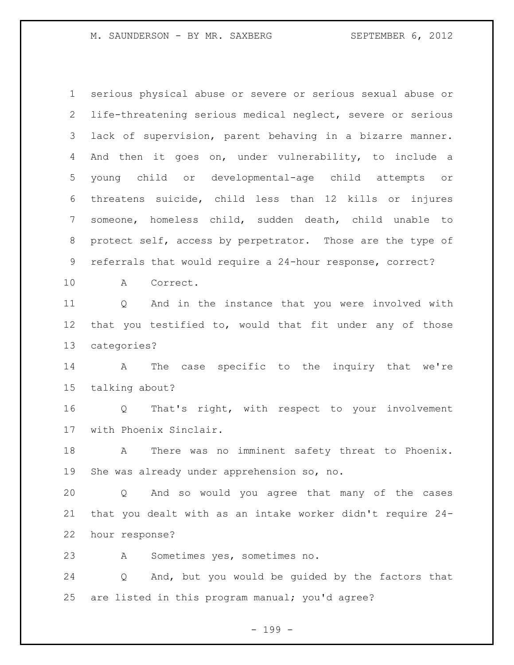serious physical abuse or severe or serious sexual abuse or life-threatening serious medical neglect, severe or serious lack of supervision, parent behaving in a bizarre manner. And then it goes on, under vulnerability, to include a young child or developmental-age child attempts or threatens suicide, child less than 12 kills or injures someone, homeless child, sudden death, child unable to protect self, access by perpetrator. Those are the type of referrals that would require a 24-hour response, correct?

A Correct.

 Q And in the instance that you were involved with that you testified to, would that fit under any of those categories?

 A The case specific to the inquiry that we're talking about?

 Q That's right, with respect to your involvement with Phoenix Sinclair.

18 A There was no imminent safety threat to Phoenix. She was already under apprehension so, no.

 Q And so would you agree that many of the cases that you dealt with as an intake worker didn't require 24- hour response?

A Sometimes yes, sometimes no.

 Q And, but you would be guided by the factors that are listed in this program manual; you'd agree?

- 199 -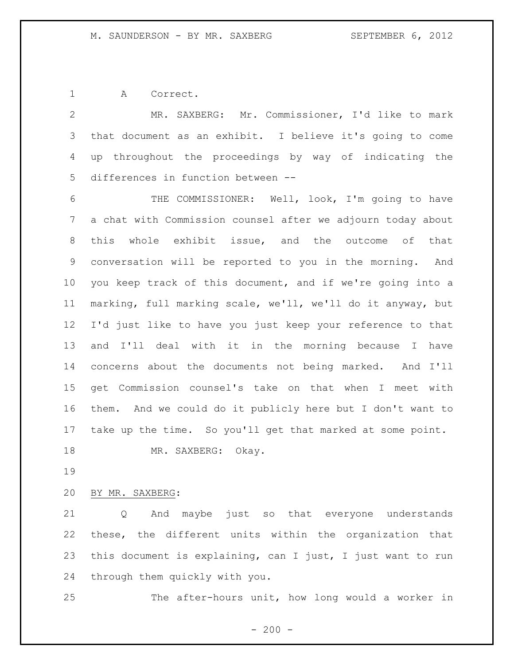A Correct.

 MR. SAXBERG: Mr. Commissioner, I'd like to mark that document as an exhibit. I believe it's going to come up throughout the proceedings by way of indicating the differences in function between -- 6 THE COMMISSIONER: Well, look, I'm going to have a chat with Commission counsel after we adjourn today about this whole exhibit issue, and the outcome of that conversation will be reported to you in the morning. And you keep track of this document, and if we're going into a marking, full marking scale, we'll, we'll do it anyway, but I'd just like to have you just keep your reference to that and I'll deal with it in the morning because I have concerns about the documents not being marked. And I'll get Commission counsel's take on that when I meet with them. And we could do it publicly here but I don't want to take up the time. So you'll get that marked at some point. MR. SAXBERG: Okay.

BY MR. SAXBERG:

 Q And maybe just so that everyone understands these, the different units within the organization that this document is explaining, can I just, I just want to run through them quickly with you.

The after-hours unit, how long would a worker in

 $-200 -$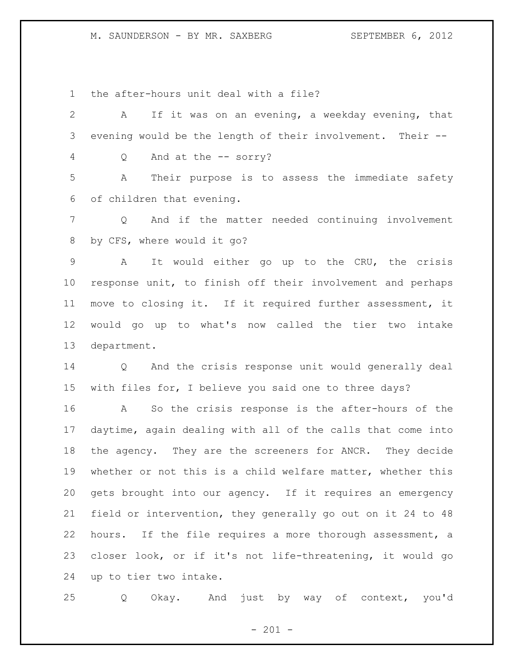## M. SAUNDERSON - BY MR. SAXBERG SEPTEMBER 6, 2012

the after-hours unit deal with a file?

 A If it was on an evening, a weekday evening, that evening would be the length of their involvement. Their -- Q And at the -- sorry? A Their purpose is to assess the immediate safety of children that evening. Q And if the matter needed continuing involvement by CFS, where would it go? A It would either go up to the CRU, the crisis response unit, to finish off their involvement and perhaps move to closing it. If it required further assessment, it would go up to what's now called the tier two intake department. Q And the crisis response unit would generally deal with files for, I believe you said one to three days? A So the crisis response is the after-hours of the daytime, again dealing with all of the calls that come into the agency. They are the screeners for ANCR. They decide whether or not this is a child welfare matter, whether this gets brought into our agency. If it requires an emergency field or intervention, they generally go out on it 24 to 48 hours. If the file requires a more thorough assessment, a closer look, or if it's not life-threatening, it would go

up to tier two intake.

Q Okay. And just by way of context, you'd

 $- 201 -$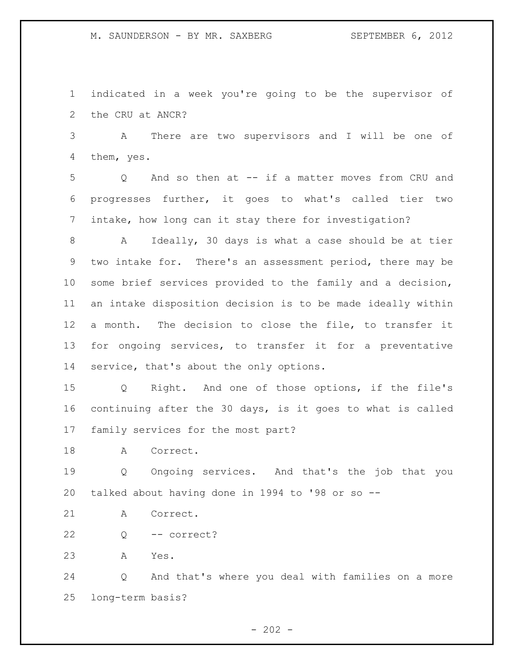indicated in a week you're going to be the supervisor of the CRU at ANCR?

 A There are two supervisors and I will be one of them, yes.

 Q And so then at -- if a matter moves from CRU and progresses further, it goes to what's called tier two intake, how long can it stay there for investigation?

 A Ideally, 30 days is what a case should be at tier two intake for. There's an assessment period, there may be some brief services provided to the family and a decision, an intake disposition decision is to be made ideally within a month. The decision to close the file, to transfer it for ongoing services, to transfer it for a preventative 14 service, that's about the only options.

 Q Right. And one of those options, if the file's continuing after the 30 days, is it goes to what is called family services for the most part?

18 A Correct.

 Q Ongoing services. And that's the job that you talked about having done in 1994 to '98 or so --

A Correct.

Q -- correct?

A Yes.

 Q And that's where you deal with families on a more long-term basis?

 $- 202 -$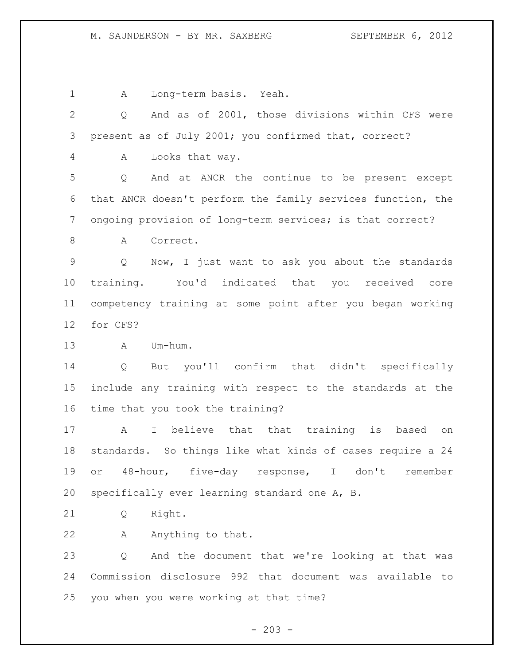## M. SAUNDERSON - BY MR. SAXBERG SEPTEMBER 6, 2012

A Long-term basis. Yeah.

 Q And as of 2001, those divisions within CFS were present as of July 2001; you confirmed that, correct? A Looks that way. Q And at ANCR the continue to be present except that ANCR doesn't perform the family services function, the ongoing provision of long-term services; is that correct? 8 A Correct. Q Now, I just want to ask you about the standards training. You'd indicated that you received core competency training at some point after you began working for CFS? A Um-hum. Q But you'll confirm that didn't specifically include any training with respect to the standards at the time that you took the training? A I believe that that training is based on standards. So things like what kinds of cases require a 24 or 48-hour, five-day response, I don't remember specifically ever learning standard one A, B. Q Right. 22 A Anything to that. Q And the document that we're looking at that was Commission disclosure 992 that document was available to you when you were working at that time?

 $- 203 -$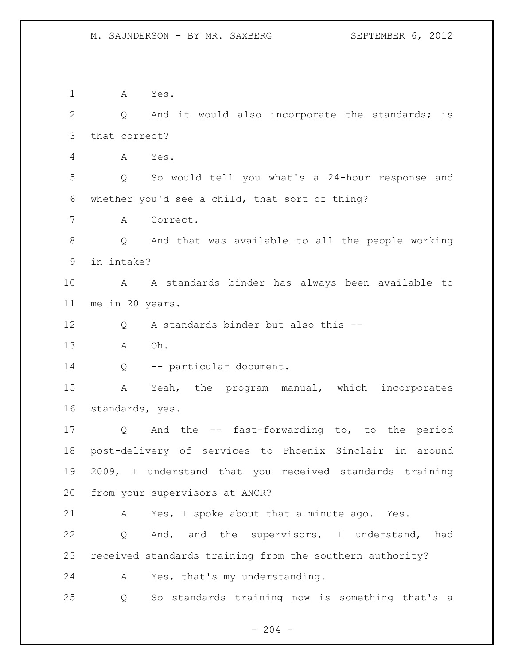A Yes. 2 Q And it would also incorporate the standards; is that correct? A Yes. Q So would tell you what's a 24-hour response and whether you'd see a child, that sort of thing? A Correct. Q And that was available to all the people working in intake? A A standards binder has always been available to me in 20 years. 12 O A standards binder but also this -- A Oh. 14 Q -- particular document. A Yeah, the program manual, which incorporates standards, yes. Q And the -- fast-forwarding to, to the period post-delivery of services to Phoenix Sinclair in around 2009, I understand that you received standards training from your supervisors at ANCR? A Yes, I spoke about that a minute ago. Yes. Q And, and the supervisors, I understand, had received standards training from the southern authority? A Yes, that's my understanding. Q So standards training now is something that's a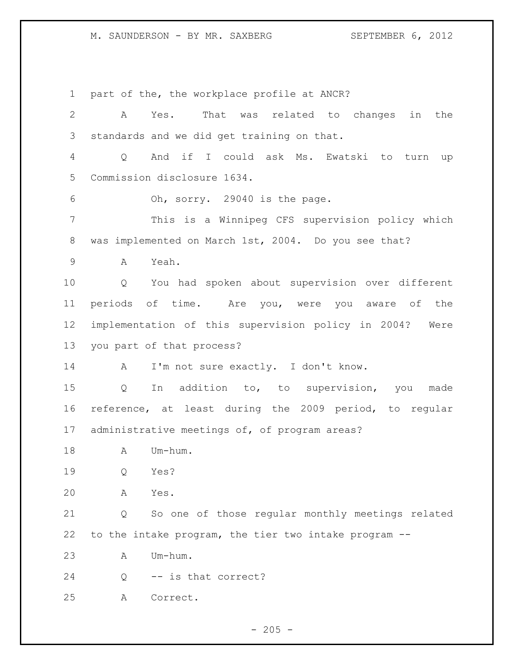M. SAUNDERSON - BY MR. SAXBERG SEPTEMBER 6, 2012

 part of the, the workplace profile at ANCR? A Yes. That was related to changes in the standards and we did get training on that. Q And if I could ask Ms. Ewatski to turn up Commission disclosure 1634. Oh, sorry. 29040 is the page. This is a Winnipeg CFS supervision policy which was implemented on March 1st, 2004. Do you see that? A Yeah. Q You had spoken about supervision over different periods of time. Are you, were you aware of the implementation of this supervision policy in 2004? Were you part of that process? 14 A I'm not sure exactly. I don't know. Q In addition to, to supervision, you made reference, at least during the 2009 period, to regular administrative meetings of, of program areas? 18 A Um-hum. Q Yes? A Yes. Q So one of those regular monthly meetings related to the intake program, the tier two intake program -- A Um-hum. Q -- is that correct? A Correct.

 $- 205 -$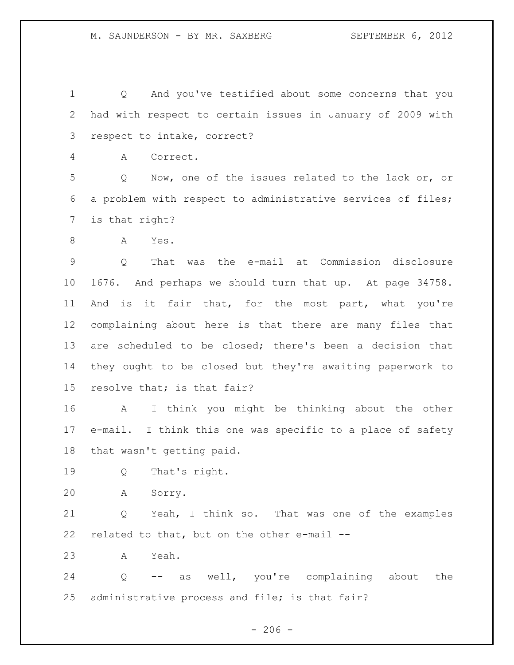Q And you've testified about some concerns that you had with respect to certain issues in January of 2009 with respect to intake, correct?

A Correct.

 Q Now, one of the issues related to the lack or, or a problem with respect to administrative services of files; is that right?

A Yes.

 Q That was the e-mail at Commission disclosure 1676. And perhaps we should turn that up. At page 34758. And is it fair that, for the most part, what you're complaining about here is that there are many files that are scheduled to be closed; there's been a decision that they ought to be closed but they're awaiting paperwork to resolve that; is that fair?

 A I think you might be thinking about the other e-mail. I think this one was specific to a place of safety that wasn't getting paid.

Q That's right.

A Sorry.

 Q Yeah, I think so. That was one of the examples related to that, but on the other e-mail --

A Yeah.

 Q -- as well, you're complaining about the administrative process and file; is that fair?

 $-206 -$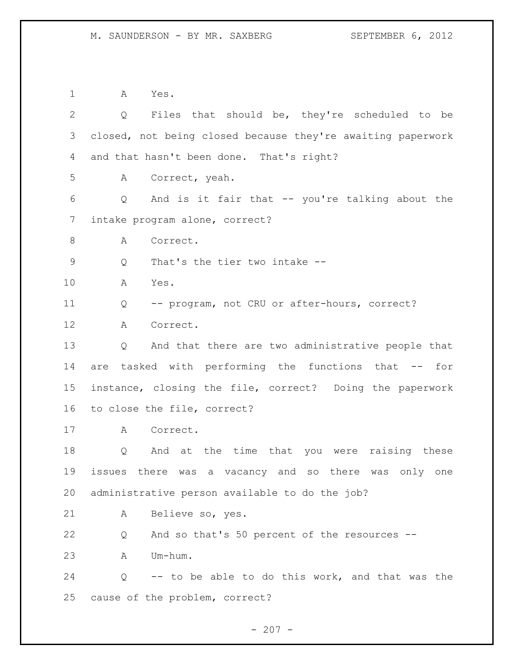A Yes. Q Files that should be, they're scheduled to be closed, not being closed because they're awaiting paperwork and that hasn't been done. That's right? A Correct, yeah. Q And is it fair that -- you're talking about the intake program alone, correct? 8 A Correct. Q That's the tier two intake -- A Yes. Q -- program, not CRU or after-hours, correct? A Correct. Q And that there are two administrative people that are tasked with performing the functions that -- for instance, closing the file, correct? Doing the paperwork to close the file, correct? A Correct. Q And at the time that you were raising these issues there was a vacancy and so there was only one administrative person available to do the job? A Believe so, yes. Q And so that's 50 percent of the resources -- A Um-hum. Q -- to be able to do this work, and that was the cause of the problem, correct?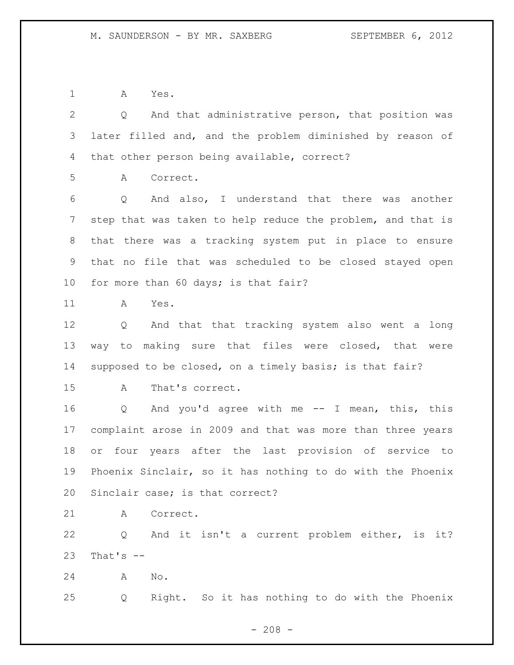A Yes.

 Q And that administrative person, that position was later filled and, and the problem diminished by reason of that other person being available, correct? A Correct. Q And also, I understand that there was another step that was taken to help reduce the problem, and that is that there was a tracking system put in place to ensure that no file that was scheduled to be closed stayed open for more than 60 days; is that fair? A Yes. Q And that that tracking system also went a long way to making sure that files were closed, that were supposed to be closed, on a timely basis; is that fair? A That's correct. Q And you'd agree with me -- I mean, this, this complaint arose in 2009 and that was more than three years or four years after the last provision of service to Phoenix Sinclair, so it has nothing to do with the Phoenix Sinclair case; is that correct? A Correct. Q And it isn't a current problem either, is it? That's  $-$  A No. Q Right. So it has nothing to do with the Phoenix

 $- 208 -$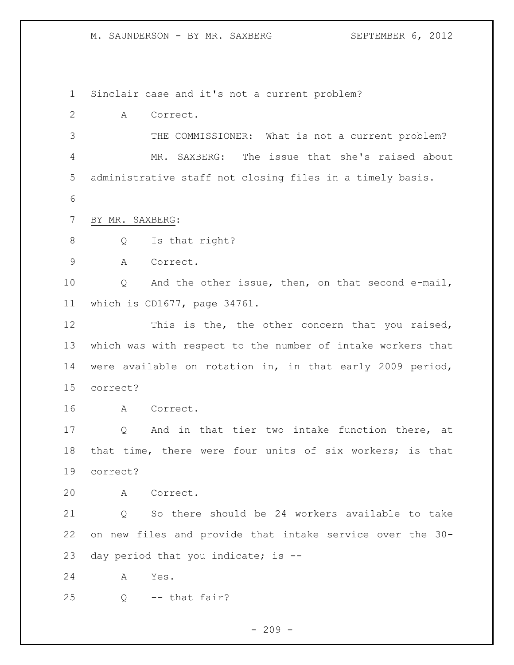M. SAUNDERSON - BY MR. SAXBERG SEPTEMBER 6, 2012

Sinclair case and it's not a current problem?

A Correct.

 THE COMMISSIONER: What is not a current problem? MR. SAXBERG: The issue that she's raised about administrative staff not closing files in a timely basis.

BY MR. SAXBERG:

8 Q Is that right?

A Correct.

 Q And the other issue, then, on that second e-mail, which is CD1677, page 34761.

12 This is the, the other concern that you raised, which was with respect to the number of intake workers that were available on rotation in, in that early 2009 period, correct?

A Correct.

 Q And in that tier two intake function there, at that time, there were four units of six workers; is that correct?

A Correct.

 Q So there should be 24 workers available to take on new files and provide that intake service over the 30- day period that you indicate; is --

A Yes.

Q -- that fair?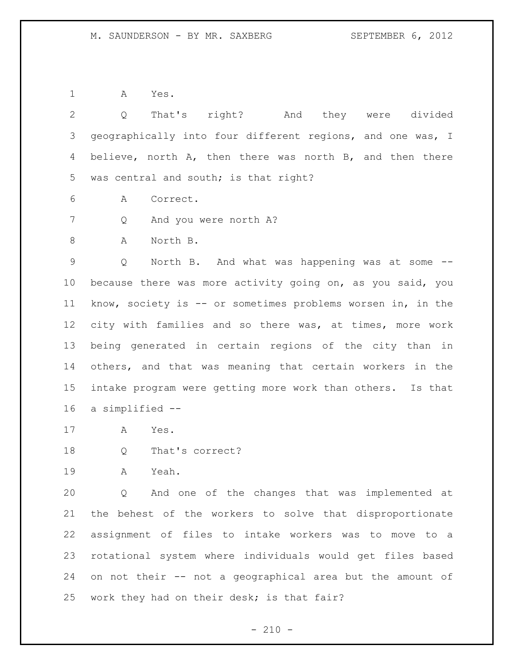A Yes.

 Q That's right? And they were divided geographically into four different regions, and one was, I believe, north A, then there was north B, and then there was central and south; is that right?

A Correct.

Q And you were north A?

A North B.

 Q North B. And what was happening was at some -- because there was more activity going on, as you said, you know, society is -- or sometimes problems worsen in, in the city with families and so there was, at times, more work being generated in certain regions of the city than in others, and that was meaning that certain workers in the intake program were getting more work than others. Is that a simplified --

A Yes.

Q That's correct?

A Yeah.

 Q And one of the changes that was implemented at the behest of the workers to solve that disproportionate assignment of files to intake workers was to move to a rotational system where individuals would get files based on not their -- not a geographical area but the amount of work they had on their desk; is that fair?

 $- 210 -$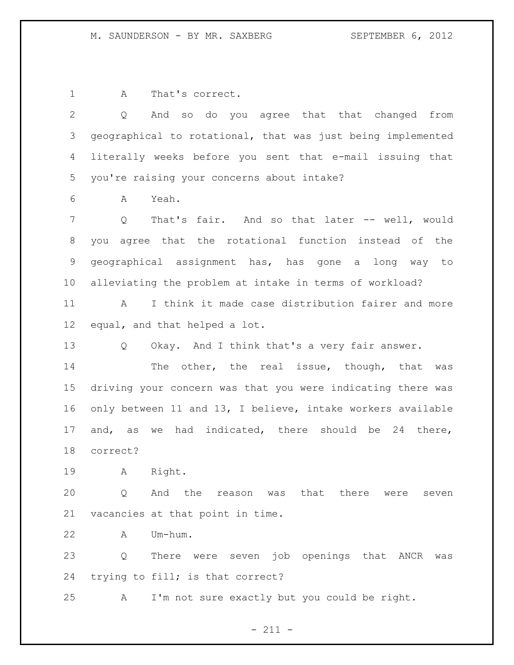A That's correct.

 Q And so do you agree that that changed from geographical to rotational, that was just being implemented literally weeks before you sent that e-mail issuing that you're raising your concerns about intake? A Yeah. Q That's fair. And so that later -- well, would you agree that the rotational function instead of the geographical assignment has, has gone a long way to alleviating the problem at intake in terms of workload? A I think it made case distribution fairer and more equal, and that helped a lot. Q Okay. And I think that's a very fair answer. 14 The other, the real issue, though, that was driving your concern was that you were indicating there was only between 11 and 13, I believe, intake workers available and, as we had indicated, there should be 24 there, correct? A Right. Q And the reason was that there were seven vacancies at that point in time. A Um-hum. Q There were seven job openings that ANCR was

trying to fill; is that correct?

A I'm not sure exactly but you could be right.

 $- 211 -$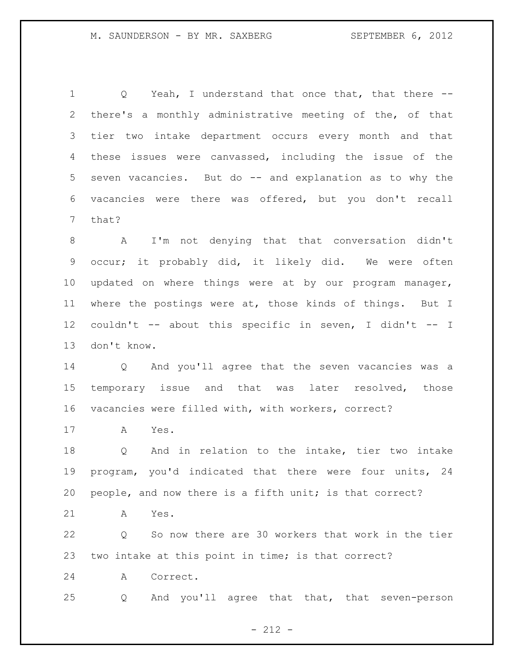1 Q Yeah, I understand that once that, that there -- there's a monthly administrative meeting of the, of that tier two intake department occurs every month and that these issues were canvassed, including the issue of the seven vacancies. But do -- and explanation as to why the vacancies were there was offered, but you don't recall that?

 A I'm not denying that that conversation didn't occur; it probably did, it likely did. We were often updated on where things were at by our program manager, where the postings were at, those kinds of things. But I couldn't -- about this specific in seven, I didn't -- I don't know.

 Q And you'll agree that the seven vacancies was a temporary issue and that was later resolved, those vacancies were filled with, with workers, correct?

A Yes.

 Q And in relation to the intake, tier two intake program, you'd indicated that there were four units, 24 people, and now there is a fifth unit; is that correct?

A Yes.

 Q So now there are 30 workers that work in the tier two intake at this point in time; is that correct?

A Correct.

Q And you'll agree that that, that seven-person

- 212 -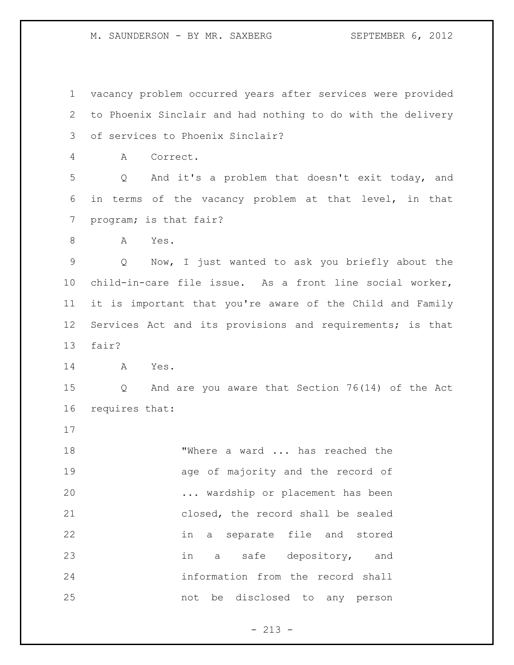M. SAUNDERSON - BY MR. SAXBERG SEPTEMBER 6, 2012

 vacancy problem occurred years after services were provided to Phoenix Sinclair and had nothing to do with the delivery of services to Phoenix Sinclair? A Correct. Q And it's a problem that doesn't exit today, and in terms of the vacancy problem at that level, in that program; is that fair? A Yes. Q Now, I just wanted to ask you briefly about the child-in-care file issue. As a front line social worker, it is important that you're aware of the Child and Family Services Act and its provisions and requirements; is that fair? A Yes. Q And are you aware that Section 76(14) of the Act requires that: 18 TWhere a ward ... has reached the 19 age of majority and the record of ... wardship or placement has been closed, the record shall be sealed in a separate file and stored in a safe depository, and information from the record shall not be disclosed to any person

- 213 -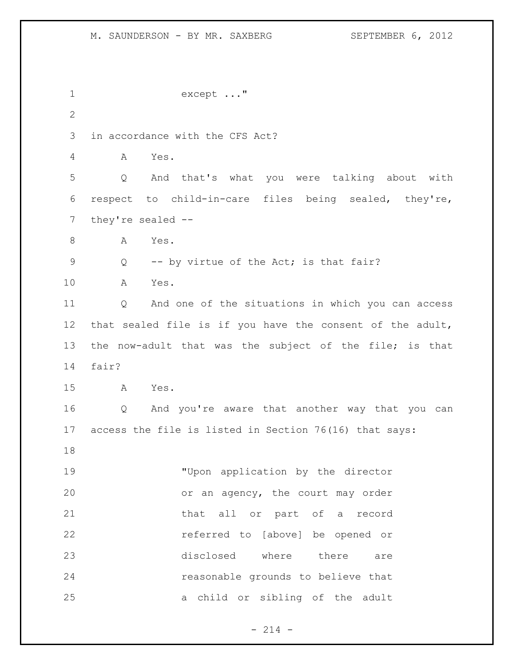```
1 except ..."
2
3 in accordance with the CFS Act?
4 A Yes.
5 Q And that's what you were talking about with 
6 respect to child-in-care files being sealed, they're, 
7 they're sealed --
8 A Yes.
9 Q -- by virtue of the Act; is that fair?
10 A Yes.
11 Q And one of the situations in which you can access 
12 that sealed file is if you have the consent of the adult, 
13 the now-adult that was the subject of the file; is that 
14 fair?
15 A Yes.
16 Q And you're aware that another way that you can 
17 access the file is listed in Section 76(16) that says: 
18
19 "Upon application by the director 
20 or an agency, the court may order 
21 that all or part of a record 
22 referred to [above] be opened or 
23 disclosed where there are 
24 reasonable grounds to believe that 
25 a child or sibling of the adult
```
 $- 214 -$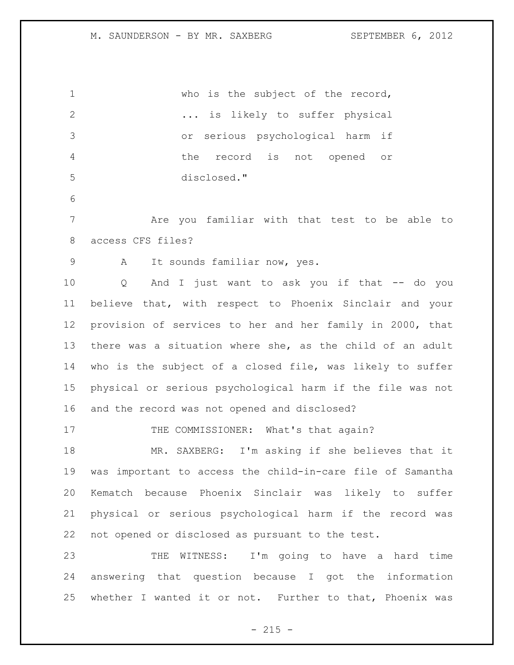who is the subject of the record, ... is likely to suffer physical or serious psychological harm if the record is not opened or disclosed." Are you familiar with that test to be able to access CFS files? A It sounds familiar now, yes. Q And I just want to ask you if that -- do you believe that, with respect to Phoenix Sinclair and your provision of services to her and her family in 2000, that there was a situation where she, as the child of an adult who is the subject of a closed file, was likely to suffer physical or serious psychological harm if the file was not and the record was not opened and disclosed? 17 THE COMMISSIONER: What's that again? MR. SAXBERG: I'm asking if she believes that it was important to access the child-in-care file of Samantha Kematch because Phoenix Sinclair was likely to suffer physical or serious psychological harm if the record was not opened or disclosed as pursuant to the test. THE WITNESS: I'm going to have a hard time answering that question because I got the information whether I wanted it or not. Further to that, Phoenix was

 $- 215 -$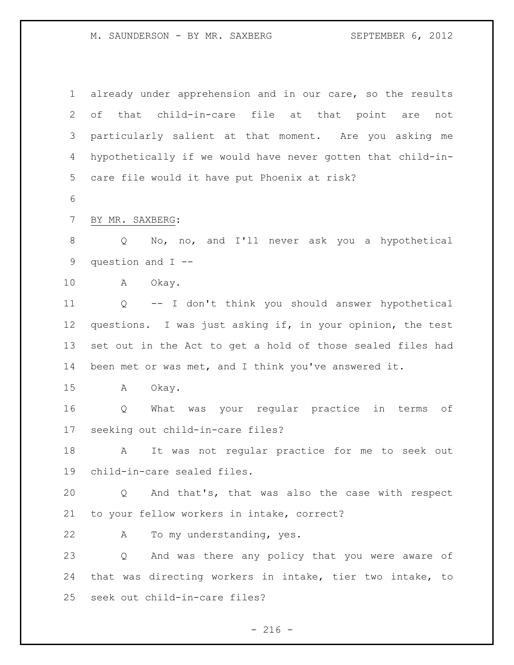M. SAUNDERSON - BY MR. SAXBERG SEPTEMBER 6, 2012

 already under apprehension and in our care, so the results of that child-in-care file at that point are not particularly salient at that moment. Are you asking me hypothetically if we would have never gotten that child-in- care file would it have put Phoenix at risk? BY MR. SAXBERG: Q No, no, and I'll never ask you a hypothetical question and I -- A Okay. Q -- I don't think you should answer hypothetical questions. I was just asking if, in your opinion, the test set out in the Act to get a hold of those sealed files had been met or was met, and I think you've answered it. A Okay. Q What was your regular practice in terms of seeking out child-in-care files? A It was not regular practice for me to seek out child-in-care sealed files. Q And that's, that was also the case with respect to your fellow workers in intake, correct? A To my understanding, yes. Q And was there any policy that you were aware of that was directing workers in intake, tier two intake, to seek out child-in-care files?

 $-216 -$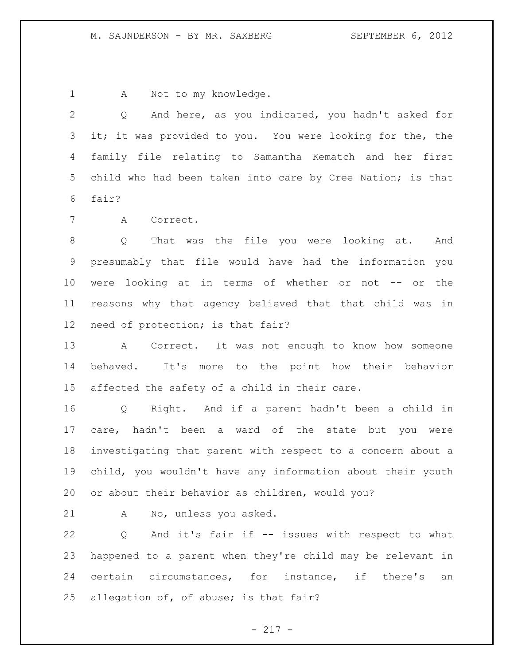1 A Not to my knowledge.

 Q And here, as you indicated, you hadn't asked for it; it was provided to you. You were looking for the, the family file relating to Samantha Kematch and her first child who had been taken into care by Cree Nation; is that fair?

A Correct.

 Q That was the file you were looking at. And presumably that file would have had the information you were looking at in terms of whether or not -- or the reasons why that agency believed that that child was in need of protection; is that fair?

 A Correct. It was not enough to know how someone behaved. It's more to the point how their behavior affected the safety of a child in their care.

 Q Right. And if a parent hadn't been a child in care, hadn't been a ward of the state but you were investigating that parent with respect to a concern about a child, you wouldn't have any information about their youth or about their behavior as children, would you?

A No, unless you asked.

 Q And it's fair if -- issues with respect to what happened to a parent when they're child may be relevant in certain circumstances, for instance, if there's an allegation of, of abuse; is that fair?

 $- 217 -$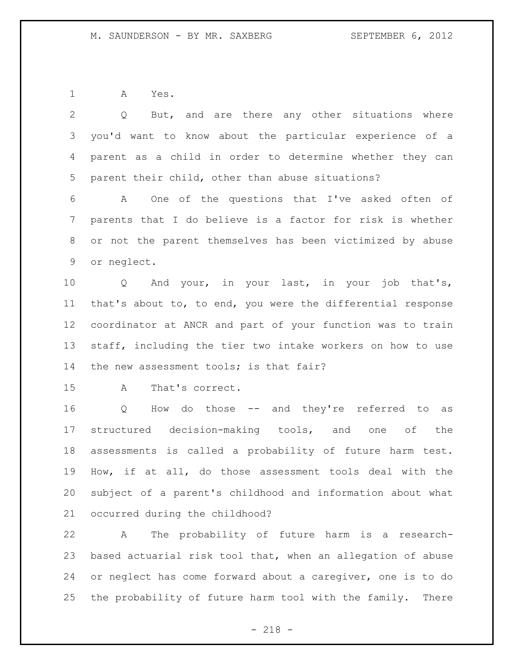A Yes.

| $\overline{2}$ | But, and are there any other situations where<br>Q               |
|----------------|------------------------------------------------------------------|
| 3              | you'd want to know about the particular experience of a          |
| 4              | parent as a child in order to determine whether they can         |
| 5              | parent their child, other than abuse situations?                 |
| 6              | One of the questions that I've asked often of<br>A               |
| 7              | parents that I do believe is a factor for risk is whether        |
| 8              | or not the parent themselves has been victimized by abuse        |
| 9              | or neglect.                                                      |
| 10             | And your, in your last, in your job that's,<br>$Q \qquad \qquad$ |
| 11             | that's about to, to end, you were the differential response      |
| 12             | coordinator at ANCR and part of your function was to train       |
| 13             | staff, including the tier two intake workers on how to use       |
| 14             | the new assessment tools; is that fair?                          |
| 15             | That's correct.<br>A                                             |
| 16             | How do those -- and they're referred to as<br>Q                  |
| 17             | structured decision-making tools, and one of the                 |
| 18             | assessments is called a probability of future harm test.         |
| 19             | How, if at all, do those assessment tools deal with the          |
| 20             | subject of a parent's childhood and information about what       |
| 21             | occurred during the childhood?                                   |
| 22             | The probability of future harm is a research-<br>A               |
| 23             | based actuarial risk tool that, when an allegation of abuse      |
| 24             | or neglect has come forward about a caregiver, one is to do      |

the probability of future harm tool with the family. There

- 218 -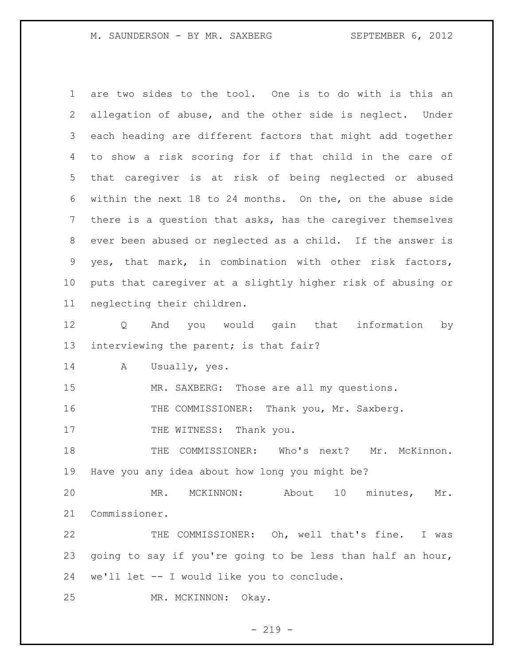M. SAUNDERSON - BY MR. SAXBERG SEPTEMBER 6, 2012

 are two sides to the tool. One is to do with is this an allegation of abuse, and the other side is neglect. Under each heading are different factors that might add together to show a risk scoring for if that child in the care of that caregiver is at risk of being neglected or abused within the next 18 to 24 months. On the, on the abuse side there is a question that asks, has the caregiver themselves ever been abused or neglected as a child. If the answer is yes, that mark, in combination with other risk factors, puts that caregiver at a slightly higher risk of abusing or neglecting their children. Q And you would gain that information by interviewing the parent; is that fair? A Usually, yes. MR. SAXBERG: Those are all my questions. 16 THE COMMISSIONER: Thank you, Mr. Saxberg. 17 THE WITNESS: Thank you. THE COMMISSIONER: Who's next? Mr. McKinnon. Have you any idea about how long you might be? MR. MCKINNON: About 10 minutes, Mr. Commissioner. THE COMMISSIONER: Oh, well that's fine. I was going to say if you're going to be less than half an hour, we'll let -- I would like you to conclude. MR. MCKINNON: Okay.

 $-219 -$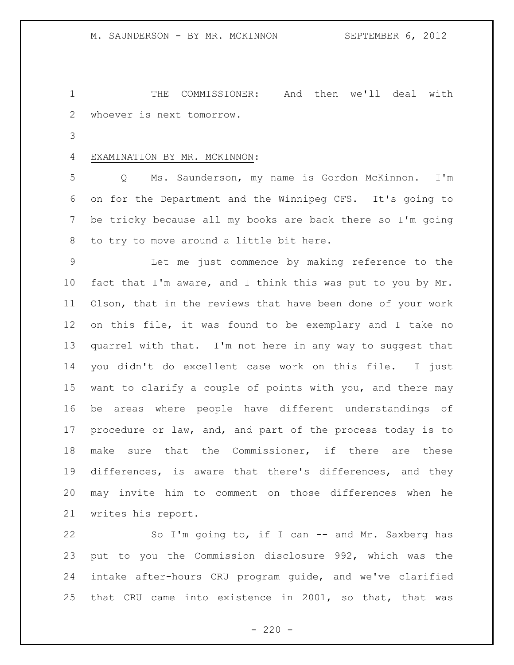THE COMMISSIONER: And then we'll deal with whoever is next tomorrow.

### EXAMINATION BY MR. MCKINNON:

 Q Ms. Saunderson, my name is Gordon McKinnon. I'm on for the Department and the Winnipeg CFS. It's going to be tricky because all my books are back there so I'm going to try to move around a little bit here.

 Let me just commence by making reference to the fact that I'm aware, and I think this was put to you by Mr. Olson, that in the reviews that have been done of your work on this file, it was found to be exemplary and I take no quarrel with that. I'm not here in any way to suggest that you didn't do excellent case work on this file. I just want to clarify a couple of points with you, and there may be areas where people have different understandings of procedure or law, and, and part of the process today is to make sure that the Commissioner, if there are these differences, is aware that there's differences, and they may invite him to comment on those differences when he writes his report.

22 So I'm going to, if I can -- and Mr. Saxberg has put to you the Commission disclosure 992, which was the intake after-hours CRU program guide, and we've clarified that CRU came into existence in 2001, so that, that was

 $-220 -$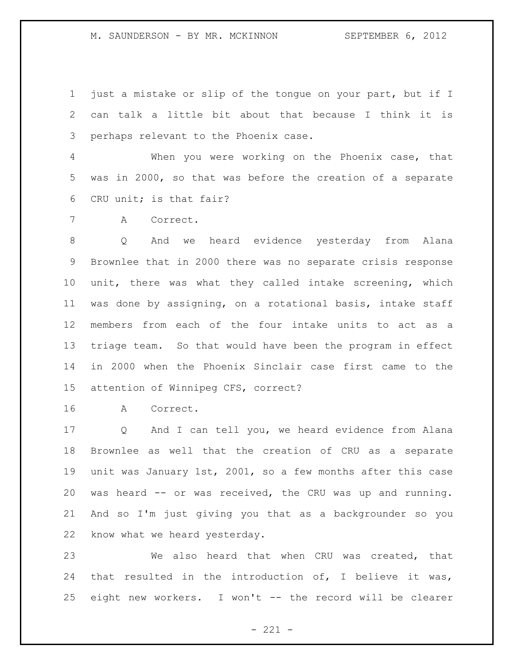just a mistake or slip of the tongue on your part, but if I can talk a little bit about that because I think it is perhaps relevant to the Phoenix case.

 When you were working on the Phoenix case, that was in 2000, so that was before the creation of a separate CRU unit; is that fair?

A Correct.

 Q And we heard evidence yesterday from Alana Brownlee that in 2000 there was no separate crisis response unit, there was what they called intake screening, which was done by assigning, on a rotational basis, intake staff members from each of the four intake units to act as a triage team. So that would have been the program in effect in 2000 when the Phoenix Sinclair case first came to the attention of Winnipeg CFS, correct?

A Correct.

 Q And I can tell you, we heard evidence from Alana Brownlee as well that the creation of CRU as a separate unit was January 1st, 2001, so a few months after this case was heard -- or was received, the CRU was up and running. And so I'm just giving you that as a backgrounder so you know what we heard yesterday.

 We also heard that when CRU was created, that that resulted in the introduction of, I believe it was, eight new workers. I won't -- the record will be clearer

 $- 221 -$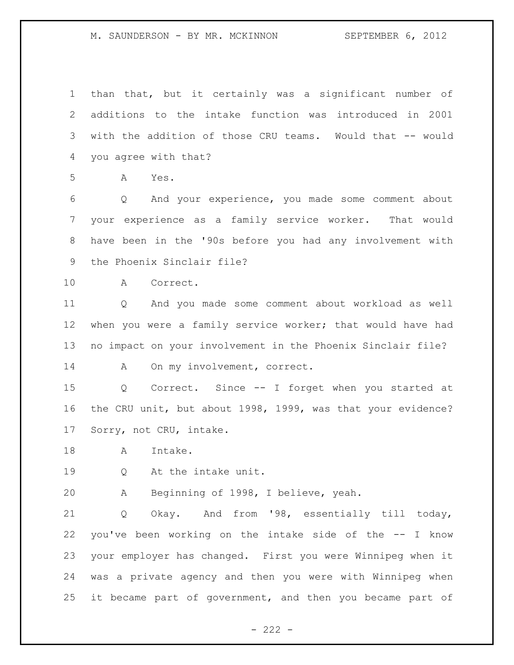than that, but it certainly was a significant number of additions to the intake function was introduced in 2001 with the addition of those CRU teams. Would that -- would you agree with that? A Yes. Q And your experience, you made some comment about your experience as a family service worker. That would have been in the '90s before you had any involvement with the Phoenix Sinclair file? A Correct. Q And you made some comment about workload as well when you were a family service worker; that would have had no impact on your involvement in the Phoenix Sinclair file? 14 A On my involvement, correct. Q Correct. Since -- I forget when you started at the CRU unit, but about 1998, 1999, was that your evidence? Sorry, not CRU, intake. 18 A Intake. Q At the intake unit. A Beginning of 1998, I believe, yeah. Q Okay. And from '98, essentially till today, you've been working on the intake side of the -- I know your employer has changed. First you were Winnipeg when it was a private agency and then you were with Winnipeg when it became part of government, and then you became part of

 $- 222 -$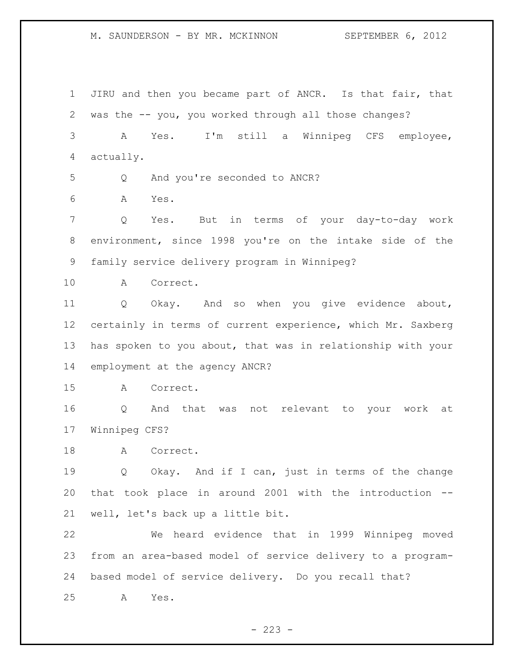JIRU and then you became part of ANCR. Is that fair, that was the -- you, you worked through all those changes? A Yes. I'm still a Winnipeg CFS employee, actually. Q And you're seconded to ANCR? A Yes. Q Yes. But in terms of your day-to-day work environment, since 1998 you're on the intake side of the family service delivery program in Winnipeg? A Correct. Q Okay. And so when you give evidence about, certainly in terms of current experience, which Mr. Saxberg has spoken to you about, that was in relationship with your employment at the agency ANCR? A Correct. Q And that was not relevant to your work at Winnipeg CFS? 18 A Correct. Q Okay. And if I can, just in terms of the change that took place in around 2001 with the introduction -- well, let's back up a little bit. We heard evidence that in 1999 Winnipeg moved from an area-based model of service delivery to a program- based model of service delivery. Do you recall that? A Yes.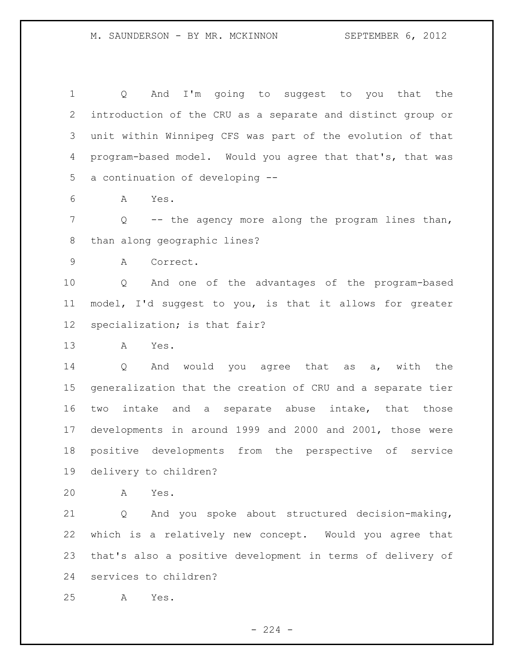Q And I'm going to suggest to you that the introduction of the CRU as a separate and distinct group or unit within Winnipeg CFS was part of the evolution of that program-based model. Would you agree that that's, that was a continuation of developing --

A Yes.

 Q -- the agency more along the program lines than, than along geographic lines?

A Correct.

 Q And one of the advantages of the program-based model, I'd suggest to you, is that it allows for greater specialization; is that fair?

A Yes.

 Q And would you agree that as a, with the generalization that the creation of CRU and a separate tier two intake and a separate abuse intake, that those developments in around 1999 and 2000 and 2001, those were positive developments from the perspective of service delivery to children?

A Yes.

 Q And you spoke about structured decision-making, which is a relatively new concept. Would you agree that that's also a positive development in terms of delivery of services to children?

A Yes.

 $-224 -$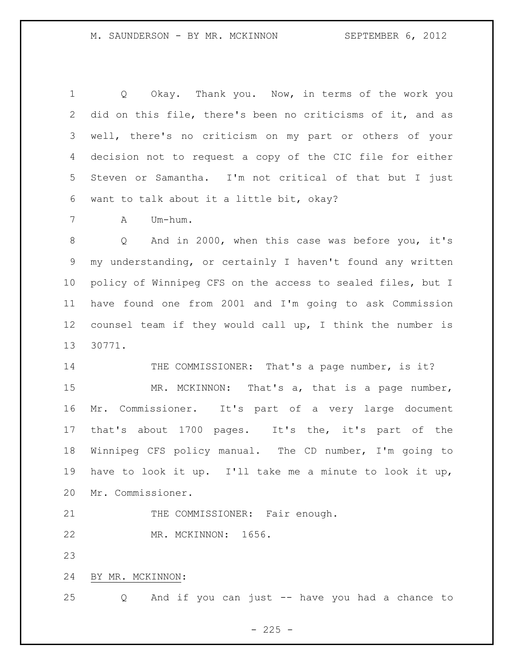Q Okay. Thank you. Now, in terms of the work you did on this file, there's been no criticisms of it, and as well, there's no criticism on my part or others of your decision not to request a copy of the CIC file for either Steven or Samantha. I'm not critical of that but I just want to talk about it a little bit, okay? A Um-hum. Q And in 2000, when this case was before you, it's my understanding, or certainly I haven't found any written policy of Winnipeg CFS on the access to sealed files, but I have found one from 2001 and I'm going to ask Commission counsel team if they would call up, I think the number is 30771. 14 THE COMMISSIONER: That's a page number, is it? 15 MR. MCKINNON: That's a, that is a page number, Mr. Commissioner. It's part of a very large document that's about 1700 pages. It's the, it's part of the Winnipeg CFS policy manual. The CD number, I'm going to have to look it up. I'll take me a minute to look it up, Mr. Commissioner. 21 THE COMMISSIONER: Fair enough. MR. MCKINNON: 1656. 

BY MR. MCKINNON:

Q And if you can just -- have you had a chance to

 $- 225 -$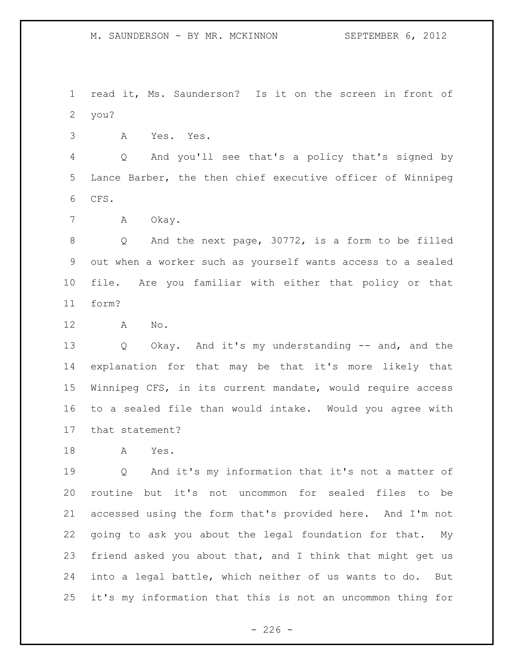read it, Ms. Saunderson? Is it on the screen in front of you?

A Yes. Yes.

 Q And you'll see that's a policy that's signed by Lance Barber, the then chief executive officer of Winnipeg CFS.

A Okay.

 Q And the next page, 30772, is a form to be filled out when a worker such as yourself wants access to a sealed file. Are you familiar with either that policy or that form?

A No.

 Q Okay. And it's my understanding -- and, and the explanation for that may be that it's more likely that Winnipeg CFS, in its current mandate, would require access to a sealed file than would intake. Would you agree with that statement?

A Yes.

 Q And it's my information that it's not a matter of routine but it's not uncommon for sealed files to be accessed using the form that's provided here. And I'm not going to ask you about the legal foundation for that. My friend asked you about that, and I think that might get us into a legal battle, which neither of us wants to do. But it's my information that this is not an uncommon thing for

 $-226 -$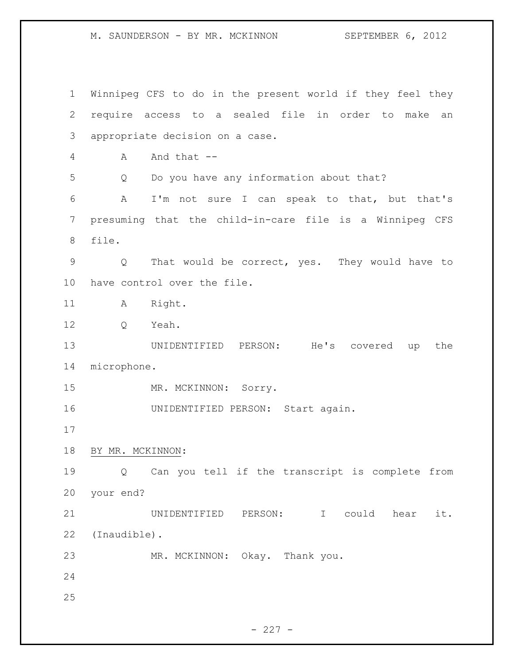Winnipeg CFS to do in the present world if they feel they require access to a sealed file in order to make an appropriate decision on a case. A And that -- Q Do you have any information about that? A I'm not sure I can speak to that, but that's presuming that the child-in-care file is a Winnipeg CFS file. Q That would be correct, yes. They would have to have control over the file. 11 A Right. 12 O Yeah. UNIDENTIFIED PERSON: He's covered up the microphone. 15 MR. MCKINNON: Sorry. UNIDENTIFIED PERSON: Start again. BY MR. MCKINNON: Q Can you tell if the transcript is complete from your end? UNIDENTIFIED PERSON: I could hear it. (Inaudible). MR. MCKINNON: Okay. Thank you.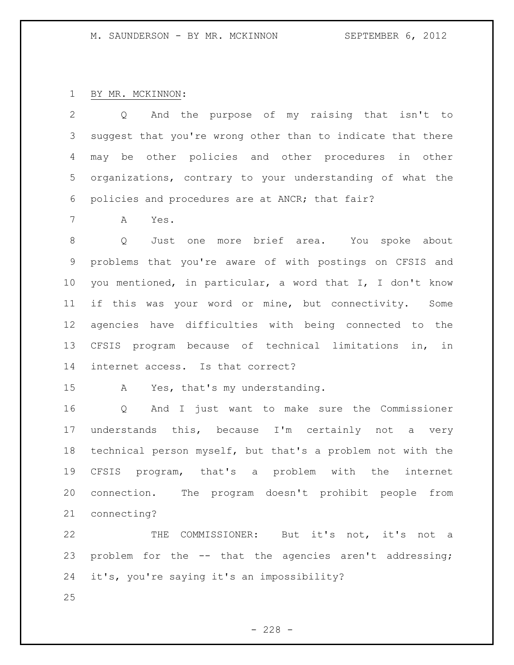BY MR. MCKINNON:

 Q And the purpose of my raising that isn't to suggest that you're wrong other than to indicate that there may be other policies and other procedures in other organizations, contrary to your understanding of what the policies and procedures are at ANCR; that fair?

A Yes.

 Q Just one more brief area. You spoke about problems that you're aware of with postings on CFSIS and you mentioned, in particular, a word that I, I don't know if this was your word or mine, but connectivity. Some agencies have difficulties with being connected to the CFSIS program because of technical limitations in, in internet access. Is that correct?

A Yes, that's my understanding.

 Q And I just want to make sure the Commissioner understands this, because I'm certainly not a very technical person myself, but that's a problem not with the CFSIS program, that's a problem with the internet connection. The program doesn't prohibit people from connecting?

 THE COMMISSIONER: But it's not, it's not a problem for the -- that the agencies aren't addressing; it's, you're saying it's an impossibility?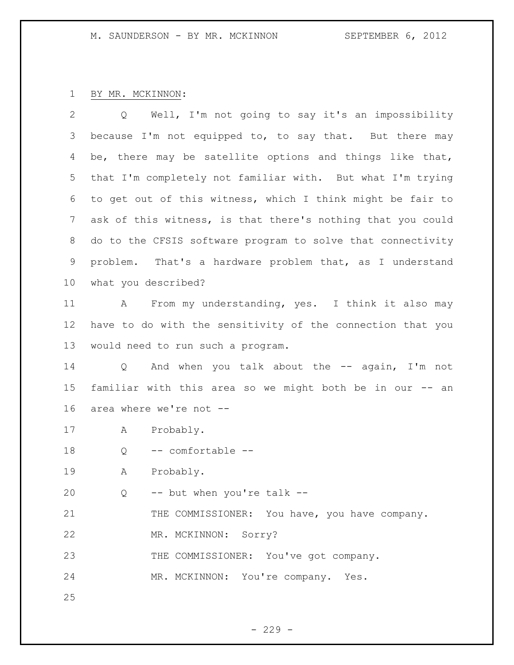## BY MR. MCKINNON:

 Q Well, I'm not going to say it's an impossibility 3 because I'm not equipped to, to say that. But there may be, there may be satellite options and things like that, that I'm completely not familiar with. But what I'm trying to get out of this witness, which I think might be fair to ask of this witness, is that there's nothing that you could do to the CFSIS software program to solve that connectivity problem. That's a hardware problem that, as I understand what you described? 11 A From my understanding, yes. I think it also may

 have to do with the sensitivity of the connection that you would need to run such a program.

14 Q And when you talk about the -- again, I'm not familiar with this area so we might both be in our -- an area where we're not --

A Probably.

Q -- comfortable --

A Probably.

20  $Q$  -- but when you're talk --

21 THE COMMISSIONER: You have, you have company.

MR. MCKINNON: Sorry?

23 THE COMMISSIONER: You've got company.

MR. MCKINNON: You're company. Yes.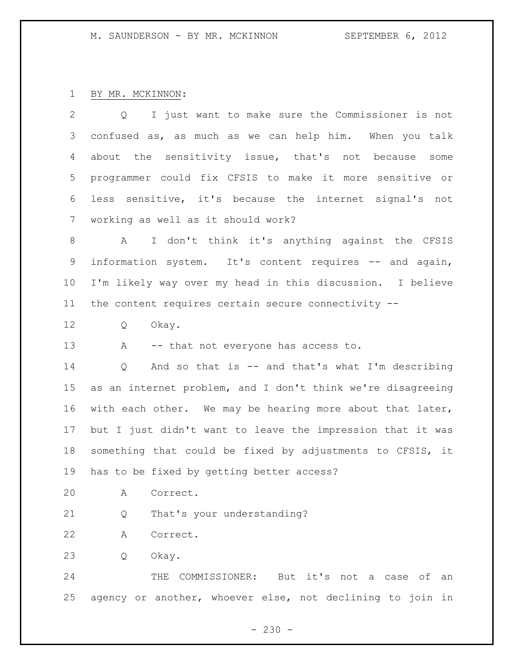# BY MR. MCKINNON:

| $\mathbf{2}$    | I just want to make sure the Commissioner is not<br>$Q \qquad \qquad$ |
|-----------------|-----------------------------------------------------------------------|
| 3               | confused as, as much as we can help him. When you talk                |
| 4               | about the sensitivity issue, that's not because<br>some               |
| 5               | programmer could fix CFSIS to make it more sensitive or               |
| 6               | less sensitive, it's because the internet signal's not                |
| 7               | working as well as it should work?                                    |
| 8               | I don't think it's anything against the CFSIS<br>A                    |
| 9               | information system. It's content requires -- and again,               |
| 10              | I'm likely way over my head in this discussion. I believe             |
| 11              | the content requires certain secure connectivity --                   |
| 12              | Okay.<br>Q                                                            |
| 13              | $\mathbf{A}$<br>-- that not everyone has access to.                   |
| 14              | And so that is -- and that's what I'm describing<br>Q                 |
| 15 <sub>1</sub> | as an internet problem, and I don't think we're disagreeing           |
| 16              | with each other. We may be hearing more about that later,             |
| 17              | but I just didn't want to leave the impression that it was            |
| 18              | something that could be fixed by adjustments to CFSIS, it             |
| 19              | has to be fixed by getting better access?                             |
| 20              | Correct.<br>Α                                                         |
| 21              | That's your understanding?<br>Q                                       |
| 22              | Correct.<br>Α                                                         |
| 23              | Okay.<br>Q                                                            |
| 24              | it's<br>THE<br>COMMISSIONER:<br>But<br>not<br>оf<br>case<br>а<br>an   |

agency or another, whoever else, not declining to join in

- 230 -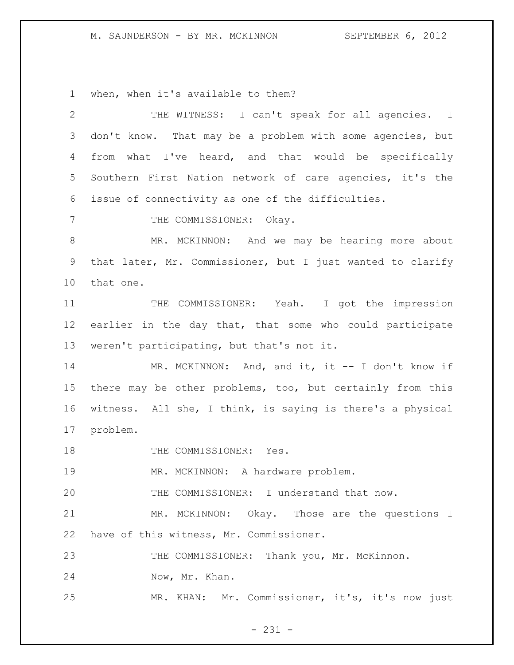when, when it's available to them?

| $\mathbf{2}$ | THE WITNESS: I can't speak for all agencies. I             |
|--------------|------------------------------------------------------------|
| 3            | don't know. That may be a problem with some agencies, but  |
| 4            | from what I've heard, and that would be specifically       |
| 5            | Southern First Nation network of care agencies, it's the   |
| 6            | issue of connectivity as one of the difficulties.          |
| 7            | THE COMMISSIONER: Okay.                                    |
| $8\,$        | MR. MCKINNON: And we may be hearing more about             |
| 9            | that later, Mr. Commissioner, but I just wanted to clarify |
| 10           | that one.                                                  |
| 11           | THE COMMISSIONER: Yeah. I got the impression               |
| 12           | earlier in the day that, that some who could participate   |
| 13           | weren't participating, but that's not it.                  |
| 14           | MR. MCKINNON: And, and it, it -- I don't know if           |
| 15           | there may be other problems, too, but certainly from this  |
| 16           | witness. All she, I think, is saying is there's a physical |
| 17           | problem.                                                   |
| 18           | THE COMMISSIONER: Yes.                                     |
| 19           | MR. MCKINNON: A hardware problem.                          |
| 20           | THE COMMISSIONER: I understand that now.                   |
| 21           | MR. MCKINNON: Okay. Those are the questions I              |
| 22           | have of this witness, Mr. Commissioner.                    |
| 23           | THE COMMISSIONER: Thank you, Mr. McKinnon.                 |
| 24           | Now, Mr. Khan.                                             |
| 25           | MR. KHAN: Mr. Commissioner, it's, it's now just            |

- 231 -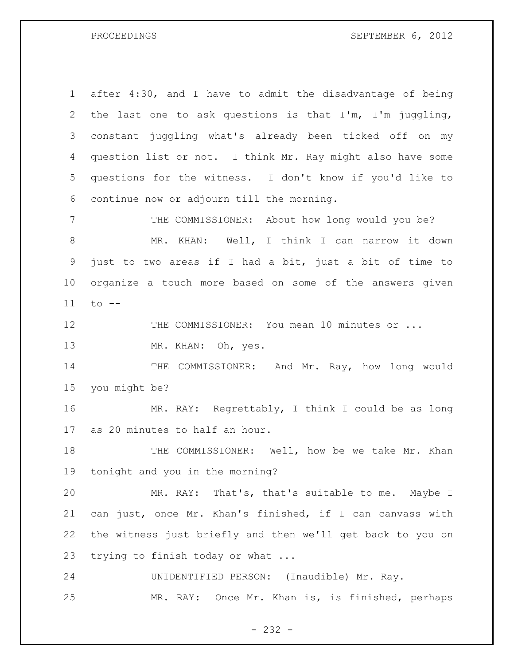PROCEEDINGS SEPTEMBER 6, 2012

 after 4:30, and I have to admit the disadvantage of being the last one to ask questions is that I'm, I'm juggling, constant juggling what's already been ticked off on my question list or not. I think Mr. Ray might also have some questions for the witness. I don't know if you'd like to continue now or adjourn till the morning. THE COMMISSIONER: About how long would you be?

 MR. KHAN: Well, I think I can narrow it down just to two areas if I had a bit, just a bit of time to organize a touch more based on some of the answers given to --

12 THE COMMISSIONER: You mean 10 minutes or ...

MR. KHAN: Oh, yes.

14 THE COMMISSIONER: And Mr. Ray, how long would you might be?

 MR. RAY: Regrettably, I think I could be as long as 20 minutes to half an hour.

18 THE COMMISSIONER: Well, how be we take Mr. Khan tonight and you in the morning?

 MR. RAY: That's, that's suitable to me. Maybe I can just, once Mr. Khan's finished, if I can canvass with the witness just briefly and then we'll get back to you on trying to finish today or what ...

 UNIDENTIFIED PERSON: (Inaudible) Mr. Ray. MR. RAY: Once Mr. Khan is, is finished, perhaps

- 232 -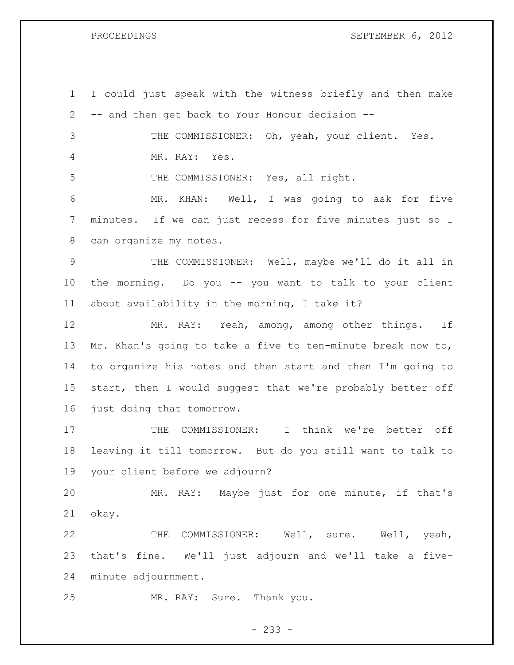PROCEEDINGS SEPTEMBER 6, 2012

 I could just speak with the witness briefly and then make -- and then get back to Your Honour decision -- THE COMMISSIONER: Oh, yeah, your client. Yes. MR. RAY: Yes. THE COMMISSIONER: Yes, all right. MR. KHAN: Well, I was going to ask for five minutes. If we can just recess for five minutes just so I can organize my notes. THE COMMISSIONER: Well, maybe we'll do it all in the morning. Do you -- you want to talk to your client about availability in the morning, I take it? MR. RAY: Yeah, among, among other things. If Mr. Khan's going to take a five to ten-minute break now to, to organize his notes and then start and then I'm going to start, then I would suggest that we're probably better off just doing that tomorrow. THE COMMISSIONER: I think we're better off leaving it till tomorrow. But do you still want to talk to your client before we adjourn? MR. RAY: Maybe just for one minute, if that's okay. 22 THE COMMISSIONER: Well, sure. Well, yeah, that's fine. We'll just adjourn and we'll take a five- minute adjournment. MR. RAY: Sure. Thank you.

 $- 233 -$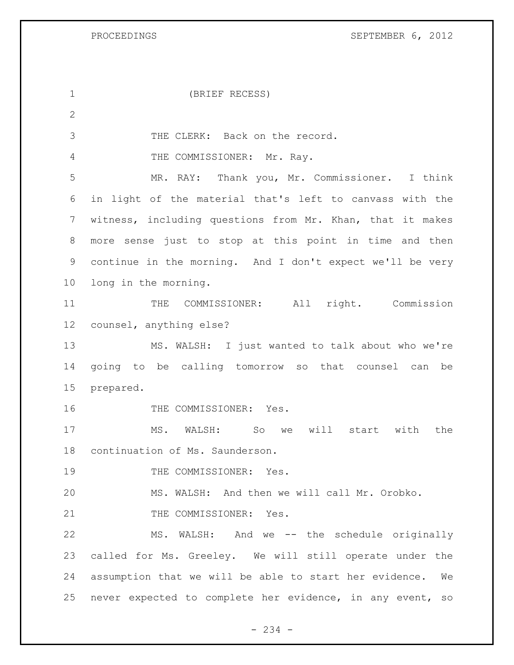PROCEEDINGS SEPTEMBER 6, 2012

| $\mathbf 1$    | (BRIEF RECESS)                                            |
|----------------|-----------------------------------------------------------|
| $\mathbf{2}$   |                                                           |
| 3              | THE CLERK: Back on the record.                            |
| 4              | THE COMMISSIONER: Mr. Ray.                                |
| 5              | MR. RAY: Thank you, Mr. Commissioner. I think             |
| 6              | in light of the material that's left to canvass with the  |
| $7\phantom{.}$ | witness, including questions from Mr. Khan, that it makes |
| 8              | more sense just to stop at this point in time and then    |
| 9              | continue in the morning. And I don't expect we'll be very |
| 10             | long in the morning.                                      |
| 11             | COMMISSIONER: All right. Commission<br>THE                |
| 12             | counsel, anything else?                                   |
| 13             | MS. WALSH: I just wanted to talk about who we're          |
| 14             | going to be calling tomorrow so that counsel can be       |
| 15             | prepared.                                                 |
| 16             | THE COMMISSIONER: Yes.                                    |
| 17             | will<br>MS. WALSH: So<br>start with<br>the<br>we          |
| 18             | continuation of Ms. Saunderson.                           |
| 19             | THE COMMISSIONER: Yes.                                    |
| 20             | MS. WALSH: And then we will call Mr. Orobko.              |
| 21             | THE COMMISSIONER: Yes.                                    |
| 22             | MS. WALSH: And we -- the schedule originally              |
| 23             | called for Ms. Greeley. We will still operate under the   |
| 24             | assumption that we will be able to start her evidence. We |
| 25             | never expected to complete her evidence, in any event, so |